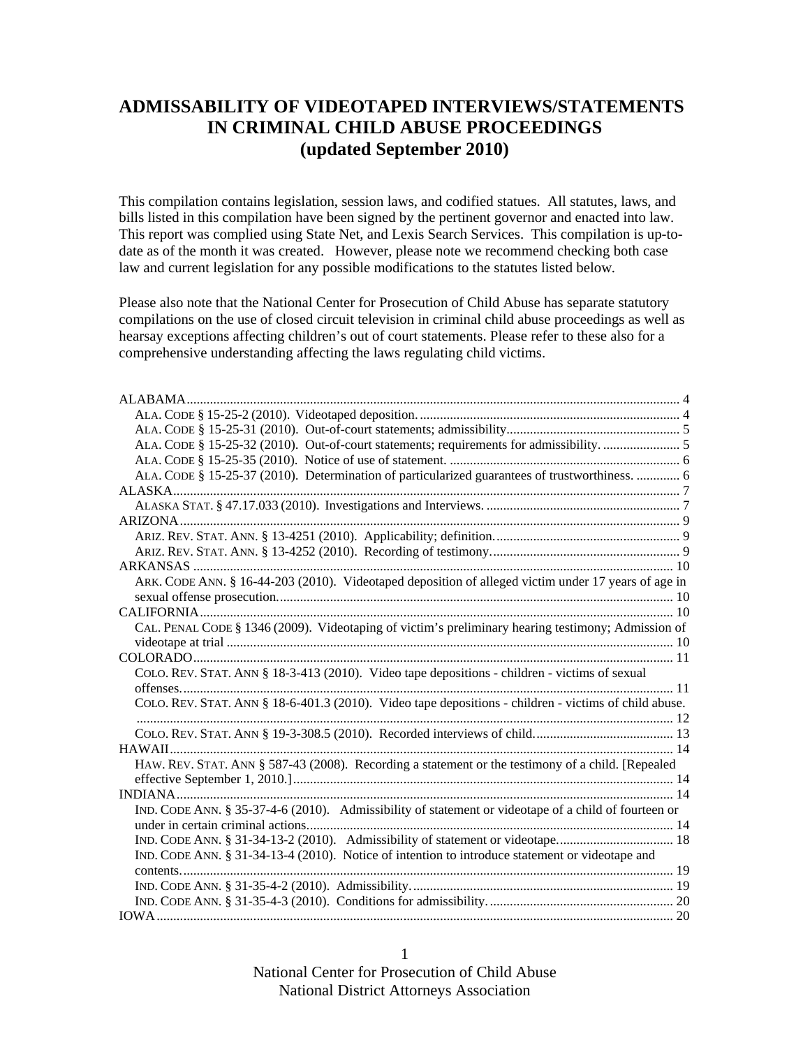## **ADMISSABILITY OF VIDEOTAPED INTERVIEWS/STATEMENTS IN CRIMINAL CHILD ABUSE PROCEEDINGS (updated September 2010)**

This compilation contains legislation, session laws, and codified statues. All statutes, laws, and bills listed in this compilation have been signed by the pertinent governor and enacted into law. This report was complied using State Net, and Lexis Search Services. This compilation is up-todate as of the month it was created. However, please note we recommend checking both case law and current legislation for any possible modifications to the statutes listed below*.*

Please also note that the National Center for Prosecution of Child Abuse has separate statutory compilations on the use of closed circuit television in criminal child abuse proceedings as well as hearsay exceptions affecting children's out of court statements. Please refer to these also for a comprehensive understanding affecting the laws regulating child victims.

| ALA. CODE § 15-25-37 (2010). Determination of particularized guarantees of trustworthiness.  6        |  |
|-------------------------------------------------------------------------------------------------------|--|
|                                                                                                       |  |
|                                                                                                       |  |
|                                                                                                       |  |
|                                                                                                       |  |
|                                                                                                       |  |
|                                                                                                       |  |
| ARK. CODE ANN. § 16-44-203 (2010). Videotaped deposition of alleged victim under 17 years of age in   |  |
|                                                                                                       |  |
|                                                                                                       |  |
| CAL. PENAL CODE § 1346 (2009). Videotaping of victim's preliminary hearing testimony; Admission of    |  |
|                                                                                                       |  |
|                                                                                                       |  |
| COLO. REV. STAT. ANN § 18-3-413 (2010). Video tape depositions - children - victims of sexual         |  |
|                                                                                                       |  |
| COLO. REV. STAT. ANN § 18-6-401.3 (2010). Video tape depositions - children - victims of child abuse. |  |
|                                                                                                       |  |
|                                                                                                       |  |
|                                                                                                       |  |
| HAW. REV. STAT. ANN § 587-43 (2008). Recording a statement or the testimony of a child. [Repealed     |  |
|                                                                                                       |  |
|                                                                                                       |  |
| IND. CODE ANN. § 35-37-4-6 (2010). Admissibility of statement or videotape of a child of fourteen or  |  |
|                                                                                                       |  |
|                                                                                                       |  |
| IND. CODE ANN. § 31-34-13-4 (2010). Notice of intention to introduce statement or videotape and       |  |
|                                                                                                       |  |
|                                                                                                       |  |
|                                                                                                       |  |
|                                                                                                       |  |

1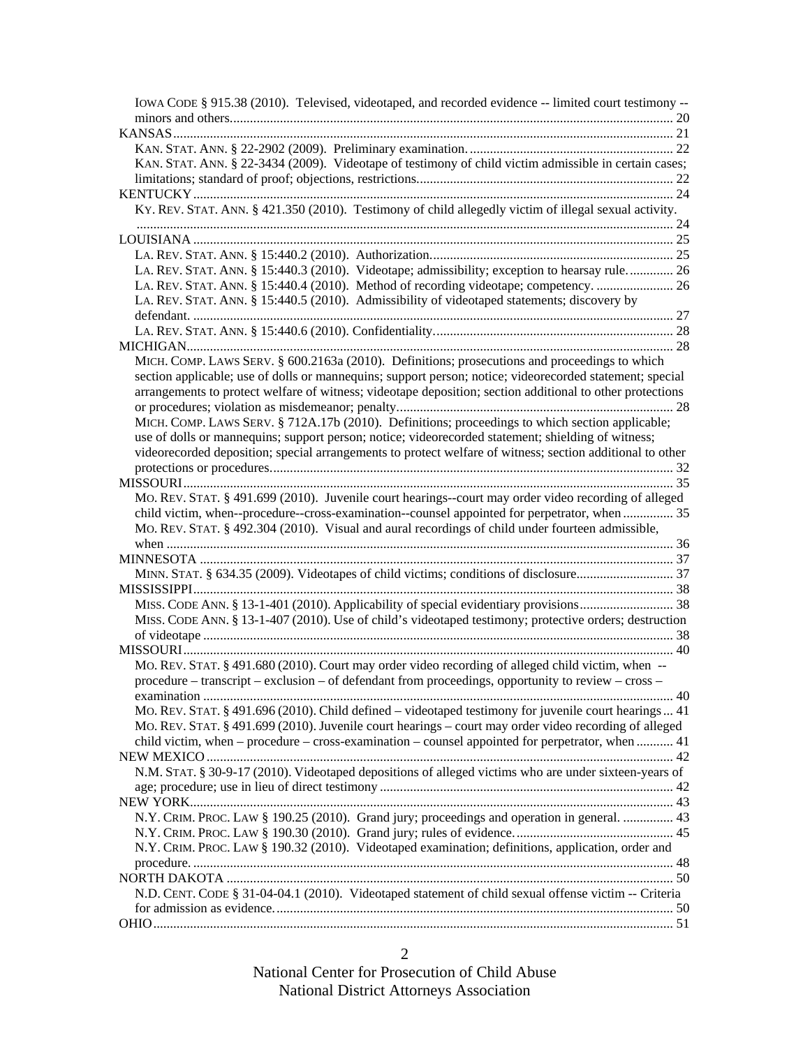| Iowa CoDE § 915.38 (2010). Televised, videotaped, and recorded evidence -- limited court testimony --     |  |
|-----------------------------------------------------------------------------------------------------------|--|
|                                                                                                           |  |
|                                                                                                           |  |
|                                                                                                           |  |
| KAN. STAT. ANN. § 22-3434 (2009). Videotape of testimony of child victim admissible in certain cases;     |  |
|                                                                                                           |  |
|                                                                                                           |  |
| KY. REV. STAT. ANN. § 421.350 (2010). Testimony of child allegedly victim of illegal sexual activity.     |  |
|                                                                                                           |  |
|                                                                                                           |  |
|                                                                                                           |  |
| LA. REV. STAT. ANN. § 15:440.3 (2010). Videotape; admissibility; exception to hearsay rule 26             |  |
| LA. REV. STAT. ANN. § 15:440.4 (2010). Method of recording videotape; competency.  26                     |  |
| LA. REV. STAT. ANN. § 15:440.5 (2010). Admissibility of videotaped statements; discovery by               |  |
|                                                                                                           |  |
|                                                                                                           |  |
|                                                                                                           |  |
| MICH. COMP. LAWS SERV. § 600.2163a (2010). Definitions; prosecutions and proceedings to which             |  |
| section applicable; use of dolls or mannequins; support person; notice; videorecorded statement; special  |  |
| arrangements to protect welfare of witness; videotape deposition; section additional to other protections |  |
|                                                                                                           |  |
| MICH. COMP. LAWS SERV. § 712A.17b (2010). Definitions; proceedings to which section applicable;           |  |
| use of dolls or mannequins; support person; notice; videorecorded statement; shielding of witness;        |  |
| videorecorded deposition; special arrangements to protect welfare of witness; section additional to other |  |
|                                                                                                           |  |
|                                                                                                           |  |
| MO. REV. STAT. § 491.699 (2010). Juvenile court hearings--court may order video recording of alleged      |  |
| child victim, when--procedure--cross-examination--counsel appointed for perpetrator, when  35             |  |
| Mo. REV. STAT. § 492.304 (2010). Visual and aural recordings of child under fourteen admissible,          |  |
|                                                                                                           |  |
|                                                                                                           |  |
|                                                                                                           |  |
|                                                                                                           |  |
|                                                                                                           |  |
| MISS. CODE ANN. § 13-1-407 (2010). Use of child's videotaped testimony; protective orders; destruction    |  |
|                                                                                                           |  |
|                                                                                                           |  |
| Mo. REV. STAT. § 491.680 (2010). Court may order video recording of alleged child victim, when --         |  |
| procedure – transcript – exclusion – of defendant from proceedings, opportunity to review – cross –       |  |
|                                                                                                           |  |
| Mo. REV. STAT. § 491.696 (2010). Child defined – videotaped testimony for juvenile court hearings  41     |  |
| Mo. REV. STAT. § 491.699 (2010). Juvenile court hearings – court may order video recording of alleged     |  |
| child victim, when – procedure – cross-examination – counsel appointed for perpetrator, when  41          |  |
|                                                                                                           |  |
| N.M. STAT. § 30-9-17 (2010). Videotaped depositions of alleged victims who are under sixteen-years of     |  |
|                                                                                                           |  |
|                                                                                                           |  |
|                                                                                                           |  |
| N.Y. CRIM. PROC. LAW § 190.25 (2010). Grand jury; proceedings and operation in general.  43               |  |
|                                                                                                           |  |
| N.Y. CRIM. PROC. LAW § 190.32 (2010). Videotaped examination; definitions, application, order and         |  |
|                                                                                                           |  |
|                                                                                                           |  |
| N.D. CENT. CODE § 31-04-04.1 (2010). Videotaped statement of child sexual offense victim -- Criteria      |  |
|                                                                                                           |  |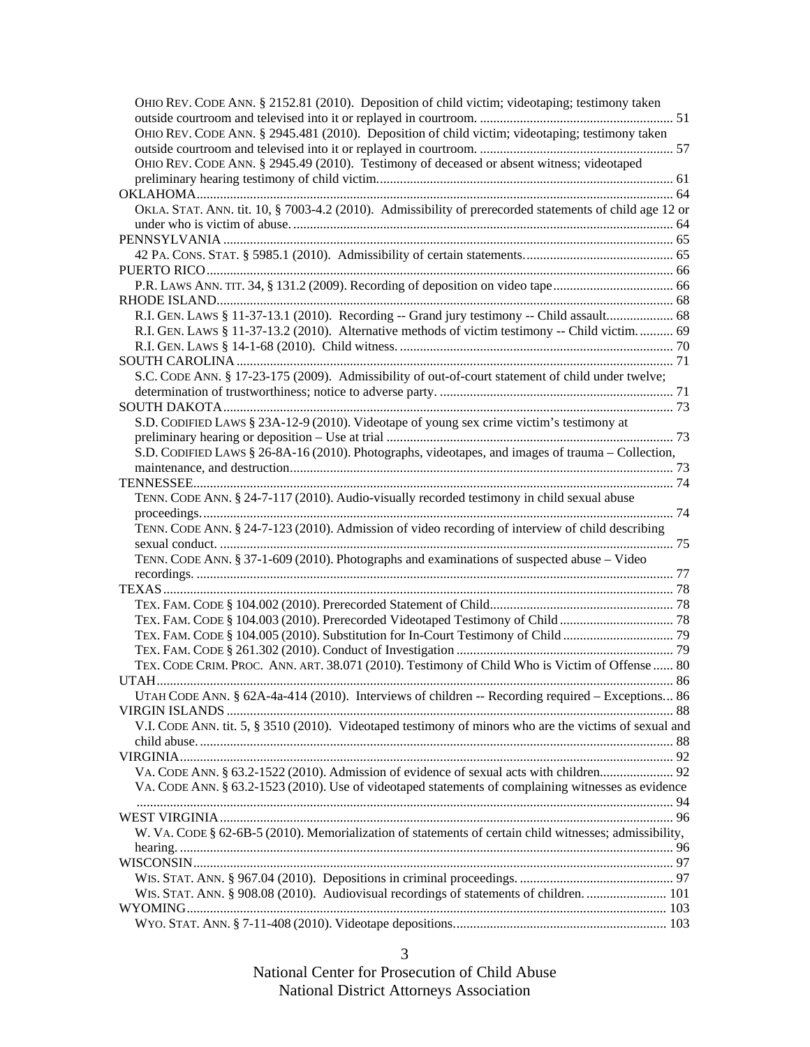| OHIO REV. CODE ANN. § 2152.81 (2010). Deposition of child victim; videotaping; testimony taken          |  |
|---------------------------------------------------------------------------------------------------------|--|
|                                                                                                         |  |
| OHIO REV. CODE ANN. § 2945.481 (2010). Deposition of child victim; videotaping; testimony taken         |  |
|                                                                                                         |  |
| OHIO REV. CODE ANN. § 2945.49 (2010). Testimony of deceased or absent witness; videotaped               |  |
|                                                                                                         |  |
|                                                                                                         |  |
| OKLA. STAT. ANN. tit. 10, § 7003-4.2 (2010). Admissibility of prerecorded statements of child age 12 or |  |
|                                                                                                         |  |
|                                                                                                         |  |
|                                                                                                         |  |
|                                                                                                         |  |
|                                                                                                         |  |
| R.I. GEN. LAWS § 11-37-13.1 (2010). Recording -- Grand jury testimony -- Child assault 68               |  |
| R.I. GEN. LAWS § 11-37-13.2 (2010). Alternative methods of victim testimony -- Child victim 69          |  |
|                                                                                                         |  |
|                                                                                                         |  |
| S.C. CODE ANN. § 17-23-175 (2009). Admissibility of out-of-court statement of child under twelve;       |  |
|                                                                                                         |  |
|                                                                                                         |  |
| S.D. CODIFIED LAWS § 23A-12-9 (2010). Videotape of young sex crime victim's testimony at                |  |
|                                                                                                         |  |
| S.D. CODIFIED LAWS § 26-8A-16 (2010). Photographs, videotapes, and images of trauma – Collection,       |  |
|                                                                                                         |  |
|                                                                                                         |  |
| TENN. CODE ANN. § 24-7-117 (2010). Audio-visually recorded testimony in child sexual abuse              |  |
|                                                                                                         |  |
| TENN. CODE ANN. § 24-7-123 (2010). Admission of video recording of interview of child describing        |  |
|                                                                                                         |  |
| TENN. CODE ANN. § 37-1-609 (2010). Photographs and examinations of suspected abuse – Video              |  |
|                                                                                                         |  |
|                                                                                                         |  |
|                                                                                                         |  |
|                                                                                                         |  |
|                                                                                                         |  |
|                                                                                                         |  |
| TEX. CODE CRIM. PROC. ANN. ART. 38.071 (2010). Testimony of Child Who is Victim of Offense  80          |  |
|                                                                                                         |  |
| UTAH CODE ANN. § 62A-4a-414 (2010). Interviews of children -- Recording required - Exceptions 86        |  |
|                                                                                                         |  |
| V.I. CODE ANN. tit. 5, § 3510 (2010). Videotaped testimony of minors who are the victims of sexual and  |  |
|                                                                                                         |  |
|                                                                                                         |  |
| VA. CODE ANN. § 63.2-1522 (2010). Admission of evidence of sexual acts with children 92                 |  |
| VA. CODE ANN. § 63.2-1523 (2010). Use of videotaped statements of complaining witnesses as evidence     |  |
|                                                                                                         |  |
|                                                                                                         |  |
| W. VA. CODE § 62-6B-5 (2010). Memorialization of statements of certain child witnesses; admissibility,  |  |
|                                                                                                         |  |
|                                                                                                         |  |
| WIS. STAT. ANN. § 908.08 (2010). Audiovisual recordings of statements of children.  101                 |  |
|                                                                                                         |  |
|                                                                                                         |  |
|                                                                                                         |  |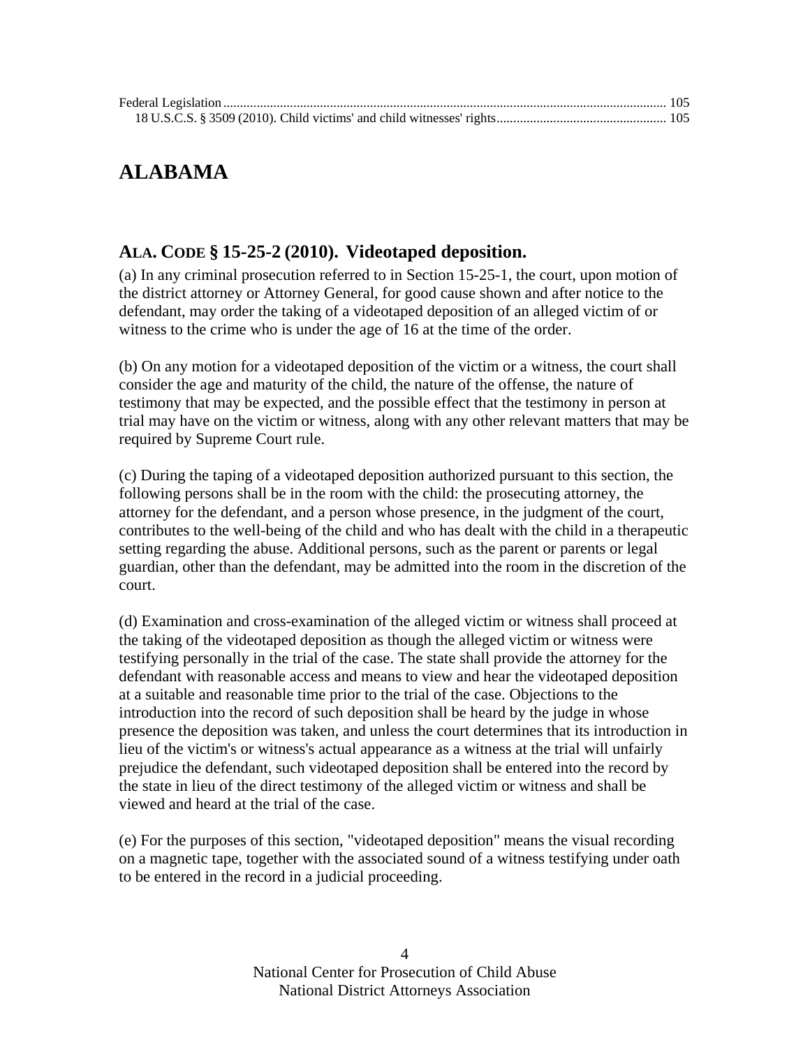<span id="page-3-0"></span>

# **ALABAMA**

## **ALA. CODE § 15-25-2 (2010). Videotaped deposition.**

(a) In any criminal prosecution referred to in Section 15-25-1, the court, upon motion of the district attorney or Attorney General, for good cause shown and after notice to the defendant, may order the taking of a videotaped deposition of an alleged victim of or witness to the crime who is under the age of 16 at the time of the order.

(b) On any motion for a videotaped deposition of the victim or a witness, the court shall consider the age and maturity of the child, the nature of the offense, the nature of testimony that may be expected, and the possible effect that the testimony in person at trial may have on the victim or witness, along with any other relevant matters that may be required by Supreme Court rule.

(c) During the taping of a videotaped deposition authorized pursuant to this section, the following persons shall be in the room with the child: the prosecuting attorney, the attorney for the defendant, and a person whose presence, in the judgment of the court, contributes to the well-being of the child and who has dealt with the child in a therapeutic setting regarding the abuse. Additional persons, such as the parent or parents or legal guardian, other than the defendant, may be admitted into the room in the discretion of the court.

(d) Examination and cross-examination of the alleged victim or witness shall proceed at the taking of the videotaped deposition as though the alleged victim or witness were testifying personally in the trial of the case. The state shall provide the attorney for the defendant with reasonable access and means to view and hear the videotaped deposition at a suitable and reasonable time prior to the trial of the case. Objections to the introduction into the record of such deposition shall be heard by the judge in whose presence the deposition was taken, and unless the court determines that its introduction in lieu of the victim's or witness's actual appearance as a witness at the trial will unfairly prejudice the defendant, such videotaped deposition shall be entered into the record by the state in lieu of the direct testimony of the alleged victim or witness and shall be viewed and heard at the trial of the case.

(e) For the purposes of this section, "videotaped deposition" means the visual recording on a magnetic tape, together with the associated sound of a witness testifying under oath to be entered in the record in a judicial proceeding.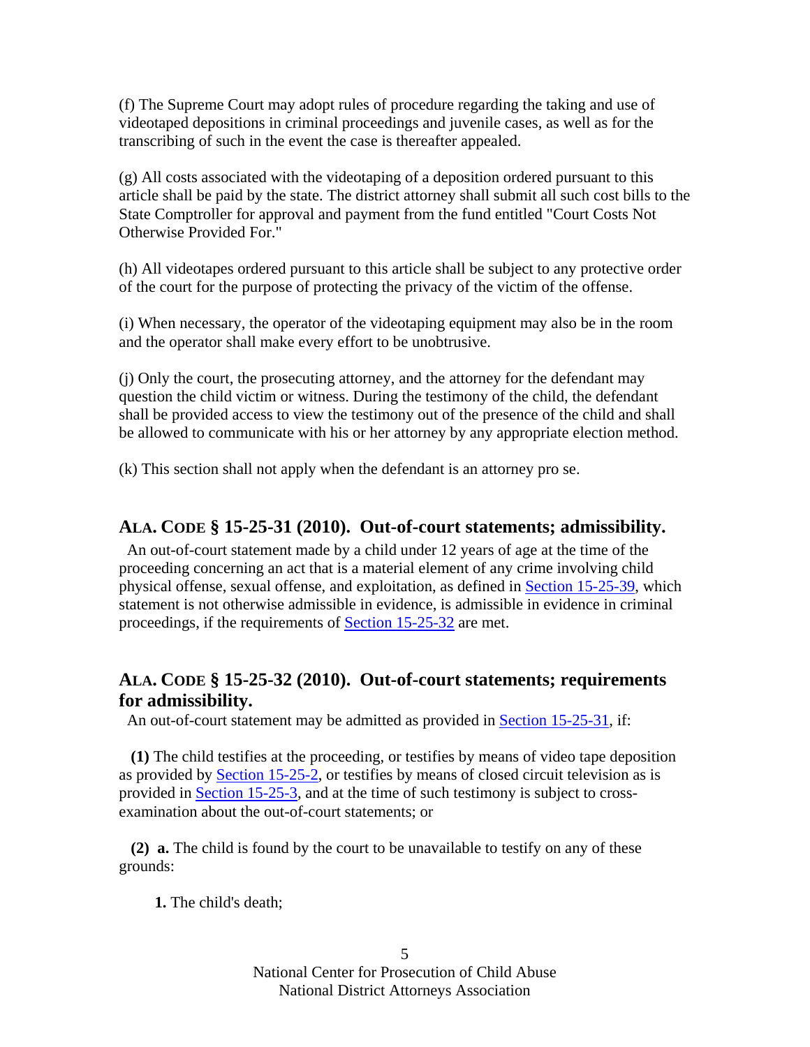<span id="page-4-0"></span>(f) The Supreme Court may adopt rules of procedure regarding the taking and use of videotaped depositions in criminal proceedings and juvenile cases, as well as for the transcribing of such in the event the case is thereafter appealed.

(g) All costs associated with the videotaping of a deposition ordered pursuant to this article shall be paid by the state. The district attorney shall submit all such cost bills to the State Comptroller for approval and payment from the fund entitled "Court Costs Not Otherwise Provided For."

(h) All videotapes ordered pursuant to this article shall be subject to any protective order of the court for the purpose of protecting the privacy of the victim of the offense.

(i) When necessary, the operator of the videotaping equipment may also be in the room and the operator shall make every effort to be unobtrusive.

(j) Only the court, the prosecuting attorney, and the attorney for the defendant may question the child victim or witness. During the testimony of the child, the defendant shall be provided access to view the testimony out of the presence of the child and shall be allowed to communicate with his or her attorney by any appropriate election method.

(k) This section shall not apply when the defendant is an attorney pro se.

#### **ALA. CODE § 15-25-31 (2010). Out-of-court statements; admissibility.**

 An out-of-court statement made by a child under 12 years of age at the time of the proceeding concerning an act that is a material element of any crime involving child physical offense, sexual offense, and exploitation, as defined in [Section 15-25-39](https://www.lexis.com/research/buttonTFLink?_m=9f2cab4c99a7570ec1626cc735380e6e&_xfercite=%3ccite%20cc%3d%22USA%22%3e%3c%21%5bCDATA%5bCode%20of%20Ala.%20%a7%2015-25-31%5d%5d%3e%3c%2fcite%3e&_butType=4&_butStat=0&_butNum=2&_butInline=1&_butinfo=ALCODE%2015-25-39&_fmtstr=FULL&docnum=2&_startdoc=1&wchp=dGLbVzb-zSkAW&_md5=b72789aaef79ff807ca6819f225726ca), which statement is not otherwise admissible in evidence, is admissible in evidence in criminal proceedings, if the requirements of [Section 15-25-32](https://www.lexis.com/research/buttonTFLink?_m=9f2cab4c99a7570ec1626cc735380e6e&_xfercite=%3ccite%20cc%3d%22USA%22%3e%3c%21%5bCDATA%5bCode%20of%20Ala.%20%a7%2015-25-31%5d%5d%3e%3c%2fcite%3e&_butType=4&_butStat=0&_butNum=3&_butInline=1&_butinfo=ALCODE%2015-25-32&_fmtstr=FULL&docnum=2&_startdoc=1&wchp=dGLbVzb-zSkAW&_md5=8156bb87d357e3bd9cb9ad0b685794c7) are met.

### **ALA. CODE § 15-25-32 (2010). Out-of-court statements; requirements for admissibility.**

An out-of-court statement may be admitted as provided in [Section 15-25-31,](https://www.lexis.com/research/buttonTFLink?_m=266702362d75ab0633ad7954a988f09c&_xfercite=%3ccite%20cc%3d%22USA%22%3e%3c%21%5bCDATA%5bCode%20of%20Ala.%20%a7%2015-25-32%5d%5d%3e%3c%2fcite%3e&_butType=4&_butStat=0&_butNum=2&_butInline=1&_butinfo=ALCODE%2015-25-31&_fmtstr=FULL&docnum=3&_startdoc=1&wchp=dGLbVzb-zSkAW&_md5=0f79b20b1da11b126b0c5eaffc5d94e1) if:

 **(1)** The child testifies at the proceeding, or testifies by means of video tape deposition as provided by **Section 15-25-2**, or testifies by means of closed circuit television as is provided in [Section 15-25-3,](https://www.lexis.com/research/buttonTFLink?_m=266702362d75ab0633ad7954a988f09c&_xfercite=%3ccite%20cc%3d%22USA%22%3e%3c%21%5bCDATA%5bCode%20of%20Ala.%20%a7%2015-25-32%5d%5d%3e%3c%2fcite%3e&_butType=4&_butStat=0&_butNum=4&_butInline=1&_butinfo=ALCODE%2015-25-3&_fmtstr=FULL&docnum=3&_startdoc=1&wchp=dGLbVzb-zSkAW&_md5=0b7bfd7d0665d877deee057e6180d746) and at the time of such testimony is subject to crossexamination about the out-of-court statements; or

 **(2) a.** The child is found by the court to be unavailable to testify on any of these grounds:

**1.** The child's death;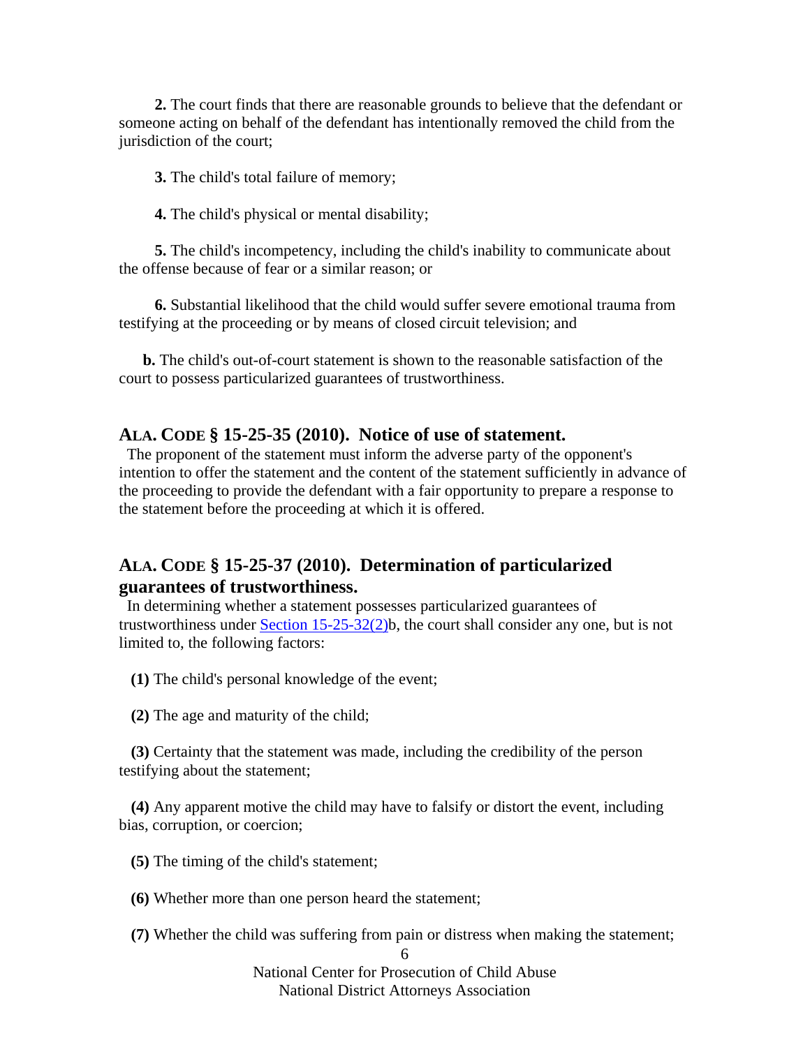<span id="page-5-0"></span> **2.** The court finds that there are reasonable grounds to believe that the defendant or someone acting on behalf of the defendant has intentionally removed the child from the jurisdiction of the court;

**3.** The child's total failure of memory;

**4.** The child's physical or mental disability;

 **5.** The child's incompetency, including the child's inability to communicate about the offense because of fear or a similar reason; or

 **6.** Substantial likelihood that the child would suffer severe emotional trauma from testifying at the proceeding or by means of closed circuit television; and

 **b.** The child's out-of-court statement is shown to the reasonable satisfaction of the court to possess particularized guarantees of trustworthiness.

#### **ALA. CODE § 15-25-35 (2010). Notice of use of statement.**

 The proponent of the statement must inform the adverse party of the opponent's intention to offer the statement and the content of the statement sufficiently in advance of the proceeding to provide the defendant with a fair opportunity to prepare a response to the statement before the proceeding at which it is offered.

#### **ALA. CODE § 15-25-37 (2010). Determination of particularized guarantees of trustworthiness.**

 In determining whether a statement possesses particularized guarantees of trustworthiness under Section  $15-25-32(2)$ b, the court shall consider any one, but is not limited to, the following factors:

**(1)** The child's personal knowledge of the event;

**(2)** The age and maturity of the child;

 **(3)** Certainty that the statement was made, including the credibility of the person testifying about the statement;

 **(4)** Any apparent motive the child may have to falsify or distort the event, including bias, corruption, or coercion;

**(5)** The timing of the child's statement;

**(6)** Whether more than one person heard the statement;

**(7)** Whether the child was suffering from pain or distress when making the statement;

6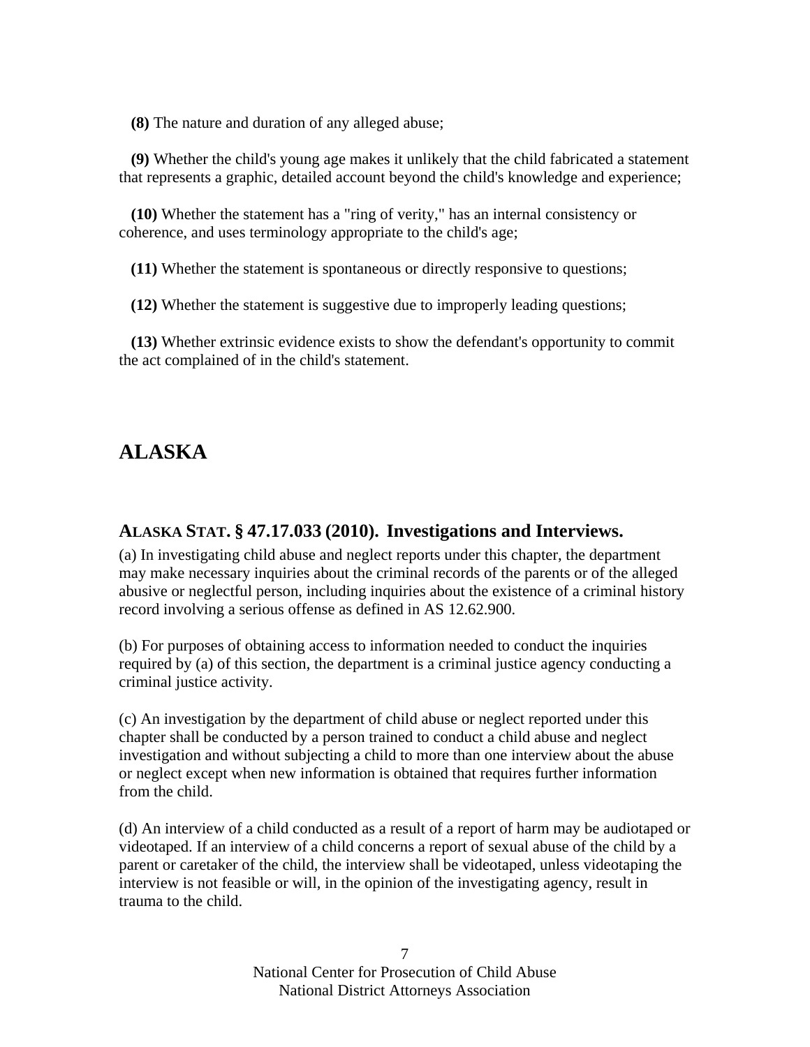<span id="page-6-0"></span>**(8)** The nature and duration of any alleged abuse;

 **(9)** Whether the child's young age makes it unlikely that the child fabricated a statement that represents a graphic, detailed account beyond the child's knowledge and experience;

 **(10)** Whether the statement has a "ring of verity," has an internal consistency or coherence, and uses terminology appropriate to the child's age;

**(11)** Whether the statement is spontaneous or directly responsive to questions;

**(12)** Whether the statement is suggestive due to improperly leading questions;

 **(13)** Whether extrinsic evidence exists to show the defendant's opportunity to commit the act complained of in the child's statement.

# **ALASKA**

#### **ALASKA STAT. § 47.17.033 (2010). Investigations and Interviews.**

(a) In investigating child abuse and neglect reports under this chapter, the department may make necessary inquiries about the criminal records of the parents or of the alleged abusive or neglectful person, including inquiries about the existence of a criminal history record involving a serious offense as defined in AS 12.62.900.

(b) For purposes of obtaining access to information needed to conduct the inquiries required by (a) of this section, the department is a criminal justice agency conducting a criminal justice activity.

(c) An investigation by the department of child abuse or neglect reported under this chapter shall be conducted by a person trained to conduct a child abuse and neglect investigation and without subjecting a child to more than one interview about the abuse or neglect except when new information is obtained that requires further information from the child.

(d) An interview of a child conducted as a result of a report of harm may be audiotaped or videotaped. If an interview of a child concerns a report of sexual abuse of the child by a parent or caretaker of the child, the interview shall be videotaped, unless videotaping the interview is not feasible or will, in the opinion of the investigating agency, result in trauma to the child.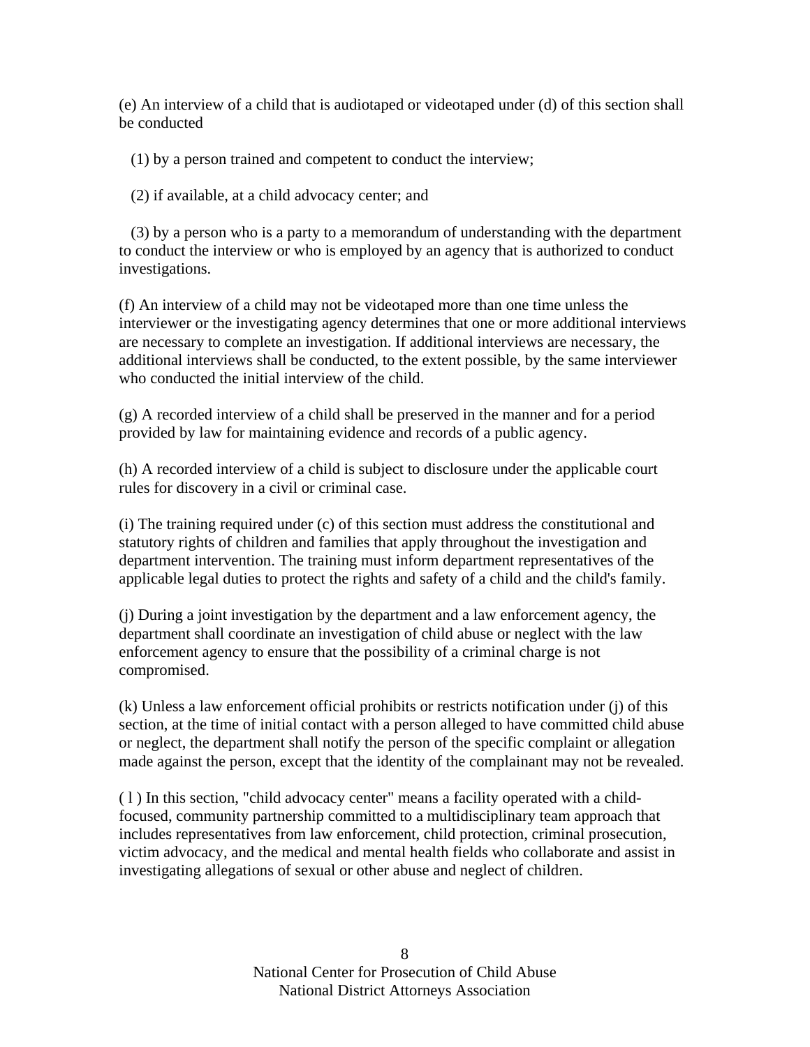(e) An interview of a child that is audiotaped or videotaped under (d) of this section shall be conducted

(1) by a person trained and competent to conduct the interview;

(2) if available, at a child advocacy center; and

 (3) by a person who is a party to a memorandum of understanding with the department to conduct the interview or who is employed by an agency that is authorized to conduct investigations.

(f) An interview of a child may not be videotaped more than one time unless the interviewer or the investigating agency determines that one or more additional interviews are necessary to complete an investigation. If additional interviews are necessary, the additional interviews shall be conducted, to the extent possible, by the same interviewer who conducted the initial interview of the child.

(g) A recorded interview of a child shall be preserved in the manner and for a period provided by law for maintaining evidence and records of a public agency.

(h) A recorded interview of a child is subject to disclosure under the applicable court rules for discovery in a civil or criminal case.

(i) The training required under (c) of this section must address the constitutional and statutory rights of children and families that apply throughout the investigation and department intervention. The training must inform department representatives of the applicable legal duties to protect the rights and safety of a child and the child's family.

(j) During a joint investigation by the department and a law enforcement agency, the department shall coordinate an investigation of child abuse or neglect with the law enforcement agency to ensure that the possibility of a criminal charge is not compromised.

(k) Unless a law enforcement official prohibits or restricts notification under (j) of this section, at the time of initial contact with a person alleged to have committed child abuse or neglect, the department shall notify the person of the specific complaint or allegation made against the person, except that the identity of the complainant may not be revealed.

( l ) In this section, "child advocacy center" means a facility operated with a childfocused, community partnership committed to a multidisciplinary team approach that includes representatives from law enforcement, child protection, criminal prosecution, victim advocacy, and the medical and mental health fields who collaborate and assist in investigating allegations of sexual or other abuse and neglect of children.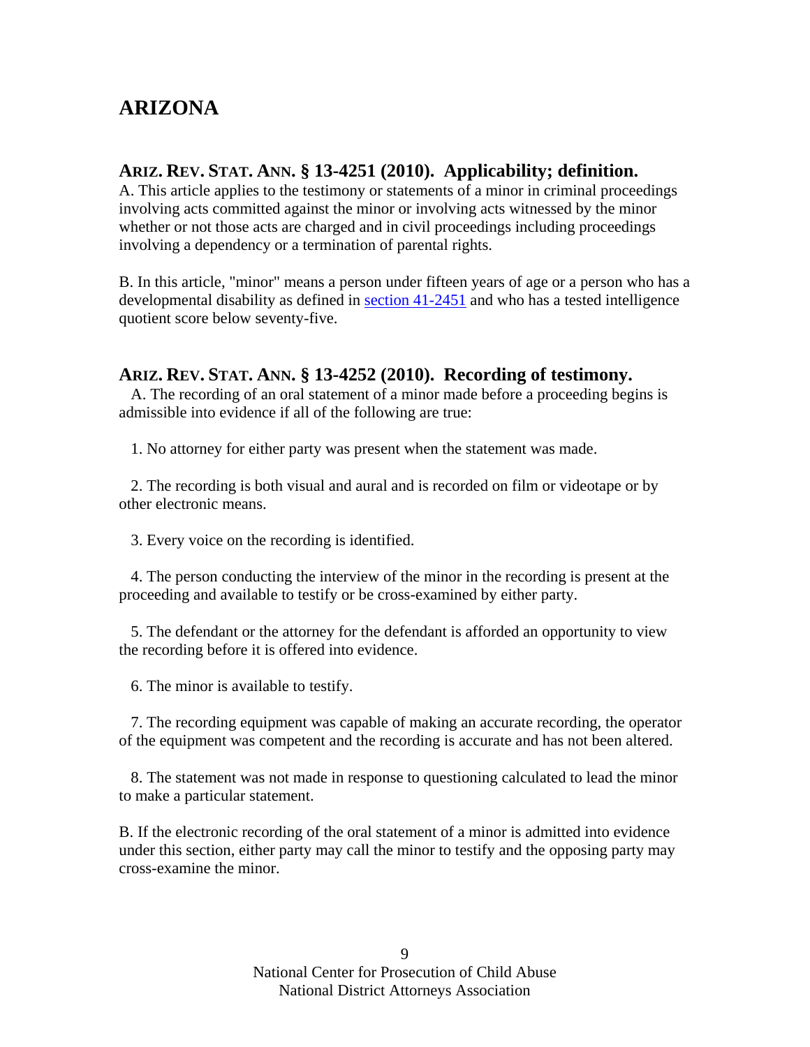# <span id="page-8-0"></span>**ARIZONA**

### **ARIZ. REV. STAT. ANN. § 13-4251 (2010). Applicability; definition.**

A. This article applies to the testimony or statements of a minor in criminal proceedings involving acts committed against the minor or involving acts witnessed by the minor whether or not those acts are charged and in civil proceedings including proceedings involving a dependency or a termination of parental rights.

B. In this article, "minor" means a person under fifteen years of age or a person who has a developmental disability as defined in [section 41-2451](https://www.lexis.com/research/buttonTFLink?_m=e8c045d9305180136ed3f6a2238692df&_xfercite=%3ccite%20cc%3d%22USA%22%3e%3c%21%5bCDATA%5bA.R.S.%20%a7%2013-4251%5d%5d%3e%3c%2fcite%3e&_butType=4&_butStat=0&_butNum=2&_butInline=1&_butinfo=AZCODE%2041-2451&_fmtstr=FULL&docnum=1&_startdoc=1&wchp=dGLbVzb-zSkAW&_md5=3f1272e551a96246160eff3d707359a9) and who has a tested intelligence quotient score below seventy-five.

#### **ARIZ. REV. STAT. ANN. § 13-4252 (2010). Recording of testimony.**

 A. The recording of an oral statement of a minor made before a proceeding begins is admissible into evidence if all of the following are true:

1. No attorney for either party was present when the statement was made.

 2. The recording is both visual and aural and is recorded on film or videotape or by other electronic means.

3. Every voice on the recording is identified.

 4. The person conducting the interview of the minor in the recording is present at the proceeding and available to testify or be cross-examined by either party.

 5. The defendant or the attorney for the defendant is afforded an opportunity to view the recording before it is offered into evidence.

6. The minor is available to testify.

 7. The recording equipment was capable of making an accurate recording, the operator of the equipment was competent and the recording is accurate and has not been altered.

 8. The statement was not made in response to questioning calculated to lead the minor to make a particular statement.

B. If the electronic recording of the oral statement of a minor is admitted into evidence under this section, either party may call the minor to testify and the opposing party may cross-examine the minor.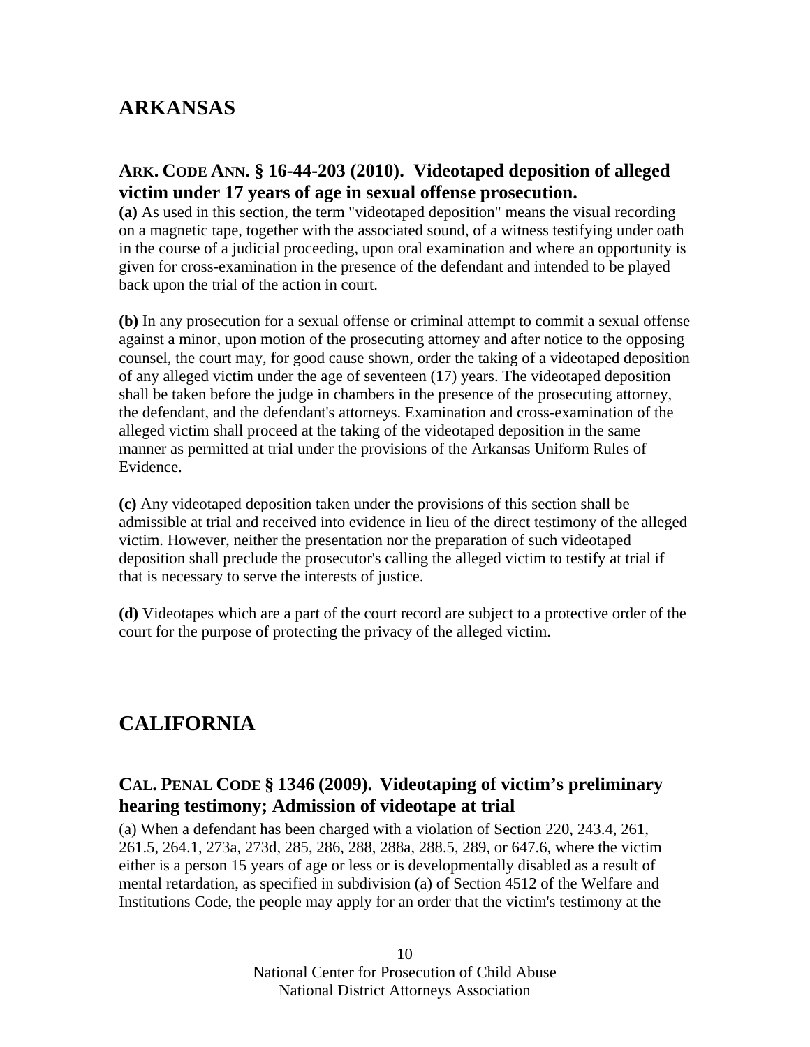# <span id="page-9-0"></span>**ARKANSAS**

## **ARK. CODE ANN. § 16-44-203 (2010). Videotaped deposition of alleged victim under 17 years of age in sexual offense prosecution.**

**(a)** As used in this section, the term "videotaped deposition" means the visual recording on a magnetic tape, together with the associated sound, of a witness testifying under oath in the course of a judicial proceeding, upon oral examination and where an opportunity is given for cross-examination in the presence of the defendant and intended to be played back upon the trial of the action in court.

**(b)** In any prosecution for a sexual offense or criminal attempt to commit a sexual offense against a minor, upon motion of the prosecuting attorney and after notice to the opposing counsel, the court may, for good cause shown, order the taking of a videotaped deposition of any alleged victim under the age of seventeen (17) years. The videotaped deposition shall be taken before the judge in chambers in the presence of the prosecuting attorney, the defendant, and the defendant's attorneys. Examination and cross-examination of the alleged victim shall proceed at the taking of the videotaped deposition in the same manner as permitted at trial under the provisions of the Arkansas Uniform Rules of Evidence.

**(c)** Any videotaped deposition taken under the provisions of this section shall be admissible at trial and received into evidence in lieu of the direct testimony of the alleged victim. However, neither the presentation nor the preparation of such videotaped deposition shall preclude the prosecutor's calling the alleged victim to testify at trial if that is necessary to serve the interests of justice.

**(d)** Videotapes which are a part of the court record are subject to a protective order of the court for the purpose of protecting the privacy of the alleged victim.

# **CALIFORNIA**

# **CAL. PENAL CODE § 1346 (2009). Videotaping of victim's preliminary hearing testimony; Admission of videotape at trial**

(a) When a defendant has been charged with a violation of Section 220, 243.4, 261, 261.5, 264.1, 273a, 273d, 285, 286, 288, 288a, 288.5, 289, or 647.6, where the victim either is a person 15 years of age or less or is developmentally disabled as a result of mental retardation, as specified in subdivision (a) of Section 4512 of the Welfare and Institutions Code, the people may apply for an order that the victim's testimony at the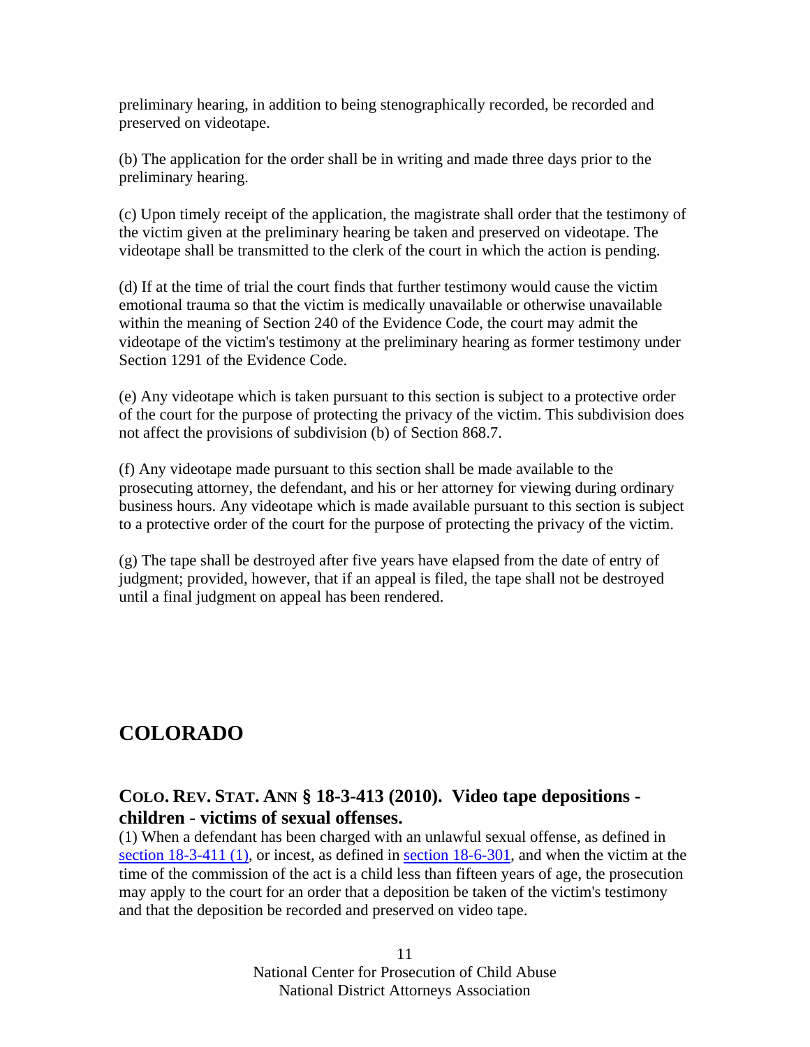<span id="page-10-0"></span>preliminary hearing, in addition to being stenographically recorded, be recorded and preserved on videotape.

(b) The application for the order shall be in writing and made three days prior to the preliminary hearing.

(c) Upon timely receipt of the application, the magistrate shall order that the testimony of the victim given at the preliminary hearing be taken and preserved on videotape. The videotape shall be transmitted to the clerk of the court in which the action is pending.

(d) If at the time of trial the court finds that further testimony would cause the victim emotional trauma so that the victim is medically unavailable or otherwise unavailable within the meaning of Section 240 of the Evidence Code, the court may admit the videotape of the victim's testimony at the preliminary hearing as former testimony under Section 1291 of the Evidence Code.

(e) Any videotape which is taken pursuant to this section is subject to a protective order of the court for the purpose of protecting the privacy of the victim. This subdivision does not affect the provisions of subdivision (b) of Section 868.7.

(f) Any videotape made pursuant to this section shall be made available to the prosecuting attorney, the defendant, and his or her attorney for viewing during ordinary business hours. Any videotape which is made available pursuant to this section is subject to a protective order of the court for the purpose of protecting the privacy of the victim.

(g) The tape shall be destroyed after five years have elapsed from the date of entry of judgment; provided, however, that if an appeal is filed, the tape shall not be destroyed until a final judgment on appeal has been rendered.

# **COLORADO**

# **COLO. REV. STAT. ANN § 18-3-413 (2010). Video tape depositions children - victims of sexual offenses.**

(1) When a defendant has been charged with an unlawful sexual offense, as defined in [section 18-3-411 \(1\),](https://www.lexis.com/research/buttonTFLink?_m=9237e994d2d376e7efcae0c099bfe7ae&_xfercite=%3ccite%20cc%3d%22USA%22%3e%3c%21%5bCDATA%5bC.R.S.%2018-3-413%5d%5d%3e%3c%2fcite%3e&_butType=4&_butStat=0&_butNum=2&_butInline=1&_butinfo=COCODE%2018-3-411&_fmtstr=FULL&docnum=2&_startdoc=1&wchp=dGLbVzb-zSkAW&_md5=8538334e18743debe867707f6d000619) or incest, as defined in [section 18-6-301](https://www.lexis.com/research/buttonTFLink?_m=9237e994d2d376e7efcae0c099bfe7ae&_xfercite=%3ccite%20cc%3d%22USA%22%3e%3c%21%5bCDATA%5bC.R.S.%2018-3-413%5d%5d%3e%3c%2fcite%3e&_butType=4&_butStat=0&_butNum=3&_butInline=1&_butinfo=COCODE%2018-6-301&_fmtstr=FULL&docnum=2&_startdoc=1&wchp=dGLbVzb-zSkAW&_md5=8e9bbbd310cd133301a072a95cb123f4), and when the victim at the time of the commission of the act is a child less than fifteen years of age, the prosecution may apply to the court for an order that a deposition be taken of the victim's testimony and that the deposition be recorded and preserved on video tape.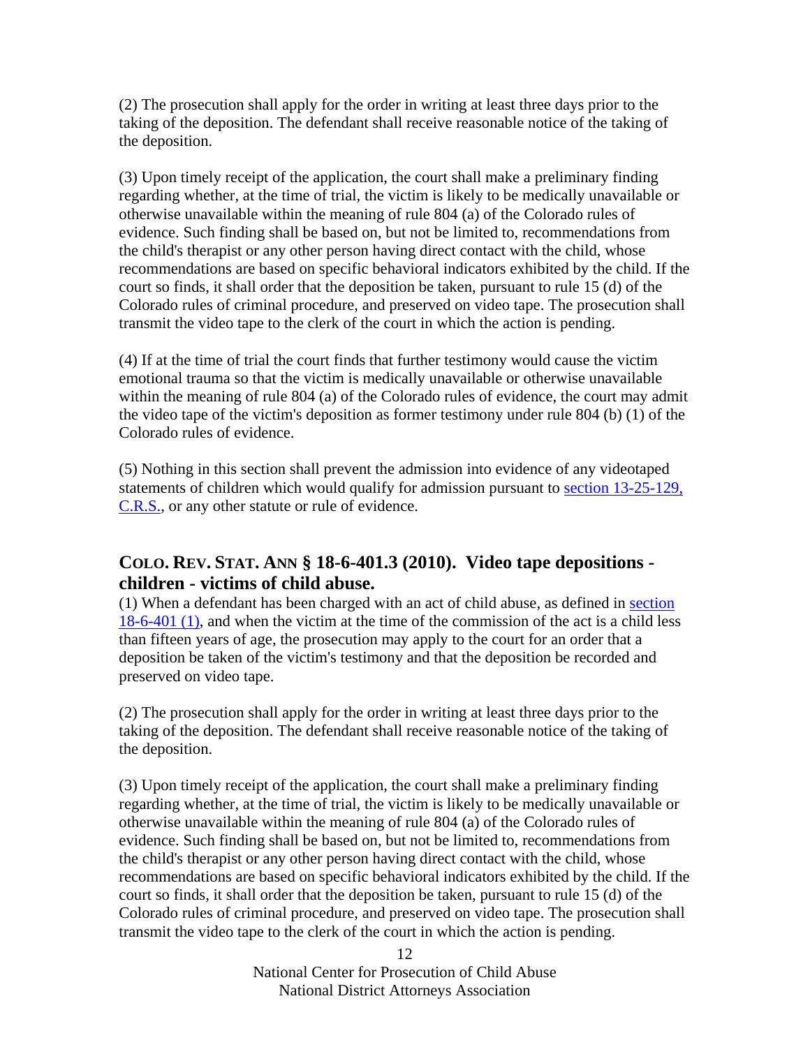<span id="page-11-0"></span>(2) The prosecution shall apply for the order in writing at least three days prior to the taking of the deposition. The defendant shall receive reasonable notice of the taking of the deposition.

(3) Upon timely receipt of the application, the court shall make a preliminary finding regarding whether, at the time of trial, the victim is likely to be medically unavailable or otherwise unavailable within the meaning of rule 804 (a) of the Colorado rules of evidence. Such finding shall be based on, but not be limited to, recommendations from the child's therapist or any other person having direct contact with the child, whose recommendations are based on specific behavioral indicators exhibited by the child. If the court so finds, it shall order that the deposition be taken, pursuant to rule 15 (d) of the Colorado rules of criminal procedure, and preserved on video tape. The prosecution shall transmit the video tape to the clerk of the court in which the action is pending.

(4) If at the time of trial the court finds that further testimony would cause the victim emotional trauma so that the victim is medically unavailable or otherwise unavailable within the meaning of rule 804 (a) of the Colorado rules of evidence, the court may admit the video tape of the victim's deposition as former testimony under rule 804 (b) (1) of the Colorado rules of evidence.

(5) Nothing in this section shall prevent the admission into evidence of any videotaped statements of children which would qualify for admission pursuant to [section 13-25-129,](https://www.lexis.com/research/buttonTFLink?_m=9237e994d2d376e7efcae0c099bfe7ae&_xfercite=%3ccite%20cc%3d%22USA%22%3e%3c%21%5bCDATA%5bC.R.S.%2018-3-413%5d%5d%3e%3c%2fcite%3e&_butType=4&_butStat=0&_butNum=4&_butInline=1&_butinfo=COCODE%2013-25-129&_fmtstr=FULL&docnum=2&_startdoc=1&wchp=dGLbVzb-zSkAW&_md5=0220a37530118527f46fd69a6645988e)  [C.R.S.,](https://www.lexis.com/research/buttonTFLink?_m=9237e994d2d376e7efcae0c099bfe7ae&_xfercite=%3ccite%20cc%3d%22USA%22%3e%3c%21%5bCDATA%5bC.R.S.%2018-3-413%5d%5d%3e%3c%2fcite%3e&_butType=4&_butStat=0&_butNum=4&_butInline=1&_butinfo=COCODE%2013-25-129&_fmtstr=FULL&docnum=2&_startdoc=1&wchp=dGLbVzb-zSkAW&_md5=0220a37530118527f46fd69a6645988e) or any other statute or rule of evidence.

# **COLO. REV. STAT. ANN § 18-6-401.3 (2010). Video tape depositions children - victims of child abuse.**

(1) When a defendant has been charged with an act of child abuse, as defined in [section](https://www.lexis.com/research/buttonTFLink?_m=5534f54ce7848bb42c8006b5adb99b11&_xfercite=%3ccite%20cc%3d%22USA%22%3e%3c%21%5bCDATA%5bC.R.S.%2018-6-401.3%5d%5d%3e%3c%2fcite%3e&_butType=4&_butStat=0&_butNum=2&_butInline=1&_butinfo=COCODE%2018-6-401&_fmtstr=FULL&docnum=3&_startdoc=1&wchp=dGLbVzb-zSkAW&_md5=064ba565193bddd2f6cce069d638e67f)  [18-6-401 \(1\),](https://www.lexis.com/research/buttonTFLink?_m=5534f54ce7848bb42c8006b5adb99b11&_xfercite=%3ccite%20cc%3d%22USA%22%3e%3c%21%5bCDATA%5bC.R.S.%2018-6-401.3%5d%5d%3e%3c%2fcite%3e&_butType=4&_butStat=0&_butNum=2&_butInline=1&_butinfo=COCODE%2018-6-401&_fmtstr=FULL&docnum=3&_startdoc=1&wchp=dGLbVzb-zSkAW&_md5=064ba565193bddd2f6cce069d638e67f) and when the victim at the time of the commission of the act is a child less than fifteen years of age, the prosecution may apply to the court for an order that a deposition be taken of the victim's testimony and that the deposition be recorded and preserved on video tape.

(2) The prosecution shall apply for the order in writing at least three days prior to the taking of the deposition. The defendant shall receive reasonable notice of the taking of the deposition.

(3) Upon timely receipt of the application, the court shall make a preliminary finding regarding whether, at the time of trial, the victim is likely to be medically unavailable or otherwise unavailable within the meaning of rule 804 (a) of the Colorado rules of evidence. Such finding shall be based on, but not be limited to, recommendations from the child's therapist or any other person having direct contact with the child, whose recommendations are based on specific behavioral indicators exhibited by the child. If the court so finds, it shall order that the deposition be taken, pursuant to rule 15 (d) of the Colorado rules of criminal procedure, and preserved on video tape. The prosecution shall transmit the video tape to the clerk of the court in which the action is pending.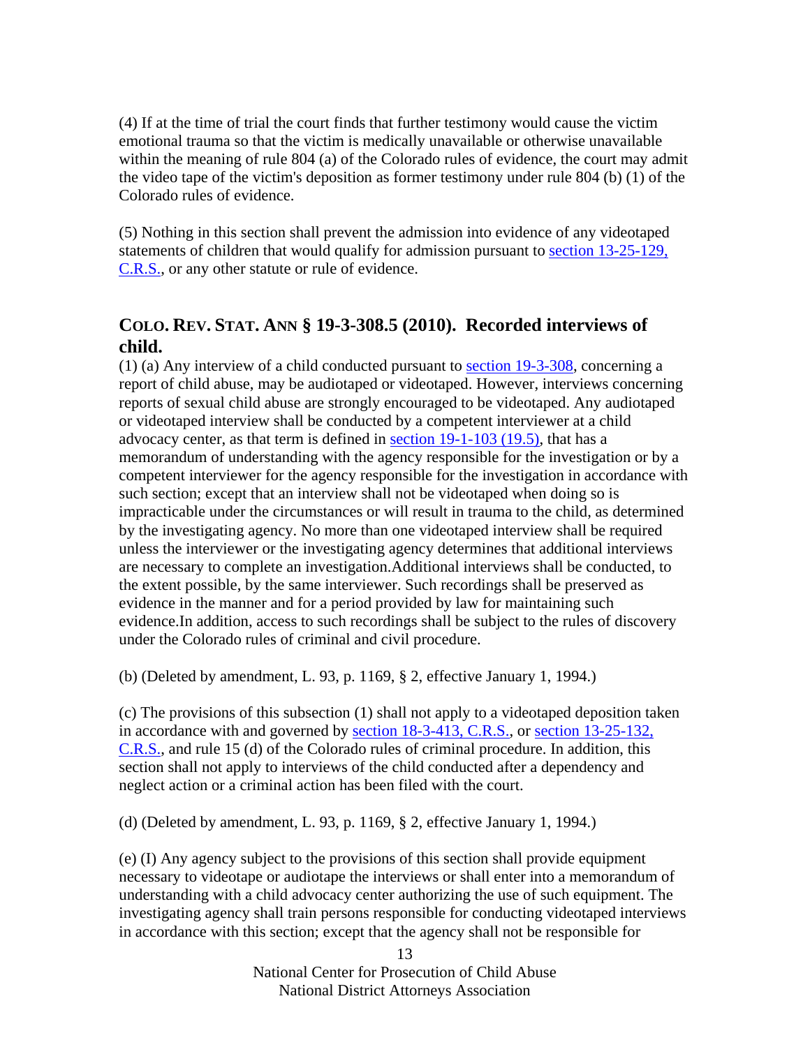<span id="page-12-0"></span>(4) If at the time of trial the court finds that further testimony would cause the victim emotional trauma so that the victim is medically unavailable or otherwise unavailable within the meaning of rule 804 (a) of the Colorado rules of evidence, the court may admit the video tape of the victim's deposition as former testimony under rule 804 (b) (1) of the Colorado rules of evidence.

(5) Nothing in this section shall prevent the admission into evidence of any videotaped statements of children that would qualify for admission pursuant to [section 13-25-129,](https://www.lexis.com/research/buttonTFLink?_m=5534f54ce7848bb42c8006b5adb99b11&_xfercite=%3ccite%20cc%3d%22USA%22%3e%3c%21%5bCDATA%5bC.R.S.%2018-6-401.3%5d%5d%3e%3c%2fcite%3e&_butType=4&_butStat=0&_butNum=3&_butInline=1&_butinfo=COCODE%2013-25-129&_fmtstr=FULL&docnum=3&_startdoc=1&wchp=dGLbVzb-zSkAW&_md5=f7af85d17116140e8d39c3cf21a40a9f)  [C.R.S.,](https://www.lexis.com/research/buttonTFLink?_m=5534f54ce7848bb42c8006b5adb99b11&_xfercite=%3ccite%20cc%3d%22USA%22%3e%3c%21%5bCDATA%5bC.R.S.%2018-6-401.3%5d%5d%3e%3c%2fcite%3e&_butType=4&_butStat=0&_butNum=3&_butInline=1&_butinfo=COCODE%2013-25-129&_fmtstr=FULL&docnum=3&_startdoc=1&wchp=dGLbVzb-zSkAW&_md5=f7af85d17116140e8d39c3cf21a40a9f) or any other statute or rule of evidence.

# **COLO. REV. STAT. ANN § 19-3-308.5 (2010). Recorded interviews of child.**

(1) (a) Any interview of a child conducted pursuant to [section 19-3-308,](https://www.lexis.com/research/buttonTFLink?_m=562d0bdceeb2c7b48ee261bc9bec46c8&_xfercite=%3ccite%20cc%3d%22USA%22%3e%3c%21%5bCDATA%5bC.R.S.%2019-3-308.5%5d%5d%3e%3c%2fcite%3e&_butType=4&_butStat=0&_butNum=2&_butInline=1&_butinfo=COCODE%2019-3-308&_fmtstr=FULL&docnum=5&_startdoc=1&wchp=dGLbVzb-zSkAW&_md5=049f0a19ac3402cef71bdefd593a1dec) concerning a report of child abuse, may be audiotaped or videotaped. However, interviews concerning reports of sexual child abuse are strongly encouraged to be videotaped. Any audiotaped or videotaped interview shall be conducted by a competent interviewer at a child advocacy center, as that term is defined in [section 19-1-103 \(19.5\),](https://www.lexis.com/research/buttonTFLink?_m=562d0bdceeb2c7b48ee261bc9bec46c8&_xfercite=%3ccite%20cc%3d%22USA%22%3e%3c%21%5bCDATA%5bC.R.S.%2019-3-308.5%5d%5d%3e%3c%2fcite%3e&_butType=4&_butStat=0&_butNum=3&_butInline=1&_butinfo=COCODE%2019-1-103&_fmtstr=FULL&docnum=5&_startdoc=1&wchp=dGLbVzb-zSkAW&_md5=d81bc06349e906ed7c950f50c99f5f5c) that has a memorandum of understanding with the agency responsible for the investigation or by a competent interviewer for the agency responsible for the investigation in accordance with such section; except that an interview shall not be videotaped when doing so is impracticable under the circumstances or will result in trauma to the child, as determined by the investigating agency. No more than one videotaped interview shall be required unless the interviewer or the investigating agency determines that additional interviews are necessary to complete an investigation.Additional interviews shall be conducted, to the extent possible, by the same interviewer. Such recordings shall be preserved as evidence in the manner and for a period provided by law for maintaining such evidence.In addition, access to such recordings shall be subject to the rules of discovery under the Colorado rules of criminal and civil procedure.

(b) (Deleted by amendment, L. 93, p. 1169, § 2, effective January 1, 1994.)

(c) The provisions of this subsection (1) shall not apply to a videotaped deposition taken in accordance with and governed by [section 18-3-413, C.R.S.](https://www.lexis.com/research/buttonTFLink?_m=562d0bdceeb2c7b48ee261bc9bec46c8&_xfercite=%3ccite%20cc%3d%22USA%22%3e%3c%21%5bCDATA%5bC.R.S.%2019-3-308.5%5d%5d%3e%3c%2fcite%3e&_butType=4&_butStat=0&_butNum=4&_butInline=1&_butinfo=COCODE%2018-3-413&_fmtstr=FULL&docnum=5&_startdoc=1&wchp=dGLbVzb-zSkAW&_md5=7941c1cd8debe7a95389fee24f846efc), or [section 13-25-132,](https://www.lexis.com/research/buttonTFLink?_m=562d0bdceeb2c7b48ee261bc9bec46c8&_xfercite=%3ccite%20cc%3d%22USA%22%3e%3c%21%5bCDATA%5bC.R.S.%2019-3-308.5%5d%5d%3e%3c%2fcite%3e&_butType=4&_butStat=0&_butNum=5&_butInline=1&_butinfo=COCODE%2013-25-132&_fmtstr=FULL&docnum=5&_startdoc=1&wchp=dGLbVzb-zSkAW&_md5=78d3f61bf1d116fc73a70fb26e2a9b21)  [C.R.S.,](https://www.lexis.com/research/buttonTFLink?_m=562d0bdceeb2c7b48ee261bc9bec46c8&_xfercite=%3ccite%20cc%3d%22USA%22%3e%3c%21%5bCDATA%5bC.R.S.%2019-3-308.5%5d%5d%3e%3c%2fcite%3e&_butType=4&_butStat=0&_butNum=5&_butInline=1&_butinfo=COCODE%2013-25-132&_fmtstr=FULL&docnum=5&_startdoc=1&wchp=dGLbVzb-zSkAW&_md5=78d3f61bf1d116fc73a70fb26e2a9b21) and rule 15 (d) of the Colorado rules of criminal procedure. In addition, this section shall not apply to interviews of the child conducted after a dependency and neglect action or a criminal action has been filed with the court.

(d) (Deleted by amendment, L. 93, p. 1169, § 2, effective January 1, 1994.)

(e) (I) Any agency subject to the provisions of this section shall provide equipment necessary to videotape or audiotape the interviews or shall enter into a memorandum of understanding with a child advocacy center authorizing the use of such equipment. The investigating agency shall train persons responsible for conducting videotaped interviews in accordance with this section; except that the agency shall not be responsible for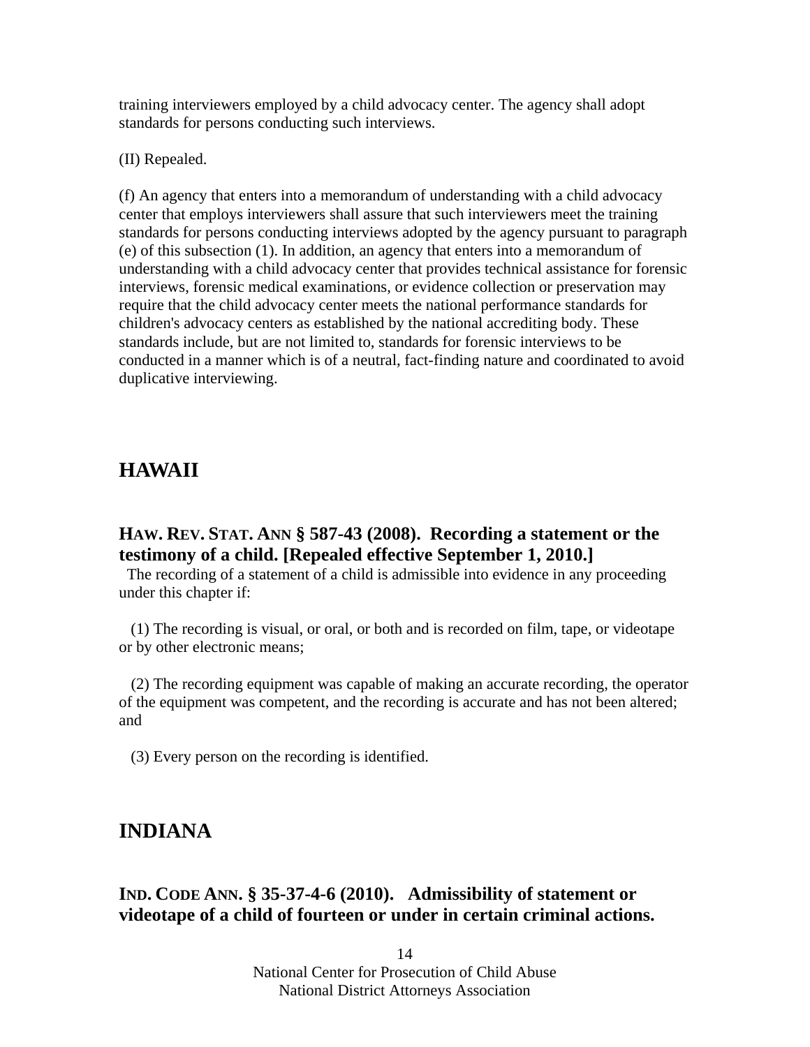<span id="page-13-0"></span>training interviewers employed by a child advocacy center. The agency shall adopt standards for persons conducting such interviews.

(II) Repealed.

(f) An agency that enters into a memorandum of understanding with a child advocacy center that employs interviewers shall assure that such interviewers meet the training standards for persons conducting interviews adopted by the agency pursuant to paragraph (e) of this subsection (1). In addition, an agency that enters into a memorandum of understanding with a child advocacy center that provides technical assistance for forensic interviews, forensic medical examinations, or evidence collection or preservation may require that the child advocacy center meets the national performance standards for children's advocacy centers as established by the national accrediting body. These standards include, but are not limited to, standards for forensic interviews to be conducted in a manner which is of a neutral, fact-finding nature and coordinated to avoid duplicative interviewing.

# **HAWAII**

# **HAW. REV. STAT. ANN § 587-43 (2008). Recording a statement or the testimony of a child. [Repealed effective September 1, 2010.]**

 The recording of a statement of a child is admissible into evidence in any proceeding under this chapter if:

 (1) The recording is visual, or oral, or both and is recorded on film, tape, or videotape or by other electronic means;

 (2) The recording equipment was capable of making an accurate recording, the operator of the equipment was competent, and the recording is accurate and has not been altered; and

(3) Every person on the recording is identified.

# **INDIANA**

#### **IND. CODE ANN. § 35-37-4-6 (2010). Admissibility of statement or videotape of a child of fourteen or under in certain criminal actions.**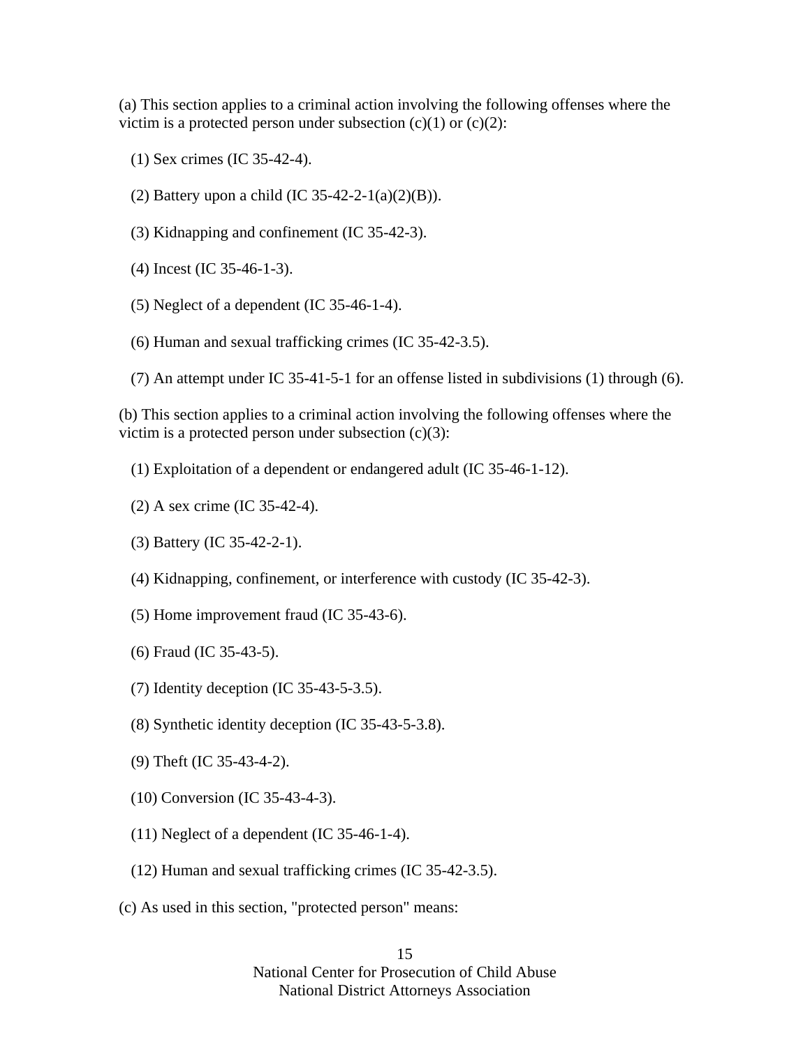(a) This section applies to a criminal action involving the following offenses where the victim is a protected person under subsection  $(c)(1)$  or  $(c)(2)$ :

- (1) Sex crimes (IC 35-42-4).
- (2) Battery upon a child (IC 35-42-2-1(a)(2)(B)).
- (3) Kidnapping and confinement (IC 35-42-3).
- (4) Incest (IC 35-46-1-3).
- (5) Neglect of a dependent (IC 35-46-1-4).
- (6) Human and sexual trafficking crimes (IC 35-42-3.5).
- (7) An attempt under IC 35-41-5-1 for an offense listed in subdivisions (1) through (6).

(b) This section applies to a criminal action involving the following offenses where the victim is a protected person under subsection  $(c)(3)$ :

- (1) Exploitation of a dependent or endangered adult (IC 35-46-1-12).
- (2) A sex crime (IC 35-42-4).
- (3) Battery (IC 35-42-2-1).
- (4) Kidnapping, confinement, or interference with custody (IC 35-42-3).
- (5) Home improvement fraud (IC 35-43-6).
- (6) Fraud (IC 35-43-5).
- (7) Identity deception (IC 35-43-5-3.5).
- (8) Synthetic identity deception (IC 35-43-5-3.8).
- (9) Theft (IC 35-43-4-2).
- (10) Conversion (IC 35-43-4-3).
- (11) Neglect of a dependent (IC 35-46-1-4).
- (12) Human and sexual trafficking crimes (IC 35-42-3.5).
- (c) As used in this section, "protected person" means: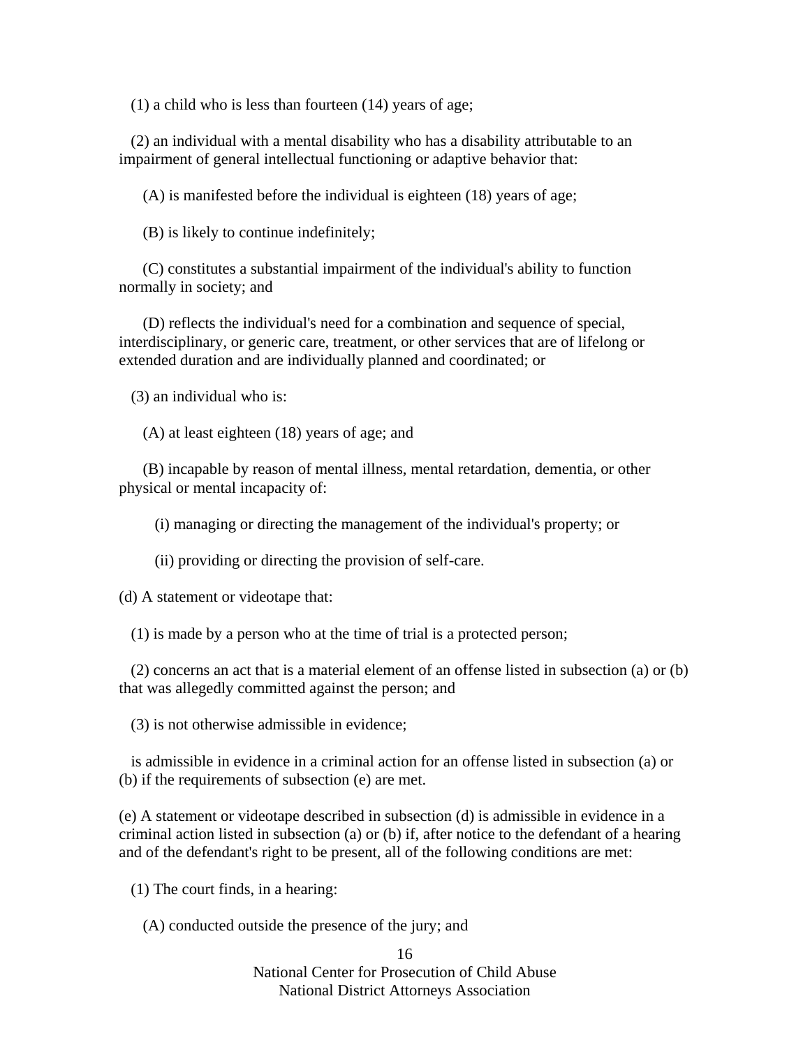(1) a child who is less than fourteen (14) years of age;

 (2) an individual with a mental disability who has a disability attributable to an impairment of general intellectual functioning or adaptive behavior that:

(A) is manifested before the individual is eighteen (18) years of age;

(B) is likely to continue indefinitely;

 (C) constitutes a substantial impairment of the individual's ability to function normally in society; and

 (D) reflects the individual's need for a combination and sequence of special, interdisciplinary, or generic care, treatment, or other services that are of lifelong or extended duration and are individually planned and coordinated; or

(3) an individual who is:

(A) at least eighteen (18) years of age; and

 (B) incapable by reason of mental illness, mental retardation, dementia, or other physical or mental incapacity of:

(i) managing or directing the management of the individual's property; or

(ii) providing or directing the provision of self-care.

(d) A statement or videotape that:

(1) is made by a person who at the time of trial is a protected person;

 (2) concerns an act that is a material element of an offense listed in subsection (a) or (b) that was allegedly committed against the person; and

(3) is not otherwise admissible in evidence;

 is admissible in evidence in a criminal action for an offense listed in subsection (a) or (b) if the requirements of subsection (e) are met.

(e) A statement or videotape described in subsection (d) is admissible in evidence in a criminal action listed in subsection (a) or (b) if, after notice to the defendant of a hearing and of the defendant's right to be present, all of the following conditions are met:

(1) The court finds, in a hearing:

(A) conducted outside the presence of the jury; and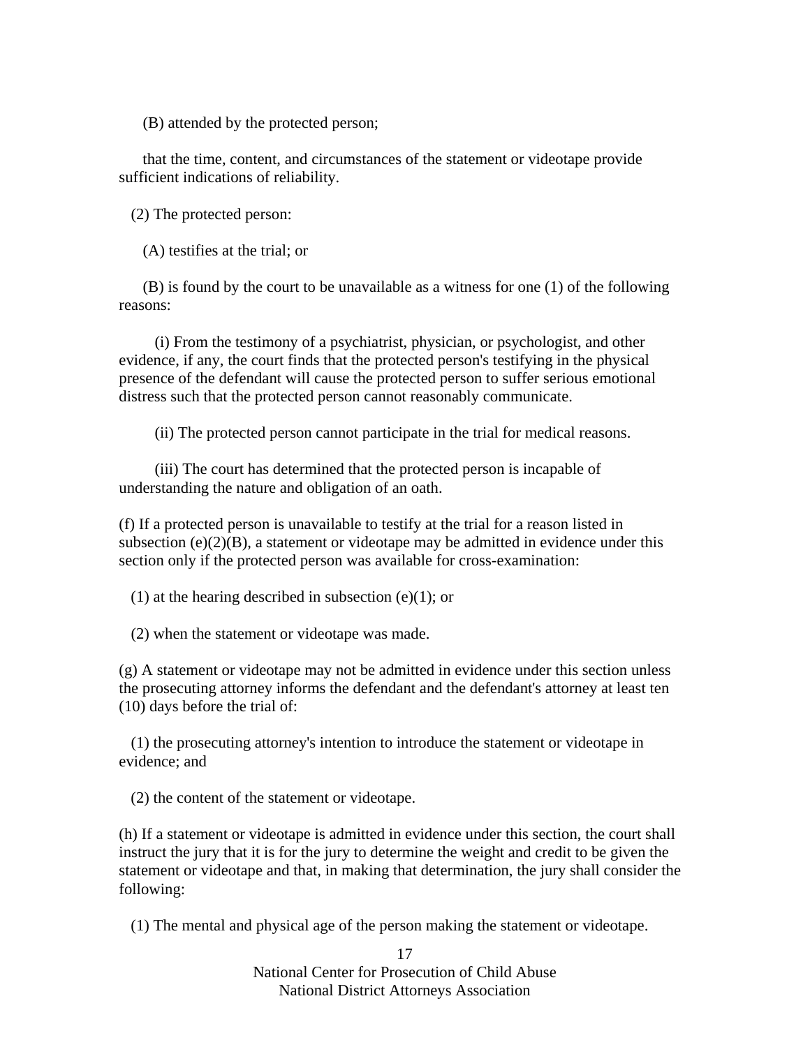(B) attended by the protected person;

 that the time, content, and circumstances of the statement or videotape provide sufficient indications of reliability.

(2) The protected person:

(A) testifies at the trial; or

 (B) is found by the court to be unavailable as a witness for one (1) of the following reasons:

 (i) From the testimony of a psychiatrist, physician, or psychologist, and other evidence, if any, the court finds that the protected person's testifying in the physical presence of the defendant will cause the protected person to suffer serious emotional distress such that the protected person cannot reasonably communicate.

(ii) The protected person cannot participate in the trial for medical reasons.

 (iii) The court has determined that the protected person is incapable of understanding the nature and obligation of an oath.

(f) If a protected person is unavailable to testify at the trial for a reason listed in subsection  $(e)(2)(B)$ , a statement or videotape may be admitted in evidence under this section only if the protected person was available for cross-examination:

(1) at the hearing described in subsection  $(e)(1)$ ; or

(2) when the statement or videotape was made.

(g) A statement or videotape may not be admitted in evidence under this section unless the prosecuting attorney informs the defendant and the defendant's attorney at least ten (10) days before the trial of:

 (1) the prosecuting attorney's intention to introduce the statement or videotape in evidence; and

(2) the content of the statement or videotape.

(h) If a statement or videotape is admitted in evidence under this section, the court shall instruct the jury that it is for the jury to determine the weight and credit to be given the statement or videotape and that, in making that determination, the jury shall consider the following:

(1) The mental and physical age of the person making the statement or videotape.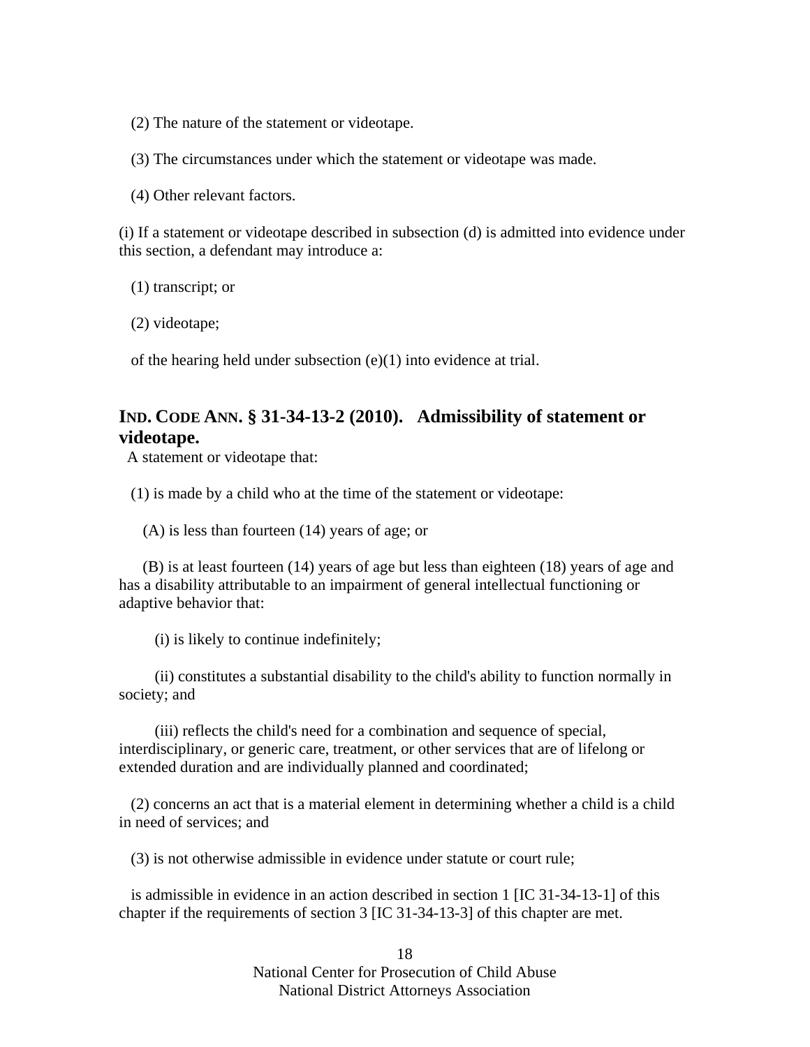<span id="page-17-0"></span>(2) The nature of the statement or videotape.

(3) The circumstances under which the statement or videotape was made.

(4) Other relevant factors.

(i) If a statement or videotape described in subsection (d) is admitted into evidence under this section, a defendant may introduce a:

(1) transcript; or

(2) videotape;

of the hearing held under subsection (e)(1) into evidence at trial.

#### **IND. CODE ANN. § 31-34-13-2 (2010). Admissibility of statement or videotape.**

A statement or videotape that:

(1) is made by a child who at the time of the statement or videotape:

(A) is less than fourteen (14) years of age; or

 (B) is at least fourteen (14) years of age but less than eighteen (18) years of age and has a disability attributable to an impairment of general intellectual functioning or adaptive behavior that:

(i) is likely to continue indefinitely;

 (ii) constitutes a substantial disability to the child's ability to function normally in society; and

 (iii) reflects the child's need for a combination and sequence of special, interdisciplinary, or generic care, treatment, or other services that are of lifelong or extended duration and are individually planned and coordinated;

 (2) concerns an act that is a material element in determining whether a child is a child in need of services; and

(3) is not otherwise admissible in evidence under statute or court rule;

 is admissible in evidence in an action described in section 1 [IC 31-34-13-1] of this chapter if the requirements of section 3 [IC 31-34-13-3] of this chapter are met.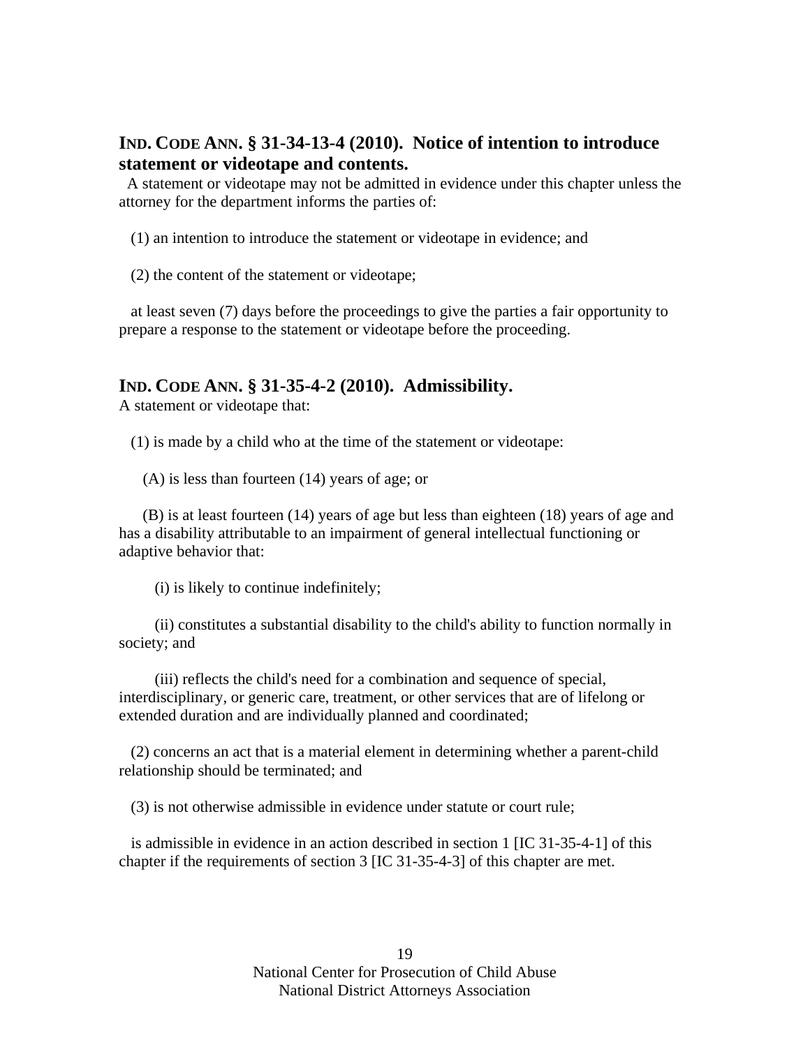# <span id="page-18-0"></span>**IND. CODE ANN. § 31-34-13-4 (2010). Notice of intention to introduce statement or videotape and contents.**

 A statement or videotape may not be admitted in evidence under this chapter unless the attorney for the department informs the parties of:

(1) an intention to introduce the statement or videotape in evidence; and

(2) the content of the statement or videotape;

 at least seven (7) days before the proceedings to give the parties a fair opportunity to prepare a response to the statement or videotape before the proceeding.

### **IND. CODE ANN. § 31-35-4-2 (2010). Admissibility.**

A statement or videotape that:

(1) is made by a child who at the time of the statement or videotape:

(A) is less than fourteen (14) years of age; or

 (B) is at least fourteen (14) years of age but less than eighteen (18) years of age and has a disability attributable to an impairment of general intellectual functioning or adaptive behavior that:

(i) is likely to continue indefinitely;

 (ii) constitutes a substantial disability to the child's ability to function normally in society; and

 (iii) reflects the child's need for a combination and sequence of special, interdisciplinary, or generic care, treatment, or other services that are of lifelong or extended duration and are individually planned and coordinated;

 (2) concerns an act that is a material element in determining whether a parent-child relationship should be terminated; and

(3) is not otherwise admissible in evidence under statute or court rule;

 is admissible in evidence in an action described in section 1 [IC 31-35-4-1] of this chapter if the requirements of section 3 [IC 31-35-4-3] of this chapter are met.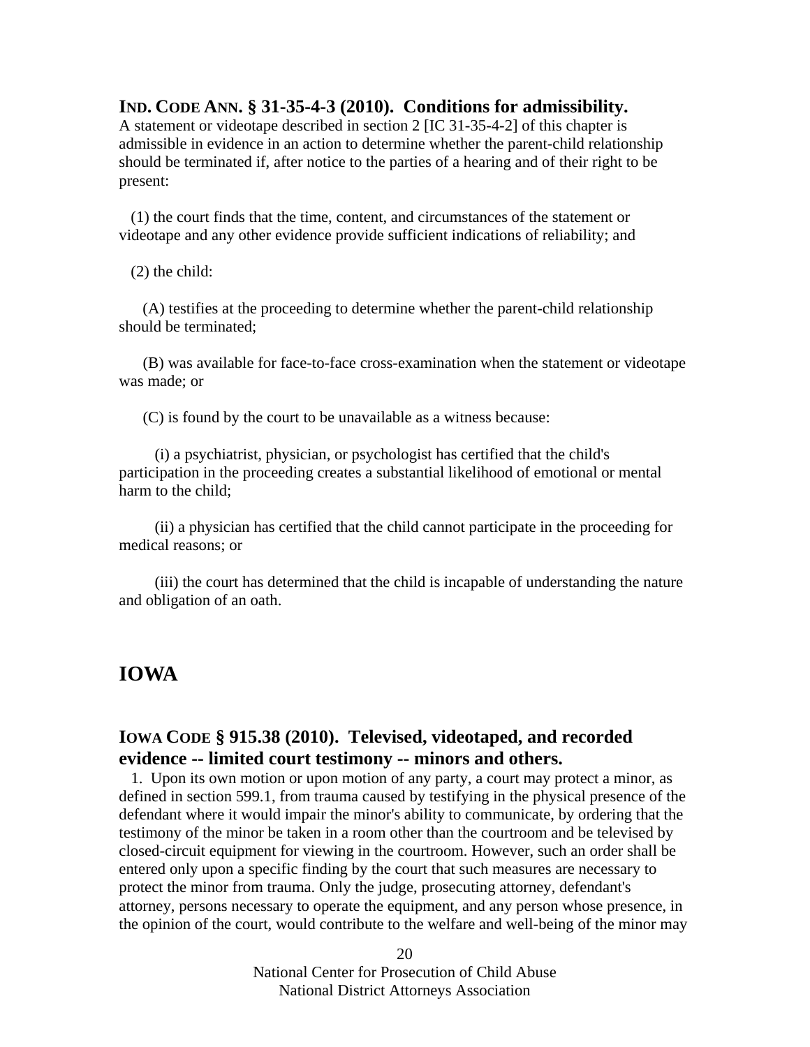#### <span id="page-19-0"></span>**IND. CODE ANN. § 31-35-4-3 (2010). Conditions for admissibility.**

A statement or videotape described in section 2 [IC 31-35-4-2] of this chapter is admissible in evidence in an action to determine whether the parent-child relationship should be terminated if, after notice to the parties of a hearing and of their right to be present:

 (1) the court finds that the time, content, and circumstances of the statement or videotape and any other evidence provide sufficient indications of reliability; and

(2) the child:

 (A) testifies at the proceeding to determine whether the parent-child relationship should be terminated;

 (B) was available for face-to-face cross-examination when the statement or videotape was made; or

(C) is found by the court to be unavailable as a witness because:

 (i) a psychiatrist, physician, or psychologist has certified that the child's participation in the proceeding creates a substantial likelihood of emotional or mental harm to the child;

 (ii) a physician has certified that the child cannot participate in the proceeding for medical reasons; or

 (iii) the court has determined that the child is incapable of understanding the nature and obligation of an oath.

### **IOWA**

#### **IOWA CODE § 915.38 (2010). Televised, videotaped, and recorded evidence -- limited court testimony -- minors and others.**

 1. Upon its own motion or upon motion of any party, a court may protect a minor, as defined in section 599.1, from trauma caused by testifying in the physical presence of the defendant where it would impair the minor's ability to communicate, by ordering that the testimony of the minor be taken in a room other than the courtroom and be televised by closed-circuit equipment for viewing in the courtroom. However, such an order shall be entered only upon a specific finding by the court that such measures are necessary to protect the minor from trauma. Only the judge, prosecuting attorney, defendant's attorney, persons necessary to operate the equipment, and any person whose presence, in the opinion of the court, would contribute to the welfare and well-being of the minor may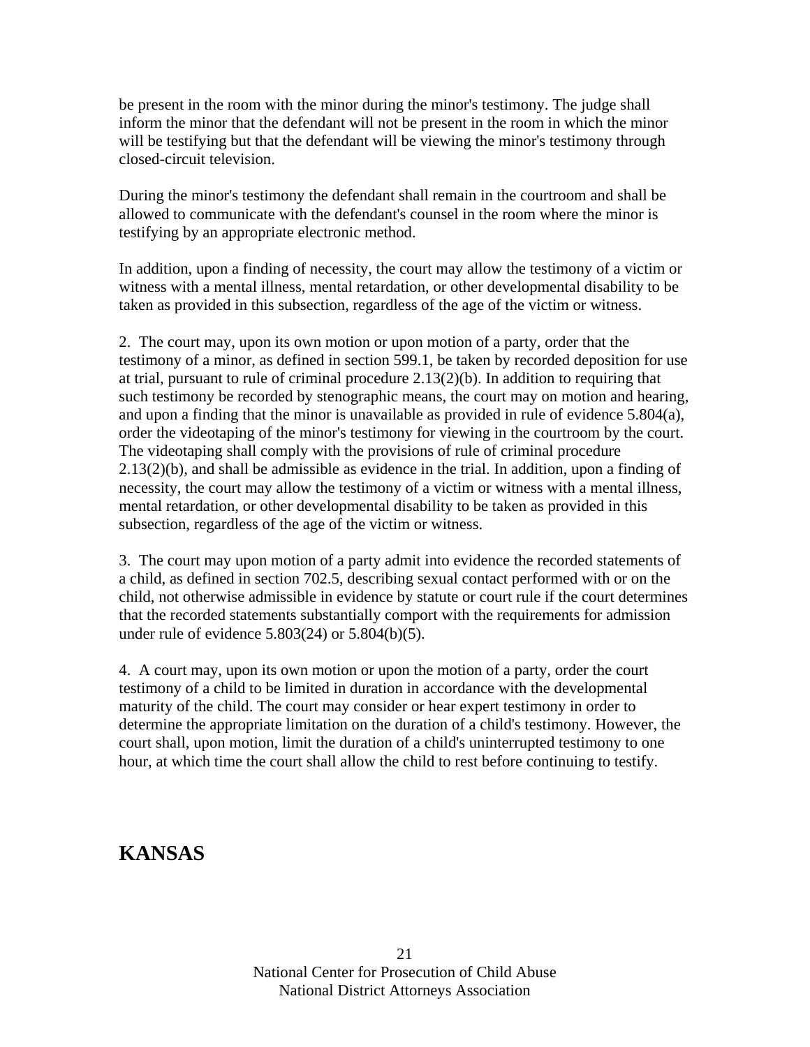<span id="page-20-0"></span>be present in the room with the minor during the minor's testimony. The judge shall inform the minor that the defendant will not be present in the room in which the minor will be testifying but that the defendant will be viewing the minor's testimony through closed-circuit television.

During the minor's testimony the defendant shall remain in the courtroom and shall be allowed to communicate with the defendant's counsel in the room where the minor is testifying by an appropriate electronic method.

In addition, upon a finding of necessity, the court may allow the testimony of a victim or witness with a mental illness, mental retardation, or other developmental disability to be taken as provided in this subsection, regardless of the age of the victim or witness.

2. The court may, upon its own motion or upon motion of a party, order that the testimony of a minor, as defined in section 599.1, be taken by recorded deposition for use at trial, pursuant to rule of criminal procedure 2.13(2)(b). In addition to requiring that such testimony be recorded by stenographic means, the court may on motion and hearing, and upon a finding that the minor is unavailable as provided in rule of evidence 5.804(a), order the videotaping of the minor's testimony for viewing in the courtroom by the court. The videotaping shall comply with the provisions of rule of criminal procedure 2.13(2)(b), and shall be admissible as evidence in the trial. In addition, upon a finding of necessity, the court may allow the testimony of a victim or witness with a mental illness, mental retardation, or other developmental disability to be taken as provided in this subsection, regardless of the age of the victim or witness.

3. The court may upon motion of a party admit into evidence the recorded statements of a child, as defined in section 702.5, describing sexual contact performed with or on the child, not otherwise admissible in evidence by statute or court rule if the court determines that the recorded statements substantially comport with the requirements for admission under rule of evidence 5.803(24) or 5.804(b)(5).

4. A court may, upon its own motion or upon the motion of a party, order the court testimony of a child to be limited in duration in accordance with the developmental maturity of the child. The court may consider or hear expert testimony in order to determine the appropriate limitation on the duration of a child's testimony. However, the court shall, upon motion, limit the duration of a child's uninterrupted testimony to one hour, at which time the court shall allow the child to rest before continuing to testify.

# **KANSAS**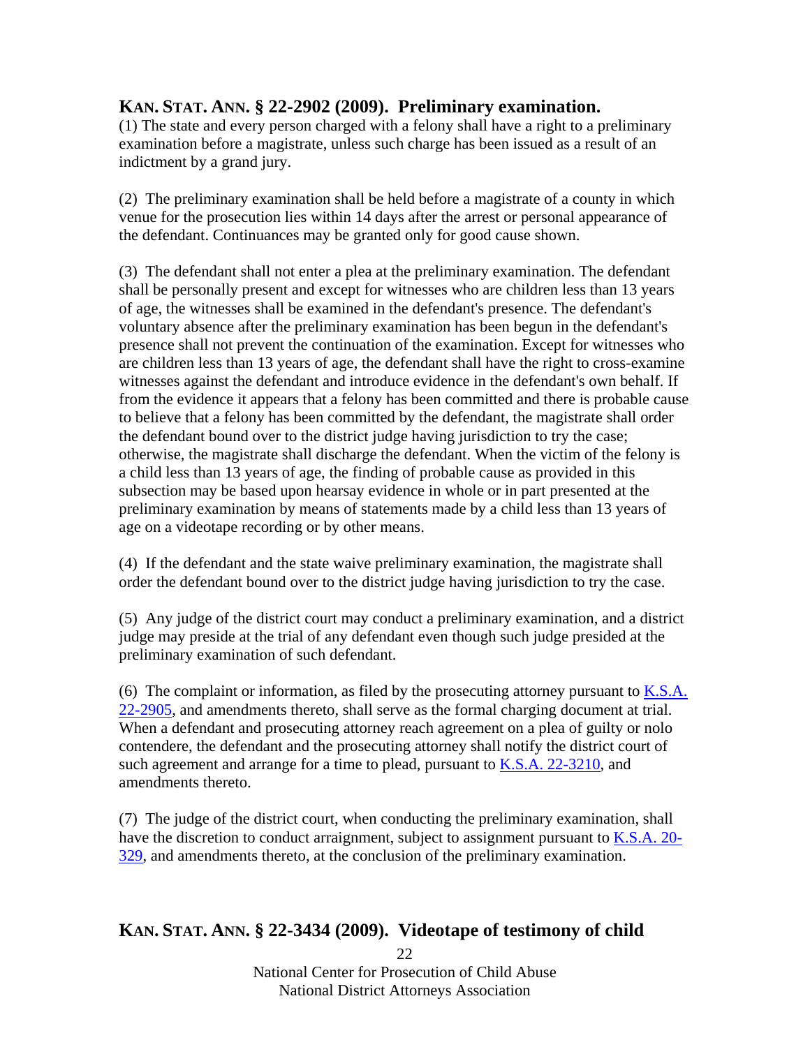### <span id="page-21-0"></span>**KAN. STAT. ANN. § 22-2902 (2009). Preliminary examination.**

(1) The state and every person charged with a felony shall have a right to a preliminary examination before a magistrate, unless such charge has been issued as a result of an indictment by a grand jury.

(2) The preliminary examination shall be held before a magistrate of a county in which venue for the prosecution lies within 14 days after the arrest or personal appearance of the defendant. Continuances may be granted only for good cause shown.

(3) The defendant shall not enter a plea at the preliminary examination. The defendant shall be personally present and except for witnesses who are children less than 13 years of age, the witnesses shall be examined in the defendant's presence. The defendant's voluntary absence after the preliminary examination has been begun in the defendant's presence shall not prevent the continuation of the examination. Except for witnesses who are children less than 13 years of age, the defendant shall have the right to cross-examine witnesses against the defendant and introduce evidence in the defendant's own behalf. If from the evidence it appears that a felony has been committed and there is probable cause to believe that a felony has been committed by the defendant, the magistrate shall order the defendant bound over to the district judge having jurisdiction to try the case; otherwise, the magistrate shall discharge the defendant. When the victim of the felony is a child less than 13 years of age, the finding of probable cause as provided in this subsection may be based upon hearsay evidence in whole or in part presented at the preliminary examination by means of statements made by a child less than 13 years of age on a videotape recording or by other means.

(4) If the defendant and the state waive preliminary examination, the magistrate shall order the defendant bound over to the district judge having jurisdiction to try the case.

(5) Any judge of the district court may conduct a preliminary examination, and a district judge may preside at the trial of any defendant even though such judge presided at the preliminary examination of such defendant.

(6) The complaint or information, as filed by the prosecuting attorney pursuant to  $K.S.A.$ [22-2905](https://www.lexis.com/research/buttonTFLink?_m=68c4e2ca64dbca1e390f927454d78612&_xfercite=%3ccite%20cc%3d%22USA%22%3e%3c%21%5bCDATA%5bK.S.A.%20%a7%2022-2902%5d%5d%3e%3c%2fcite%3e&_butType=4&_butStat=0&_butNum=2&_butInline=1&_butinfo=KSCODE%2022-2905&_fmtstr=FULL&docnum=15&_startdoc=11&wchp=dGLbVzb-zSkAW&_md5=98e603fa73e549c44ec4b0c5660d0f97), and amendments thereto, shall serve as the formal charging document at trial. When a defendant and prosecuting attorney reach agreement on a plea of guilty or nolo contendere, the defendant and the prosecuting attorney shall notify the district court of such agreement and arrange for a time to plead, pursuant to [K.S.A. 22-3210,](https://www.lexis.com/research/buttonTFLink?_m=68c4e2ca64dbca1e390f927454d78612&_xfercite=%3ccite%20cc%3d%22USA%22%3e%3c%21%5bCDATA%5bK.S.A.%20%a7%2022-2902%5d%5d%3e%3c%2fcite%3e&_butType=4&_butStat=0&_butNum=3&_butInline=1&_butinfo=KSCODE%2022-3210&_fmtstr=FULL&docnum=15&_startdoc=11&wchp=dGLbVzb-zSkAW&_md5=414790bbf2c0439d56c196441261c0cb) and amendments thereto.

(7) The judge of the district court, when conducting the preliminary examination, shall have the discretion to conduct arraignment, subject to assignment pursuant to [K.S.A. 20-](https://www.lexis.com/research/buttonTFLink?_m=68c4e2ca64dbca1e390f927454d78612&_xfercite=%3ccite%20cc%3d%22USA%22%3e%3c%21%5bCDATA%5bK.S.A.%20%a7%2022-2902%5d%5d%3e%3c%2fcite%3e&_butType=4&_butStat=0&_butNum=4&_butInline=1&_butinfo=KSCODE%2020-329&_fmtstr=FULL&docnum=15&_startdoc=11&wchp=dGLbVzb-zSkAW&_md5=533ec63bbb4d1de601bdbd0bd5a1a4a3) [329](https://www.lexis.com/research/buttonTFLink?_m=68c4e2ca64dbca1e390f927454d78612&_xfercite=%3ccite%20cc%3d%22USA%22%3e%3c%21%5bCDATA%5bK.S.A.%20%a7%2022-2902%5d%5d%3e%3c%2fcite%3e&_butType=4&_butStat=0&_butNum=4&_butInline=1&_butinfo=KSCODE%2020-329&_fmtstr=FULL&docnum=15&_startdoc=11&wchp=dGLbVzb-zSkAW&_md5=533ec63bbb4d1de601bdbd0bd5a1a4a3), and amendments thereto, at the conclusion of the preliminary examination.

## **KAN. STAT. ANN. § 22-3434 (2009). Videotape of testimony of child**

22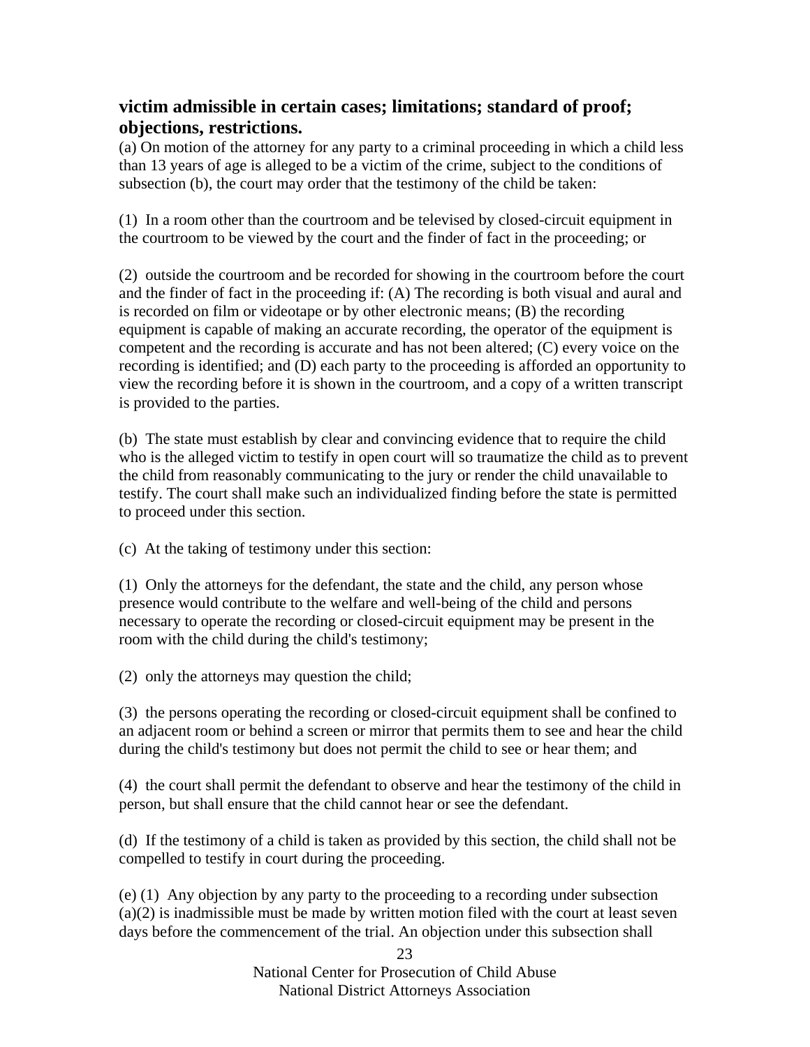# <span id="page-22-0"></span>**victim admissible in certain cases; limitations; standard of proof; objections, restrictions.**

(a) On motion of the attorney for any party to a criminal proceeding in which a child less than 13 years of age is alleged to be a victim of the crime, subject to the conditions of subsection (b), the court may order that the testimony of the child be taken:

(1) In a room other than the courtroom and be televised by closed-circuit equipment in the courtroom to be viewed by the court and the finder of fact in the proceeding; or

(2) outside the courtroom and be recorded for showing in the courtroom before the court and the finder of fact in the proceeding if: (A) The recording is both visual and aural and is recorded on film or videotape or by other electronic means; (B) the recording equipment is capable of making an accurate recording, the operator of the equipment is competent and the recording is accurate and has not been altered; (C) every voice on the recording is identified; and (D) each party to the proceeding is afforded an opportunity to view the recording before it is shown in the courtroom, and a copy of a written transcript is provided to the parties.

(b) The state must establish by clear and convincing evidence that to require the child who is the alleged victim to testify in open court will so traumatize the child as to prevent the child from reasonably communicating to the jury or render the child unavailable to testify. The court shall make such an individualized finding before the state is permitted to proceed under this section.

(c) At the taking of testimony under this section:

(1) Only the attorneys for the defendant, the state and the child, any person whose presence would contribute to the welfare and well-being of the child and persons necessary to operate the recording or closed-circuit equipment may be present in the room with the child during the child's testimony;

(2) only the attorneys may question the child;

(3) the persons operating the recording or closed-circuit equipment shall be confined to an adjacent room or behind a screen or mirror that permits them to see and hear the child during the child's testimony but does not permit the child to see or hear them; and

(4) the court shall permit the defendant to observe and hear the testimony of the child in person, but shall ensure that the child cannot hear or see the defendant.

(d) If the testimony of a child is taken as provided by this section, the child shall not be compelled to testify in court during the proceeding.

(e) (1) Any objection by any party to the proceeding to a recording under subsection (a)(2) is inadmissible must be made by written motion filed with the court at least seven days before the commencement of the trial. An objection under this subsection shall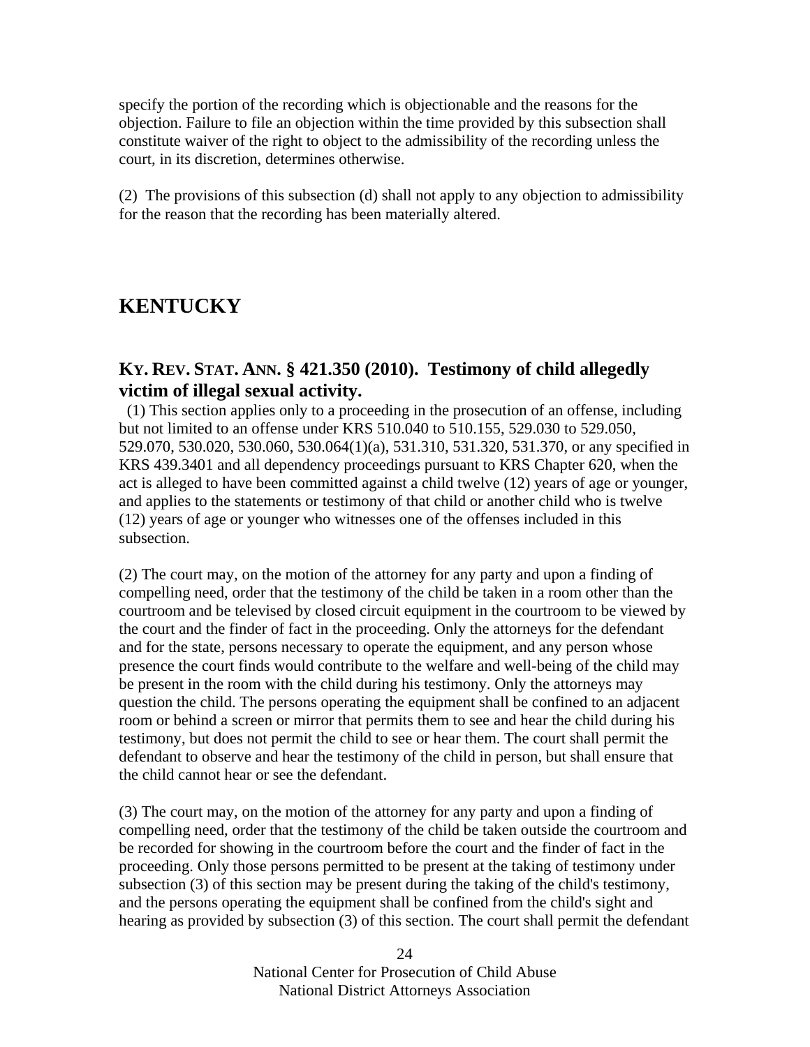<span id="page-23-0"></span>specify the portion of the recording which is objectionable and the reasons for the objection. Failure to file an objection within the time provided by this subsection shall constitute waiver of the right to object to the admissibility of the recording unless the court, in its discretion, determines otherwise.

(2) The provisions of this subsection (d) shall not apply to any objection to admissibility for the reason that the recording has been materially altered.

# **KENTUCKY**

#### **KY. REV. STAT. ANN. § 421.350 (2010). Testimony of child allegedly victim of illegal sexual activity.**

 (1) This section applies only to a proceeding in the prosecution of an offense, including but not limited to an offense under KRS 510.040 to 510.155, 529.030 to 529.050, 529.070, 530.020, 530.060, 530.064(1)(a), 531.310, 531.320, 531.370, or any specified in KRS 439.3401 and all dependency proceedings pursuant to KRS Chapter 620, when the act is alleged to have been committed against a child twelve (12) years of age or younger, and applies to the statements or testimony of that child or another child who is twelve (12) years of age or younger who witnesses one of the offenses included in this subsection.

(2) The court may, on the motion of the attorney for any party and upon a finding of compelling need, order that the testimony of the child be taken in a room other than the courtroom and be televised by closed circuit equipment in the courtroom to be viewed by the court and the finder of fact in the proceeding. Only the attorneys for the defendant and for the state, persons necessary to operate the equipment, and any person whose presence the court finds would contribute to the welfare and well-being of the child may be present in the room with the child during his testimony. Only the attorneys may question the child. The persons operating the equipment shall be confined to an adjacent room or behind a screen or mirror that permits them to see and hear the child during his testimony, but does not permit the child to see or hear them. The court shall permit the defendant to observe and hear the testimony of the child in person, but shall ensure that the child cannot hear or see the defendant.

(3) The court may, on the motion of the attorney for any party and upon a finding of compelling need, order that the testimony of the child be taken outside the courtroom and be recorded for showing in the courtroom before the court and the finder of fact in the proceeding. Only those persons permitted to be present at the taking of testimony under subsection (3) of this section may be present during the taking of the child's testimony, and the persons operating the equipment shall be confined from the child's sight and hearing as provided by subsection (3) of this section. The court shall permit the defendant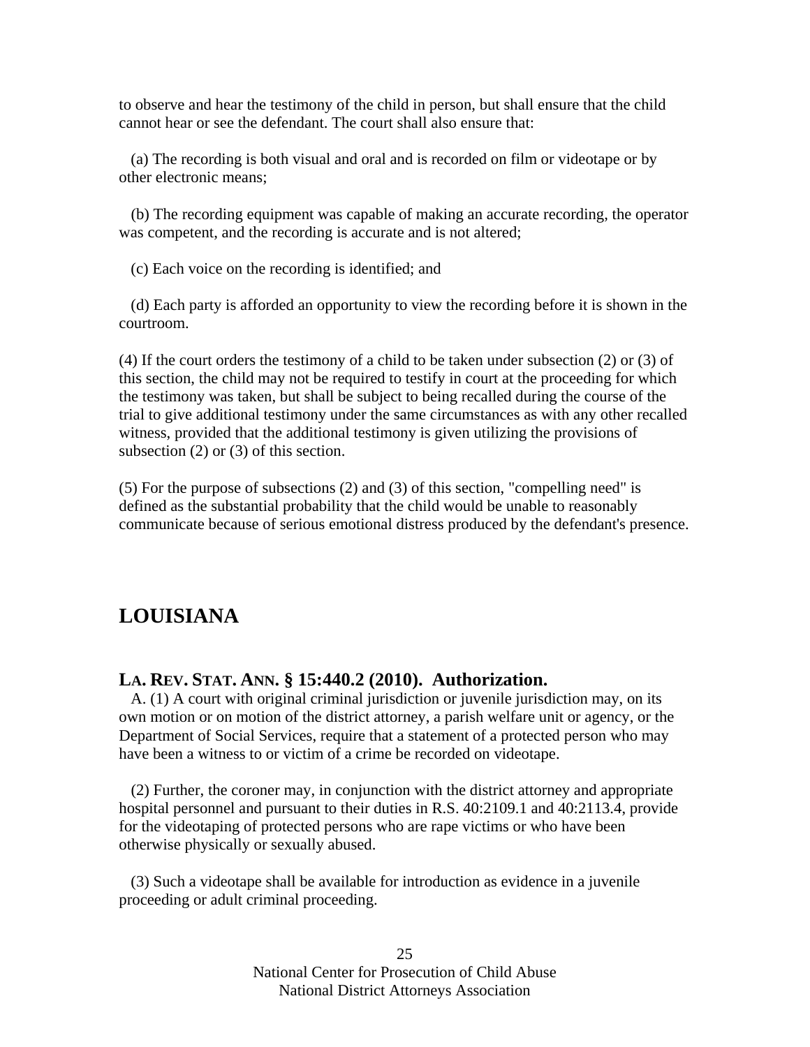<span id="page-24-0"></span>to observe and hear the testimony of the child in person, but shall ensure that the child cannot hear or see the defendant. The court shall also ensure that:

 (a) The recording is both visual and oral and is recorded on film or videotape or by other electronic means;

 (b) The recording equipment was capable of making an accurate recording, the operator was competent, and the recording is accurate and is not altered;

(c) Each voice on the recording is identified; and

 (d) Each party is afforded an opportunity to view the recording before it is shown in the courtroom.

(4) If the court orders the testimony of a child to be taken under subsection (2) or (3) of this section, the child may not be required to testify in court at the proceeding for which the testimony was taken, but shall be subject to being recalled during the course of the trial to give additional testimony under the same circumstances as with any other recalled witness, provided that the additional testimony is given utilizing the provisions of subsection (2) or (3) of this section.

(5) For the purpose of subsections (2) and (3) of this section, "compelling need" is defined as the substantial probability that the child would be unable to reasonably communicate because of serious emotional distress produced by the defendant's presence.

# **LOUISIANA**

#### **LA. REV. STAT. ANN. § 15:440.2 (2010). Authorization.**

 A. (1) A court with original criminal jurisdiction or juvenile jurisdiction may, on its own motion or on motion of the district attorney, a parish welfare unit or agency, or the Department of Social Services, require that a statement of a protected person who may have been a witness to or victim of a crime be recorded on videotape.

 (2) Further, the coroner may, in conjunction with the district attorney and appropriate hospital personnel and pursuant to their duties in R.S. 40:2109.1 and 40:2113.4, provide for the videotaping of protected persons who are rape victims or who have been otherwise physically or sexually abused.

 (3) Such a videotape shall be available for introduction as evidence in a juvenile proceeding or adult criminal proceeding.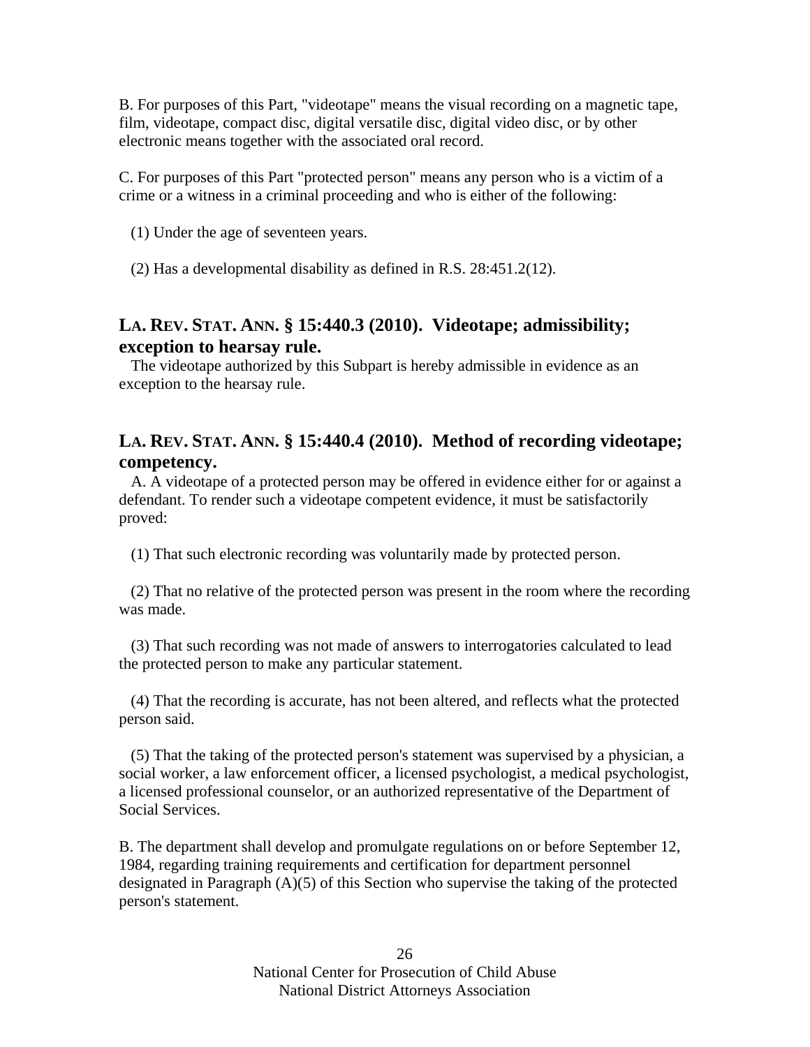<span id="page-25-0"></span>B. For purposes of this Part, "videotape" means the visual recording on a magnetic tape, film, videotape, compact disc, digital versatile disc, digital video disc, or by other electronic means together with the associated oral record.

C. For purposes of this Part "protected person" means any person who is a victim of a crime or a witness in a criminal proceeding and who is either of the following:

(1) Under the age of seventeen years.

(2) Has a developmental disability as defined in R.S. 28:451.2(12).

# **LA. REV. STAT. ANN. § 15:440.3 (2010). Videotape; admissibility; exception to hearsay rule.**

 The videotape authorized by this Subpart is hereby admissible in evidence as an exception to the hearsay rule.

#### **LA. REV. STAT. ANN. § 15:440.4 (2010). Method of recording videotape; competency.**

 A. A videotape of a protected person may be offered in evidence either for or against a defendant. To render such a videotape competent evidence, it must be satisfactorily proved:

(1) That such electronic recording was voluntarily made by protected person.

 (2) That no relative of the protected person was present in the room where the recording was made.

 (3) That such recording was not made of answers to interrogatories calculated to lead the protected person to make any particular statement.

 (4) That the recording is accurate, has not been altered, and reflects what the protected person said.

 (5) That the taking of the protected person's statement was supervised by a physician, a social worker, a law enforcement officer, a licensed psychologist, a medical psychologist, a licensed professional counselor, or an authorized representative of the Department of Social Services.

B. The department shall develop and promulgate regulations on or before September 12, 1984, regarding training requirements and certification for department personnel designated in Paragraph (A)(5) of this Section who supervise the taking of the protected person's statement.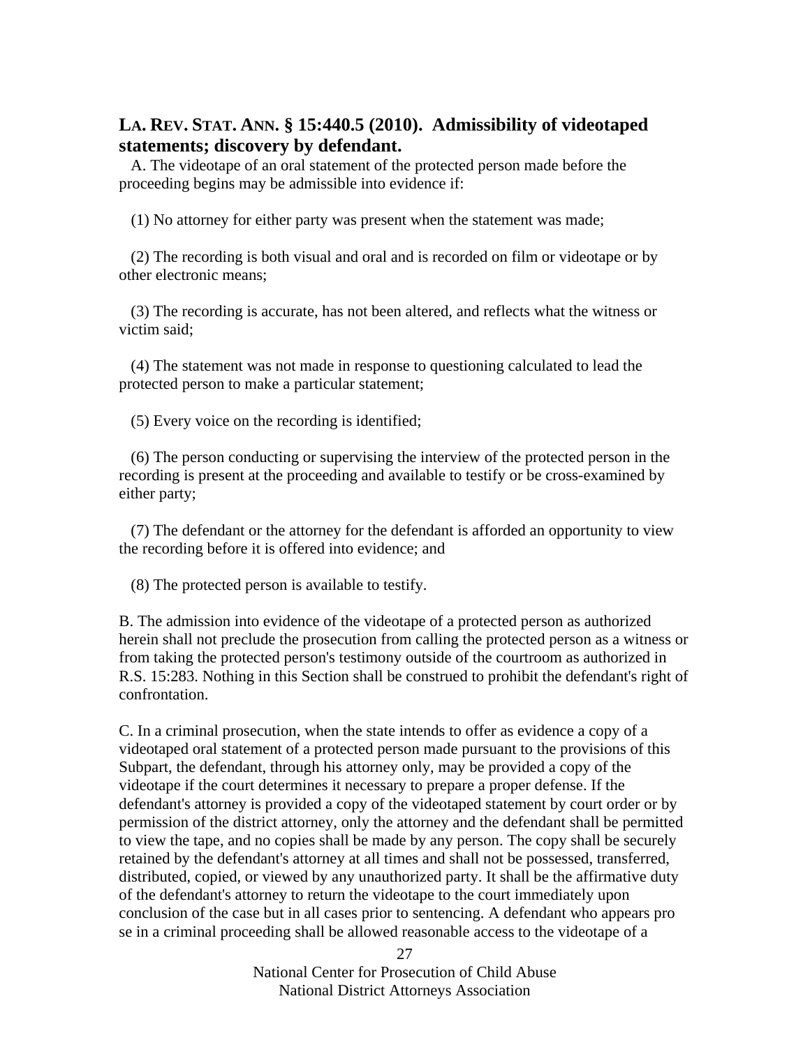### <span id="page-26-0"></span>**LA. REV. STAT. ANN. § 15:440.5 (2010). Admissibility of videotaped statements; discovery by defendant.**

 A. The videotape of an oral statement of the protected person made before the proceeding begins may be admissible into evidence if:

(1) No attorney for either party was present when the statement was made;

 (2) The recording is both visual and oral and is recorded on film or videotape or by other electronic means;

 (3) The recording is accurate, has not been altered, and reflects what the witness or victim said;

 (4) The statement was not made in response to questioning calculated to lead the protected person to make a particular statement;

(5) Every voice on the recording is identified;

 (6) The person conducting or supervising the interview of the protected person in the recording is present at the proceeding and available to testify or be cross-examined by either party;

 (7) The defendant or the attorney for the defendant is afforded an opportunity to view the recording before it is offered into evidence; and

(8) The protected person is available to testify.

B. The admission into evidence of the videotape of a protected person as authorized herein shall not preclude the prosecution from calling the protected person as a witness or from taking the protected person's testimony outside of the courtroom as authorized in R.S. 15:283. Nothing in this Section shall be construed to prohibit the defendant's right of confrontation.

C. In a criminal prosecution, when the state intends to offer as evidence a copy of a videotaped oral statement of a protected person made pursuant to the provisions of this Subpart, the defendant, through his attorney only, may be provided a copy of the videotape if the court determines it necessary to prepare a proper defense. If the defendant's attorney is provided a copy of the videotaped statement by court order or by permission of the district attorney, only the attorney and the defendant shall be permitted to view the tape, and no copies shall be made by any person. The copy shall be securely retained by the defendant's attorney at all times and shall not be possessed, transferred, distributed, copied, or viewed by any unauthorized party. It shall be the affirmative duty of the defendant's attorney to return the videotape to the court immediately upon conclusion of the case but in all cases prior to sentencing. A defendant who appears pro se in a criminal proceeding shall be allowed reasonable access to the videotape of a

> National Center for Prosecution of Child Abuse National District Attorneys Association

27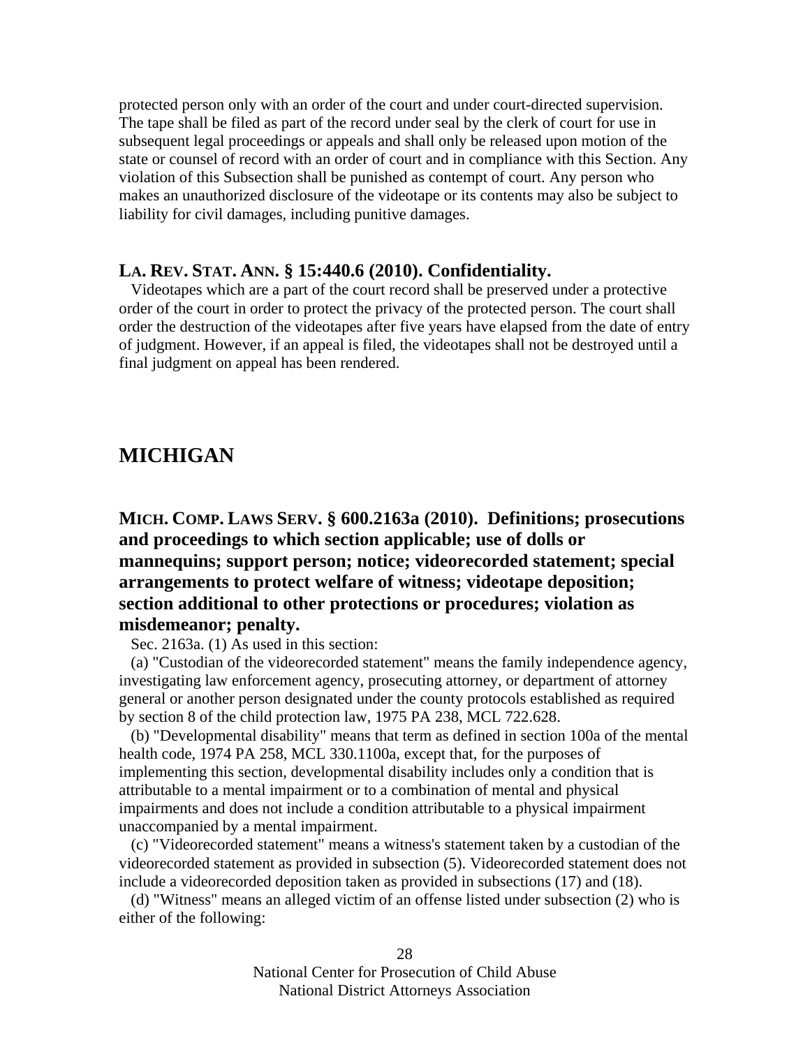<span id="page-27-0"></span>protected person only with an order of the court and under court-directed supervision. The tape shall be filed as part of the record under seal by the clerk of court for use in subsequent legal proceedings or appeals and shall only be released upon motion of the state or counsel of record with an order of court and in compliance with this Section. Any violation of this Subsection shall be punished as contempt of court. Any person who makes an unauthorized disclosure of the videotape or its contents may also be subject to liability for civil damages, including punitive damages.

#### **LA. REV. STAT. ANN. § 15:440.6 (2010). Confidentiality.**

 Videotapes which are a part of the court record shall be preserved under a protective order of the court in order to protect the privacy of the protected person. The court shall order the destruction of the videotapes after five years have elapsed from the date of entry of judgment. However, if an appeal is filed, the videotapes shall not be destroyed until a final judgment on appeal has been rendered.

# **MICHIGAN**

**MICH. COMP. LAWS SERV. § 600.2163a (2010). Definitions; prosecutions and proceedings to which section applicable; use of dolls or mannequins; support person; notice; videorecorded statement; special arrangements to protect welfare of witness; videotape deposition; section additional to other protections or procedures; violation as misdemeanor; penalty.**

Sec. 2163a. (1) As used in this section:

 (a) "Custodian of the videorecorded statement" means the family independence agency, investigating law enforcement agency, prosecuting attorney, or department of attorney general or another person designated under the county protocols established as required by section 8 of the child protection law, 1975 PA 238, MCL 722.628.

 (b) "Developmental disability" means that term as defined in section 100a of the mental health code, 1974 PA 258, MCL 330.1100a, except that, for the purposes of implementing this section, developmental disability includes only a condition that is attributable to a mental impairment or to a combination of mental and physical impairments and does not include a condition attributable to a physical impairment unaccompanied by a mental impairment.

 (c) "Videorecorded statement" means a witness's statement taken by a custodian of the videorecorded statement as provided in subsection (5). Videorecorded statement does not include a videorecorded deposition taken as provided in subsections (17) and (18).

 (d) "Witness" means an alleged victim of an offense listed under subsection (2) who is either of the following: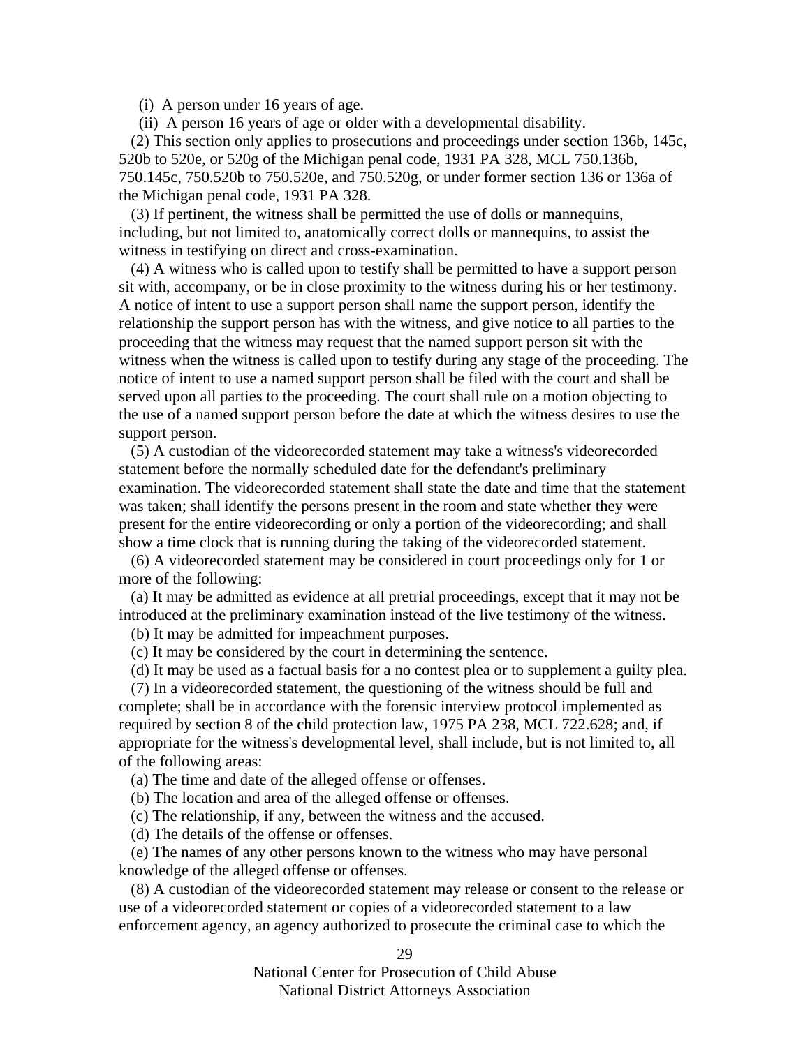(i) A person under 16 years of age.

(ii) A person 16 years of age or older with a developmental disability.

 (2) This section only applies to prosecutions and proceedings under section 136b, 145c, 520b to 520e, or 520g of the Michigan penal code, 1931 PA 328, MCL 750.136b, 750.145c, 750.520b to 750.520e, and 750.520g, or under former section 136 or 136a of the Michigan penal code, 1931 PA 328.

 (3) If pertinent, the witness shall be permitted the use of dolls or mannequins, including, but not limited to, anatomically correct dolls or mannequins, to assist the witness in testifying on direct and cross-examination.

 (4) A witness who is called upon to testify shall be permitted to have a support person sit with, accompany, or be in close proximity to the witness during his or her testimony. A notice of intent to use a support person shall name the support person, identify the relationship the support person has with the witness, and give notice to all parties to the proceeding that the witness may request that the named support person sit with the witness when the witness is called upon to testify during any stage of the proceeding. The notice of intent to use a named support person shall be filed with the court and shall be served upon all parties to the proceeding. The court shall rule on a motion objecting to the use of a named support person before the date at which the witness desires to use the support person.

 (5) A custodian of the videorecorded statement may take a witness's videorecorded statement before the normally scheduled date for the defendant's preliminary examination. The videorecorded statement shall state the date and time that the statement was taken; shall identify the persons present in the room and state whether they were present for the entire videorecording or only a portion of the videorecording; and shall show a time clock that is running during the taking of the videorecorded statement.

 (6) A videorecorded statement may be considered in court proceedings only for 1 or more of the following:

 (a) It may be admitted as evidence at all pretrial proceedings, except that it may not be introduced at the preliminary examination instead of the live testimony of the witness.

(b) It may be admitted for impeachment purposes.

(c) It may be considered by the court in determining the sentence.

(d) It may be used as a factual basis for a no contest plea or to supplement a guilty plea.

 (7) In a videorecorded statement, the questioning of the witness should be full and complete; shall be in accordance with the forensic interview protocol implemented as required by section 8 of the child protection law, 1975 PA 238, MCL 722.628; and, if appropriate for the witness's developmental level, shall include, but is not limited to, all of the following areas:

(a) The time and date of the alleged offense or offenses.

(b) The location and area of the alleged offense or offenses.

(c) The relationship, if any, between the witness and the accused.

(d) The details of the offense or offenses.

 (e) The names of any other persons known to the witness who may have personal knowledge of the alleged offense or offenses.

 (8) A custodian of the videorecorded statement may release or consent to the release or use of a videorecorded statement or copies of a videorecorded statement to a law enforcement agency, an agency authorized to prosecute the criminal case to which the

29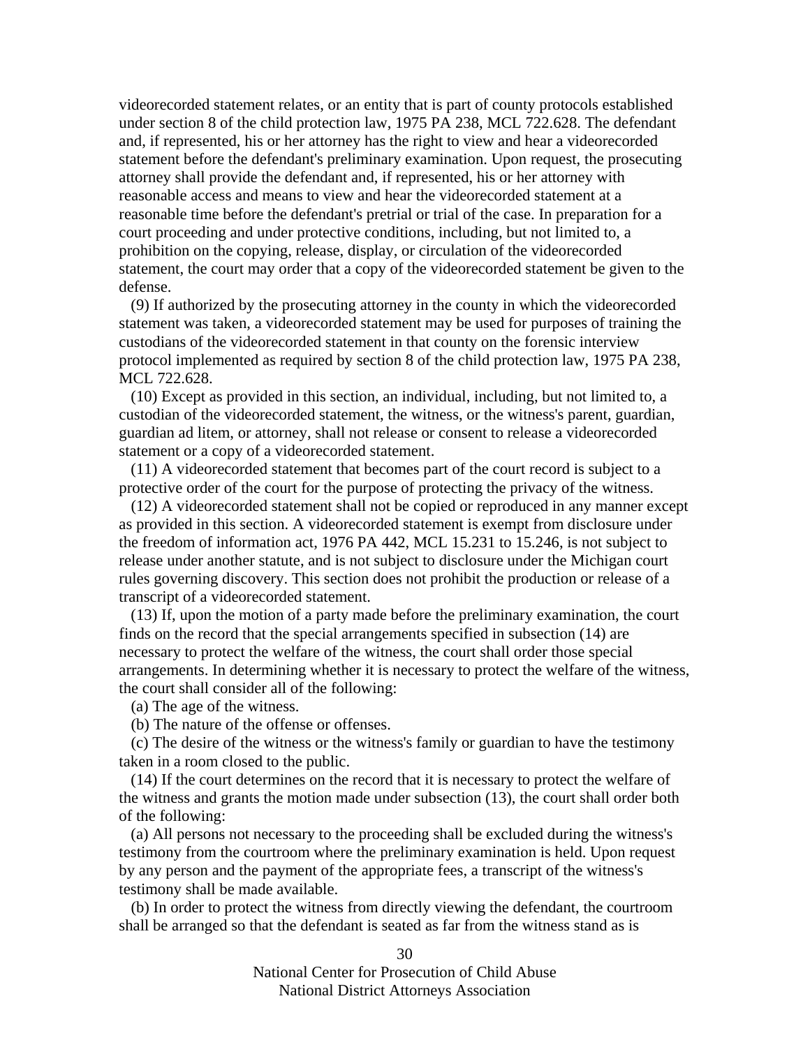videorecorded statement relates, or an entity that is part of county protocols established under section 8 of the child protection law, 1975 PA 238, MCL 722.628. The defendant and, if represented, his or her attorney has the right to view and hear a videorecorded statement before the defendant's preliminary examination. Upon request, the prosecuting attorney shall provide the defendant and, if represented, his or her attorney with reasonable access and means to view and hear the videorecorded statement at a reasonable time before the defendant's pretrial or trial of the case. In preparation for a court proceeding and under protective conditions, including, but not limited to, a prohibition on the copying, release, display, or circulation of the videorecorded statement, the court may order that a copy of the videorecorded statement be given to the defense.

 (9) If authorized by the prosecuting attorney in the county in which the videorecorded statement was taken, a videorecorded statement may be used for purposes of training the custodians of the videorecorded statement in that county on the forensic interview protocol implemented as required by section 8 of the child protection law, 1975 PA 238, MCL 722.628.

 (10) Except as provided in this section, an individual, including, but not limited to, a custodian of the videorecorded statement, the witness, or the witness's parent, guardian, guardian ad litem, or attorney, shall not release or consent to release a videorecorded statement or a copy of a videorecorded statement.

 (11) A videorecorded statement that becomes part of the court record is subject to a protective order of the court for the purpose of protecting the privacy of the witness.

 (12) A videorecorded statement shall not be copied or reproduced in any manner except as provided in this section. A videorecorded statement is exempt from disclosure under the freedom of information act, 1976 PA 442, MCL 15.231 to 15.246, is not subject to release under another statute, and is not subject to disclosure under the Michigan court rules governing discovery. This section does not prohibit the production or release of a transcript of a videorecorded statement.

 (13) If, upon the motion of a party made before the preliminary examination, the court finds on the record that the special arrangements specified in subsection (14) are necessary to protect the welfare of the witness, the court shall order those special arrangements. In determining whether it is necessary to protect the welfare of the witness, the court shall consider all of the following:

(a) The age of the witness.

(b) The nature of the offense or offenses.

 (c) The desire of the witness or the witness's family or guardian to have the testimony taken in a room closed to the public.

 (14) If the court determines on the record that it is necessary to protect the welfare of the witness and grants the motion made under subsection (13), the court shall order both of the following:

 (a) All persons not necessary to the proceeding shall be excluded during the witness's testimony from the courtroom where the preliminary examination is held. Upon request by any person and the payment of the appropriate fees, a transcript of the witness's testimony shall be made available.

 (b) In order to protect the witness from directly viewing the defendant, the courtroom shall be arranged so that the defendant is seated as far from the witness stand as is

> National Center for Prosecution of Child Abuse National District Attorneys Association

30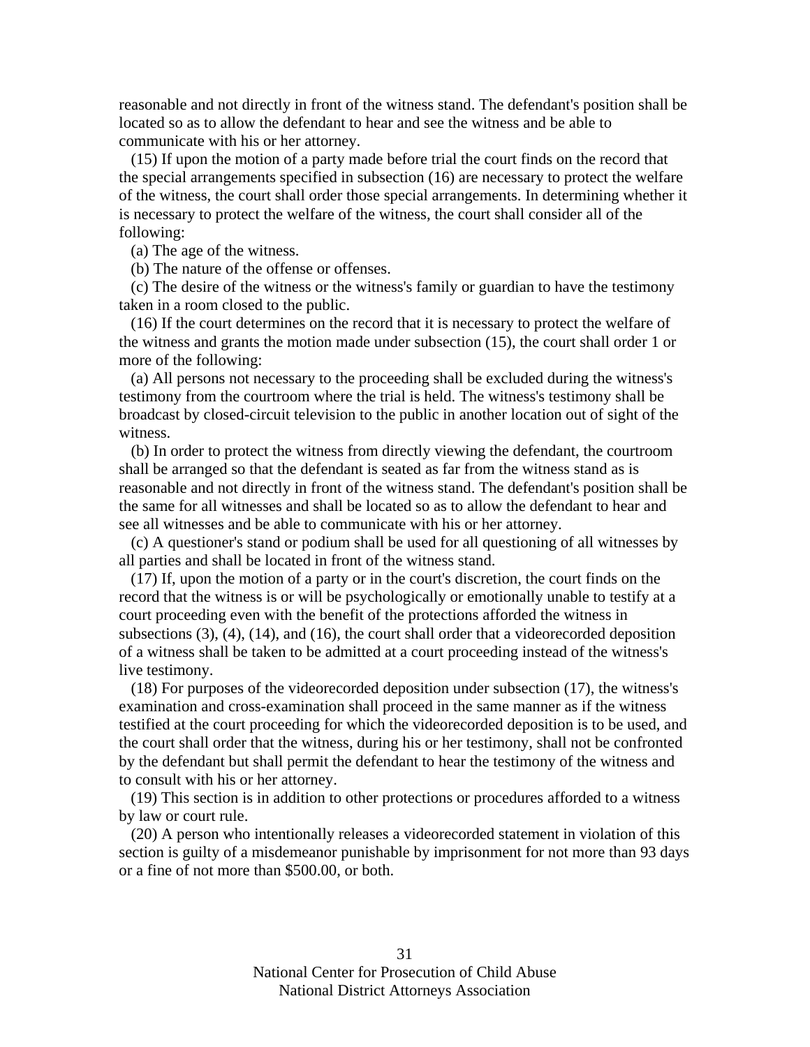reasonable and not directly in front of the witness stand. The defendant's position shall be located so as to allow the defendant to hear and see the witness and be able to communicate with his or her attorney.

 (15) If upon the motion of a party made before trial the court finds on the record that the special arrangements specified in subsection (16) are necessary to protect the welfare of the witness, the court shall order those special arrangements. In determining whether it is necessary to protect the welfare of the witness, the court shall consider all of the following:

(a) The age of the witness.

(b) The nature of the offense or offenses.

 (c) The desire of the witness or the witness's family or guardian to have the testimony taken in a room closed to the public.

 (16) If the court determines on the record that it is necessary to protect the welfare of the witness and grants the motion made under subsection (15), the court shall order 1 or more of the following:

 (a) All persons not necessary to the proceeding shall be excluded during the witness's testimony from the courtroom where the trial is held. The witness's testimony shall be broadcast by closed-circuit television to the public in another location out of sight of the witness.

 (b) In order to protect the witness from directly viewing the defendant, the courtroom shall be arranged so that the defendant is seated as far from the witness stand as is reasonable and not directly in front of the witness stand. The defendant's position shall be the same for all witnesses and shall be located so as to allow the defendant to hear and see all witnesses and be able to communicate with his or her attorney.

 (c) A questioner's stand or podium shall be used for all questioning of all witnesses by all parties and shall be located in front of the witness stand.

 (17) If, upon the motion of a party or in the court's discretion, the court finds on the record that the witness is or will be psychologically or emotionally unable to testify at a court proceeding even with the benefit of the protections afforded the witness in subsections (3), (4), (14), and (16), the court shall order that a videorecorded deposition of a witness shall be taken to be admitted at a court proceeding instead of the witness's live testimony.

 (18) For purposes of the videorecorded deposition under subsection (17), the witness's examination and cross-examination shall proceed in the same manner as if the witness testified at the court proceeding for which the videorecorded deposition is to be used, and the court shall order that the witness, during his or her testimony, shall not be confronted by the defendant but shall permit the defendant to hear the testimony of the witness and to consult with his or her attorney.

 (19) This section is in addition to other protections or procedures afforded to a witness by law or court rule.

 (20) A person who intentionally releases a videorecorded statement in violation of this section is guilty of a misdemeanor punishable by imprisonment for not more than 93 days or a fine of not more than \$500.00, or both.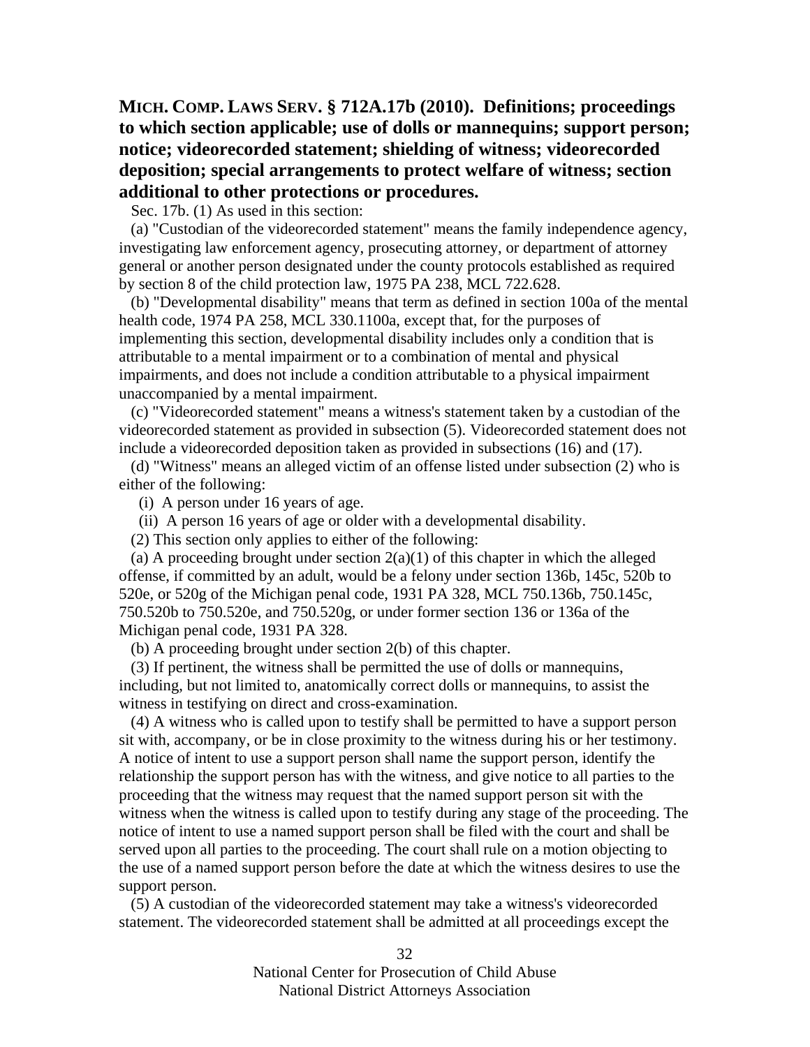## <span id="page-31-0"></span>**MICH. COMP. LAWS SERV. § 712A.17b (2010). Definitions; proceedings to which section applicable; use of dolls or mannequins; support person; notice; videorecorded statement; shielding of witness; videorecorded deposition; special arrangements to protect welfare of witness; section additional to other protections or procedures.**

Sec. 17b. (1) As used in this section:

 (a) "Custodian of the videorecorded statement" means the family independence agency, investigating law enforcement agency, prosecuting attorney, or department of attorney general or another person designated under the county protocols established as required by section 8 of the child protection law, 1975 PA 238, MCL 722.628.

 (b) "Developmental disability" means that term as defined in section 100a of the mental health code, 1974 PA 258, MCL 330.1100a, except that, for the purposes of implementing this section, developmental disability includes only a condition that is attributable to a mental impairment or to a combination of mental and physical impairments, and does not include a condition attributable to a physical impairment unaccompanied by a mental impairment.

 (c) "Videorecorded statement" means a witness's statement taken by a custodian of the videorecorded statement as provided in subsection (5). Videorecorded statement does not include a videorecorded deposition taken as provided in subsections (16) and (17).

 (d) "Witness" means an alleged victim of an offense listed under subsection (2) who is either of the following:

(i) A person under 16 years of age.

(ii) A person 16 years of age or older with a developmental disability.

(2) This section only applies to either of the following:

(a) A proceeding brought under section  $2(a)(1)$  of this chapter in which the alleged offense, if committed by an adult, would be a felony under section 136b, 145c, 520b to 520e, or 520g of the Michigan penal code, 1931 PA 328, MCL 750.136b, 750.145c, 750.520b to 750.520e, and 750.520g, or under former section 136 or 136a of the Michigan penal code, 1931 PA 328.

(b) A proceeding brought under section 2(b) of this chapter.

 (3) If pertinent, the witness shall be permitted the use of dolls or mannequins, including, but not limited to, anatomically correct dolls or mannequins, to assist the witness in testifying on direct and cross-examination.

 (4) A witness who is called upon to testify shall be permitted to have a support person sit with, accompany, or be in close proximity to the witness during his or her testimony. A notice of intent to use a support person shall name the support person, identify the relationship the support person has with the witness, and give notice to all parties to the proceeding that the witness may request that the named support person sit with the witness when the witness is called upon to testify during any stage of the proceeding. The notice of intent to use a named support person shall be filed with the court and shall be served upon all parties to the proceeding. The court shall rule on a motion objecting to the use of a named support person before the date at which the witness desires to use the support person.

 (5) A custodian of the videorecorded statement may take a witness's videorecorded statement. The videorecorded statement shall be admitted at all proceedings except the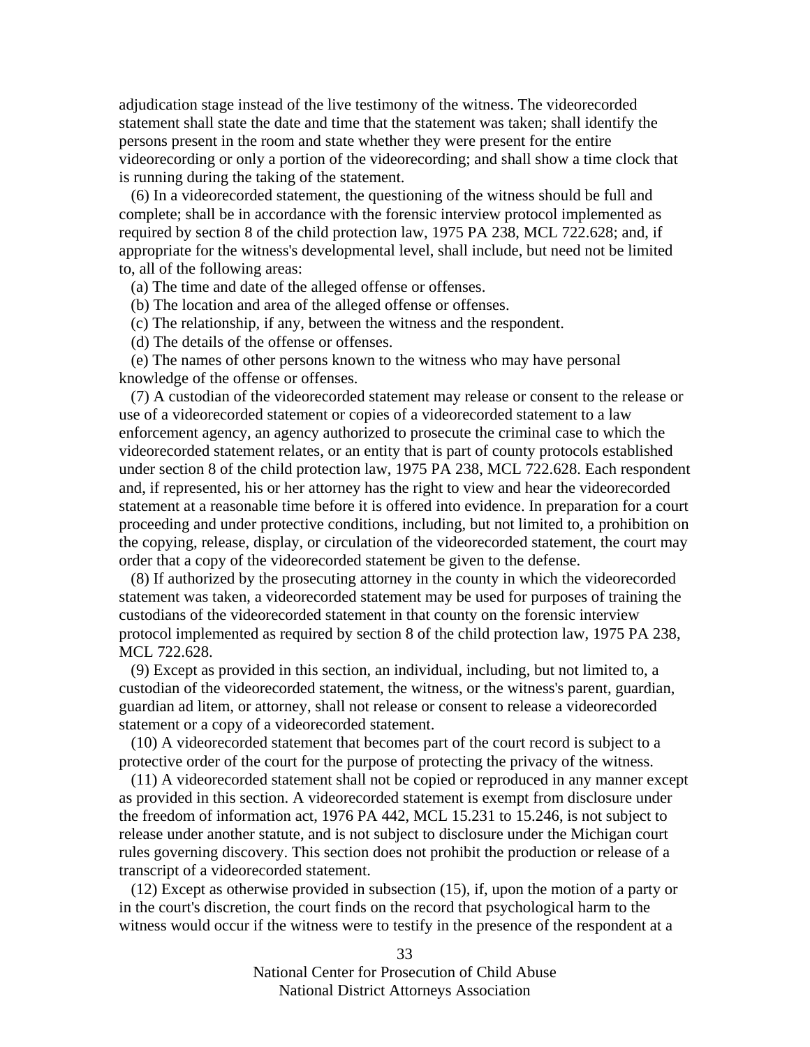adjudication stage instead of the live testimony of the witness. The videorecorded statement shall state the date and time that the statement was taken; shall identify the persons present in the room and state whether they were present for the entire videorecording or only a portion of the videorecording; and shall show a time clock that is running during the taking of the statement.

 (6) In a videorecorded statement, the questioning of the witness should be full and complete; shall be in accordance with the forensic interview protocol implemented as required by section 8 of the child protection law, 1975 PA 238, MCL 722.628; and, if appropriate for the witness's developmental level, shall include, but need not be limited to, all of the following areas:

(a) The time and date of the alleged offense or offenses.

(b) The location and area of the alleged offense or offenses.

(c) The relationship, if any, between the witness and the respondent.

(d) The details of the offense or offenses.

 (e) The names of other persons known to the witness who may have personal knowledge of the offense or offenses.

 (7) A custodian of the videorecorded statement may release or consent to the release or use of a videorecorded statement or copies of a videorecorded statement to a law enforcement agency, an agency authorized to prosecute the criminal case to which the videorecorded statement relates, or an entity that is part of county protocols established under section 8 of the child protection law, 1975 PA 238, MCL 722.628. Each respondent and, if represented, his or her attorney has the right to view and hear the videorecorded statement at a reasonable time before it is offered into evidence. In preparation for a court proceeding and under protective conditions, including, but not limited to, a prohibition on the copying, release, display, or circulation of the videorecorded statement, the court may order that a copy of the videorecorded statement be given to the defense.

 (8) If authorized by the prosecuting attorney in the county in which the videorecorded statement was taken, a videorecorded statement may be used for purposes of training the custodians of the videorecorded statement in that county on the forensic interview protocol implemented as required by section 8 of the child protection law, 1975 PA 238, MCL 722.628.

 (9) Except as provided in this section, an individual, including, but not limited to, a custodian of the videorecorded statement, the witness, or the witness's parent, guardian, guardian ad litem, or attorney, shall not release or consent to release a videorecorded statement or a copy of a videorecorded statement.

 (10) A videorecorded statement that becomes part of the court record is subject to a protective order of the court for the purpose of protecting the privacy of the witness.

 (11) A videorecorded statement shall not be copied or reproduced in any manner except as provided in this section. A videorecorded statement is exempt from disclosure under the freedom of information act, 1976 PA 442, MCL 15.231 to 15.246, is not subject to release under another statute, and is not subject to disclosure under the Michigan court rules governing discovery. This section does not prohibit the production or release of a transcript of a videorecorded statement.

 (12) Except as otherwise provided in subsection (15), if, upon the motion of a party or in the court's discretion, the court finds on the record that psychological harm to the witness would occur if the witness were to testify in the presence of the respondent at a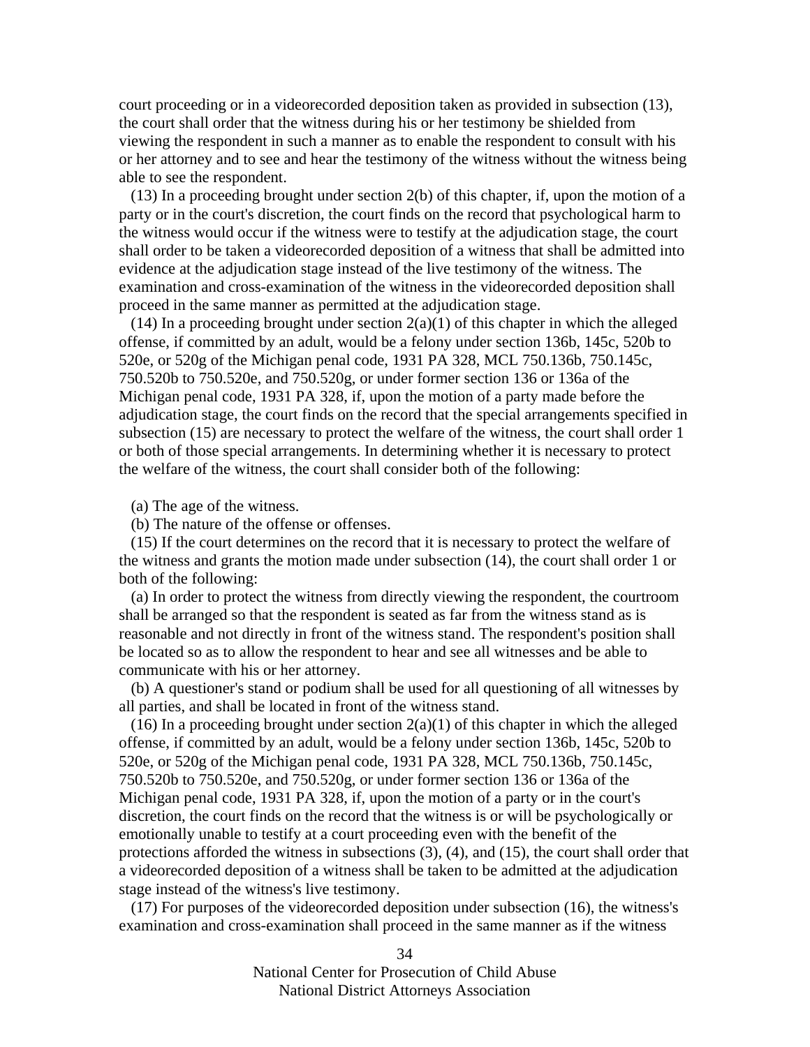court proceeding or in a videorecorded deposition taken as provided in subsection (13), the court shall order that the witness during his or her testimony be shielded from viewing the respondent in such a manner as to enable the respondent to consult with his or her attorney and to see and hear the testimony of the witness without the witness being able to see the respondent.

 (13) In a proceeding brought under section 2(b) of this chapter, if, upon the motion of a party or in the court's discretion, the court finds on the record that psychological harm to the witness would occur if the witness were to testify at the adjudication stage, the court shall order to be taken a videorecorded deposition of a witness that shall be admitted into evidence at the adjudication stage instead of the live testimony of the witness. The examination and cross-examination of the witness in the videorecorded deposition shall proceed in the same manner as permitted at the adjudication stage.

(14) In a proceeding brought under section  $2(a)(1)$  of this chapter in which the alleged offense, if committed by an adult, would be a felony under section 136b, 145c, 520b to 520e, or 520g of the Michigan penal code, 1931 PA 328, MCL 750.136b, 750.145c, 750.520b to 750.520e, and 750.520g, or under former section 136 or 136a of the Michigan penal code, 1931 PA 328, if, upon the motion of a party made before the adjudication stage, the court finds on the record that the special arrangements specified in subsection (15) are necessary to protect the welfare of the witness, the court shall order 1 or both of those special arrangements. In determining whether it is necessary to protect the welfare of the witness, the court shall consider both of the following:

(a) The age of the witness.

(b) The nature of the offense or offenses.

 (15) If the court determines on the record that it is necessary to protect the welfare of the witness and grants the motion made under subsection (14), the court shall order 1 or both of the following:

 (a) In order to protect the witness from directly viewing the respondent, the courtroom shall be arranged so that the respondent is seated as far from the witness stand as is reasonable and not directly in front of the witness stand. The respondent's position shall be located so as to allow the respondent to hear and see all witnesses and be able to communicate with his or her attorney.

 (b) A questioner's stand or podium shall be used for all questioning of all witnesses by all parties, and shall be located in front of the witness stand.

(16) In a proceeding brought under section  $2(a)(1)$  of this chapter in which the alleged offense, if committed by an adult, would be a felony under section 136b, 145c, 520b to 520e, or 520g of the Michigan penal code, 1931 PA 328, MCL 750.136b, 750.145c, 750.520b to 750.520e, and 750.520g, or under former section 136 or 136a of the Michigan penal code, 1931 PA 328, if, upon the motion of a party or in the court's discretion, the court finds on the record that the witness is or will be psychologically or emotionally unable to testify at a court proceeding even with the benefit of the protections afforded the witness in subsections (3), (4), and (15), the court shall order that a videorecorded deposition of a witness shall be taken to be admitted at the adjudication stage instead of the witness's live testimony.

 (17) For purposes of the videorecorded deposition under subsection (16), the witness's examination and cross-examination shall proceed in the same manner as if the witness

> National Center for Prosecution of Child Abuse National District Attorneys Association

34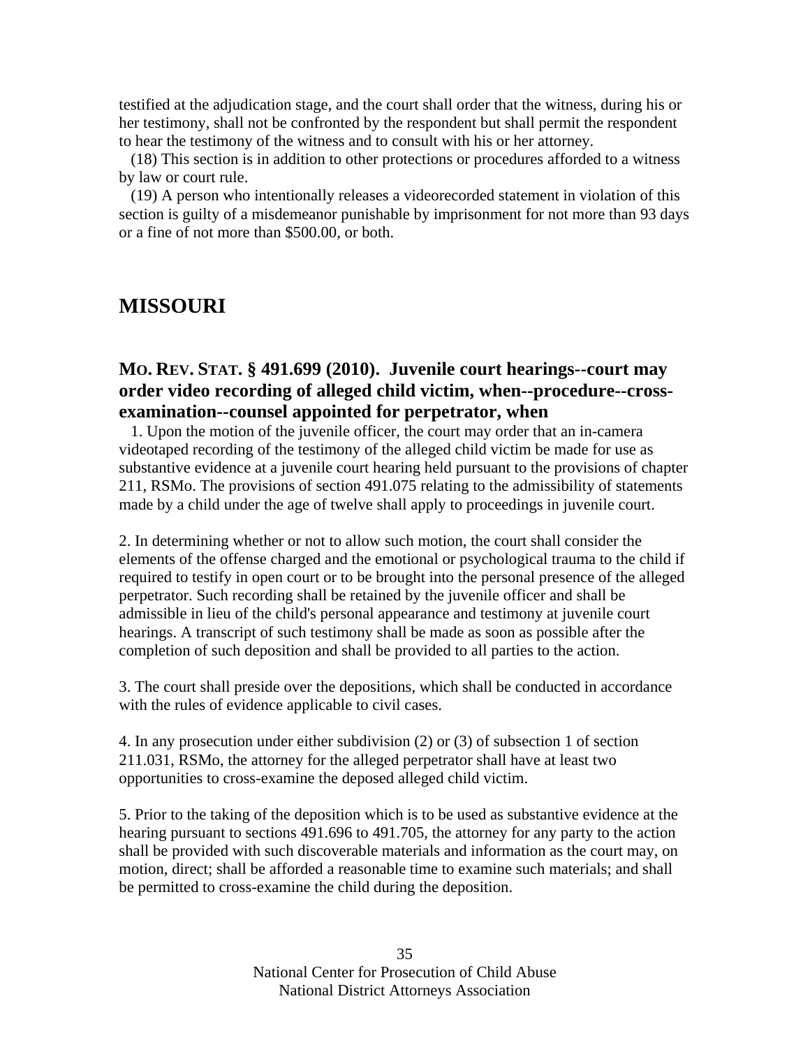<span id="page-34-0"></span>testified at the adjudication stage, and the court shall order that the witness, during his or her testimony, shall not be confronted by the respondent but shall permit the respondent to hear the testimony of the witness and to consult with his or her attorney.

 (18) This section is in addition to other protections or procedures afforded to a witness by law or court rule.

 (19) A person who intentionally releases a videorecorded statement in violation of this section is guilty of a misdemeanor punishable by imprisonment for not more than 93 days or a fine of not more than \$500.00, or both.

## **MISSOURI**

#### **MO. REV. STAT. § 491.699 (2010). Juvenile court hearings--court may order video recording of alleged child victim, when--procedure--crossexamination--counsel appointed for perpetrator, when**

 1. Upon the motion of the juvenile officer, the court may order that an in-camera videotaped recording of the testimony of the alleged child victim be made for use as substantive evidence at a juvenile court hearing held pursuant to the provisions of chapter 211, RSMo. The provisions of section 491.075 relating to the admissibility of statements made by a child under the age of twelve shall apply to proceedings in juvenile court.

2. In determining whether or not to allow such motion, the court shall consider the elements of the offense charged and the emotional or psychological trauma to the child if required to testify in open court or to be brought into the personal presence of the alleged perpetrator. Such recording shall be retained by the juvenile officer and shall be admissible in lieu of the child's personal appearance and testimony at juvenile court hearings. A transcript of such testimony shall be made as soon as possible after the completion of such deposition and shall be provided to all parties to the action.

3. The court shall preside over the depositions, which shall be conducted in accordance with the rules of evidence applicable to civil cases.

4. In any prosecution under either subdivision (2) or (3) of subsection 1 of section 211.031, RSMo, the attorney for the alleged perpetrator shall have at least two opportunities to cross-examine the deposed alleged child victim.

5. Prior to the taking of the deposition which is to be used as substantive evidence at the hearing pursuant to sections 491.696 to 491.705, the attorney for any party to the action shall be provided with such discoverable materials and information as the court may, on motion, direct; shall be afforded a reasonable time to examine such materials; and shall be permitted to cross-examine the child during the deposition.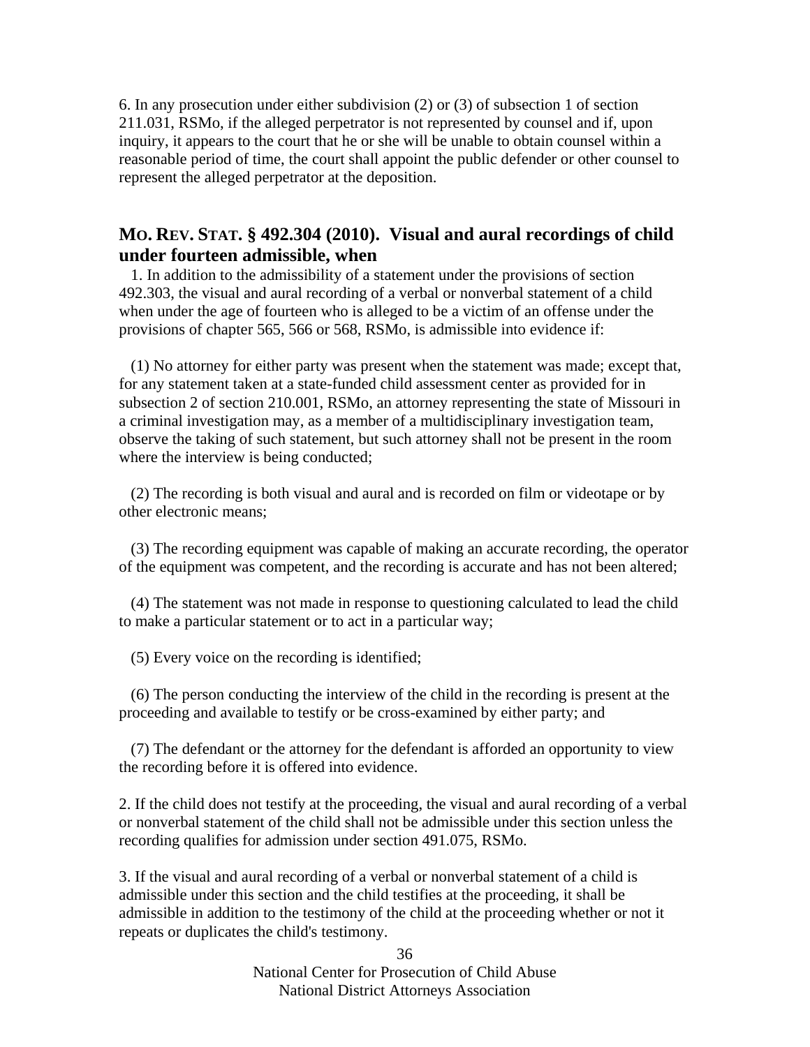<span id="page-35-0"></span>6. In any prosecution under either subdivision (2) or (3) of subsection 1 of section 211.031, RSMo, if the alleged perpetrator is not represented by counsel and if, upon inquiry, it appears to the court that he or she will be unable to obtain counsel within a reasonable period of time, the court shall appoint the public defender or other counsel to represent the alleged perpetrator at the deposition.

#### **MO. REV. STAT. § 492.304 (2010). Visual and aural recordings of child under fourteen admissible, when**

 1. In addition to the admissibility of a statement under the provisions of section 492.303, the visual and aural recording of a verbal or nonverbal statement of a child when under the age of fourteen who is alleged to be a victim of an offense under the provisions of chapter 565, 566 or 568, RSMo, is admissible into evidence if:

 (1) No attorney for either party was present when the statement was made; except that, for any statement taken at a state-funded child assessment center as provided for in subsection 2 of section 210.001, RSMo, an attorney representing the state of Missouri in a criminal investigation may, as a member of a multidisciplinary investigation team, observe the taking of such statement, but such attorney shall not be present in the room where the interview is being conducted;

 (2) The recording is both visual and aural and is recorded on film or videotape or by other electronic means;

 (3) The recording equipment was capable of making an accurate recording, the operator of the equipment was competent, and the recording is accurate and has not been altered;

 (4) The statement was not made in response to questioning calculated to lead the child to make a particular statement or to act in a particular way;

(5) Every voice on the recording is identified;

 (6) The person conducting the interview of the child in the recording is present at the proceeding and available to testify or be cross-examined by either party; and

 (7) The defendant or the attorney for the defendant is afforded an opportunity to view the recording before it is offered into evidence.

2. If the child does not testify at the proceeding, the visual and aural recording of a verbal or nonverbal statement of the child shall not be admissible under this section unless the recording qualifies for admission under section 491.075, RSMo.

3. If the visual and aural recording of a verbal or nonverbal statement of a child is admissible under this section and the child testifies at the proceeding, it shall be admissible in addition to the testimony of the child at the proceeding whether or not it repeats or duplicates the child's testimony.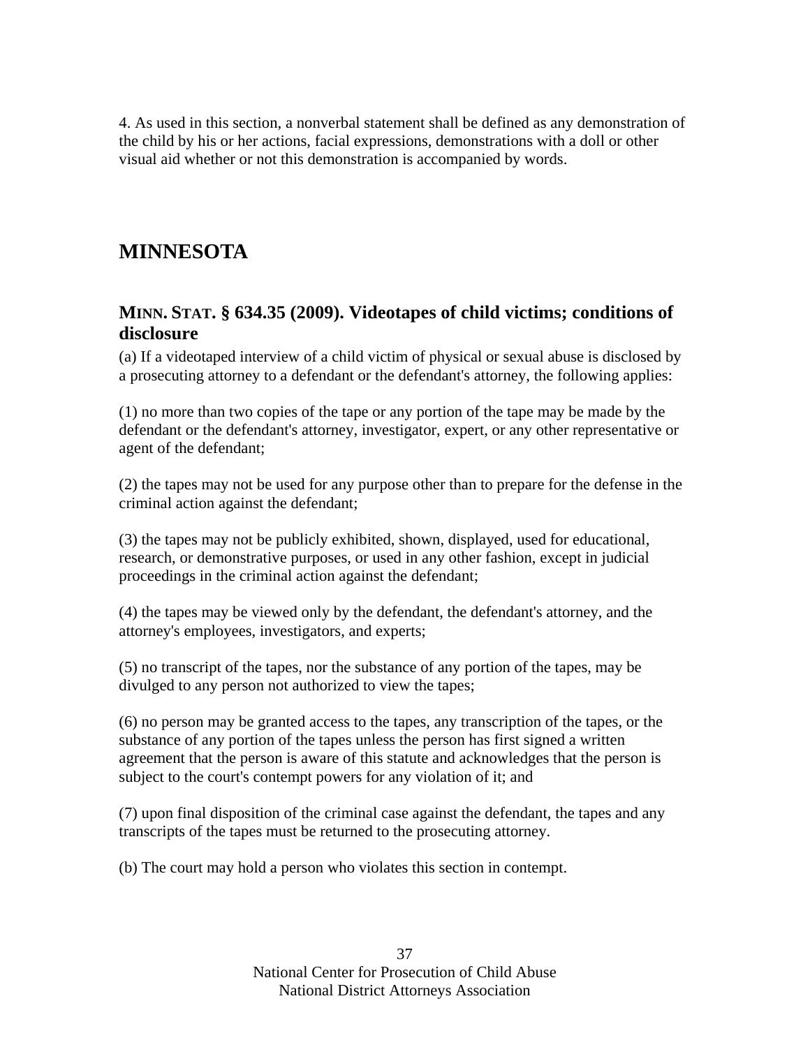4. As used in this section, a nonverbal statement shall be defined as any demonstration of the child by his or her actions, facial expressions, demonstrations with a doll or other visual aid whether or not this demonstration is accompanied by words.

## **MINNESOTA**

### **MINN. STAT. § 634.35 (2009). Videotapes of child victims; conditions of disclosure**

(a) If a videotaped interview of a child victim of physical or sexual abuse is disclosed by a prosecuting attorney to a defendant or the defendant's attorney, the following applies:

(1) no more than two copies of the tape or any portion of the tape may be made by the defendant or the defendant's attorney, investigator, expert, or any other representative or agent of the defendant;

(2) the tapes may not be used for any purpose other than to prepare for the defense in the criminal action against the defendant;

(3) the tapes may not be publicly exhibited, shown, displayed, used for educational, research, or demonstrative purposes, or used in any other fashion, except in judicial proceedings in the criminal action against the defendant;

(4) the tapes may be viewed only by the defendant, the defendant's attorney, and the attorney's employees, investigators, and experts;

(5) no transcript of the tapes, nor the substance of any portion of the tapes, may be divulged to any person not authorized to view the tapes;

(6) no person may be granted access to the tapes, any transcription of the tapes, or the substance of any portion of the tapes unless the person has first signed a written agreement that the person is aware of this statute and acknowledges that the person is subject to the court's contempt powers for any violation of it; and

(7) upon final disposition of the criminal case against the defendant, the tapes and any transcripts of the tapes must be returned to the prosecuting attorney.

(b) The court may hold a person who violates this section in contempt.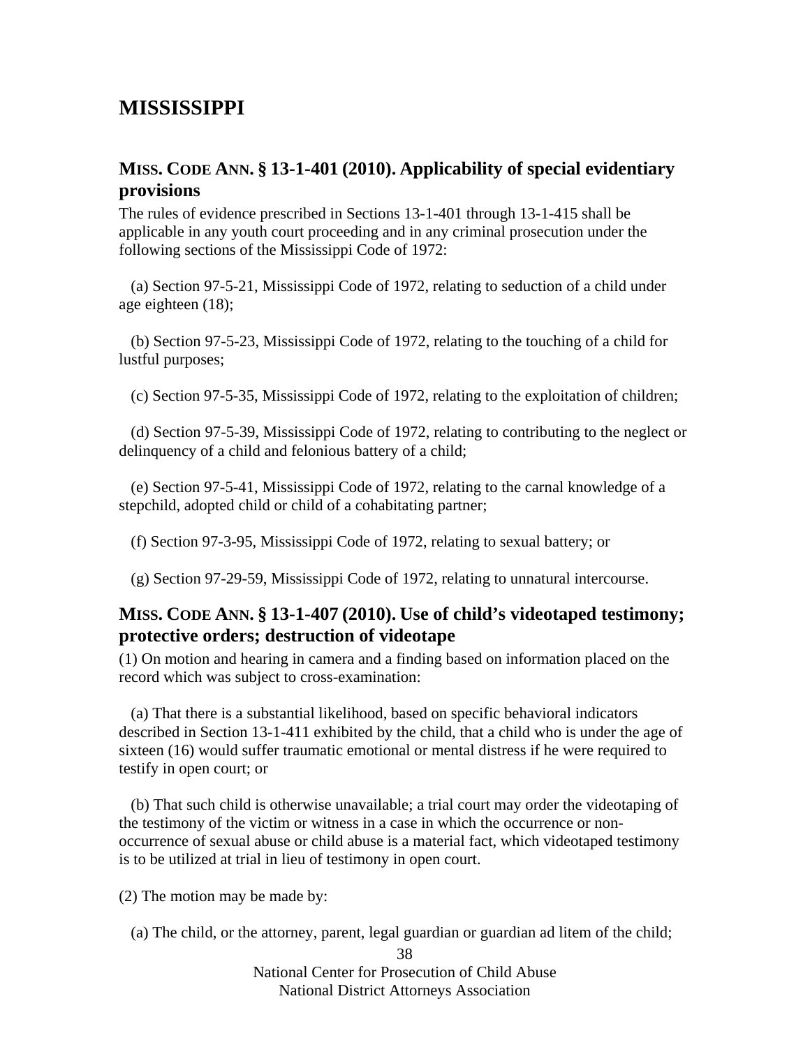## **MISSISSIPPI**

### **MISS. CODE ANN. § 13-1-401 (2010). Applicability of special evidentiary provisions**

The rules of evidence prescribed in Sections 13-1-401 through 13-1-415 shall be applicable in any youth court proceeding and in any criminal prosecution under the following sections of the Mississippi Code of 1972:

 (a) Section 97-5-21, Mississippi Code of 1972, relating to seduction of a child under age eighteen (18);

 (b) Section 97-5-23, Mississippi Code of 1972, relating to the touching of a child for lustful purposes;

(c) Section 97-5-35, Mississippi Code of 1972, relating to the exploitation of children;

 (d) Section 97-5-39, Mississippi Code of 1972, relating to contributing to the neglect or delinquency of a child and felonious battery of a child;

 (e) Section 97-5-41, Mississippi Code of 1972, relating to the carnal knowledge of a stepchild, adopted child or child of a cohabitating partner;

(f) Section 97-3-95, Mississippi Code of 1972, relating to sexual battery; or

(g) Section 97-29-59, Mississippi Code of 1972, relating to unnatural intercourse.

#### **MISS. CODE ANN. § 13-1-407 (2010). Use of child's videotaped testimony; protective orders; destruction of videotape**

(1) On motion and hearing in camera and a finding based on information placed on the record which was subject to cross-examination:

 (a) That there is a substantial likelihood, based on specific behavioral indicators described in Section 13-1-411 exhibited by the child, that a child who is under the age of sixteen (16) would suffer traumatic emotional or mental distress if he were required to testify in open court; or

 (b) That such child is otherwise unavailable; a trial court may order the videotaping of the testimony of the victim or witness in a case in which the occurrence or nonoccurrence of sexual abuse or child abuse is a material fact, which videotaped testimony is to be utilized at trial in lieu of testimony in open court.

(2) The motion may be made by:

(a) The child, or the attorney, parent, legal guardian or guardian ad litem of the child;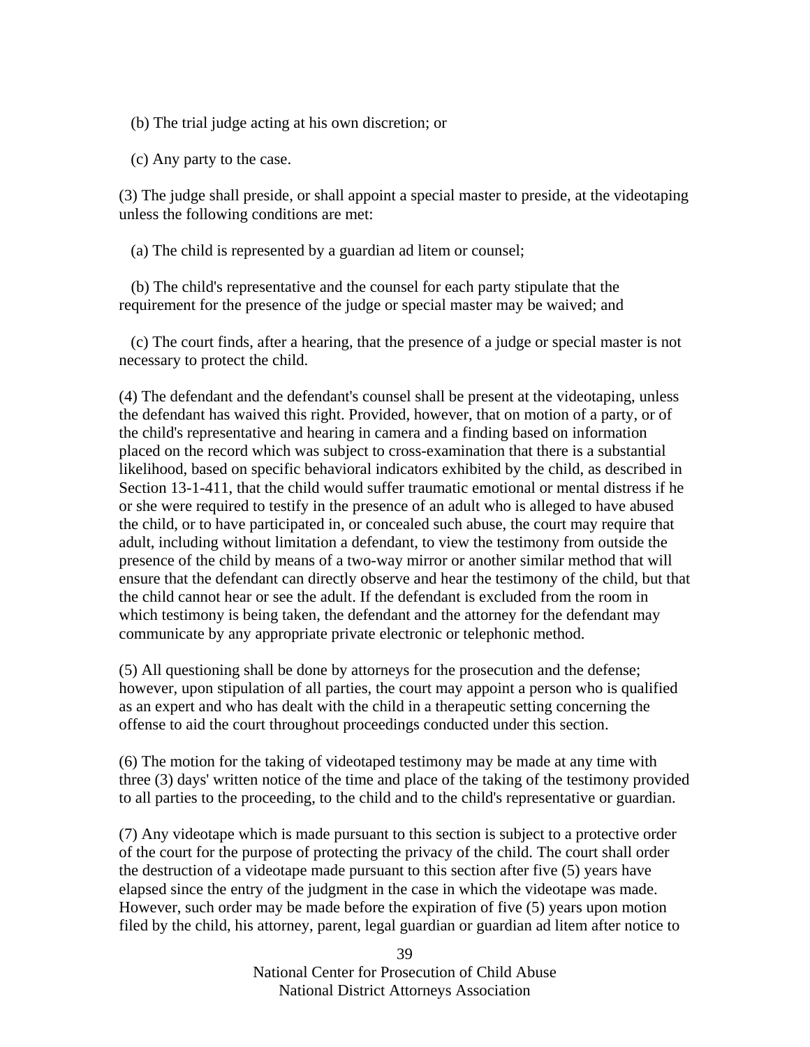(b) The trial judge acting at his own discretion; or

(c) Any party to the case.

(3) The judge shall preside, or shall appoint a special master to preside, at the videotaping unless the following conditions are met:

(a) The child is represented by a guardian ad litem or counsel;

 (b) The child's representative and the counsel for each party stipulate that the requirement for the presence of the judge or special master may be waived; and

 (c) The court finds, after a hearing, that the presence of a judge or special master is not necessary to protect the child.

(4) The defendant and the defendant's counsel shall be present at the videotaping, unless the defendant has waived this right. Provided, however, that on motion of a party, or of the child's representative and hearing in camera and a finding based on information placed on the record which was subject to cross-examination that there is a substantial likelihood, based on specific behavioral indicators exhibited by the child, as described in Section 13-1-411, that the child would suffer traumatic emotional or mental distress if he or she were required to testify in the presence of an adult who is alleged to have abused the child, or to have participated in, or concealed such abuse, the court may require that adult, including without limitation a defendant, to view the testimony from outside the presence of the child by means of a two-way mirror or another similar method that will ensure that the defendant can directly observe and hear the testimony of the child, but that the child cannot hear or see the adult. If the defendant is excluded from the room in which testimony is being taken, the defendant and the attorney for the defendant may communicate by any appropriate private electronic or telephonic method.

(5) All questioning shall be done by attorneys for the prosecution and the defense; however, upon stipulation of all parties, the court may appoint a person who is qualified as an expert and who has dealt with the child in a therapeutic setting concerning the offense to aid the court throughout proceedings conducted under this section.

(6) The motion for the taking of videotaped testimony may be made at any time with three (3) days' written notice of the time and place of the taking of the testimony provided to all parties to the proceeding, to the child and to the child's representative or guardian.

(7) Any videotape which is made pursuant to this section is subject to a protective order of the court for the purpose of protecting the privacy of the child. The court shall order the destruction of a videotape made pursuant to this section after five (5) years have elapsed since the entry of the judgment in the case in which the videotape was made. However, such order may be made before the expiration of five (5) years upon motion filed by the child, his attorney, parent, legal guardian or guardian ad litem after notice to

> National Center for Prosecution of Child Abuse National District Attorneys Association

39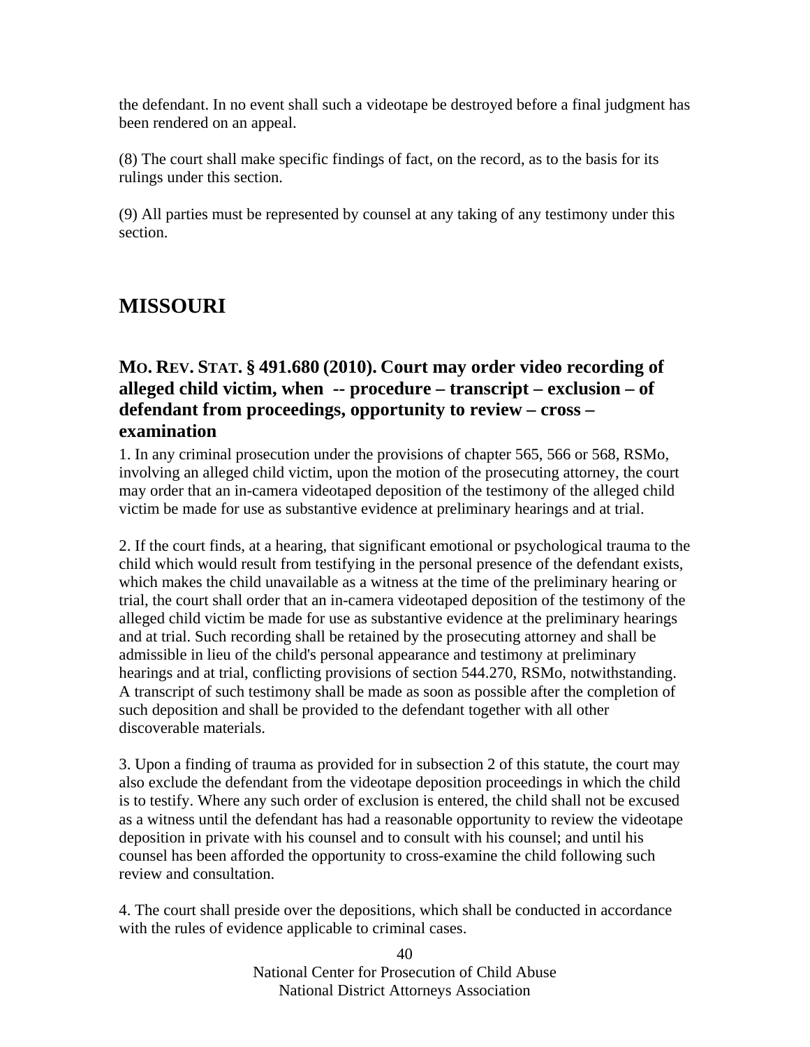the defendant. In no event shall such a videotape be destroyed before a final judgment has been rendered on an appeal.

(8) The court shall make specific findings of fact, on the record, as to the basis for its rulings under this section.

(9) All parties must be represented by counsel at any taking of any testimony under this section.

# **MISSOURI**

## **MO. REV. STAT. § 491.680 (2010). Court may order video recording of alleged child victim, when -- procedure – transcript – exclusion – of defendant from proceedings, opportunity to review – cross – examination**

1. In any criminal prosecution under the provisions of chapter 565, 566 or 568, RSMo, involving an alleged child victim, upon the motion of the prosecuting attorney, the court may order that an in-camera videotaped deposition of the testimony of the alleged child victim be made for use as substantive evidence at preliminary hearings and at trial.

2. If the court finds, at a hearing, that significant emotional or psychological trauma to the child which would result from testifying in the personal presence of the defendant exists, which makes the child unavailable as a witness at the time of the preliminary hearing or trial, the court shall order that an in-camera videotaped deposition of the testimony of the alleged child victim be made for use as substantive evidence at the preliminary hearings and at trial. Such recording shall be retained by the prosecuting attorney and shall be admissible in lieu of the child's personal appearance and testimony at preliminary hearings and at trial, conflicting provisions of section 544.270, RSMo, notwithstanding. A transcript of such testimony shall be made as soon as possible after the completion of such deposition and shall be provided to the defendant together with all other discoverable materials.

3. Upon a finding of trauma as provided for in subsection 2 of this statute, the court may also exclude the defendant from the videotape deposition proceedings in which the child is to testify. Where any such order of exclusion is entered, the child shall not be excused as a witness until the defendant has had a reasonable opportunity to review the videotape deposition in private with his counsel and to consult with his counsel; and until his counsel has been afforded the opportunity to cross-examine the child following such review and consultation.

4. The court shall preside over the depositions, which shall be conducted in accordance with the rules of evidence applicable to criminal cases.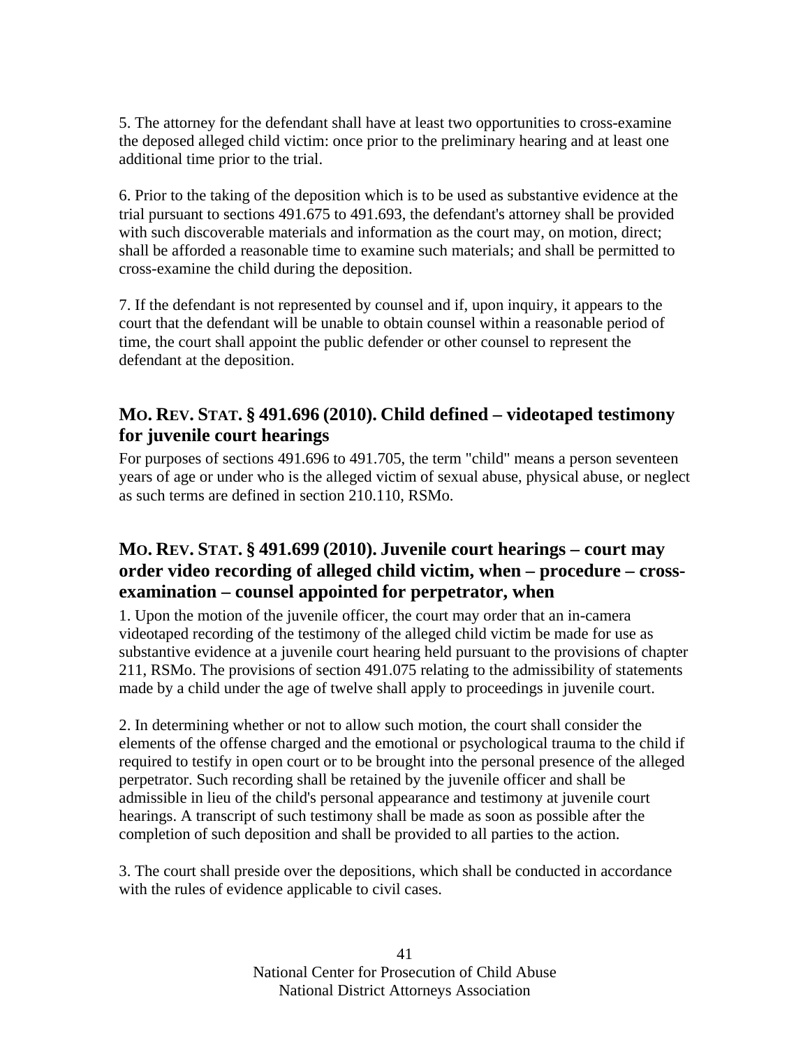5. The attorney for the defendant shall have at least two opportunities to cross-examine the deposed alleged child victim: once prior to the preliminary hearing and at least one additional time prior to the trial.

6. Prior to the taking of the deposition which is to be used as substantive evidence at the trial pursuant to sections 491.675 to 491.693, the defendant's attorney shall be provided with such discoverable materials and information as the court may, on motion, direct; shall be afforded a reasonable time to examine such materials; and shall be permitted to cross-examine the child during the deposition.

7. If the defendant is not represented by counsel and if, upon inquiry, it appears to the court that the defendant will be unable to obtain counsel within a reasonable period of time, the court shall appoint the public defender or other counsel to represent the defendant at the deposition.

### **MO. REV. STAT. § 491.696 (2010). Child defined – videotaped testimony for juvenile court hearings**

For purposes of sections 491.696 to 491.705, the term "child" means a person seventeen years of age or under who is the alleged victim of sexual abuse, physical abuse, or neglect as such terms are defined in section 210.110, RSMo.

### **MO. REV. STAT. § 491.699 (2010). Juvenile court hearings – court may order video recording of alleged child victim, when – procedure – crossexamination – counsel appointed for perpetrator, when**

1. Upon the motion of the juvenile officer, the court may order that an in-camera videotaped recording of the testimony of the alleged child victim be made for use as substantive evidence at a juvenile court hearing held pursuant to the provisions of chapter 211, RSMo. The provisions of section 491.075 relating to the admissibility of statements made by a child under the age of twelve shall apply to proceedings in juvenile court.

2. In determining whether or not to allow such motion, the court shall consider the elements of the offense charged and the emotional or psychological trauma to the child if required to testify in open court or to be brought into the personal presence of the alleged perpetrator. Such recording shall be retained by the juvenile officer and shall be admissible in lieu of the child's personal appearance and testimony at juvenile court hearings. A transcript of such testimony shall be made as soon as possible after the completion of such deposition and shall be provided to all parties to the action.

3. The court shall preside over the depositions, which shall be conducted in accordance with the rules of evidence applicable to civil cases.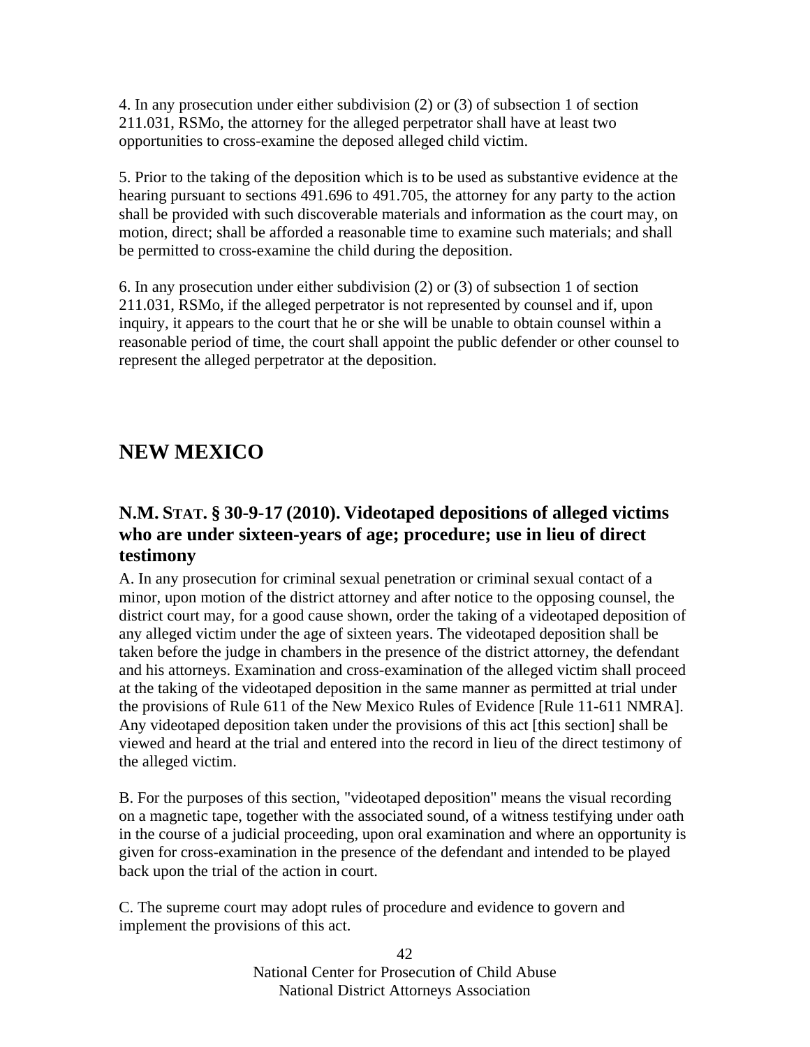4. In any prosecution under either subdivision (2) or (3) of subsection 1 of section 211.031, RSMo, the attorney for the alleged perpetrator shall have at least two opportunities to cross-examine the deposed alleged child victim.

5. Prior to the taking of the deposition which is to be used as substantive evidence at the hearing pursuant to sections 491.696 to 491.705, the attorney for any party to the action shall be provided with such discoverable materials and information as the court may, on motion, direct; shall be afforded a reasonable time to examine such materials; and shall be permitted to cross-examine the child during the deposition.

6. In any prosecution under either subdivision (2) or (3) of subsection 1 of section 211.031, RSMo, if the alleged perpetrator is not represented by counsel and if, upon inquiry, it appears to the court that he or she will be unable to obtain counsel within a reasonable period of time, the court shall appoint the public defender or other counsel to represent the alleged perpetrator at the deposition.

## **NEW MEXICO**

### **N.M. STAT. § 30-9-17 (2010). Videotaped depositions of alleged victims who are under sixteen-years of age; procedure; use in lieu of direct testimony**

A. In any prosecution for criminal sexual penetration or criminal sexual contact of a minor, upon motion of the district attorney and after notice to the opposing counsel, the district court may, for a good cause shown, order the taking of a videotaped deposition of any alleged victim under the age of sixteen years. The videotaped deposition shall be taken before the judge in chambers in the presence of the district attorney, the defendant and his attorneys. Examination and cross-examination of the alleged victim shall proceed at the taking of the videotaped deposition in the same manner as permitted at trial under the provisions of Rule 611 of the New Mexico Rules of Evidence [Rule 11-611 NMRA]. Any videotaped deposition taken under the provisions of this act [this section] shall be viewed and heard at the trial and entered into the record in lieu of the direct testimony of the alleged victim.

B. For the purposes of this section, "videotaped deposition" means the visual recording on a magnetic tape, together with the associated sound, of a witness testifying under oath in the course of a judicial proceeding, upon oral examination and where an opportunity is given for cross-examination in the presence of the defendant and intended to be played back upon the trial of the action in court.

C. The supreme court may adopt rules of procedure and evidence to govern and implement the provisions of this act.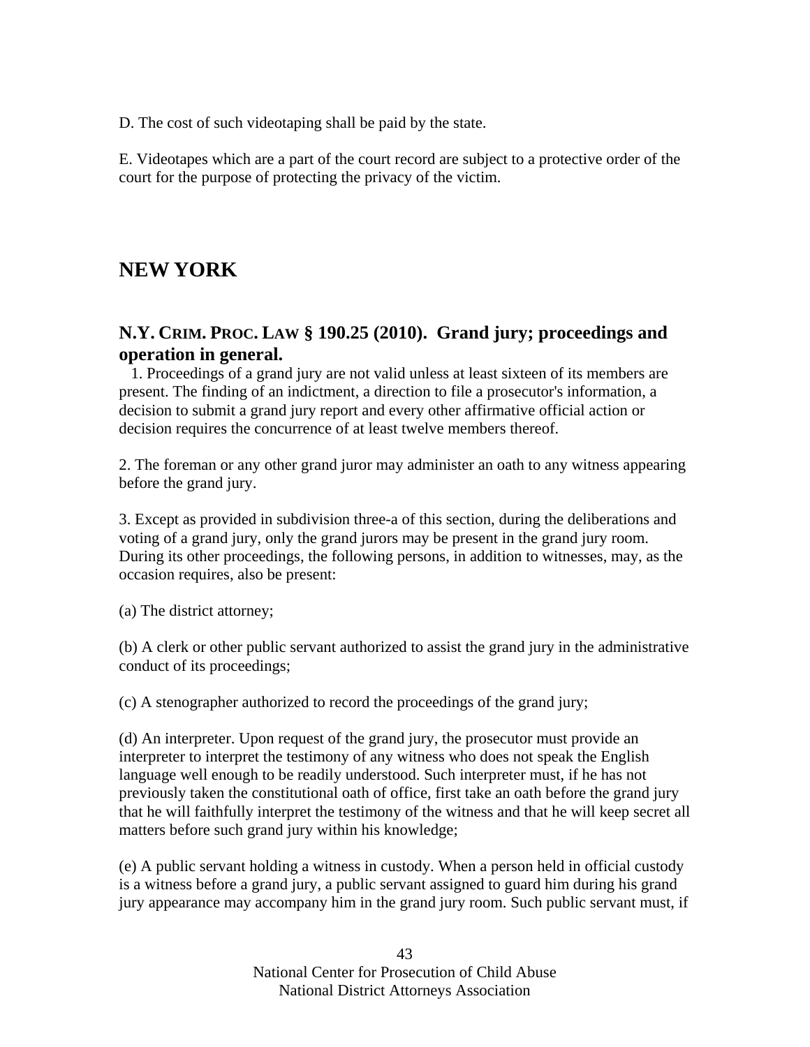D. The cost of such videotaping shall be paid by the state.

E. Videotapes which are a part of the court record are subject to a protective order of the court for the purpose of protecting the privacy of the victim.

# **NEW YORK**

### **N.Y. CRIM. PROC. LAW § 190.25 (2010). Grand jury; proceedings and operation in general.**

 1. Proceedings of a grand jury are not valid unless at least sixteen of its members are present. The finding of an indictment, a direction to file a prosecutor's information, a decision to submit a grand jury report and every other affirmative official action or decision requires the concurrence of at least twelve members thereof.

2. The foreman or any other grand juror may administer an oath to any witness appearing before the grand jury.

3. Except as provided in subdivision three-a of this section, during the deliberations and voting of a grand jury, only the grand jurors may be present in the grand jury room. During its other proceedings, the following persons, in addition to witnesses, may, as the occasion requires, also be present:

(a) The district attorney;

(b) A clerk or other public servant authorized to assist the grand jury in the administrative conduct of its proceedings;

(c) A stenographer authorized to record the proceedings of the grand jury;

(d) An interpreter. Upon request of the grand jury, the prosecutor must provide an interpreter to interpret the testimony of any witness who does not speak the English language well enough to be readily understood. Such interpreter must, if he has not previously taken the constitutional oath of office, first take an oath before the grand jury that he will faithfully interpret the testimony of the witness and that he will keep secret all matters before such grand jury within his knowledge;

(e) A public servant holding a witness in custody. When a person held in official custody is a witness before a grand jury, a public servant assigned to guard him during his grand jury appearance may accompany him in the grand jury room. Such public servant must, if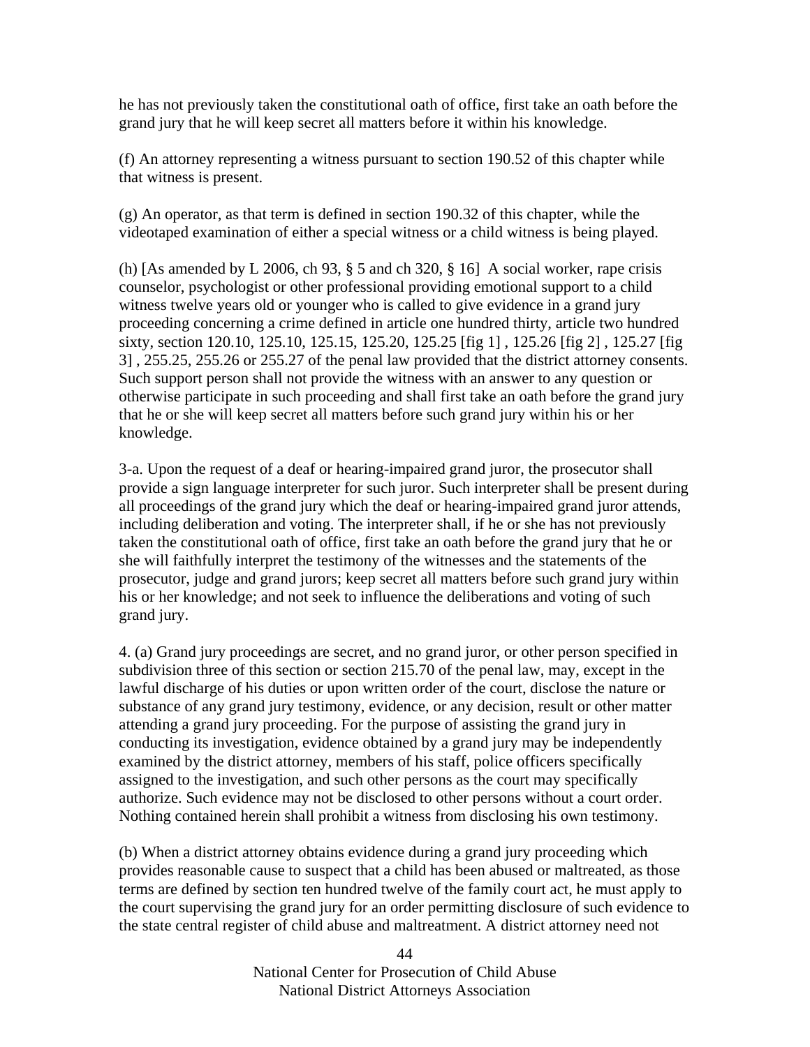he has not previously taken the constitutional oath of office, first take an oath before the grand jury that he will keep secret all matters before it within his knowledge.

(f) An attorney representing a witness pursuant to section 190.52 of this chapter while that witness is present.

(g) An operator, as that term is defined in section 190.32 of this chapter, while the videotaped examination of either a special witness or a child witness is being played.

(h) [As amended by L 2006, ch 93,  $\S$  5 and ch 320,  $\S$  16] A social worker, rape crisis counselor, psychologist or other professional providing emotional support to a child witness twelve years old or younger who is called to give evidence in a grand jury proceeding concerning a crime defined in article one hundred thirty, article two hundred sixty, section 120.10, 125.10, 125.15, 125.20, 125.25 [fig 1] , 125.26 [fig 2] , 125.27 [fig 3] , 255.25, 255.26 or 255.27 of the penal law provided that the district attorney consents. Such support person shall not provide the witness with an answer to any question or otherwise participate in such proceeding and shall first take an oath before the grand jury that he or she will keep secret all matters before such grand jury within his or her knowledge.

3-a. Upon the request of a deaf or hearing-impaired grand juror, the prosecutor shall provide a sign language interpreter for such juror. Such interpreter shall be present during all proceedings of the grand jury which the deaf or hearing-impaired grand juror attends, including deliberation and voting. The interpreter shall, if he or she has not previously taken the constitutional oath of office, first take an oath before the grand jury that he or she will faithfully interpret the testimony of the witnesses and the statements of the prosecutor, judge and grand jurors; keep secret all matters before such grand jury within his or her knowledge; and not seek to influence the deliberations and voting of such grand jury.

4. (a) Grand jury proceedings are secret, and no grand juror, or other person specified in subdivision three of this section or section 215.70 of the penal law, may, except in the lawful discharge of his duties or upon written order of the court, disclose the nature or substance of any grand jury testimony, evidence, or any decision, result or other matter attending a grand jury proceeding. For the purpose of assisting the grand jury in conducting its investigation, evidence obtained by a grand jury may be independently examined by the district attorney, members of his staff, police officers specifically assigned to the investigation, and such other persons as the court may specifically authorize. Such evidence may not be disclosed to other persons without a court order. Nothing contained herein shall prohibit a witness from disclosing his own testimony.

(b) When a district attorney obtains evidence during a grand jury proceeding which provides reasonable cause to suspect that a child has been abused or maltreated, as those terms are defined by section ten hundred twelve of the family court act, he must apply to the court supervising the grand jury for an order permitting disclosure of such evidence to the state central register of child abuse and maltreatment. A district attorney need not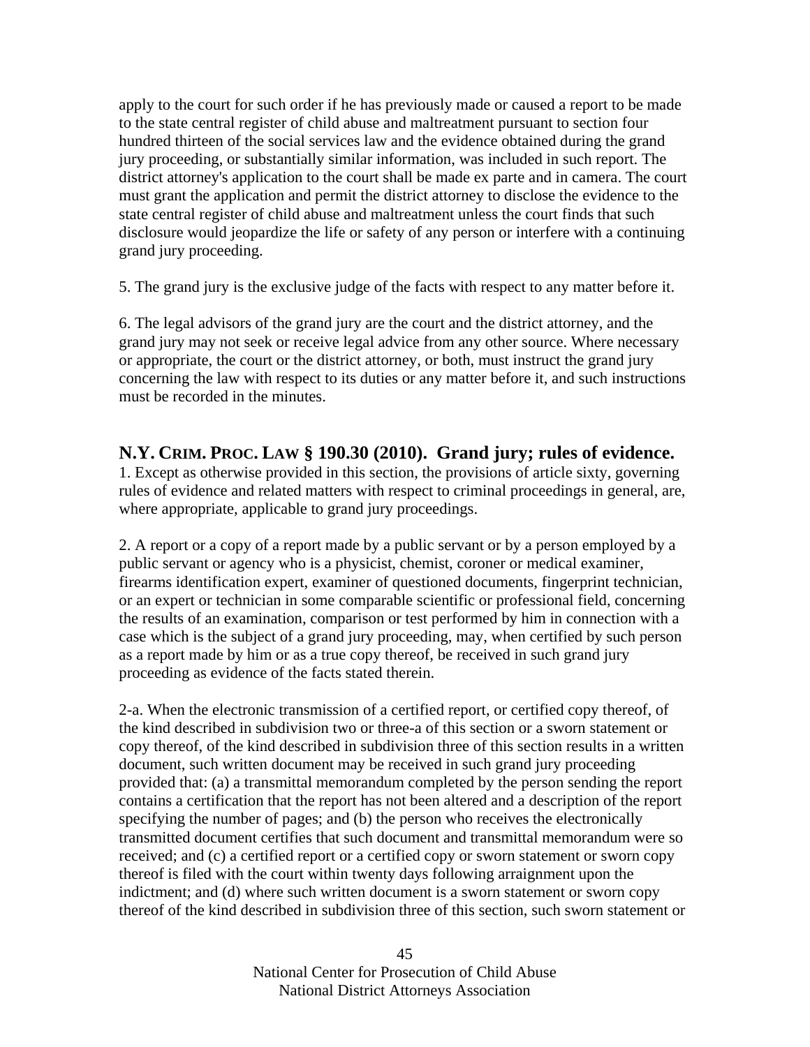apply to the court for such order if he has previously made or caused a report to be made to the state central register of child abuse and maltreatment pursuant to section four hundred thirteen of the social services law and the evidence obtained during the grand jury proceeding, or substantially similar information, was included in such report. The district attorney's application to the court shall be made ex parte and in camera. The court must grant the application and permit the district attorney to disclose the evidence to the state central register of child abuse and maltreatment unless the court finds that such disclosure would jeopardize the life or safety of any person or interfere with a continuing grand jury proceeding.

5. The grand jury is the exclusive judge of the facts with respect to any matter before it.

6. The legal advisors of the grand jury are the court and the district attorney, and the grand jury may not seek or receive legal advice from any other source. Where necessary or appropriate, the court or the district attorney, or both, must instruct the grand jury concerning the law with respect to its duties or any matter before it, and such instructions must be recorded in the minutes.

#### **N.Y. CRIM. PROC. LAW § 190.30 (2010). Grand jury; rules of evidence.**

1. Except as otherwise provided in this section, the provisions of article sixty, governing rules of evidence and related matters with respect to criminal proceedings in general, are, where appropriate, applicable to grand jury proceedings.

2. A report or a copy of a report made by a public servant or by a person employed by a public servant or agency who is a physicist, chemist, coroner or medical examiner, firearms identification expert, examiner of questioned documents, fingerprint technician, or an expert or technician in some comparable scientific or professional field, concerning the results of an examination, comparison or test performed by him in connection with a case which is the subject of a grand jury proceeding, may, when certified by such person as a report made by him or as a true copy thereof, be received in such grand jury proceeding as evidence of the facts stated therein.

2-a. When the electronic transmission of a certified report, or certified copy thereof, of the kind described in subdivision two or three-a of this section or a sworn statement or copy thereof, of the kind described in subdivision three of this section results in a written document, such written document may be received in such grand jury proceeding provided that: (a) a transmittal memorandum completed by the person sending the report contains a certification that the report has not been altered and a description of the report specifying the number of pages; and (b) the person who receives the electronically transmitted document certifies that such document and transmittal memorandum were so received; and (c) a certified report or a certified copy or sworn statement or sworn copy thereof is filed with the court within twenty days following arraignment upon the indictment; and (d) where such written document is a sworn statement or sworn copy thereof of the kind described in subdivision three of this section, such sworn statement or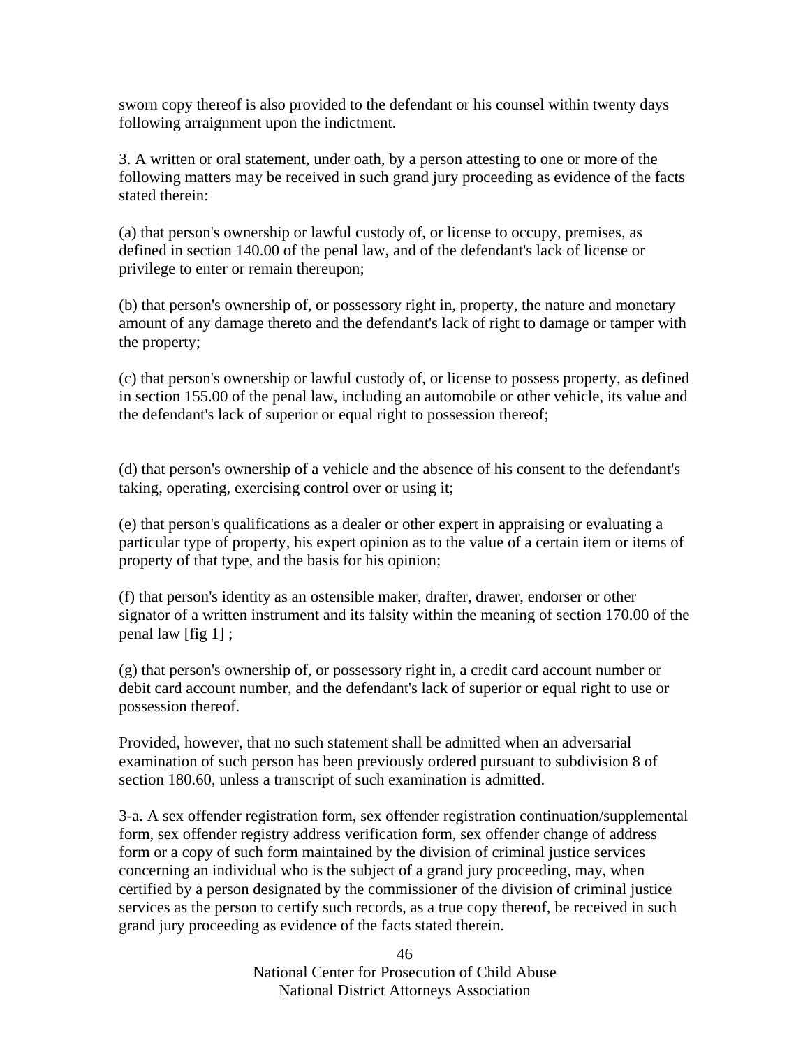sworn copy thereof is also provided to the defendant or his counsel within twenty days following arraignment upon the indictment.

3. A written or oral statement, under oath, by a person attesting to one or more of the following matters may be received in such grand jury proceeding as evidence of the facts stated therein:

(a) that person's ownership or lawful custody of, or license to occupy, premises, as defined in section 140.00 of the penal law, and of the defendant's lack of license or privilege to enter or remain thereupon;

(b) that person's ownership of, or possessory right in, property, the nature and monetary amount of any damage thereto and the defendant's lack of right to damage or tamper with the property;

(c) that person's ownership or lawful custody of, or license to possess property, as defined in section 155.00 of the penal law, including an automobile or other vehicle, its value and the defendant's lack of superior or equal right to possession thereof;

(d) that person's ownership of a vehicle and the absence of his consent to the defendant's taking, operating, exercising control over or using it;

(e) that person's qualifications as a dealer or other expert in appraising or evaluating a particular type of property, his expert opinion as to the value of a certain item or items of property of that type, and the basis for his opinion;

(f) that person's identity as an ostensible maker, drafter, drawer, endorser or other signator of a written instrument and its falsity within the meaning of section 170.00 of the penal law [fig 1] ;

(g) that person's ownership of, or possessory right in, a credit card account number or debit card account number, and the defendant's lack of superior or equal right to use or possession thereof.

Provided, however, that no such statement shall be admitted when an adversarial examination of such person has been previously ordered pursuant to subdivision 8 of section 180.60, unless a transcript of such examination is admitted.

3-a. A sex offender registration form, sex offender registration continuation/supplemental form, sex offender registry address verification form, sex offender change of address form or a copy of such form maintained by the division of criminal justice services concerning an individual who is the subject of a grand jury proceeding, may, when certified by a person designated by the commissioner of the division of criminal justice services as the person to certify such records, as a true copy thereof, be received in such grand jury proceeding as evidence of the facts stated therein.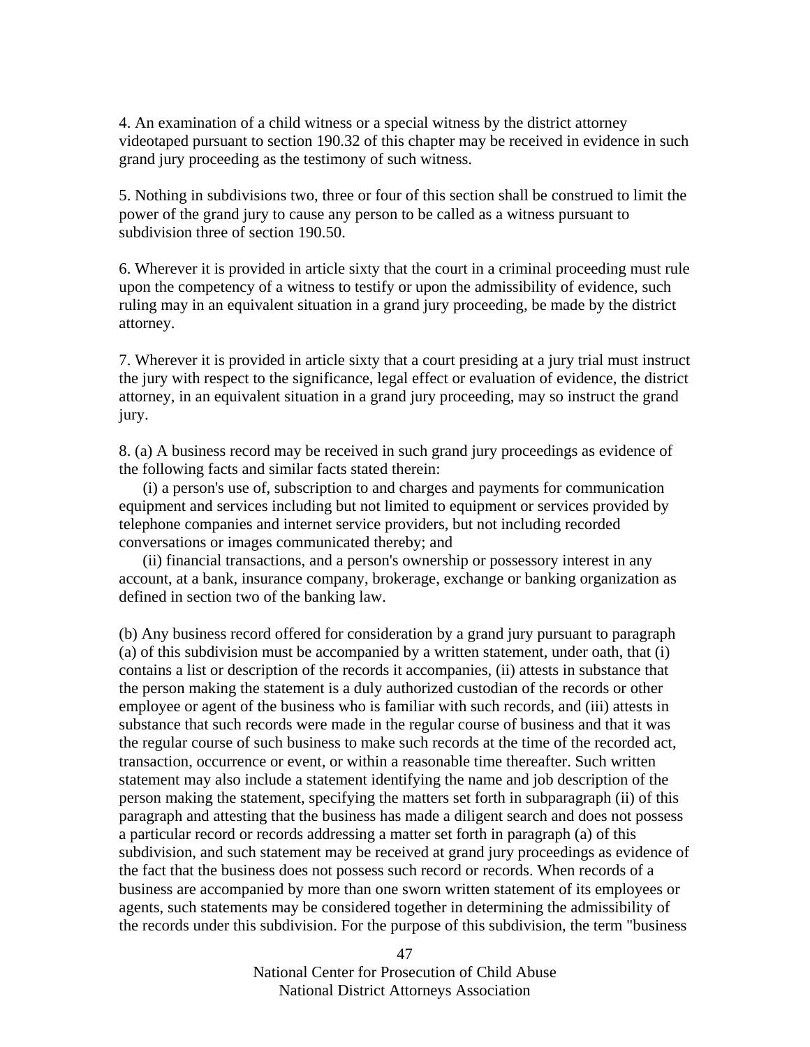4. An examination of a child witness or a special witness by the district attorney videotaped pursuant to section 190.32 of this chapter may be received in evidence in such grand jury proceeding as the testimony of such witness.

5. Nothing in subdivisions two, three or four of this section shall be construed to limit the power of the grand jury to cause any person to be called as a witness pursuant to subdivision three of section 190.50.

6. Wherever it is provided in article sixty that the court in a criminal proceeding must rule upon the competency of a witness to testify or upon the admissibility of evidence, such ruling may in an equivalent situation in a grand jury proceeding, be made by the district attorney.

7. Wherever it is provided in article sixty that a court presiding at a jury trial must instruct the jury with respect to the significance, legal effect or evaluation of evidence, the district attorney, in an equivalent situation in a grand jury proceeding, may so instruct the grand jury.

8. (a) A business record may be received in such grand jury proceedings as evidence of the following facts and similar facts stated therein:

 (i) a person's use of, subscription to and charges and payments for communication equipment and services including but not limited to equipment or services provided by telephone companies and internet service providers, but not including recorded conversations or images communicated thereby; and

 (ii) financial transactions, and a person's ownership or possessory interest in any account, at a bank, insurance company, brokerage, exchange or banking organization as defined in section two of the banking law.

(b) Any business record offered for consideration by a grand jury pursuant to paragraph (a) of this subdivision must be accompanied by a written statement, under oath, that (i) contains a list or description of the records it accompanies, (ii) attests in substance that the person making the statement is a duly authorized custodian of the records or other employee or agent of the business who is familiar with such records, and (iii) attests in substance that such records were made in the regular course of business and that it was the regular course of such business to make such records at the time of the recorded act, transaction, occurrence or event, or within a reasonable time thereafter. Such written statement may also include a statement identifying the name and job description of the person making the statement, specifying the matters set forth in subparagraph (ii) of this paragraph and attesting that the business has made a diligent search and does not possess a particular record or records addressing a matter set forth in paragraph (a) of this subdivision, and such statement may be received at grand jury proceedings as evidence of the fact that the business does not possess such record or records. When records of a business are accompanied by more than one sworn written statement of its employees or agents, such statements may be considered together in determining the admissibility of the records under this subdivision. For the purpose of this subdivision, the term "business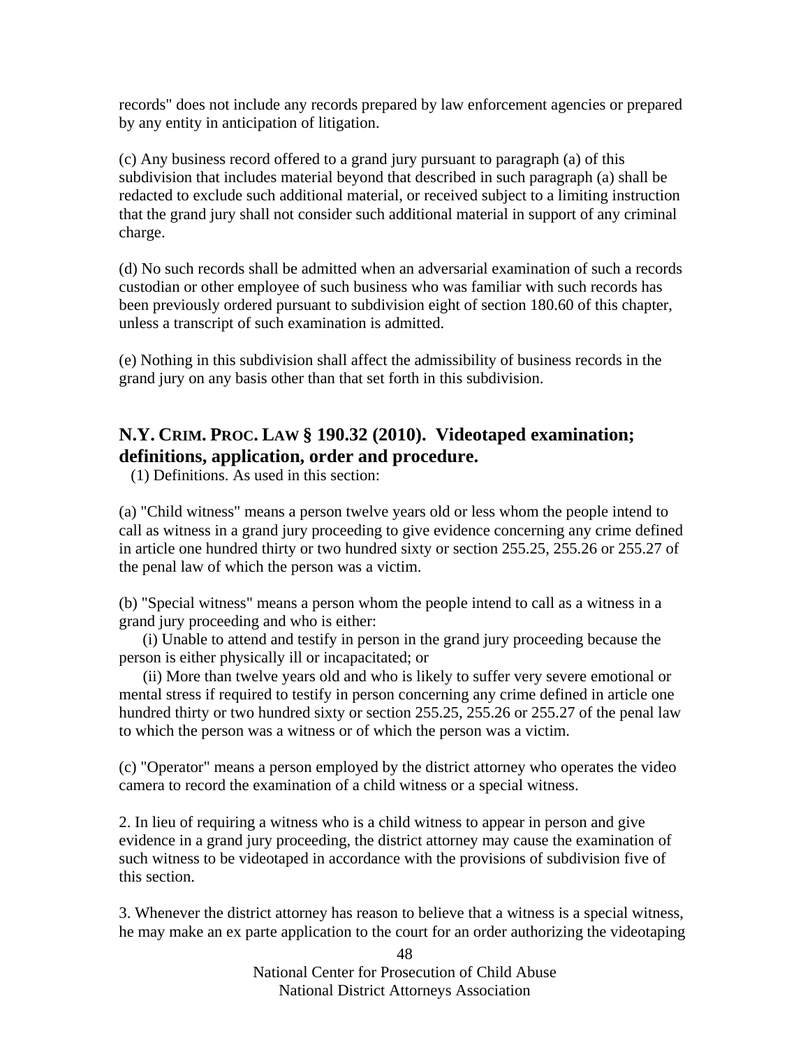records" does not include any records prepared by law enforcement agencies or prepared by any entity in anticipation of litigation.

(c) Any business record offered to a grand jury pursuant to paragraph (a) of this subdivision that includes material beyond that described in such paragraph (a) shall be redacted to exclude such additional material, or received subject to a limiting instruction that the grand jury shall not consider such additional material in support of any criminal charge.

(d) No such records shall be admitted when an adversarial examination of such a records custodian or other employee of such business who was familiar with such records has been previously ordered pursuant to subdivision eight of section 180.60 of this chapter, unless a transcript of such examination is admitted.

(e) Nothing in this subdivision shall affect the admissibility of business records in the grand jury on any basis other than that set forth in this subdivision.

## **N.Y. CRIM. PROC. LAW § 190.32 (2010). Videotaped examination; definitions, application, order and procedure.**

(1) Definitions. As used in this section:

(a) "Child witness" means a person twelve years old or less whom the people intend to call as witness in a grand jury proceeding to give evidence concerning any crime defined in article one hundred thirty or two hundred sixty or section 255.25, 255.26 or 255.27 of the penal law of which the person was a victim.

(b) "Special witness" means a person whom the people intend to call as a witness in a grand jury proceeding and who is either:

 (i) Unable to attend and testify in person in the grand jury proceeding because the person is either physically ill or incapacitated; or

 (ii) More than twelve years old and who is likely to suffer very severe emotional or mental stress if required to testify in person concerning any crime defined in article one hundred thirty or two hundred sixty or section 255.25, 255.26 or 255.27 of the penal law to which the person was a witness or of which the person was a victim.

(c) "Operator" means a person employed by the district attorney who operates the video camera to record the examination of a child witness or a special witness.

2. In lieu of requiring a witness who is a child witness to appear in person and give evidence in a grand jury proceeding, the district attorney may cause the examination of such witness to be videotaped in accordance with the provisions of subdivision five of this section.

3. Whenever the district attorney has reason to believe that a witness is a special witness, he may make an ex parte application to the court for an order authorizing the videotaping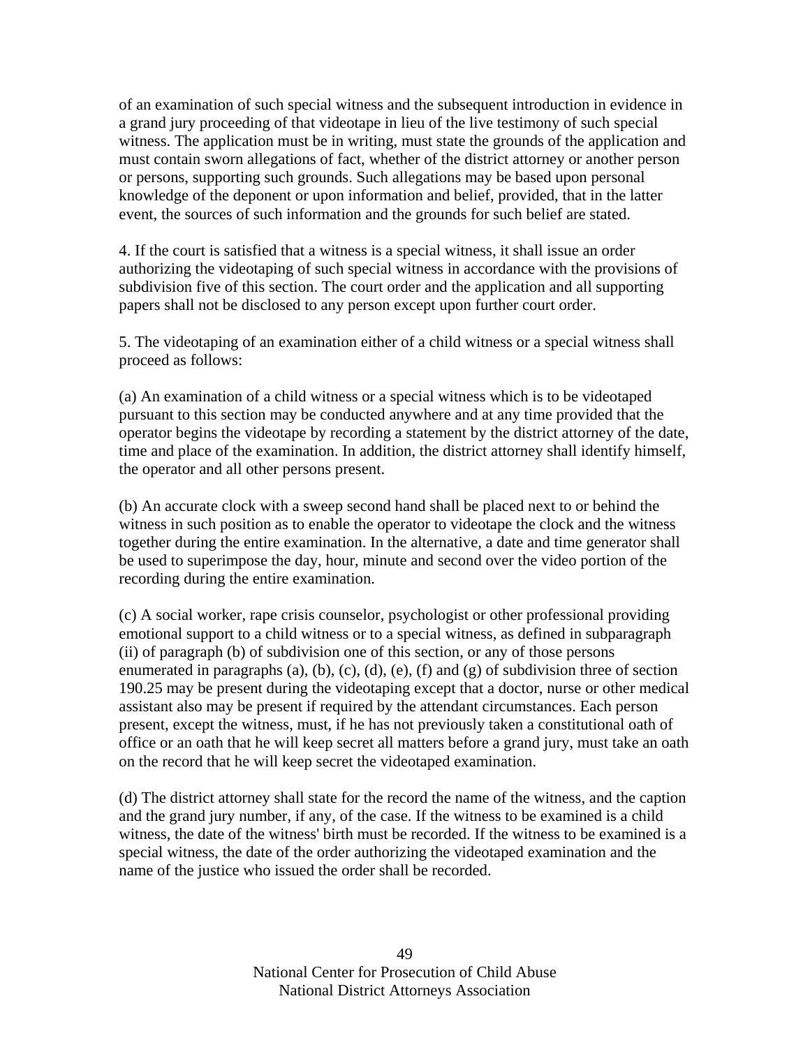of an examination of such special witness and the subsequent introduction in evidence in a grand jury proceeding of that videotape in lieu of the live testimony of such special witness. The application must be in writing, must state the grounds of the application and must contain sworn allegations of fact, whether of the district attorney or another person or persons, supporting such grounds. Such allegations may be based upon personal knowledge of the deponent or upon information and belief, provided, that in the latter event, the sources of such information and the grounds for such belief are stated.

4. If the court is satisfied that a witness is a special witness, it shall issue an order authorizing the videotaping of such special witness in accordance with the provisions of subdivision five of this section. The court order and the application and all supporting papers shall not be disclosed to any person except upon further court order.

5. The videotaping of an examination either of a child witness or a special witness shall proceed as follows:

(a) An examination of a child witness or a special witness which is to be videotaped pursuant to this section may be conducted anywhere and at any time provided that the operator begins the videotape by recording a statement by the district attorney of the date, time and place of the examination. In addition, the district attorney shall identify himself, the operator and all other persons present.

(b) An accurate clock with a sweep second hand shall be placed next to or behind the witness in such position as to enable the operator to videotape the clock and the witness together during the entire examination. In the alternative, a date and time generator shall be used to superimpose the day, hour, minute and second over the video portion of the recording during the entire examination.

(c) A social worker, rape crisis counselor, psychologist or other professional providing emotional support to a child witness or to a special witness, as defined in subparagraph (ii) of paragraph (b) of subdivision one of this section, or any of those persons enumerated in paragraphs (a), (b), (c), (d), (e), (f) and (g) of subdivision three of section 190.25 may be present during the videotaping except that a doctor, nurse or other medical assistant also may be present if required by the attendant circumstances. Each person present, except the witness, must, if he has not previously taken a constitutional oath of office or an oath that he will keep secret all matters before a grand jury, must take an oath on the record that he will keep secret the videotaped examination.

(d) The district attorney shall state for the record the name of the witness, and the caption and the grand jury number, if any, of the case. If the witness to be examined is a child witness, the date of the witness' birth must be recorded. If the witness to be examined is a special witness, the date of the order authorizing the videotaped examination and the name of the justice who issued the order shall be recorded.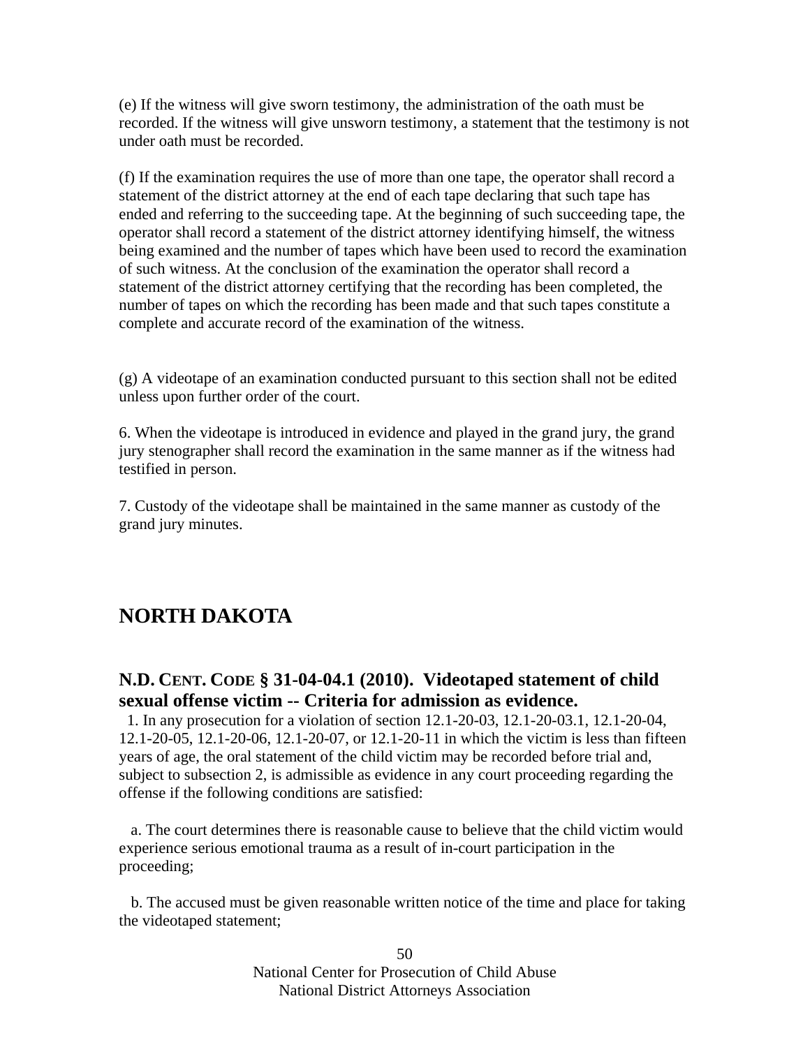(e) If the witness will give sworn testimony, the administration of the oath must be recorded. If the witness will give unsworn testimony, a statement that the testimony is not under oath must be recorded.

(f) If the examination requires the use of more than one tape, the operator shall record a statement of the district attorney at the end of each tape declaring that such tape has ended and referring to the succeeding tape. At the beginning of such succeeding tape, the operator shall record a statement of the district attorney identifying himself, the witness being examined and the number of tapes which have been used to record the examination of such witness. At the conclusion of the examination the operator shall record a statement of the district attorney certifying that the recording has been completed, the number of tapes on which the recording has been made and that such tapes constitute a complete and accurate record of the examination of the witness.

(g) A videotape of an examination conducted pursuant to this section shall not be edited unless upon further order of the court.

6. When the videotape is introduced in evidence and played in the grand jury, the grand jury stenographer shall record the examination in the same manner as if the witness had testified in person.

7. Custody of the videotape shall be maintained in the same manner as custody of the grand jury minutes.

## **NORTH DAKOTA**

### **N.D. CENT. CODE § 31-04-04.1 (2010). Videotaped statement of child sexual offense victim -- Criteria for admission as evidence.**

 1. In any prosecution for a violation of section 12.1-20-03, 12.1-20-03.1, 12.1-20-04, 12.1-20-05, 12.1-20-06, 12.1-20-07, or 12.1-20-11 in which the victim is less than fifteen years of age, the oral statement of the child victim may be recorded before trial and, subject to subsection 2, is admissible as evidence in any court proceeding regarding the offense if the following conditions are satisfied:

 a. The court determines there is reasonable cause to believe that the child victim would experience serious emotional trauma as a result of in-court participation in the proceeding;

 b. The accused must be given reasonable written notice of the time and place for taking the videotaped statement;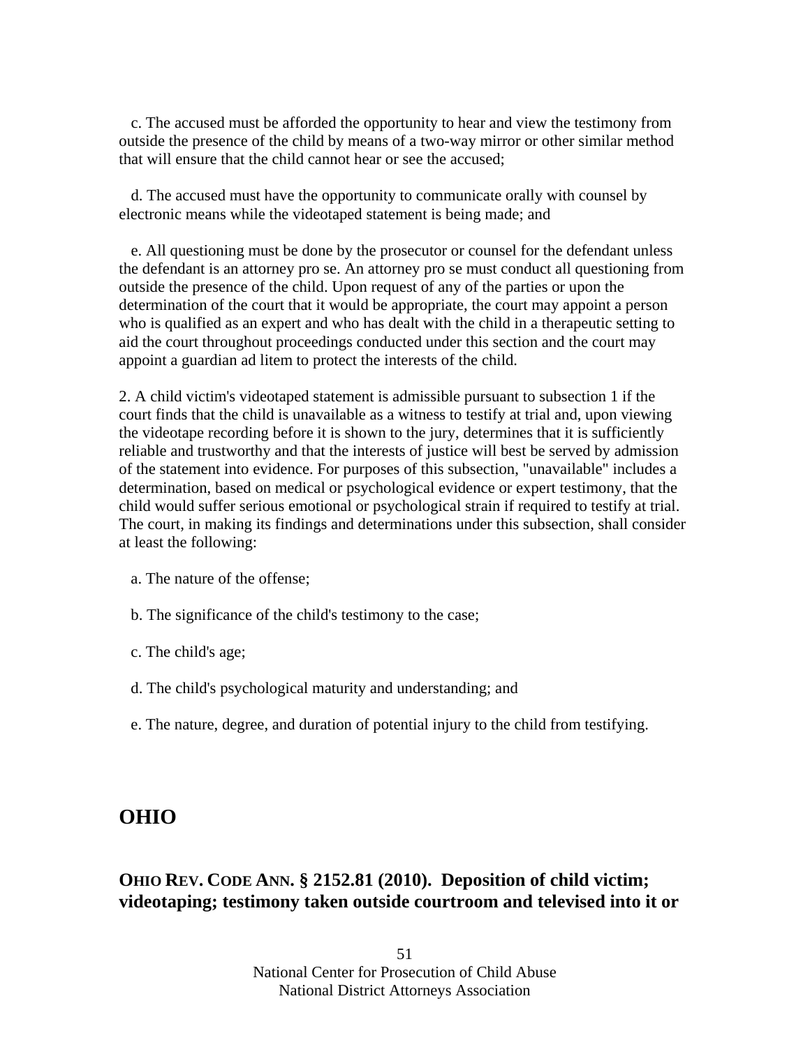c. The accused must be afforded the opportunity to hear and view the testimony from outside the presence of the child by means of a two-way mirror or other similar method that will ensure that the child cannot hear or see the accused;

 d. The accused must have the opportunity to communicate orally with counsel by electronic means while the videotaped statement is being made; and

 e. All questioning must be done by the prosecutor or counsel for the defendant unless the defendant is an attorney pro se. An attorney pro se must conduct all questioning from outside the presence of the child. Upon request of any of the parties or upon the determination of the court that it would be appropriate, the court may appoint a person who is qualified as an expert and who has dealt with the child in a therapeutic setting to aid the court throughout proceedings conducted under this section and the court may appoint a guardian ad litem to protect the interests of the child.

2. A child victim's videotaped statement is admissible pursuant to subsection 1 if the court finds that the child is unavailable as a witness to testify at trial and, upon viewing the videotape recording before it is shown to the jury, determines that it is sufficiently reliable and trustworthy and that the interests of justice will best be served by admission of the statement into evidence. For purposes of this subsection, "unavailable" includes a determination, based on medical or psychological evidence or expert testimony, that the child would suffer serious emotional or psychological strain if required to testify at trial. The court, in making its findings and determinations under this subsection, shall consider at least the following:

- a. The nature of the offense;
- b. The significance of the child's testimony to the case;
- c. The child's age;
- d. The child's psychological maturity and understanding; and
- e. The nature, degree, and duration of potential injury to the child from testifying.

## **OHIO**

#### **OHIO REV. CODE ANN. § 2152.81 (2010). Deposition of child victim; videotaping; testimony taken outside courtroom and televised into it or**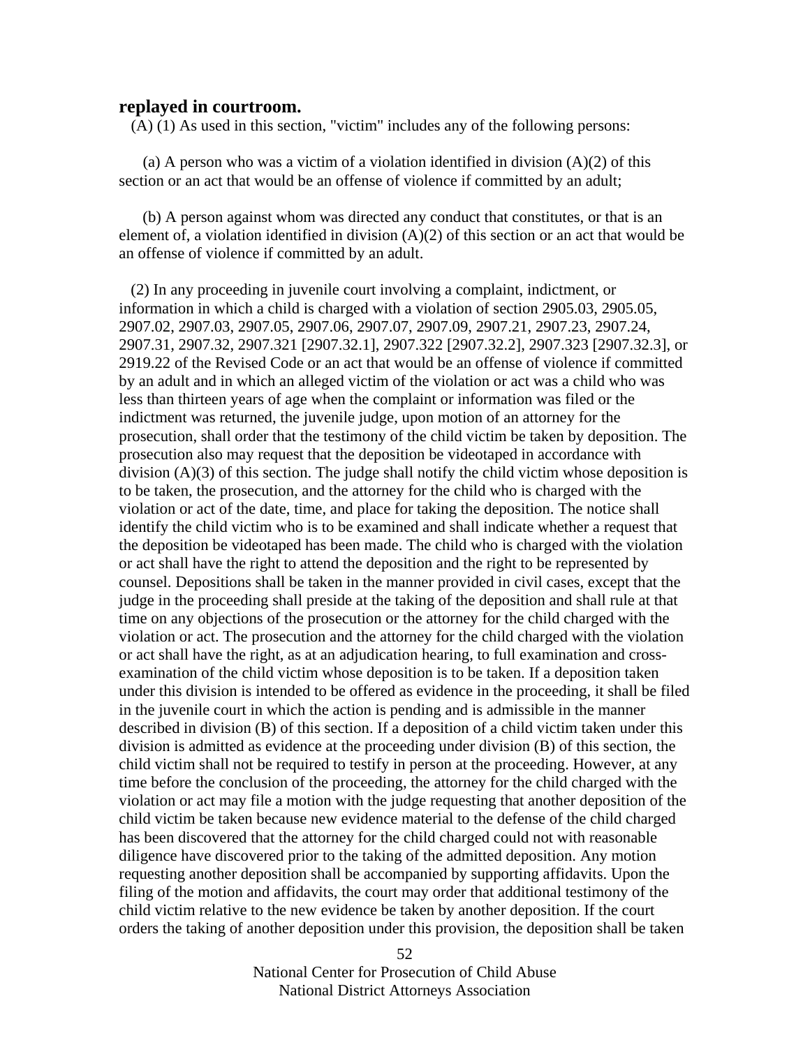#### **replayed in courtroom.**

(A) (1) As used in this section, "victim" includes any of the following persons:

(a) A person who was a victim of a violation identified in division  $(A)(2)$  of this section or an act that would be an offense of violence if committed by an adult;

 (b) A person against whom was directed any conduct that constitutes, or that is an element of, a violation identified in division (A)(2) of this section or an act that would be an offense of violence if committed by an adult.

 (2) In any proceeding in juvenile court involving a complaint, indictment, or information in which a child is charged with a violation of section 2905.03, 2905.05, 2907.02, 2907.03, 2907.05, 2907.06, 2907.07, 2907.09, 2907.21, 2907.23, 2907.24, 2907.31, 2907.32, 2907.321 [2907.32.1], 2907.322 [2907.32.2], 2907.323 [2907.32.3], or 2919.22 of the Revised Code or an act that would be an offense of violence if committed by an adult and in which an alleged victim of the violation or act was a child who was less than thirteen years of age when the complaint or information was filed or the indictment was returned, the juvenile judge, upon motion of an attorney for the prosecution, shall order that the testimony of the child victim be taken by deposition. The prosecution also may request that the deposition be videotaped in accordance with division (A)(3) of this section. The judge shall notify the child victim whose deposition is to be taken, the prosecution, and the attorney for the child who is charged with the violation or act of the date, time, and place for taking the deposition. The notice shall identify the child victim who is to be examined and shall indicate whether a request that the deposition be videotaped has been made. The child who is charged with the violation or act shall have the right to attend the deposition and the right to be represented by counsel. Depositions shall be taken in the manner provided in civil cases, except that the judge in the proceeding shall preside at the taking of the deposition and shall rule at that time on any objections of the prosecution or the attorney for the child charged with the violation or act. The prosecution and the attorney for the child charged with the violation or act shall have the right, as at an adjudication hearing, to full examination and crossexamination of the child victim whose deposition is to be taken. If a deposition taken under this division is intended to be offered as evidence in the proceeding, it shall be filed in the juvenile court in which the action is pending and is admissible in the manner described in division (B) of this section. If a deposition of a child victim taken under this division is admitted as evidence at the proceeding under division (B) of this section, the child victim shall not be required to testify in person at the proceeding. However, at any time before the conclusion of the proceeding, the attorney for the child charged with the violation or act may file a motion with the judge requesting that another deposition of the child victim be taken because new evidence material to the defense of the child charged has been discovered that the attorney for the child charged could not with reasonable diligence have discovered prior to the taking of the admitted deposition. Any motion requesting another deposition shall be accompanied by supporting affidavits. Upon the filing of the motion and affidavits, the court may order that additional testimony of the child victim relative to the new evidence be taken by another deposition. If the court orders the taking of another deposition under this provision, the deposition shall be taken

> National Center for Prosecution of Child Abuse National District Attorneys Association

52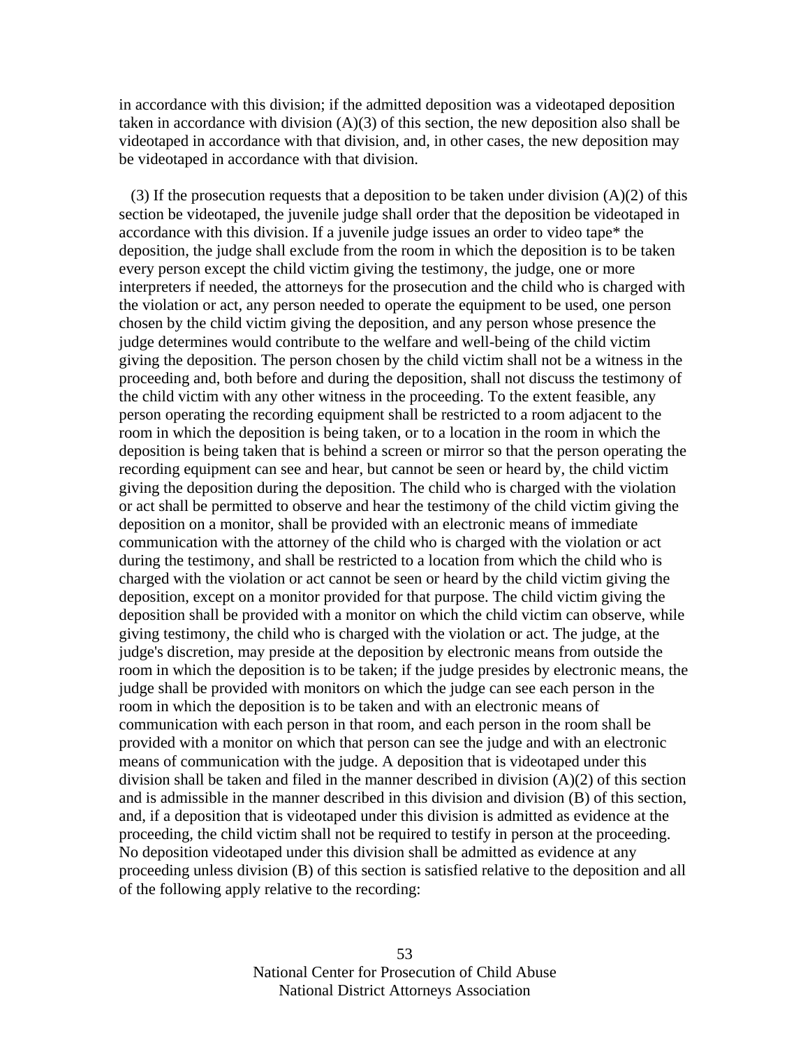in accordance with this division; if the admitted deposition was a videotaped deposition taken in accordance with division  $(A)(3)$  of this section, the new deposition also shall be videotaped in accordance with that division, and, in other cases, the new deposition may be videotaped in accordance with that division.

(3) If the prosecution requests that a deposition to be taken under division  $(A)(2)$  of this section be videotaped, the juvenile judge shall order that the deposition be videotaped in accordance with this division. If a juvenile judge issues an order to video tape\* the deposition, the judge shall exclude from the room in which the deposition is to be taken every person except the child victim giving the testimony, the judge, one or more interpreters if needed, the attorneys for the prosecution and the child who is charged with the violation or act, any person needed to operate the equipment to be used, one person chosen by the child victim giving the deposition, and any person whose presence the judge determines would contribute to the welfare and well-being of the child victim giving the deposition. The person chosen by the child victim shall not be a witness in the proceeding and, both before and during the deposition, shall not discuss the testimony of the child victim with any other witness in the proceeding. To the extent feasible, any person operating the recording equipment shall be restricted to a room adjacent to the room in which the deposition is being taken, or to a location in the room in which the deposition is being taken that is behind a screen or mirror so that the person operating the recording equipment can see and hear, but cannot be seen or heard by, the child victim giving the deposition during the deposition. The child who is charged with the violation or act shall be permitted to observe and hear the testimony of the child victim giving the deposition on a monitor, shall be provided with an electronic means of immediate communication with the attorney of the child who is charged with the violation or act during the testimony, and shall be restricted to a location from which the child who is charged with the violation or act cannot be seen or heard by the child victim giving the deposition, except on a monitor provided for that purpose. The child victim giving the deposition shall be provided with a monitor on which the child victim can observe, while giving testimony, the child who is charged with the violation or act. The judge, at the judge's discretion, may preside at the deposition by electronic means from outside the room in which the deposition is to be taken; if the judge presides by electronic means, the judge shall be provided with monitors on which the judge can see each person in the room in which the deposition is to be taken and with an electronic means of communication with each person in that room, and each person in the room shall be provided with a monitor on which that person can see the judge and with an electronic means of communication with the judge. A deposition that is videotaped under this division shall be taken and filed in the manner described in division (A)(2) of this section and is admissible in the manner described in this division and division (B) of this section, and, if a deposition that is videotaped under this division is admitted as evidence at the proceeding, the child victim shall not be required to testify in person at the proceeding. No deposition videotaped under this division shall be admitted as evidence at any proceeding unless division (B) of this section is satisfied relative to the deposition and all of the following apply relative to the recording: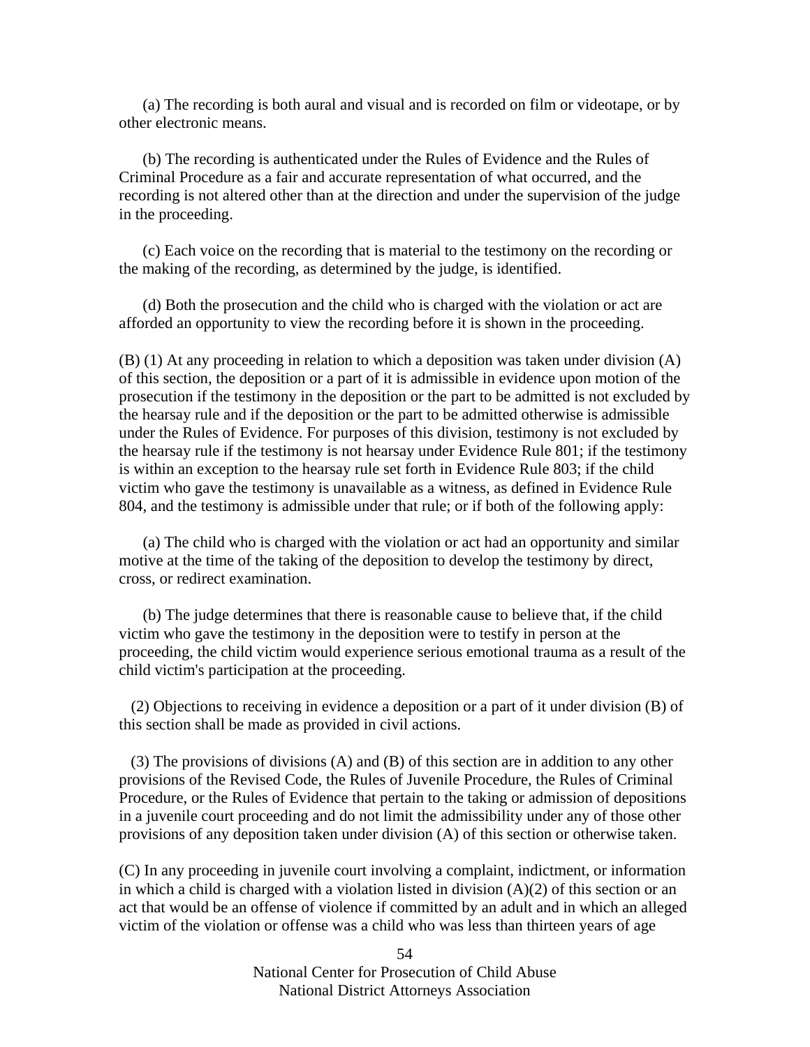(a) The recording is both aural and visual and is recorded on film or videotape, or by other electronic means.

 (b) The recording is authenticated under the Rules of Evidence and the Rules of Criminal Procedure as a fair and accurate representation of what occurred, and the recording is not altered other than at the direction and under the supervision of the judge in the proceeding.

 (c) Each voice on the recording that is material to the testimony on the recording or the making of the recording, as determined by the judge, is identified.

 (d) Both the prosecution and the child who is charged with the violation or act are afforded an opportunity to view the recording before it is shown in the proceeding.

(B) (1) At any proceeding in relation to which a deposition was taken under division (A) of this section, the deposition or a part of it is admissible in evidence upon motion of the prosecution if the testimony in the deposition or the part to be admitted is not excluded by the hearsay rule and if the deposition or the part to be admitted otherwise is admissible under the Rules of Evidence. For purposes of this division, testimony is not excluded by the hearsay rule if the testimony is not hearsay under Evidence Rule 801; if the testimony is within an exception to the hearsay rule set forth in Evidence Rule 803; if the child victim who gave the testimony is unavailable as a witness, as defined in Evidence Rule 804, and the testimony is admissible under that rule; or if both of the following apply:

 (a) The child who is charged with the violation or act had an opportunity and similar motive at the time of the taking of the deposition to develop the testimony by direct, cross, or redirect examination.

 (b) The judge determines that there is reasonable cause to believe that, if the child victim who gave the testimony in the deposition were to testify in person at the proceeding, the child victim would experience serious emotional trauma as a result of the child victim's participation at the proceeding.

 (2) Objections to receiving in evidence a deposition or a part of it under division (B) of this section shall be made as provided in civil actions.

 (3) The provisions of divisions (A) and (B) of this section are in addition to any other provisions of the Revised Code, the Rules of Juvenile Procedure, the Rules of Criminal Procedure, or the Rules of Evidence that pertain to the taking or admission of depositions in a juvenile court proceeding and do not limit the admissibility under any of those other provisions of any deposition taken under division (A) of this section or otherwise taken.

(C) In any proceeding in juvenile court involving a complaint, indictment, or information in which a child is charged with a violation listed in division (A)(2) of this section or an act that would be an offense of violence if committed by an adult and in which an alleged victim of the violation or offense was a child who was less than thirteen years of age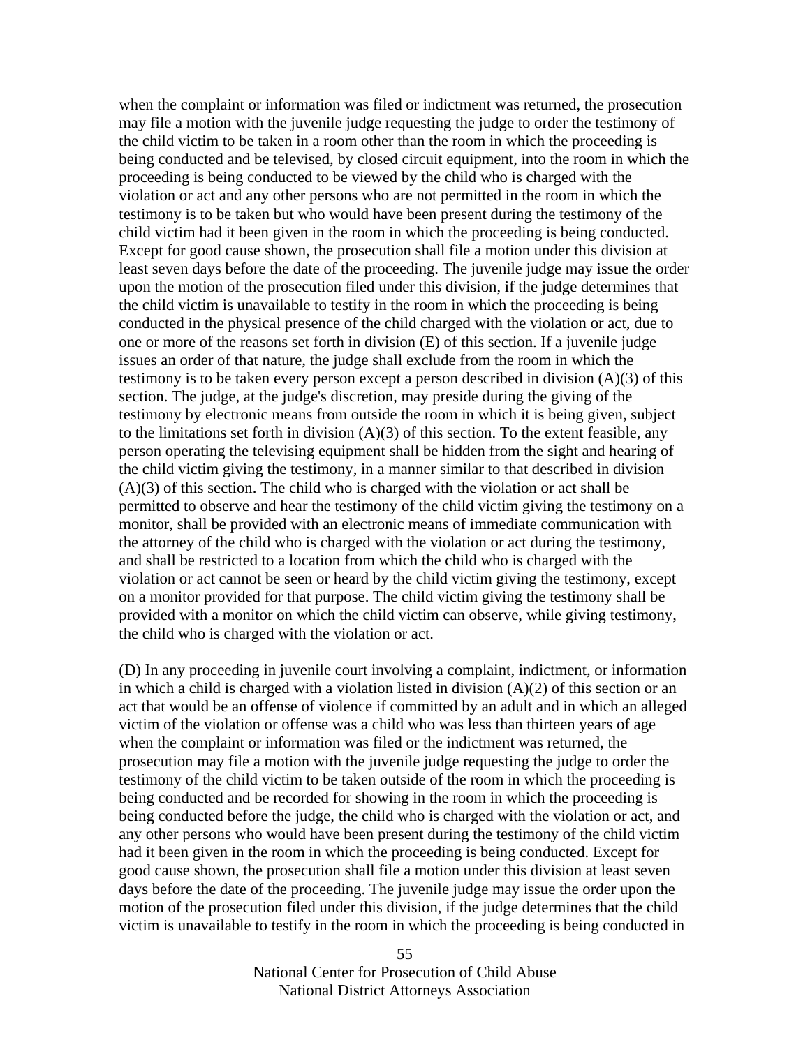when the complaint or information was filed or indictment was returned, the prosecution may file a motion with the juvenile judge requesting the judge to order the testimony of the child victim to be taken in a room other than the room in which the proceeding is being conducted and be televised, by closed circuit equipment, into the room in which the proceeding is being conducted to be viewed by the child who is charged with the violation or act and any other persons who are not permitted in the room in which the testimony is to be taken but who would have been present during the testimony of the child victim had it been given in the room in which the proceeding is being conducted. Except for good cause shown, the prosecution shall file a motion under this division at least seven days before the date of the proceeding. The juvenile judge may issue the order upon the motion of the prosecution filed under this division, if the judge determines that the child victim is unavailable to testify in the room in which the proceeding is being conducted in the physical presence of the child charged with the violation or act, due to one or more of the reasons set forth in division (E) of this section. If a juvenile judge issues an order of that nature, the judge shall exclude from the room in which the testimony is to be taken every person except a person described in division  $(A)(3)$  of this section. The judge, at the judge's discretion, may preside during the giving of the testimony by electronic means from outside the room in which it is being given, subject to the limitations set forth in division  $(A)(3)$  of this section. To the extent feasible, any person operating the televising equipment shall be hidden from the sight and hearing of the child victim giving the testimony, in a manner similar to that described in division (A)(3) of this section. The child who is charged with the violation or act shall be permitted to observe and hear the testimony of the child victim giving the testimony on a monitor, shall be provided with an electronic means of immediate communication with the attorney of the child who is charged with the violation or act during the testimony, and shall be restricted to a location from which the child who is charged with the violation or act cannot be seen or heard by the child victim giving the testimony, except on a monitor provided for that purpose. The child victim giving the testimony shall be provided with a monitor on which the child victim can observe, while giving testimony, the child who is charged with the violation or act.

(D) In any proceeding in juvenile court involving a complaint, indictment, or information in which a child is charged with a violation listed in division  $(A)(2)$  of this section or an act that would be an offense of violence if committed by an adult and in which an alleged victim of the violation or offense was a child who was less than thirteen years of age when the complaint or information was filed or the indictment was returned, the prosecution may file a motion with the juvenile judge requesting the judge to order the testimony of the child victim to be taken outside of the room in which the proceeding is being conducted and be recorded for showing in the room in which the proceeding is being conducted before the judge, the child who is charged with the violation or act, and any other persons who would have been present during the testimony of the child victim had it been given in the room in which the proceeding is being conducted. Except for good cause shown, the prosecution shall file a motion under this division at least seven days before the date of the proceeding. The juvenile judge may issue the order upon the motion of the prosecution filed under this division, if the judge determines that the child victim is unavailable to testify in the room in which the proceeding is being conducted in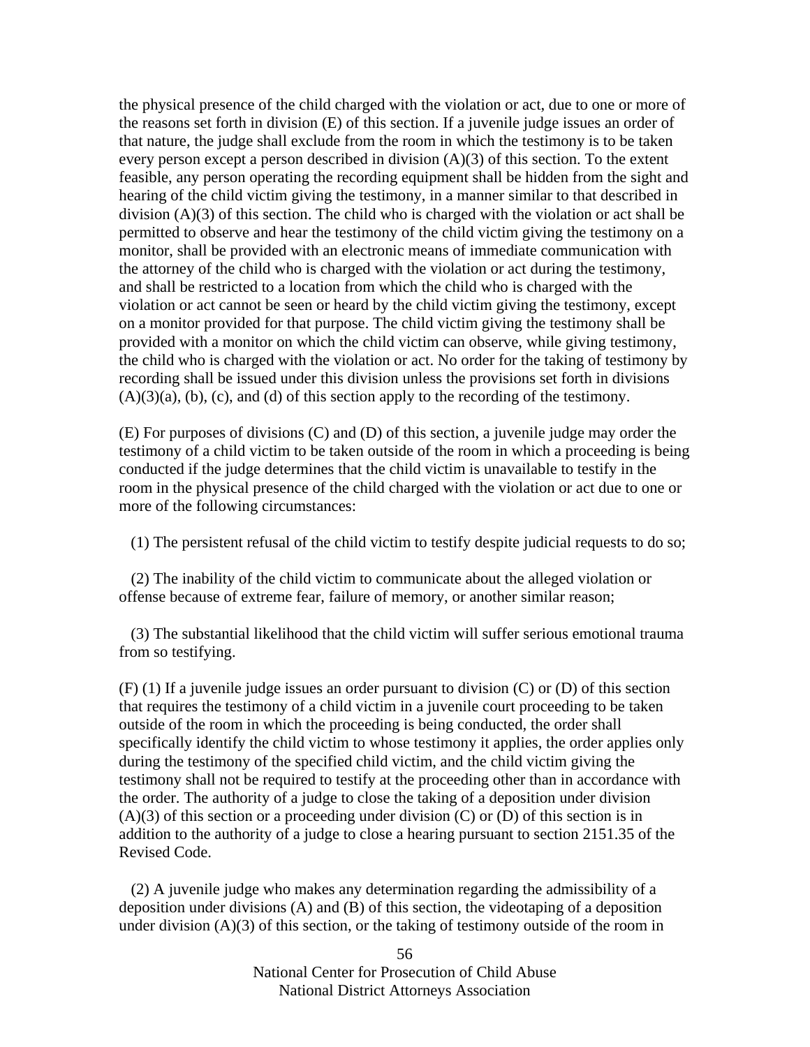the physical presence of the child charged with the violation or act, due to one or more of the reasons set forth in division (E) of this section. If a juvenile judge issues an order of that nature, the judge shall exclude from the room in which the testimony is to be taken every person except a person described in division (A)(3) of this section. To the extent feasible, any person operating the recording equipment shall be hidden from the sight and hearing of the child victim giving the testimony, in a manner similar to that described in division (A)(3) of this section. The child who is charged with the violation or act shall be permitted to observe and hear the testimony of the child victim giving the testimony on a monitor, shall be provided with an electronic means of immediate communication with the attorney of the child who is charged with the violation or act during the testimony, and shall be restricted to a location from which the child who is charged with the violation or act cannot be seen or heard by the child victim giving the testimony, except on a monitor provided for that purpose. The child victim giving the testimony shall be provided with a monitor on which the child victim can observe, while giving testimony, the child who is charged with the violation or act. No order for the taking of testimony by recording shall be issued under this division unless the provisions set forth in divisions  $(A)(3)(a)$ ,  $(b)$ ,  $(c)$ , and  $(d)$  of this section apply to the recording of the testimony.

(E) For purposes of divisions (C) and (D) of this section, a juvenile judge may order the testimony of a child victim to be taken outside of the room in which a proceeding is being conducted if the judge determines that the child victim is unavailable to testify in the room in the physical presence of the child charged with the violation or act due to one or more of the following circumstances:

(1) The persistent refusal of the child victim to testify despite judicial requests to do so;

 (2) The inability of the child victim to communicate about the alleged violation or offense because of extreme fear, failure of memory, or another similar reason;

 (3) The substantial likelihood that the child victim will suffer serious emotional trauma from so testifying.

(F) (1) If a juvenile judge issues an order pursuant to division (C) or (D) of this section that requires the testimony of a child victim in a juvenile court proceeding to be taken outside of the room in which the proceeding is being conducted, the order shall specifically identify the child victim to whose testimony it applies, the order applies only during the testimony of the specified child victim, and the child victim giving the testimony shall not be required to testify at the proceeding other than in accordance with the order. The authority of a judge to close the taking of a deposition under division  $(A)(3)$  of this section or a proceeding under division  $(C)$  or  $(D)$  of this section is in addition to the authority of a judge to close a hearing pursuant to section 2151.35 of the Revised Code.

 (2) A juvenile judge who makes any determination regarding the admissibility of a deposition under divisions (A) and (B) of this section, the videotaping of a deposition under division  $(A)(3)$  of this section, or the taking of testimony outside of the room in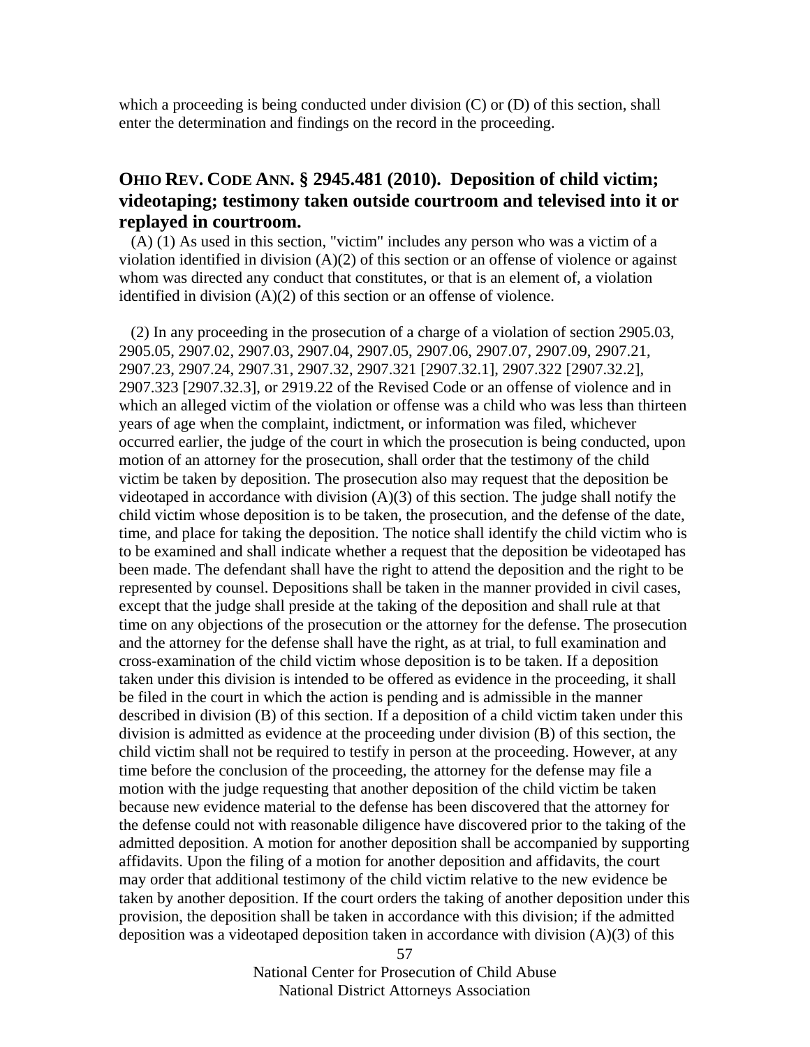which a proceeding is being conducted under division  $(C)$  or  $(D)$  of this section, shall enter the determination and findings on the record in the proceeding.

#### **OHIO REV. CODE ANN. § 2945.481 (2010). Deposition of child victim; videotaping; testimony taken outside courtroom and televised into it or replayed in courtroom.**

 (A) (1) As used in this section, "victim" includes any person who was a victim of a violation identified in division  $(A)(2)$  of this section or an offense of violence or against whom was directed any conduct that constitutes, or that is an element of, a violation identified in division (A)(2) of this section or an offense of violence.

 (2) In any proceeding in the prosecution of a charge of a violation of section 2905.03, 2905.05, 2907.02, 2907.03, 2907.04, 2907.05, 2907.06, 2907.07, 2907.09, 2907.21, 2907.23, 2907.24, 2907.31, 2907.32, 2907.321 [2907.32.1], 2907.322 [2907.32.2], 2907.323 [2907.32.3], or 2919.22 of the Revised Code or an offense of violence and in which an alleged victim of the violation or offense was a child who was less than thirteen years of age when the complaint, indictment, or information was filed, whichever occurred earlier, the judge of the court in which the prosecution is being conducted, upon motion of an attorney for the prosecution, shall order that the testimony of the child victim be taken by deposition. The prosecution also may request that the deposition be videotaped in accordance with division  $(A)(3)$  of this section. The judge shall notify the child victim whose deposition is to be taken, the prosecution, and the defense of the date, time, and place for taking the deposition. The notice shall identify the child victim who is to be examined and shall indicate whether a request that the deposition be videotaped has been made. The defendant shall have the right to attend the deposition and the right to be represented by counsel. Depositions shall be taken in the manner provided in civil cases, except that the judge shall preside at the taking of the deposition and shall rule at that time on any objections of the prosecution or the attorney for the defense. The prosecution and the attorney for the defense shall have the right, as at trial, to full examination and cross-examination of the child victim whose deposition is to be taken. If a deposition taken under this division is intended to be offered as evidence in the proceeding, it shall be filed in the court in which the action is pending and is admissible in the manner described in division (B) of this section. If a deposition of a child victim taken under this division is admitted as evidence at the proceeding under division (B) of this section, the child victim shall not be required to testify in person at the proceeding. However, at any time before the conclusion of the proceeding, the attorney for the defense may file a motion with the judge requesting that another deposition of the child victim be taken because new evidence material to the defense has been discovered that the attorney for the defense could not with reasonable diligence have discovered prior to the taking of the admitted deposition. A motion for another deposition shall be accompanied by supporting affidavits. Upon the filing of a motion for another deposition and affidavits, the court may order that additional testimony of the child victim relative to the new evidence be taken by another deposition. If the court orders the taking of another deposition under this provision, the deposition shall be taken in accordance with this division; if the admitted deposition was a videotaped deposition taken in accordance with division  $(A)(3)$  of this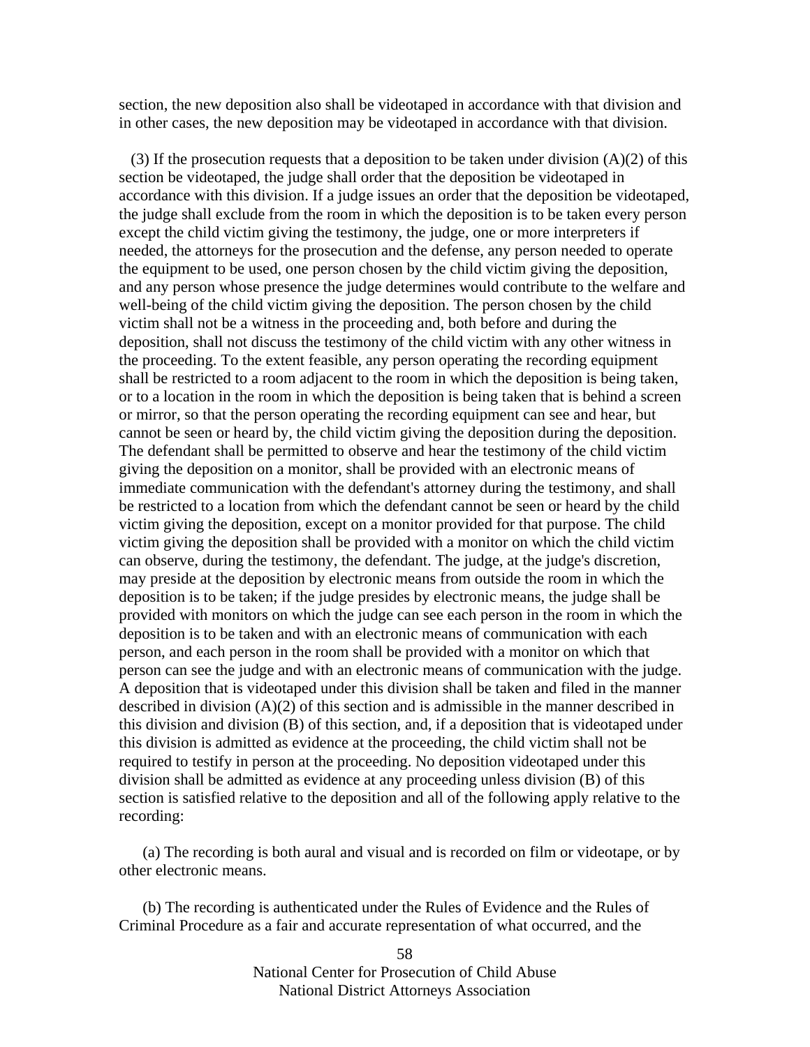section, the new deposition also shall be videotaped in accordance with that division and in other cases, the new deposition may be videotaped in accordance with that division.

(3) If the prosecution requests that a deposition to be taken under division  $(A)(2)$  of this section be videotaped, the judge shall order that the deposition be videotaped in accordance with this division. If a judge issues an order that the deposition be videotaped, the judge shall exclude from the room in which the deposition is to be taken every person except the child victim giving the testimony, the judge, one or more interpreters if needed, the attorneys for the prosecution and the defense, any person needed to operate the equipment to be used, one person chosen by the child victim giving the deposition, and any person whose presence the judge determines would contribute to the welfare and well-being of the child victim giving the deposition. The person chosen by the child victim shall not be a witness in the proceeding and, both before and during the deposition, shall not discuss the testimony of the child victim with any other witness in the proceeding. To the extent feasible, any person operating the recording equipment shall be restricted to a room adjacent to the room in which the deposition is being taken, or to a location in the room in which the deposition is being taken that is behind a screen or mirror, so that the person operating the recording equipment can see and hear, but cannot be seen or heard by, the child victim giving the deposition during the deposition. The defendant shall be permitted to observe and hear the testimony of the child victim giving the deposition on a monitor, shall be provided with an electronic means of immediate communication with the defendant's attorney during the testimony, and shall be restricted to a location from which the defendant cannot be seen or heard by the child victim giving the deposition, except on a monitor provided for that purpose. The child victim giving the deposition shall be provided with a monitor on which the child victim can observe, during the testimony, the defendant. The judge, at the judge's discretion, may preside at the deposition by electronic means from outside the room in which the deposition is to be taken; if the judge presides by electronic means, the judge shall be provided with monitors on which the judge can see each person in the room in which the deposition is to be taken and with an electronic means of communication with each person, and each person in the room shall be provided with a monitor on which that person can see the judge and with an electronic means of communication with the judge. A deposition that is videotaped under this division shall be taken and filed in the manner described in division (A)(2) of this section and is admissible in the manner described in this division and division (B) of this section, and, if a deposition that is videotaped under this division is admitted as evidence at the proceeding, the child victim shall not be required to testify in person at the proceeding. No deposition videotaped under this division shall be admitted as evidence at any proceeding unless division (B) of this section is satisfied relative to the deposition and all of the following apply relative to the recording:

 (a) The recording is both aural and visual and is recorded on film or videotape, or by other electronic means.

 (b) The recording is authenticated under the Rules of Evidence and the Rules of Criminal Procedure as a fair and accurate representation of what occurred, and the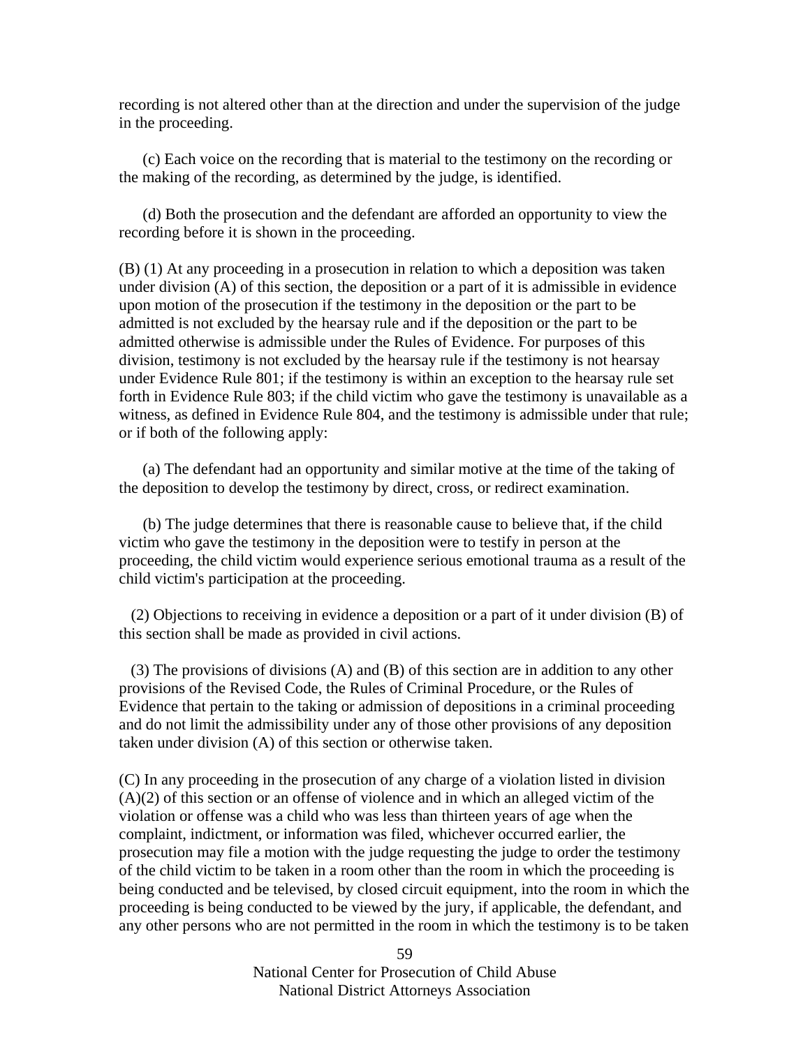recording is not altered other than at the direction and under the supervision of the judge in the proceeding.

 (c) Each voice on the recording that is material to the testimony on the recording or the making of the recording, as determined by the judge, is identified.

 (d) Both the prosecution and the defendant are afforded an opportunity to view the recording before it is shown in the proceeding.

(B) (1) At any proceeding in a prosecution in relation to which a deposition was taken under division (A) of this section, the deposition or a part of it is admissible in evidence upon motion of the prosecution if the testimony in the deposition or the part to be admitted is not excluded by the hearsay rule and if the deposition or the part to be admitted otherwise is admissible under the Rules of Evidence. For purposes of this division, testimony is not excluded by the hearsay rule if the testimony is not hearsay under Evidence Rule 801; if the testimony is within an exception to the hearsay rule set forth in Evidence Rule 803; if the child victim who gave the testimony is unavailable as a witness, as defined in Evidence Rule 804, and the testimony is admissible under that rule; or if both of the following apply:

 (a) The defendant had an opportunity and similar motive at the time of the taking of the deposition to develop the testimony by direct, cross, or redirect examination.

 (b) The judge determines that there is reasonable cause to believe that, if the child victim who gave the testimony in the deposition were to testify in person at the proceeding, the child victim would experience serious emotional trauma as a result of the child victim's participation at the proceeding.

 (2) Objections to receiving in evidence a deposition or a part of it under division (B) of this section shall be made as provided in civil actions.

 (3) The provisions of divisions (A) and (B) of this section are in addition to any other provisions of the Revised Code, the Rules of Criminal Procedure, or the Rules of Evidence that pertain to the taking or admission of depositions in a criminal proceeding and do not limit the admissibility under any of those other provisions of any deposition taken under division (A) of this section or otherwise taken.

(C) In any proceeding in the prosecution of any charge of a violation listed in division (A)(2) of this section or an offense of violence and in which an alleged victim of the violation or offense was a child who was less than thirteen years of age when the complaint, indictment, or information was filed, whichever occurred earlier, the prosecution may file a motion with the judge requesting the judge to order the testimony of the child victim to be taken in a room other than the room in which the proceeding is being conducted and be televised, by closed circuit equipment, into the room in which the proceeding is being conducted to be viewed by the jury, if applicable, the defendant, and any other persons who are not permitted in the room in which the testimony is to be taken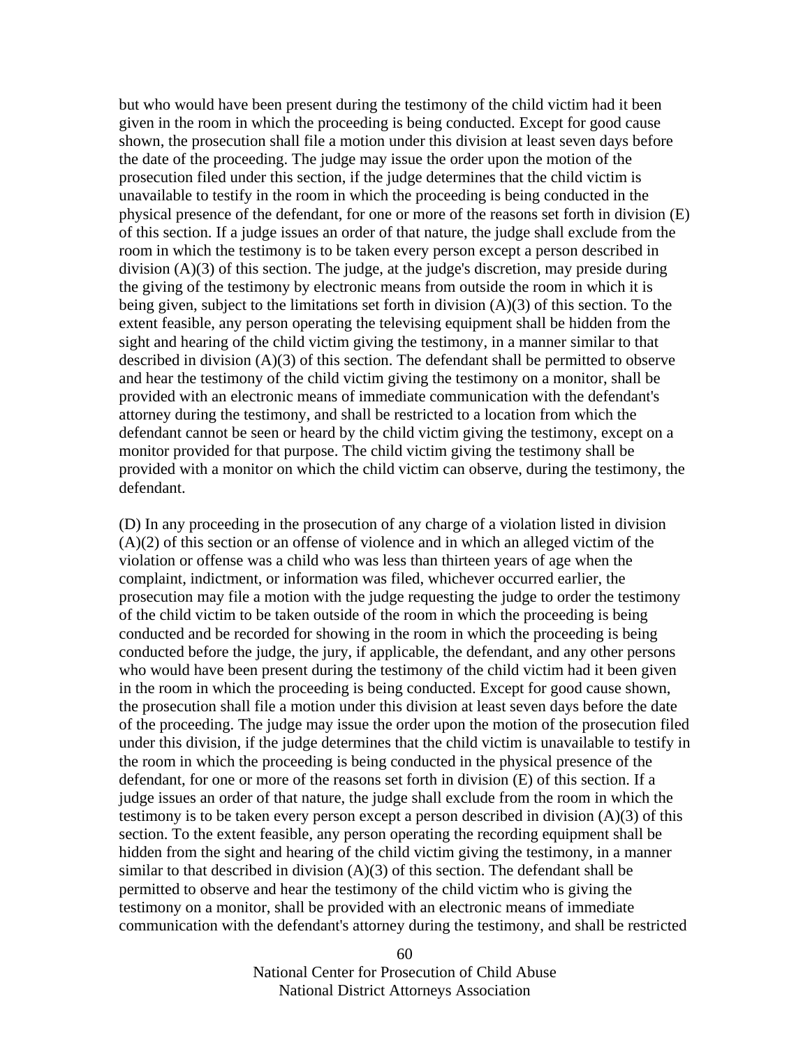but who would have been present during the testimony of the child victim had it been given in the room in which the proceeding is being conducted. Except for good cause shown, the prosecution shall file a motion under this division at least seven days before the date of the proceeding. The judge may issue the order upon the motion of the prosecution filed under this section, if the judge determines that the child victim is unavailable to testify in the room in which the proceeding is being conducted in the physical presence of the defendant, for one or more of the reasons set forth in division (E) of this section. If a judge issues an order of that nature, the judge shall exclude from the room in which the testimony is to be taken every person except a person described in division (A)(3) of this section. The judge, at the judge's discretion, may preside during the giving of the testimony by electronic means from outside the room in which it is being given, subject to the limitations set forth in division (A)(3) of this section. To the extent feasible, any person operating the televising equipment shall be hidden from the sight and hearing of the child victim giving the testimony, in a manner similar to that described in division (A)(3) of this section. The defendant shall be permitted to observe and hear the testimony of the child victim giving the testimony on a monitor, shall be provided with an electronic means of immediate communication with the defendant's attorney during the testimony, and shall be restricted to a location from which the defendant cannot be seen or heard by the child victim giving the testimony, except on a monitor provided for that purpose. The child victim giving the testimony shall be provided with a monitor on which the child victim can observe, during the testimony, the defendant.

(D) In any proceeding in the prosecution of any charge of a violation listed in division (A)(2) of this section or an offense of violence and in which an alleged victim of the violation or offense was a child who was less than thirteen years of age when the complaint, indictment, or information was filed, whichever occurred earlier, the prosecution may file a motion with the judge requesting the judge to order the testimony of the child victim to be taken outside of the room in which the proceeding is being conducted and be recorded for showing in the room in which the proceeding is being conducted before the judge, the jury, if applicable, the defendant, and any other persons who would have been present during the testimony of the child victim had it been given in the room in which the proceeding is being conducted. Except for good cause shown, the prosecution shall file a motion under this division at least seven days before the date of the proceeding. The judge may issue the order upon the motion of the prosecution filed under this division, if the judge determines that the child victim is unavailable to testify in the room in which the proceeding is being conducted in the physical presence of the defendant, for one or more of the reasons set forth in division (E) of this section. If a judge issues an order of that nature, the judge shall exclude from the room in which the testimony is to be taken every person except a person described in division  $(A)(3)$  of this section. To the extent feasible, any person operating the recording equipment shall be hidden from the sight and hearing of the child victim giving the testimony, in a manner similar to that described in division (A)(3) of this section. The defendant shall be permitted to observe and hear the testimony of the child victim who is giving the testimony on a monitor, shall be provided with an electronic means of immediate communication with the defendant's attorney during the testimony, and shall be restricted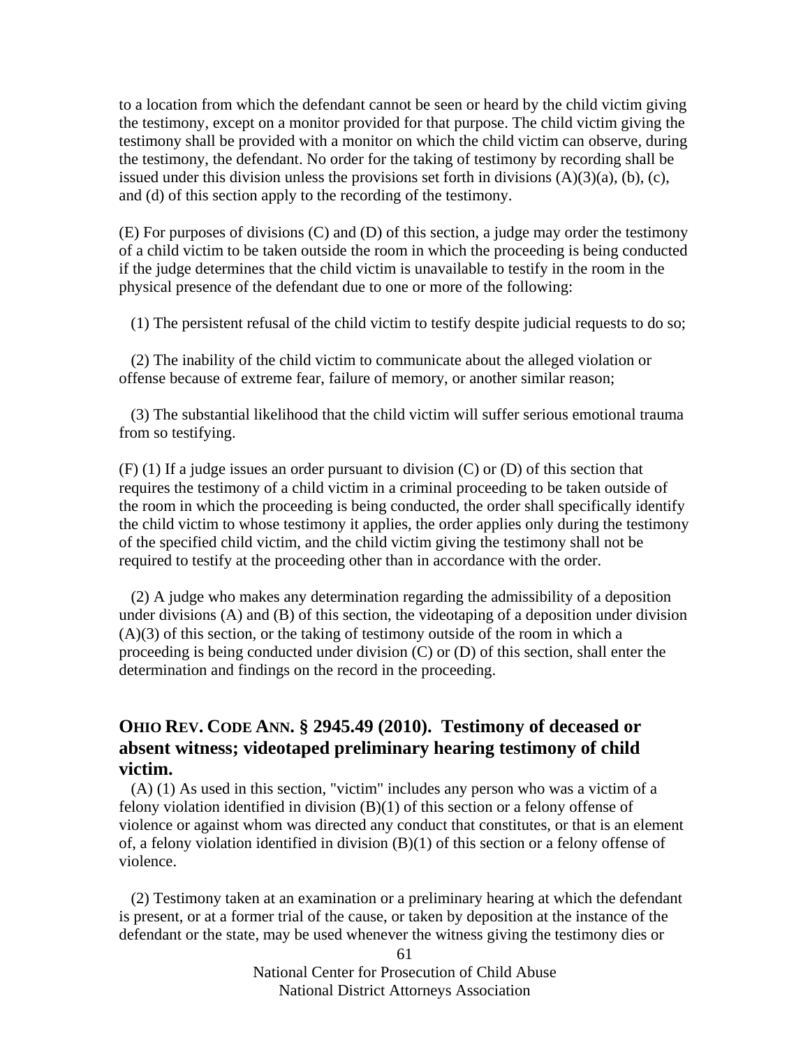to a location from which the defendant cannot be seen or heard by the child victim giving the testimony, except on a monitor provided for that purpose. The child victim giving the testimony shall be provided with a monitor on which the child victim can observe, during the testimony, the defendant. No order for the taking of testimony by recording shall be issued under this division unless the provisions set forth in divisions  $(A)(3)(a)$ ,  $(b)$ ,  $(c)$ , and (d) of this section apply to the recording of the testimony.

(E) For purposes of divisions (C) and (D) of this section, a judge may order the testimony of a child victim to be taken outside the room in which the proceeding is being conducted if the judge determines that the child victim is unavailable to testify in the room in the physical presence of the defendant due to one or more of the following:

(1) The persistent refusal of the child victim to testify despite judicial requests to do so;

 (2) The inability of the child victim to communicate about the alleged violation or offense because of extreme fear, failure of memory, or another similar reason;

 (3) The substantial likelihood that the child victim will suffer serious emotional trauma from so testifying.

(F) (1) If a judge issues an order pursuant to division (C) or (D) of this section that requires the testimony of a child victim in a criminal proceeding to be taken outside of the room in which the proceeding is being conducted, the order shall specifically identify the child victim to whose testimony it applies, the order applies only during the testimony of the specified child victim, and the child victim giving the testimony shall not be required to testify at the proceeding other than in accordance with the order.

 (2) A judge who makes any determination regarding the admissibility of a deposition under divisions (A) and (B) of this section, the videotaping of a deposition under division (A)(3) of this section, or the taking of testimony outside of the room in which a proceeding is being conducted under division (C) or (D) of this section, shall enter the determination and findings on the record in the proceeding.

#### **OHIO REV. CODE ANN. § 2945.49 (2010). Testimony of deceased or absent witness; videotaped preliminary hearing testimony of child victim.**

 (A) (1) As used in this section, "victim" includes any person who was a victim of a felony violation identified in division (B)(1) of this section or a felony offense of violence or against whom was directed any conduct that constitutes, or that is an element of, a felony violation identified in division (B)(1) of this section or a felony offense of violence.

 (2) Testimony taken at an examination or a preliminary hearing at which the defendant is present, or at a former trial of the cause, or taken by deposition at the instance of the defendant or the state, may be used whenever the witness giving the testimony dies or

> National Center for Prosecution of Child Abuse National District Attorneys Association

61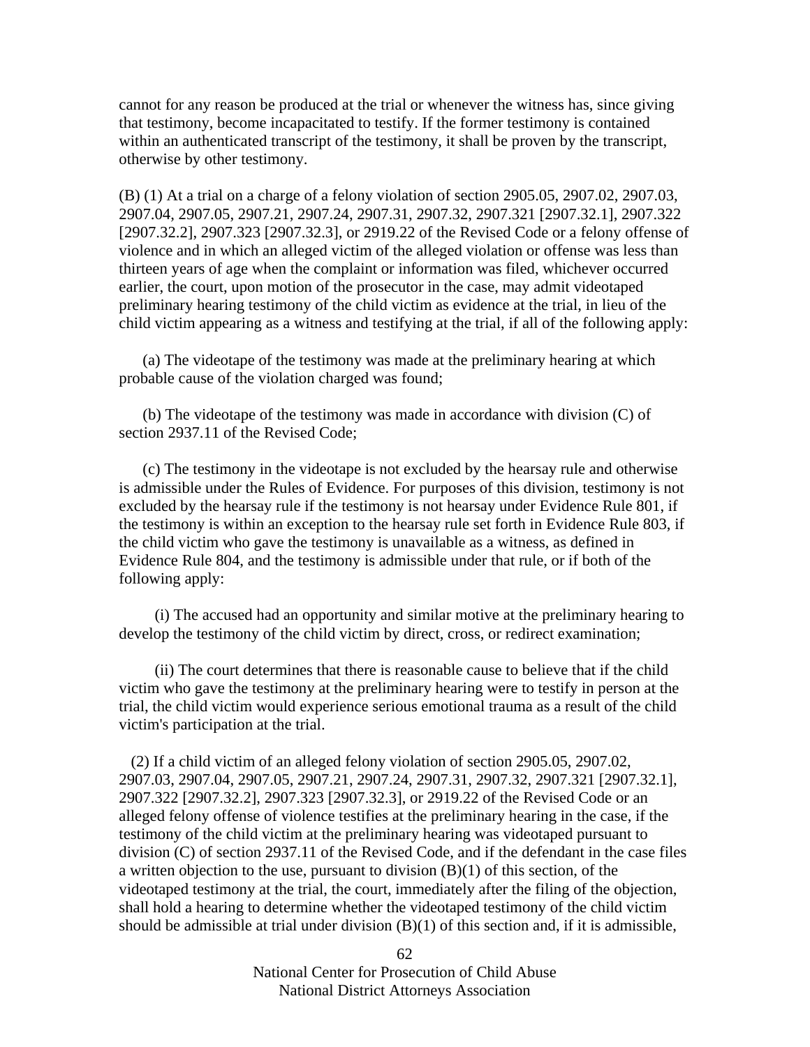cannot for any reason be produced at the trial or whenever the witness has, since giving that testimony, become incapacitated to testify. If the former testimony is contained within an authenticated transcript of the testimony, it shall be proven by the transcript, otherwise by other testimony.

(B) (1) At a trial on a charge of a felony violation of section 2905.05, 2907.02, 2907.03, 2907.04, 2907.05, 2907.21, 2907.24, 2907.31, 2907.32, 2907.321 [2907.32.1], 2907.322 [2907.32.2], 2907.323 [2907.32.3], or 2919.22 of the Revised Code or a felony offense of violence and in which an alleged victim of the alleged violation or offense was less than thirteen years of age when the complaint or information was filed, whichever occurred earlier, the court, upon motion of the prosecutor in the case, may admit videotaped preliminary hearing testimony of the child victim as evidence at the trial, in lieu of the child victim appearing as a witness and testifying at the trial, if all of the following apply:

 (a) The videotape of the testimony was made at the preliminary hearing at which probable cause of the violation charged was found;

 (b) The videotape of the testimony was made in accordance with division (C) of section 2937.11 of the Revised Code;

 (c) The testimony in the videotape is not excluded by the hearsay rule and otherwise is admissible under the Rules of Evidence. For purposes of this division, testimony is not excluded by the hearsay rule if the testimony is not hearsay under Evidence Rule 801, if the testimony is within an exception to the hearsay rule set forth in Evidence Rule 803, if the child victim who gave the testimony is unavailable as a witness, as defined in Evidence Rule 804, and the testimony is admissible under that rule, or if both of the following apply:

 (i) The accused had an opportunity and similar motive at the preliminary hearing to develop the testimony of the child victim by direct, cross, or redirect examination;

 (ii) The court determines that there is reasonable cause to believe that if the child victim who gave the testimony at the preliminary hearing were to testify in person at the trial, the child victim would experience serious emotional trauma as a result of the child victim's participation at the trial.

 (2) If a child victim of an alleged felony violation of section 2905.05, 2907.02, 2907.03, 2907.04, 2907.05, 2907.21, 2907.24, 2907.31, 2907.32, 2907.321 [2907.32.1], 2907.322 [2907.32.2], 2907.323 [2907.32.3], or 2919.22 of the Revised Code or an alleged felony offense of violence testifies at the preliminary hearing in the case, if the testimony of the child victim at the preliminary hearing was videotaped pursuant to division (C) of section 2937.11 of the Revised Code, and if the defendant in the case files a written objection to the use, pursuant to division  $(B)(1)$  of this section, of the videotaped testimony at the trial, the court, immediately after the filing of the objection, shall hold a hearing to determine whether the videotaped testimony of the child victim should be admissible at trial under division (B)(1) of this section and, if it is admissible,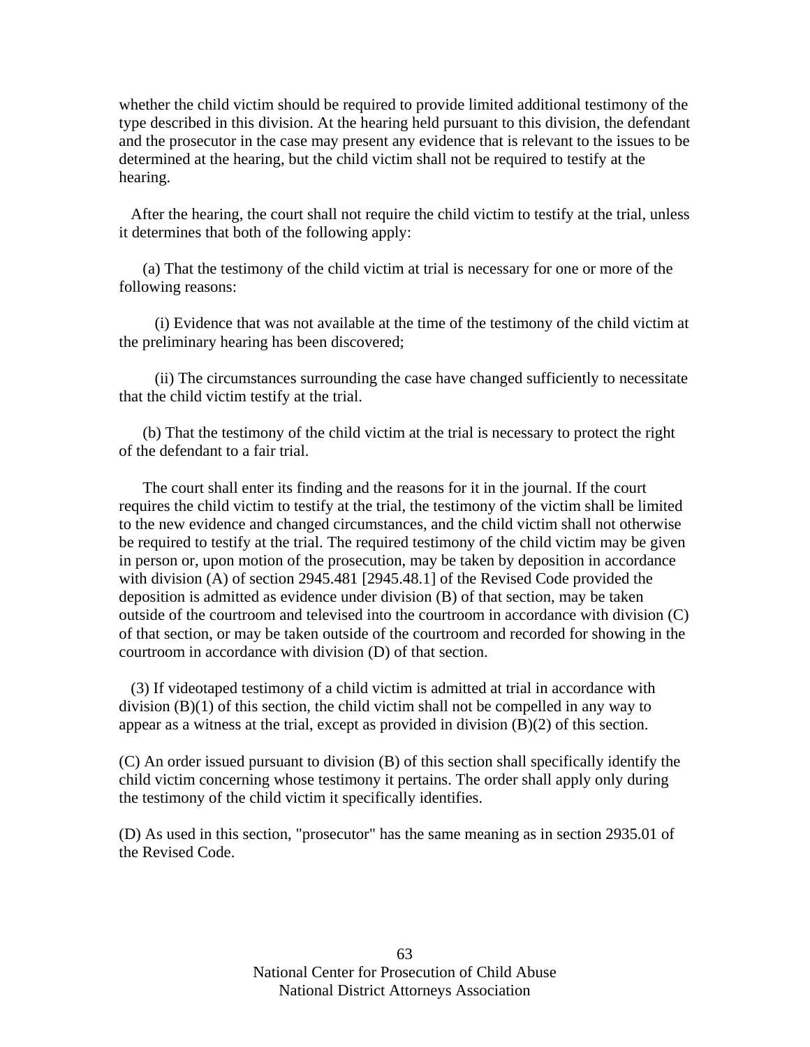whether the child victim should be required to provide limited additional testimony of the type described in this division. At the hearing held pursuant to this division, the defendant and the prosecutor in the case may present any evidence that is relevant to the issues to be determined at the hearing, but the child victim shall not be required to testify at the hearing.

 After the hearing, the court shall not require the child victim to testify at the trial, unless it determines that both of the following apply:

 (a) That the testimony of the child victim at trial is necessary for one or more of the following reasons:

 (i) Evidence that was not available at the time of the testimony of the child victim at the preliminary hearing has been discovered;

 (ii) The circumstances surrounding the case have changed sufficiently to necessitate that the child victim testify at the trial.

 (b) That the testimony of the child victim at the trial is necessary to protect the right of the defendant to a fair trial.

 The court shall enter its finding and the reasons for it in the journal. If the court requires the child victim to testify at the trial, the testimony of the victim shall be limited to the new evidence and changed circumstances, and the child victim shall not otherwise be required to testify at the trial. The required testimony of the child victim may be given in person or, upon motion of the prosecution, may be taken by deposition in accordance with division (A) of section 2945.481 [2945.48.1] of the Revised Code provided the deposition is admitted as evidence under division (B) of that section, may be taken outside of the courtroom and televised into the courtroom in accordance with division (C) of that section, or may be taken outside of the courtroom and recorded for showing in the courtroom in accordance with division (D) of that section.

 (3) If videotaped testimony of a child victim is admitted at trial in accordance with division (B)(1) of this section, the child victim shall not be compelled in any way to appear as a witness at the trial, except as provided in division (B)(2) of this section.

(C) An order issued pursuant to division (B) of this section shall specifically identify the child victim concerning whose testimony it pertains. The order shall apply only during the testimony of the child victim it specifically identifies.

(D) As used in this section, "prosecutor" has the same meaning as in section 2935.01 of the Revised Code.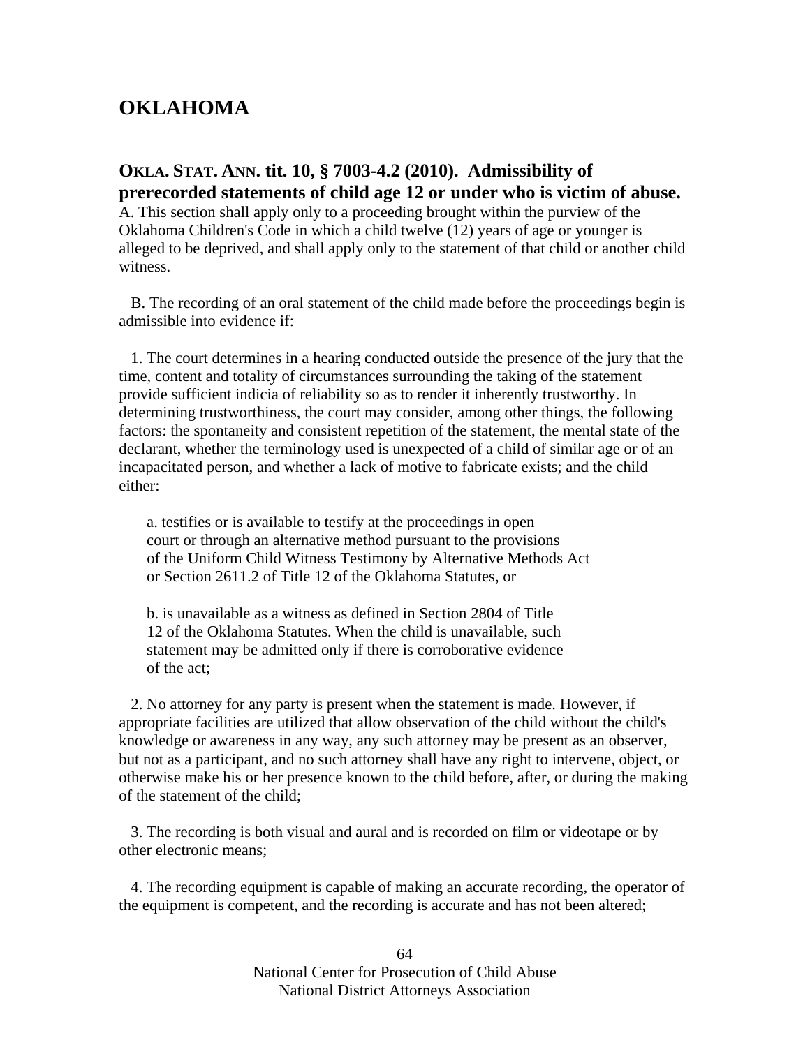## **OKLAHOMA**

### **OKLA. STAT. ANN. tit. 10, § 7003-4.2 (2010). Admissibility of prerecorded statements of child age 12 or under who is victim of abuse.**

A. This section shall apply only to a proceeding brought within the purview of the Oklahoma Children's Code in which a child twelve (12) years of age or younger is alleged to be deprived, and shall apply only to the statement of that child or another child witness.

 B. The recording of an oral statement of the child made before the proceedings begin is admissible into evidence if:

 1. The court determines in a hearing conducted outside the presence of the jury that the time, content and totality of circumstances surrounding the taking of the statement provide sufficient indicia of reliability so as to render it inherently trustworthy. In determining trustworthiness, the court may consider, among other things, the following factors: the spontaneity and consistent repetition of the statement, the mental state of the declarant, whether the terminology used is unexpected of a child of similar age or of an incapacitated person, and whether a lack of motive to fabricate exists; and the child either:

 a. testifies or is available to testify at the proceedings in open court or through an alternative method pursuant to the provisions of the Uniform Child Witness Testimony by Alternative Methods Act or Section 2611.2 of Title 12 of the Oklahoma Statutes, or

 b. is unavailable as a witness as defined in Section 2804 of Title 12 of the Oklahoma Statutes. When the child is unavailable, such statement may be admitted only if there is corroborative evidence of the act;

 2. No attorney for any party is present when the statement is made. However, if appropriate facilities are utilized that allow observation of the child without the child's knowledge or awareness in any way, any such attorney may be present as an observer, but not as a participant, and no such attorney shall have any right to intervene, object, or otherwise make his or her presence known to the child before, after, or during the making of the statement of the child;

 3. The recording is both visual and aural and is recorded on film or videotape or by other electronic means;

 4. The recording equipment is capable of making an accurate recording, the operator of the equipment is competent, and the recording is accurate and has not been altered;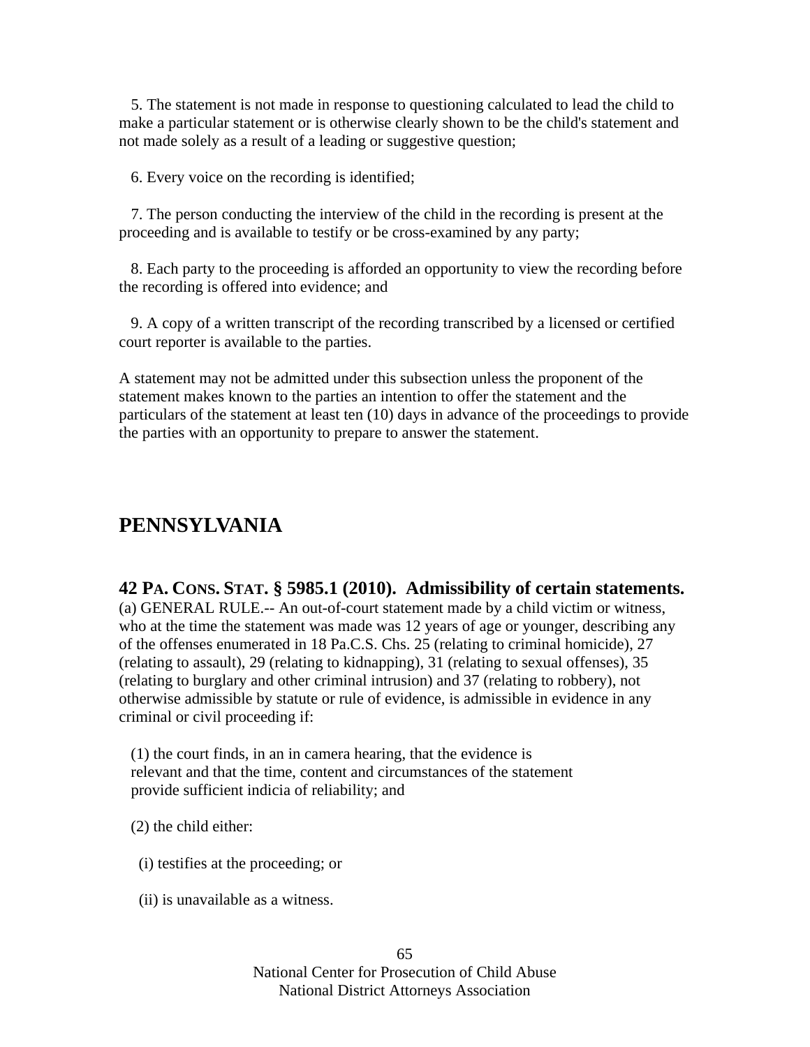5. The statement is not made in response to questioning calculated to lead the child to make a particular statement or is otherwise clearly shown to be the child's statement and not made solely as a result of a leading or suggestive question;

6. Every voice on the recording is identified;

 7. The person conducting the interview of the child in the recording is present at the proceeding and is available to testify or be cross-examined by any party;

 8. Each party to the proceeding is afforded an opportunity to view the recording before the recording is offered into evidence; and

 9. A copy of a written transcript of the recording transcribed by a licensed or certified court reporter is available to the parties.

A statement may not be admitted under this subsection unless the proponent of the statement makes known to the parties an intention to offer the statement and the particulars of the statement at least ten (10) days in advance of the proceedings to provide the parties with an opportunity to prepare to answer the statement.

## **PENNSYLVANIA**

#### **42 PA. CONS. STAT. § 5985.1 (2010). Admissibility of certain statements.**

(a) GENERAL RULE.-- An out-of-court statement made by a child victim or witness, who at the time the statement was made was 12 years of age or younger, describing any of the offenses enumerated in 18 Pa.C.S. Chs. 25 (relating to criminal homicide), 27 (relating to assault), 29 (relating to kidnapping), 31 (relating to sexual offenses), 35 (relating to burglary and other criminal intrusion) and 37 (relating to robbery), not otherwise admissible by statute or rule of evidence, is admissible in evidence in any criminal or civil proceeding if:

 (1) the court finds, in an in camera hearing, that the evidence is relevant and that the time, content and circumstances of the statement provide sufficient indicia of reliability; and

(2) the child either:

- (i) testifies at the proceeding; or
- (ii) is unavailable as a witness.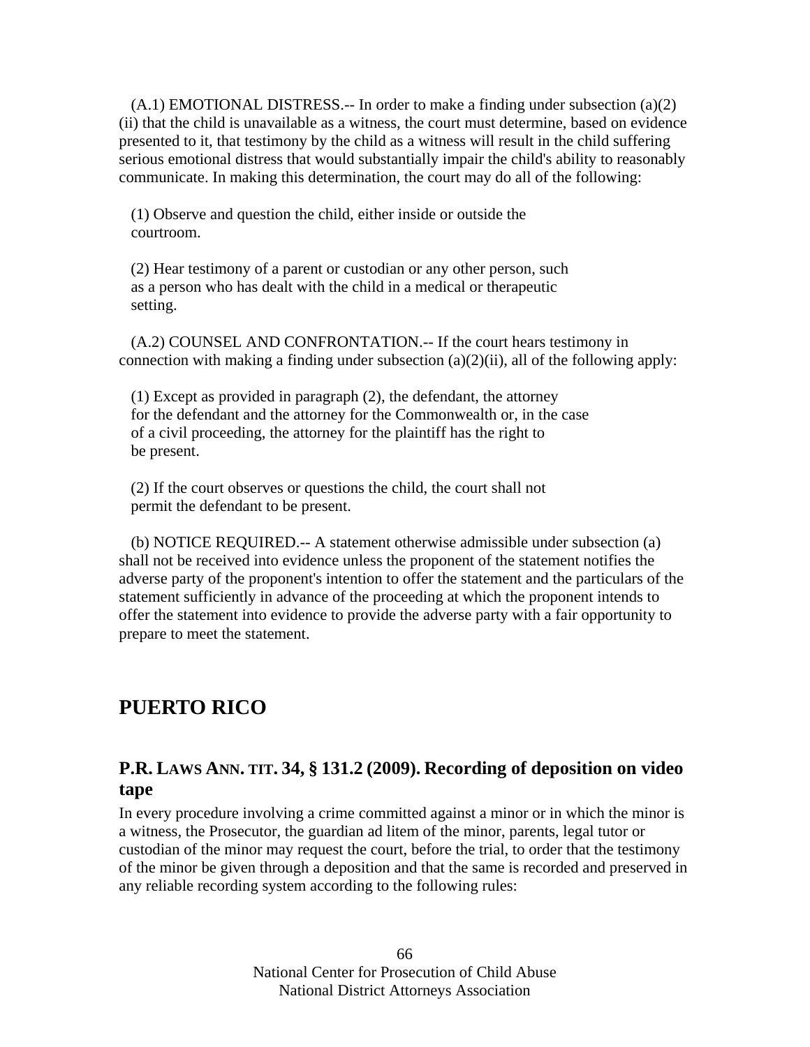$(A.1)$  EMOTIONAL DISTRESS.-- In order to make a finding under subsection  $(a)(2)$ (ii) that the child is unavailable as a witness, the court must determine, based on evidence presented to it, that testimony by the child as a witness will result in the child suffering serious emotional distress that would substantially impair the child's ability to reasonably communicate. In making this determination, the court may do all of the following:

 (1) Observe and question the child, either inside or outside the courtroom.

 (2) Hear testimony of a parent or custodian or any other person, such as a person who has dealt with the child in a medical or therapeutic setting.

 (A.2) COUNSEL AND CONFRONTATION.-- If the court hears testimony in connection with making a finding under subsection  $(a)(2)(ii)$ , all of the following apply:

 (1) Except as provided in paragraph (2), the defendant, the attorney for the defendant and the attorney for the Commonwealth or, in the case of a civil proceeding, the attorney for the plaintiff has the right to be present.

 (2) If the court observes or questions the child, the court shall not permit the defendant to be present.

 (b) NOTICE REQUIRED.-- A statement otherwise admissible under subsection (a) shall not be received into evidence unless the proponent of the statement notifies the adverse party of the proponent's intention to offer the statement and the particulars of the statement sufficiently in advance of the proceeding at which the proponent intends to offer the statement into evidence to provide the adverse party with a fair opportunity to prepare to meet the statement.

# **PUERTO RICO**

### **P.R. LAWS ANN. TIT. 34, § 131.2 (2009). Recording of deposition on video tape**

In every procedure involving a crime committed against a minor or in which the minor is a witness, the Prosecutor, the guardian ad litem of the minor, parents, legal tutor or custodian of the minor may request the court, before the trial, to order that the testimony of the minor be given through a deposition and that the same is recorded and preserved in any reliable recording system according to the following rules: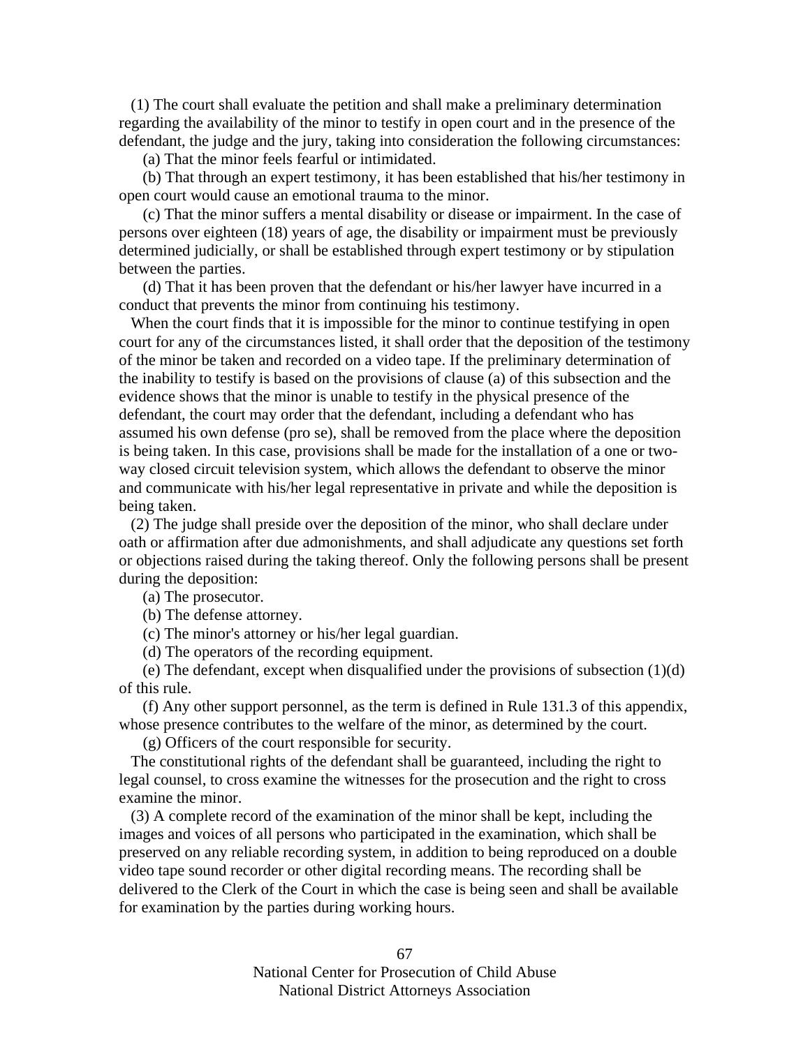(1) The court shall evaluate the petition and shall make a preliminary determination regarding the availability of the minor to testify in open court and in the presence of the defendant, the judge and the jury, taking into consideration the following circumstances:

(a) That the minor feels fearful or intimidated.

 (b) That through an expert testimony, it has been established that his/her testimony in open court would cause an emotional trauma to the minor.

 (c) That the minor suffers a mental disability or disease or impairment. In the case of persons over eighteen (18) years of age, the disability or impairment must be previously determined judicially, or shall be established through expert testimony or by stipulation between the parties.

 (d) That it has been proven that the defendant or his/her lawyer have incurred in a conduct that prevents the minor from continuing his testimony.

When the court finds that it is impossible for the minor to continue testifying in open court for any of the circumstances listed, it shall order that the deposition of the testimony of the minor be taken and recorded on a video tape. If the preliminary determination of the inability to testify is based on the provisions of clause (a) of this subsection and the evidence shows that the minor is unable to testify in the physical presence of the defendant, the court may order that the defendant, including a defendant who has assumed his own defense (pro se), shall be removed from the place where the deposition is being taken. In this case, provisions shall be made for the installation of a one or twoway closed circuit television system, which allows the defendant to observe the minor and communicate with his/her legal representative in private and while the deposition is being taken.

 (2) The judge shall preside over the deposition of the minor, who shall declare under oath or affirmation after due admonishments, and shall adjudicate any questions set forth or objections raised during the taking thereof. Only the following persons shall be present during the deposition:

(a) The prosecutor.

(b) The defense attorney.

(c) The minor's attorney or his/her legal guardian.

(d) The operators of the recording equipment.

 (e) The defendant, except when disqualified under the provisions of subsection (1)(d) of this rule.

 (f) Any other support personnel, as the term is defined in Rule 131.3 of this appendix, whose presence contributes to the welfare of the minor, as determined by the court.

(g) Officers of the court responsible for security.

 The constitutional rights of the defendant shall be guaranteed, including the right to legal counsel, to cross examine the witnesses for the prosecution and the right to cross examine the minor.

 (3) A complete record of the examination of the minor shall be kept, including the images and voices of all persons who participated in the examination, which shall be preserved on any reliable recording system, in addition to being reproduced on a double video tape sound recorder or other digital recording means. The recording shall be delivered to the Clerk of the Court in which the case is being seen and shall be available for examination by the parties during working hours.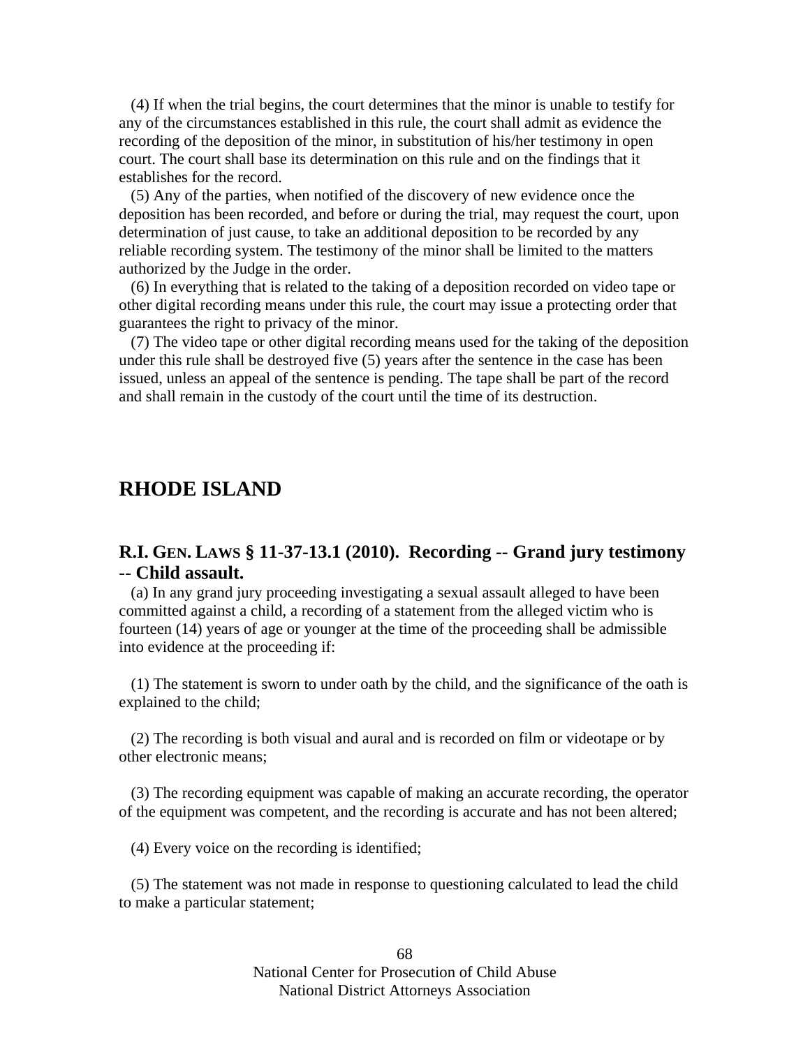(4) If when the trial begins, the court determines that the minor is unable to testify for any of the circumstances established in this rule, the court shall admit as evidence the recording of the deposition of the minor, in substitution of his/her testimony in open court. The court shall base its determination on this rule and on the findings that it establishes for the record.

 (5) Any of the parties, when notified of the discovery of new evidence once the deposition has been recorded, and before or during the trial, may request the court, upon determination of just cause, to take an additional deposition to be recorded by any reliable recording system. The testimony of the minor shall be limited to the matters authorized by the Judge in the order.

 (6) In everything that is related to the taking of a deposition recorded on video tape or other digital recording means under this rule, the court may issue a protecting order that guarantees the right to privacy of the minor.

 (7) The video tape or other digital recording means used for the taking of the deposition under this rule shall be destroyed five (5) years after the sentence in the case has been issued, unless an appeal of the sentence is pending. The tape shall be part of the record and shall remain in the custody of the court until the time of its destruction.

## **RHODE ISLAND**

#### **R.I. GEN. LAWS § 11-37-13.1 (2010). Recording -- Grand jury testimony -- Child assault.**

 (a) In any grand jury proceeding investigating a sexual assault alleged to have been committed against a child, a recording of a statement from the alleged victim who is fourteen (14) years of age or younger at the time of the proceeding shall be admissible into evidence at the proceeding if:

 (1) The statement is sworn to under oath by the child, and the significance of the oath is explained to the child;

 (2) The recording is both visual and aural and is recorded on film or videotape or by other electronic means;

 (3) The recording equipment was capable of making an accurate recording, the operator of the equipment was competent, and the recording is accurate and has not been altered;

(4) Every voice on the recording is identified;

 (5) The statement was not made in response to questioning calculated to lead the child to make a particular statement;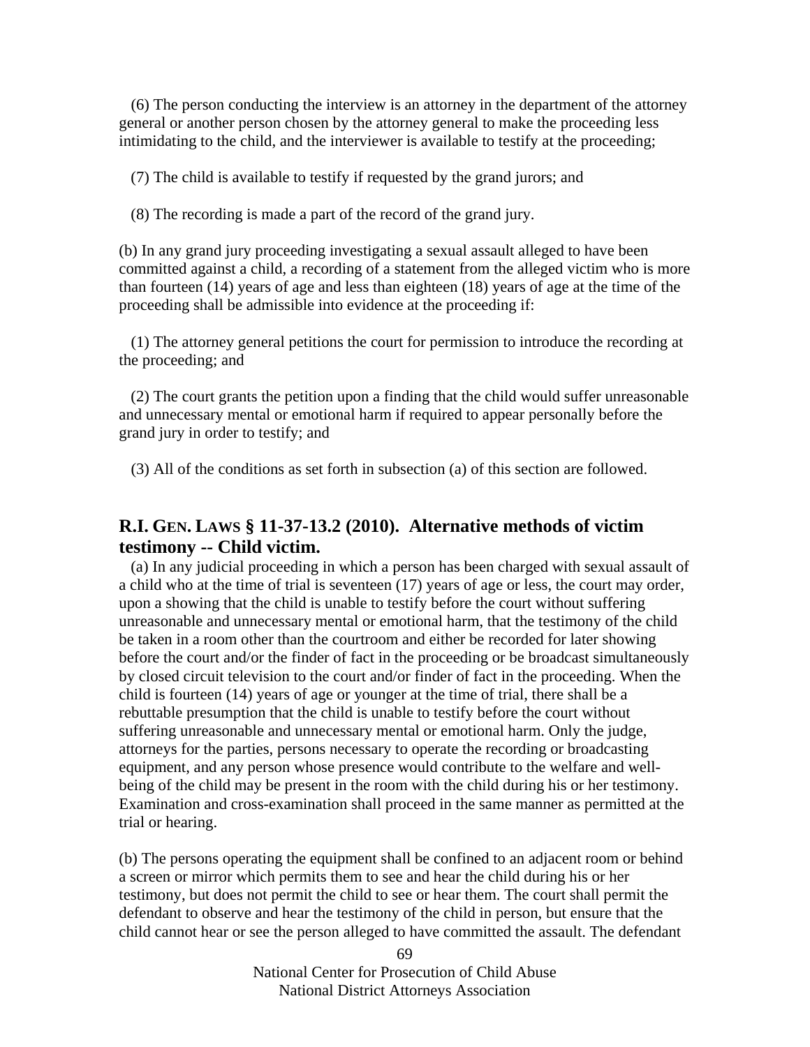(6) The person conducting the interview is an attorney in the department of the attorney general or another person chosen by the attorney general to make the proceeding less intimidating to the child, and the interviewer is available to testify at the proceeding;

(7) The child is available to testify if requested by the grand jurors; and

(8) The recording is made a part of the record of the grand jury.

(b) In any grand jury proceeding investigating a sexual assault alleged to have been committed against a child, a recording of a statement from the alleged victim who is more than fourteen (14) years of age and less than eighteen (18) years of age at the time of the proceeding shall be admissible into evidence at the proceeding if:

 (1) The attorney general petitions the court for permission to introduce the recording at the proceeding; and

 (2) The court grants the petition upon a finding that the child would suffer unreasonable and unnecessary mental or emotional harm if required to appear personally before the grand jury in order to testify; and

(3) All of the conditions as set forth in subsection (a) of this section are followed.

### **R.I. GEN. LAWS § 11-37-13.2 (2010). Alternative methods of victim testimony -- Child victim.**

 (a) In any judicial proceeding in which a person has been charged with sexual assault of a child who at the time of trial is seventeen (17) years of age or less, the court may order, upon a showing that the child is unable to testify before the court without suffering unreasonable and unnecessary mental or emotional harm, that the testimony of the child be taken in a room other than the courtroom and either be recorded for later showing before the court and/or the finder of fact in the proceeding or be broadcast simultaneously by closed circuit television to the court and/or finder of fact in the proceeding. When the child is fourteen (14) years of age or younger at the time of trial, there shall be a rebuttable presumption that the child is unable to testify before the court without suffering unreasonable and unnecessary mental or emotional harm. Only the judge, attorneys for the parties, persons necessary to operate the recording or broadcasting equipment, and any person whose presence would contribute to the welfare and wellbeing of the child may be present in the room with the child during his or her testimony. Examination and cross-examination shall proceed in the same manner as permitted at the trial or hearing.

(b) The persons operating the equipment shall be confined to an adjacent room or behind a screen or mirror which permits them to see and hear the child during his or her testimony, but does not permit the child to see or hear them. The court shall permit the defendant to observe and hear the testimony of the child in person, but ensure that the child cannot hear or see the person alleged to have committed the assault. The defendant

> National Center for Prosecution of Child Abuse National District Attorneys Association

69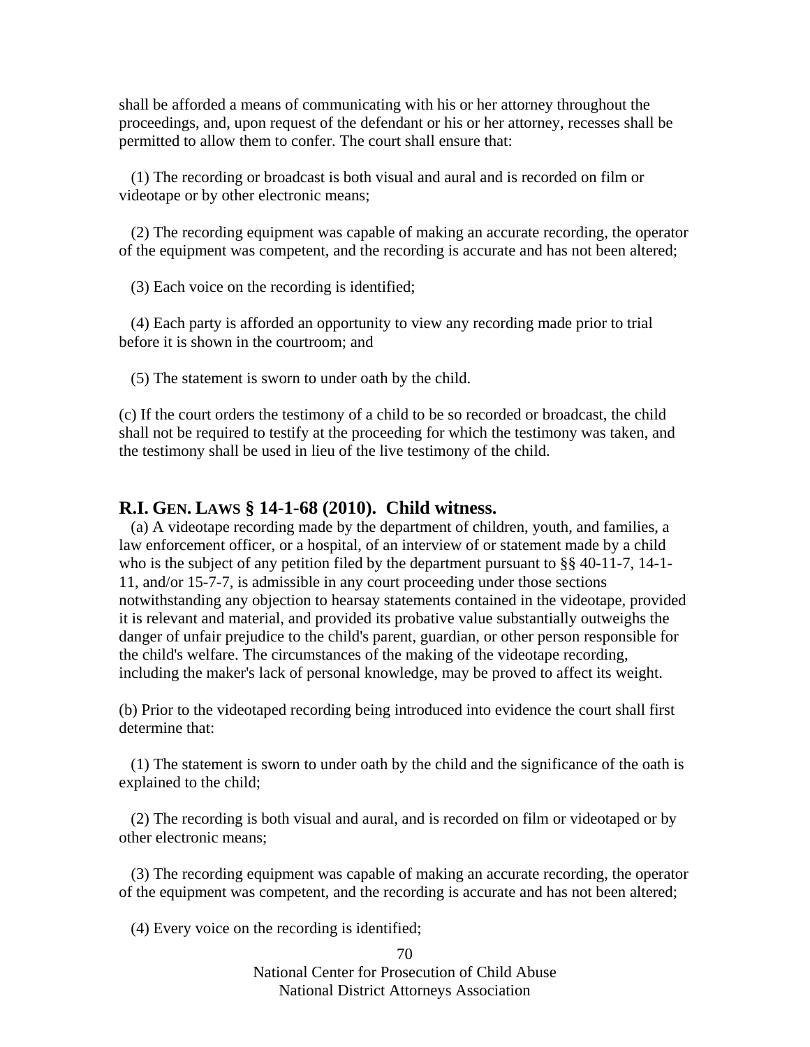shall be afforded a means of communicating with his or her attorney throughout the proceedings, and, upon request of the defendant or his or her attorney, recesses shall be permitted to allow them to confer. The court shall ensure that:

 (1) The recording or broadcast is both visual and aural and is recorded on film or videotape or by other electronic means;

 (2) The recording equipment was capable of making an accurate recording, the operator of the equipment was competent, and the recording is accurate and has not been altered;

(3) Each voice on the recording is identified;

 (4) Each party is afforded an opportunity to view any recording made prior to trial before it is shown in the courtroom; and

(5) The statement is sworn to under oath by the child.

(c) If the court orders the testimony of a child to be so recorded or broadcast, the child shall not be required to testify at the proceeding for which the testimony was taken, and the testimony shall be used in lieu of the live testimony of the child.

#### **R.I. GEN. LAWS § 14-1-68 (2010). Child witness.**

 (a) A videotape recording made by the department of children, youth, and families, a law enforcement officer, or a hospital, of an interview of or statement made by a child who is the subject of any petition filed by the department pursuant to §§ 40-11-7, 14-1-11, and/or 15-7-7, is admissible in any court proceeding under those sections notwithstanding any objection to hearsay statements contained in the videotape, provided it is relevant and material, and provided its probative value substantially outweighs the danger of unfair prejudice to the child's parent, guardian, or other person responsible for the child's welfare. The circumstances of the making of the videotape recording, including the maker's lack of personal knowledge, may be proved to affect its weight.

(b) Prior to the videotaped recording being introduced into evidence the court shall first determine that:

 (1) The statement is sworn to under oath by the child and the significance of the oath is explained to the child;

 (2) The recording is both visual and aural, and is recorded on film or videotaped or by other electronic means;

 (3) The recording equipment was capable of making an accurate recording, the operator of the equipment was competent, and the recording is accurate and has not been altered;

(4) Every voice on the recording is identified;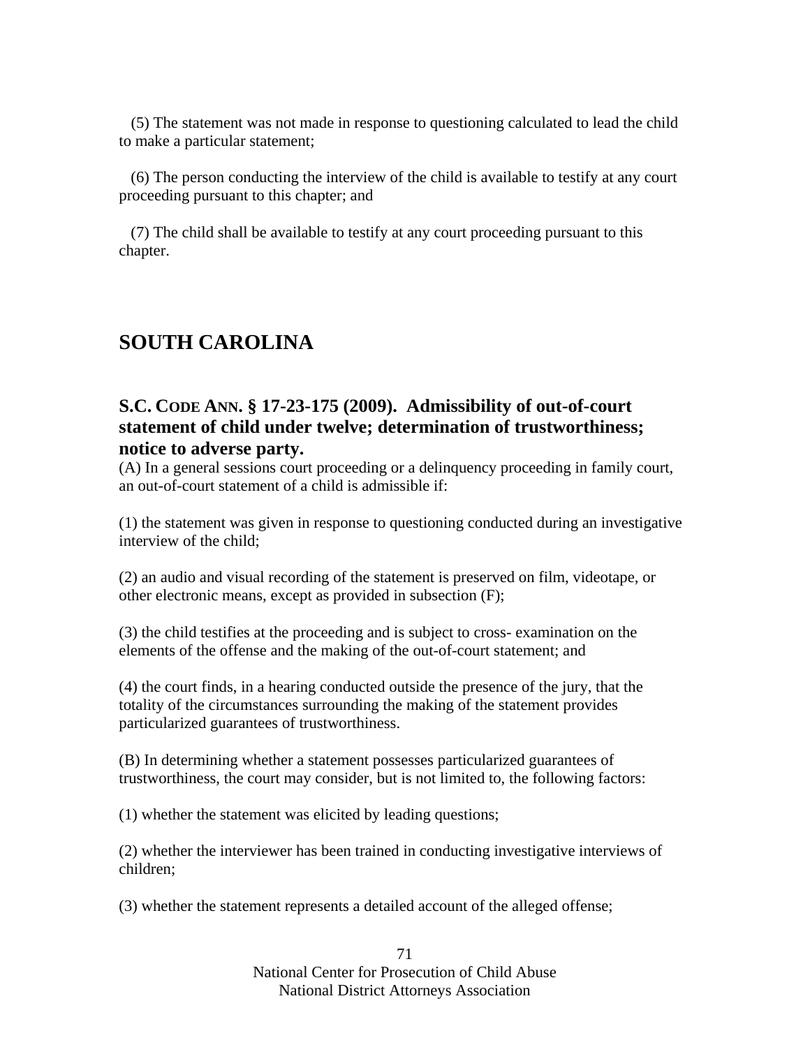(5) The statement was not made in response to questioning calculated to lead the child to make a particular statement;

 (6) The person conducting the interview of the child is available to testify at any court proceeding pursuant to this chapter; and

 (7) The child shall be available to testify at any court proceeding pursuant to this chapter.

# **SOUTH CAROLINA**

### **S.C. CODE ANN. § 17-23-175 (2009). Admissibility of out-of-court statement of child under twelve; determination of trustworthiness; notice to adverse party.**

(A) In a general sessions court proceeding or a delinquency proceeding in family court, an out-of-court statement of a child is admissible if:

(1) the statement was given in response to questioning conducted during an investigative interview of the child;

(2) an audio and visual recording of the statement is preserved on film, videotape, or other electronic means, except as provided in subsection (F);

(3) the child testifies at the proceeding and is subject to cross- examination on the elements of the offense and the making of the out-of-court statement; and

(4) the court finds, in a hearing conducted outside the presence of the jury, that the totality of the circumstances surrounding the making of the statement provides particularized guarantees of trustworthiness.

(B) In determining whether a statement possesses particularized guarantees of trustworthiness, the court may consider, but is not limited to, the following factors:

(1) whether the statement was elicited by leading questions;

(2) whether the interviewer has been trained in conducting investigative interviews of children;

(3) whether the statement represents a detailed account of the alleged offense;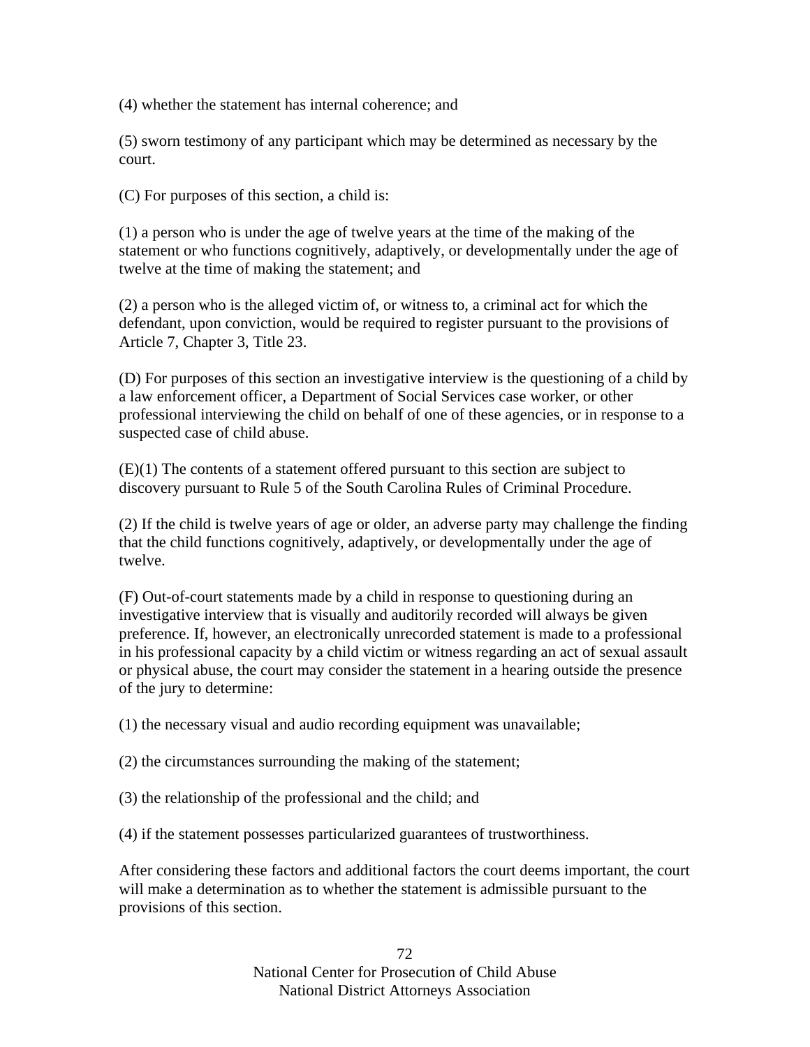(4) whether the statement has internal coherence; and

(5) sworn testimony of any participant which may be determined as necessary by the court.

(C) For purposes of this section, a child is:

(1) a person who is under the age of twelve years at the time of the making of the statement or who functions cognitively, adaptively, or developmentally under the age of twelve at the time of making the statement; and

(2) a person who is the alleged victim of, or witness to, a criminal act for which the defendant, upon conviction, would be required to register pursuant to the provisions of Article 7, Chapter 3, Title 23.

(D) For purposes of this section an investigative interview is the questioning of a child by a law enforcement officer, a Department of Social Services case worker, or other professional interviewing the child on behalf of one of these agencies, or in response to a suspected case of child abuse.

(E)(1) The contents of a statement offered pursuant to this section are subject to discovery pursuant to Rule 5 of the South Carolina Rules of Criminal Procedure.

(2) If the child is twelve years of age or older, an adverse party may challenge the finding that the child functions cognitively, adaptively, or developmentally under the age of twelve.

(F) Out-of-court statements made by a child in response to questioning during an investigative interview that is visually and auditorily recorded will always be given preference. If, however, an electronically unrecorded statement is made to a professional in his professional capacity by a child victim or witness regarding an act of sexual assault or physical abuse, the court may consider the statement in a hearing outside the presence of the jury to determine:

(1) the necessary visual and audio recording equipment was unavailable;

(2) the circumstances surrounding the making of the statement;

(3) the relationship of the professional and the child; and

(4) if the statement possesses particularized guarantees of trustworthiness.

After considering these factors and additional factors the court deems important, the court will make a determination as to whether the statement is admissible pursuant to the provisions of this section.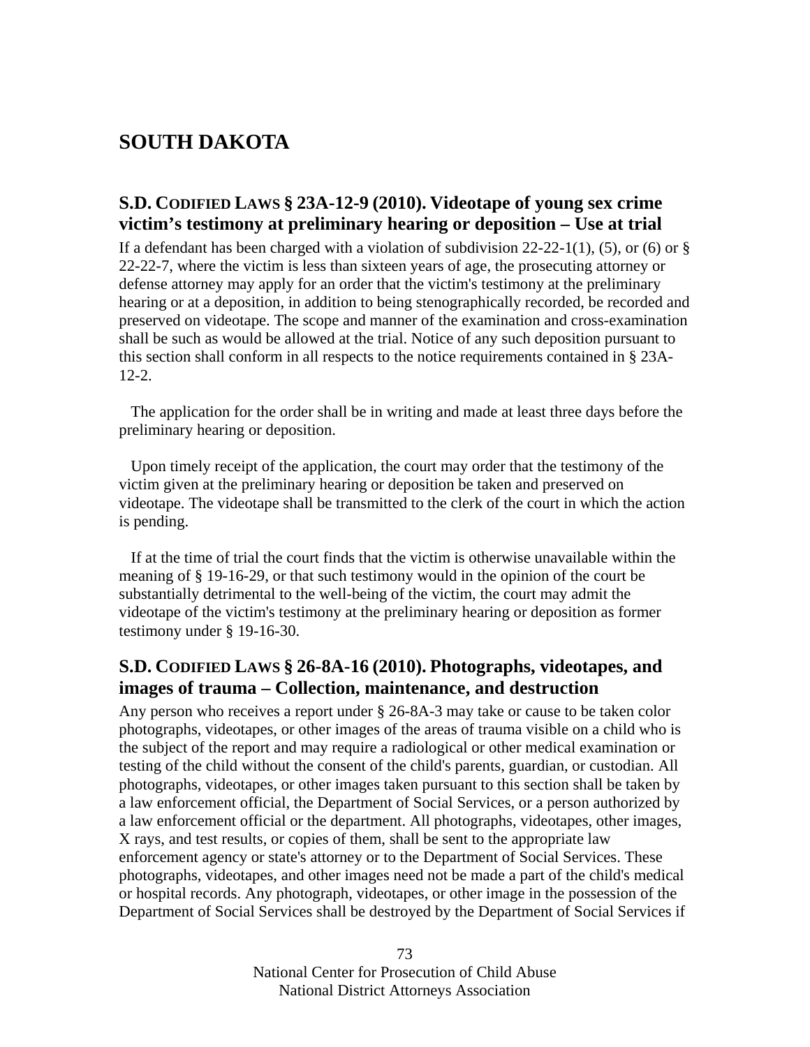### **SOUTH DAKOTA**

#### **S.D. CODIFIED LAWS § 23A-12-9 (2010). Videotape of young sex crime victim's testimony at preliminary hearing or deposition – Use at trial**

If a defendant has been charged with a violation of subdivision  $22-22-1(1)$ , (5), or (6) or § 22-22-7, where the victim is less than sixteen years of age, the prosecuting attorney or defense attorney may apply for an order that the victim's testimony at the preliminary hearing or at a deposition, in addition to being stenographically recorded, be recorded and preserved on videotape. The scope and manner of the examination and cross-examination shall be such as would be allowed at the trial. Notice of any such deposition pursuant to this section shall conform in all respects to the notice requirements contained in § 23A-12-2.

 The application for the order shall be in writing and made at least three days before the preliminary hearing or deposition.

 Upon timely receipt of the application, the court may order that the testimony of the victim given at the preliminary hearing or deposition be taken and preserved on videotape. The videotape shall be transmitted to the clerk of the court in which the action is pending.

 If at the time of trial the court finds that the victim is otherwise unavailable within the meaning of § 19-16-29, or that such testimony would in the opinion of the court be substantially detrimental to the well-being of the victim, the court may admit the videotape of the victim's testimony at the preliminary hearing or deposition as former testimony under § 19-16-30.

#### **S.D. CODIFIED LAWS § 26-8A-16 (2010). Photographs, videotapes, and images of trauma – Collection, maintenance, and destruction**

Any person who receives a report under § 26-8A-3 may take or cause to be taken color photographs, videotapes, or other images of the areas of trauma visible on a child who is the subject of the report and may require a radiological or other medical examination or testing of the child without the consent of the child's parents, guardian, or custodian. All photographs, videotapes, or other images taken pursuant to this section shall be taken by a law enforcement official, the Department of Social Services, or a person authorized by a law enforcement official or the department. All photographs, videotapes, other images, X rays, and test results, or copies of them, shall be sent to the appropriate law enforcement agency or state's attorney or to the Department of Social Services. These photographs, videotapes, and other images need not be made a part of the child's medical or hospital records. Any photograph, videotapes, or other image in the possession of the Department of Social Services shall be destroyed by the Department of Social Services if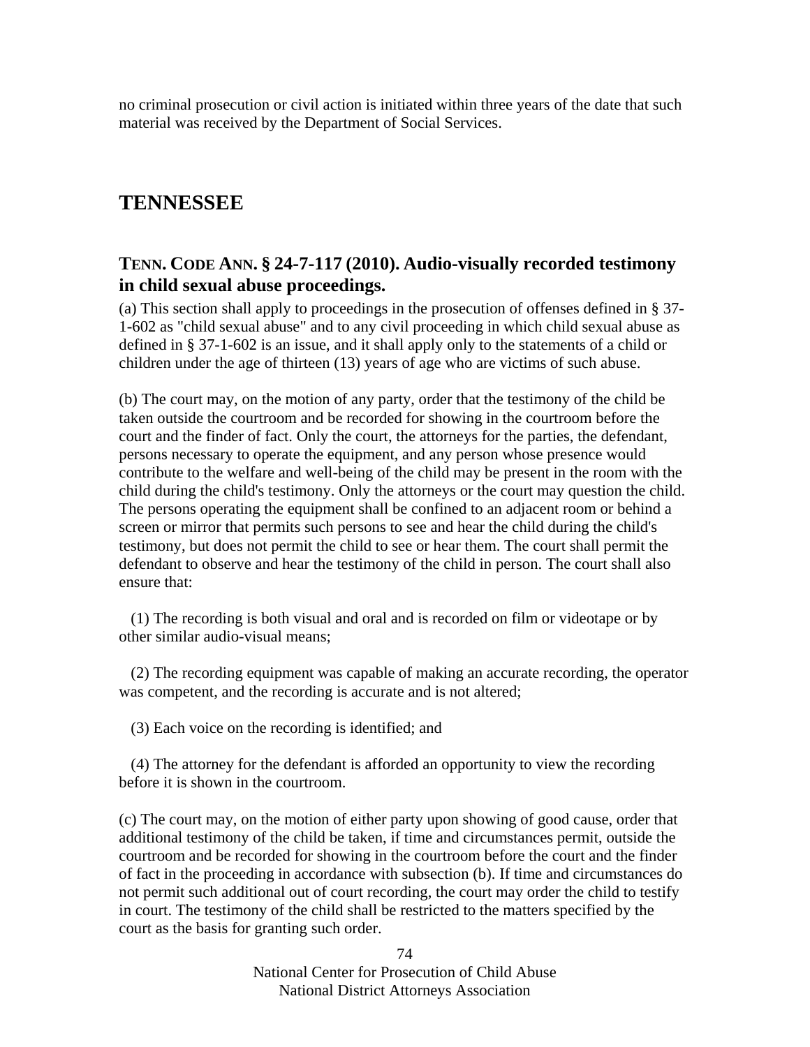no criminal prosecution or civil action is initiated within three years of the date that such material was received by the Department of Social Services.

## **TENNESSEE**

### **TENN. CODE ANN. § 24-7-117 (2010). Audio-visually recorded testimony in child sexual abuse proceedings.**

(a) This section shall apply to proceedings in the prosecution of offenses defined in § 37- 1-602 as "child sexual abuse" and to any civil proceeding in which child sexual abuse as defined in § 37-1-602 is an issue, and it shall apply only to the statements of a child or children under the age of thirteen (13) years of age who are victims of such abuse.

(b) The court may, on the motion of any party, order that the testimony of the child be taken outside the courtroom and be recorded for showing in the courtroom before the court and the finder of fact. Only the court, the attorneys for the parties, the defendant, persons necessary to operate the equipment, and any person whose presence would contribute to the welfare and well-being of the child may be present in the room with the child during the child's testimony. Only the attorneys or the court may question the child. The persons operating the equipment shall be confined to an adjacent room or behind a screen or mirror that permits such persons to see and hear the child during the child's testimony, but does not permit the child to see or hear them. The court shall permit the defendant to observe and hear the testimony of the child in person. The court shall also ensure that:

 (1) The recording is both visual and oral and is recorded on film or videotape or by other similar audio-visual means;

 (2) The recording equipment was capable of making an accurate recording, the operator was competent, and the recording is accurate and is not altered;

(3) Each voice on the recording is identified; and

 (4) The attorney for the defendant is afforded an opportunity to view the recording before it is shown in the courtroom.

(c) The court may, on the motion of either party upon showing of good cause, order that additional testimony of the child be taken, if time and circumstances permit, outside the courtroom and be recorded for showing in the courtroom before the court and the finder of fact in the proceeding in accordance with subsection (b). If time and circumstances do not permit such additional out of court recording, the court may order the child to testify in court. The testimony of the child shall be restricted to the matters specified by the court as the basis for granting such order.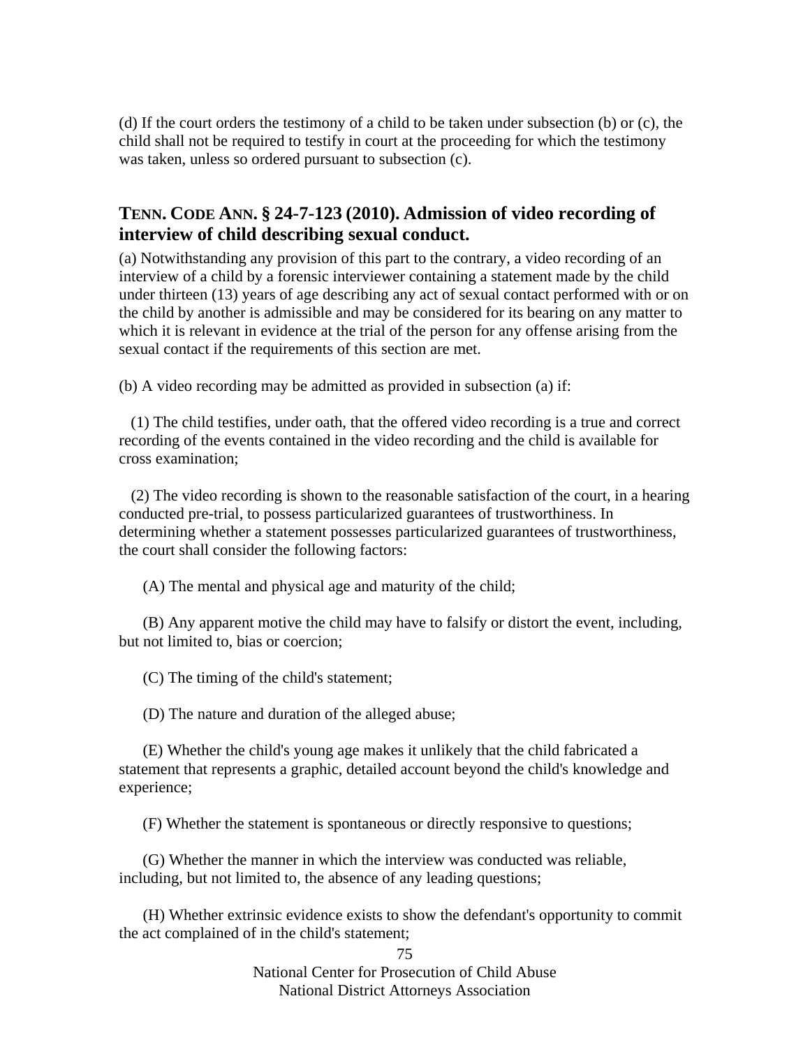(d) If the court orders the testimony of a child to be taken under subsection (b) or (c), the child shall not be required to testify in court at the proceeding for which the testimony was taken, unless so ordered pursuant to subsection (c).

#### **TENN. CODE ANN. § 24-7-123 (2010). Admission of video recording of interview of child describing sexual conduct.**

(a) Notwithstanding any provision of this part to the contrary, a video recording of an interview of a child by a forensic interviewer containing a statement made by the child under thirteen (13) years of age describing any act of sexual contact performed with or on the child by another is admissible and may be considered for its bearing on any matter to which it is relevant in evidence at the trial of the person for any offense arising from the sexual contact if the requirements of this section are met.

(b) A video recording may be admitted as provided in subsection (a) if:

 (1) The child testifies, under oath, that the offered video recording is a true and correct recording of the events contained in the video recording and the child is available for cross examination;

 (2) The video recording is shown to the reasonable satisfaction of the court, in a hearing conducted pre-trial, to possess particularized guarantees of trustworthiness. In determining whether a statement possesses particularized guarantees of trustworthiness, the court shall consider the following factors:

(A) The mental and physical age and maturity of the child;

 (B) Any apparent motive the child may have to falsify or distort the event, including, but not limited to, bias or coercion;

(C) The timing of the child's statement;

(D) The nature and duration of the alleged abuse;

 (E) Whether the child's young age makes it unlikely that the child fabricated a statement that represents a graphic, detailed account beyond the child's knowledge and experience;

(F) Whether the statement is spontaneous or directly responsive to questions;

 (G) Whether the manner in which the interview was conducted was reliable, including, but not limited to, the absence of any leading questions;

 (H) Whether extrinsic evidence exists to show the defendant's opportunity to commit the act complained of in the child's statement;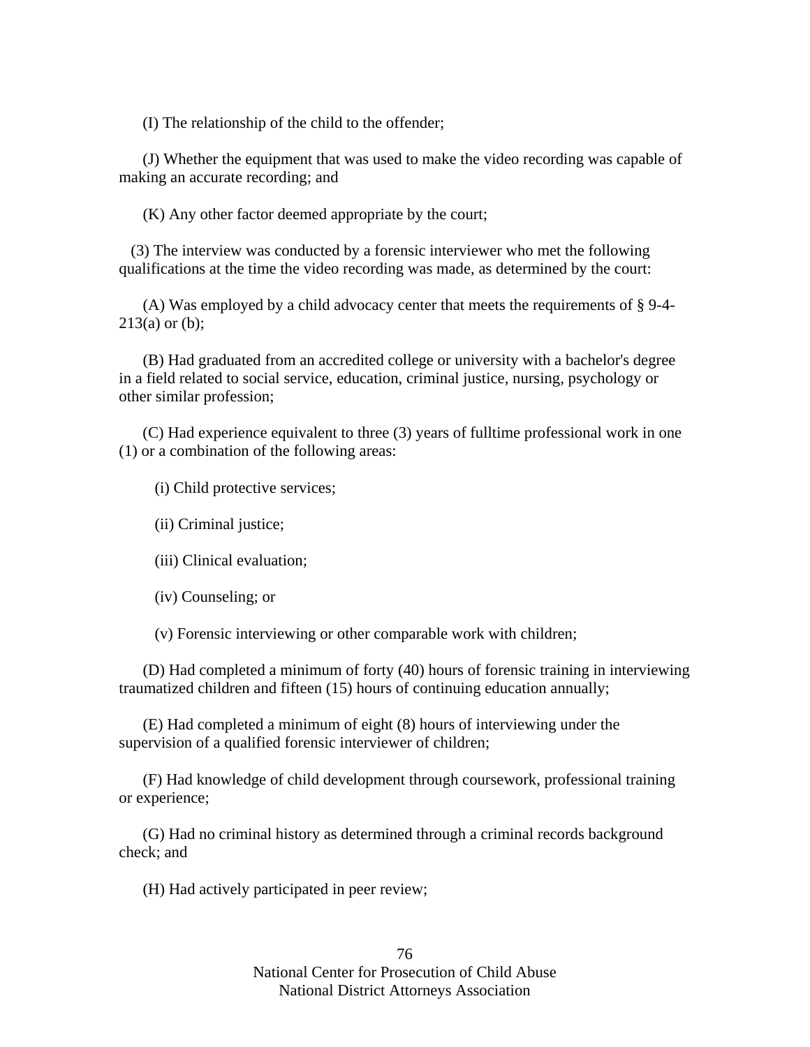(I) The relationship of the child to the offender;

 (J) Whether the equipment that was used to make the video recording was capable of making an accurate recording; and

(K) Any other factor deemed appropriate by the court;

 (3) The interview was conducted by a forensic interviewer who met the following qualifications at the time the video recording was made, as determined by the court:

 (A) Was employed by a child advocacy center that meets the requirements of § 9-4-  $213(a)$  or (b);

 (B) Had graduated from an accredited college or university with a bachelor's degree in a field related to social service, education, criminal justice, nursing, psychology or other similar profession;

 (C) Had experience equivalent to three (3) years of fulltime professional work in one (1) or a combination of the following areas:

(i) Child protective services;

(ii) Criminal justice;

(iii) Clinical evaluation;

(iv) Counseling; or

(v) Forensic interviewing or other comparable work with children;

 (D) Had completed a minimum of forty (40) hours of forensic training in interviewing traumatized children and fifteen (15) hours of continuing education annually;

 (E) Had completed a minimum of eight (8) hours of interviewing under the supervision of a qualified forensic interviewer of children;

 (F) Had knowledge of child development through coursework, professional training or experience;

 (G) Had no criminal history as determined through a criminal records background check; and

(H) Had actively participated in peer review;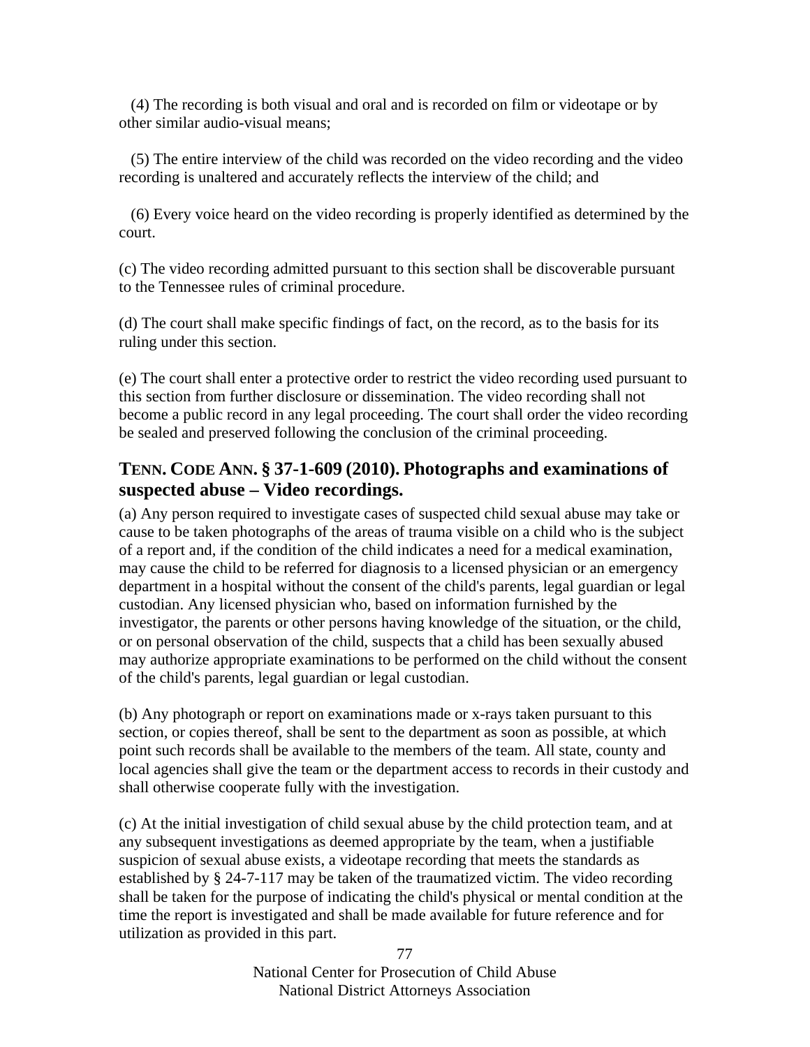(4) The recording is both visual and oral and is recorded on film or videotape or by other similar audio-visual means;

 (5) The entire interview of the child was recorded on the video recording and the video recording is unaltered and accurately reflects the interview of the child; and

 (6) Every voice heard on the video recording is properly identified as determined by the court.

(c) The video recording admitted pursuant to this section shall be discoverable pursuant to the Tennessee rules of criminal procedure.

(d) The court shall make specific findings of fact, on the record, as to the basis for its ruling under this section.

(e) The court shall enter a protective order to restrict the video recording used pursuant to this section from further disclosure or dissemination. The video recording shall not become a public record in any legal proceeding. The court shall order the video recording be sealed and preserved following the conclusion of the criminal proceeding.

### **TENN. CODE ANN. § 37-1-609 (2010). Photographs and examinations of suspected abuse – Video recordings.**

(a) Any person required to investigate cases of suspected child sexual abuse may take or cause to be taken photographs of the areas of trauma visible on a child who is the subject of a report and, if the condition of the child indicates a need for a medical examination, may cause the child to be referred for diagnosis to a licensed physician or an emergency department in a hospital without the consent of the child's parents, legal guardian or legal custodian. Any licensed physician who, based on information furnished by the investigator, the parents or other persons having knowledge of the situation, or the child, or on personal observation of the child, suspects that a child has been sexually abused may authorize appropriate examinations to be performed on the child without the consent of the child's parents, legal guardian or legal custodian.

(b) Any photograph or report on examinations made or x-rays taken pursuant to this section, or copies thereof, shall be sent to the department as soon as possible, at which point such records shall be available to the members of the team. All state, county and local agencies shall give the team or the department access to records in their custody and shall otherwise cooperate fully with the investigation.

(c) At the initial investigation of child sexual abuse by the child protection team, and at any subsequent investigations as deemed appropriate by the team, when a justifiable suspicion of sexual abuse exists, a videotape recording that meets the standards as established by § 24-7-117 may be taken of the traumatized victim. The video recording shall be taken for the purpose of indicating the child's physical or mental condition at the time the report is investigated and shall be made available for future reference and for utilization as provided in this part.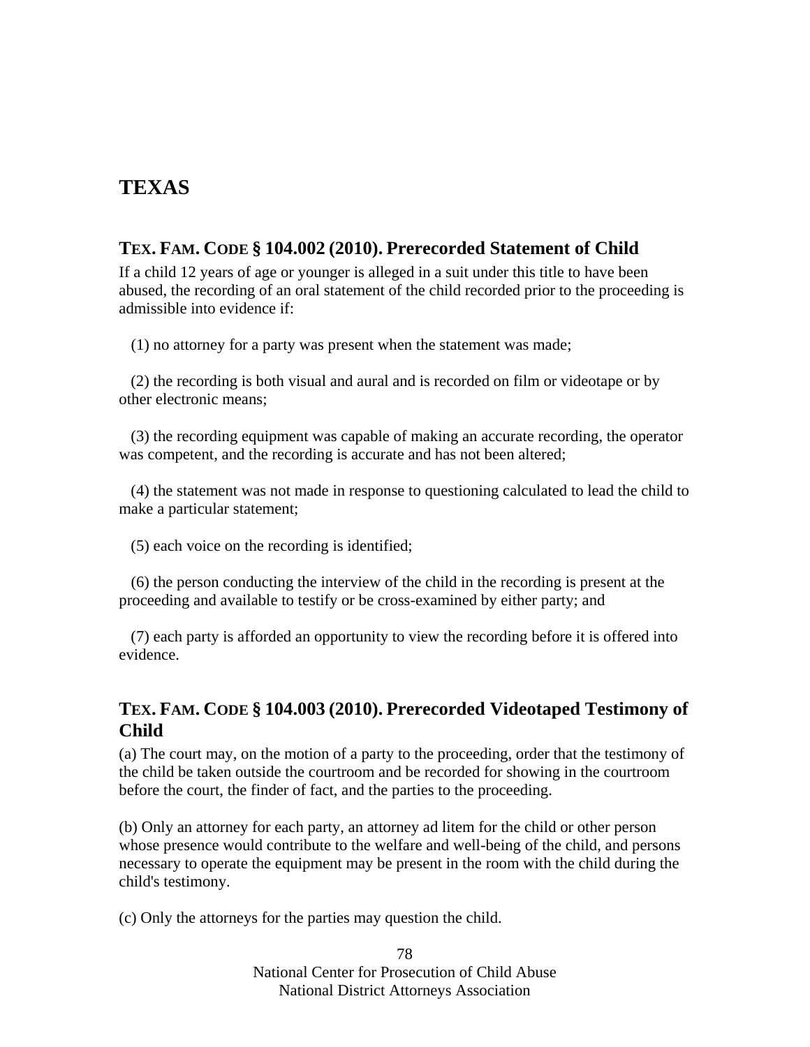# **TEXAS**

#### **TEX. FAM. CODE § 104.002 (2010). Prerecorded Statement of Child**

If a child 12 years of age or younger is alleged in a suit under this title to have been abused, the recording of an oral statement of the child recorded prior to the proceeding is admissible into evidence if:

(1) no attorney for a party was present when the statement was made;

 (2) the recording is both visual and aural and is recorded on film or videotape or by other electronic means;

 (3) the recording equipment was capable of making an accurate recording, the operator was competent, and the recording is accurate and has not been altered;

 (4) the statement was not made in response to questioning calculated to lead the child to make a particular statement;

(5) each voice on the recording is identified;

 (6) the person conducting the interview of the child in the recording is present at the proceeding and available to testify or be cross-examined by either party; and

 (7) each party is afforded an opportunity to view the recording before it is offered into evidence.

#### **TEX. FAM. CODE § 104.003 (2010). Prerecorded Videotaped Testimony of Child**

(a) The court may, on the motion of a party to the proceeding, order that the testimony of the child be taken outside the courtroom and be recorded for showing in the courtroom before the court, the finder of fact, and the parties to the proceeding.

(b) Only an attorney for each party, an attorney ad litem for the child or other person whose presence would contribute to the welfare and well-being of the child, and persons necessary to operate the equipment may be present in the room with the child during the child's testimony.

(c) Only the attorneys for the parties may question the child.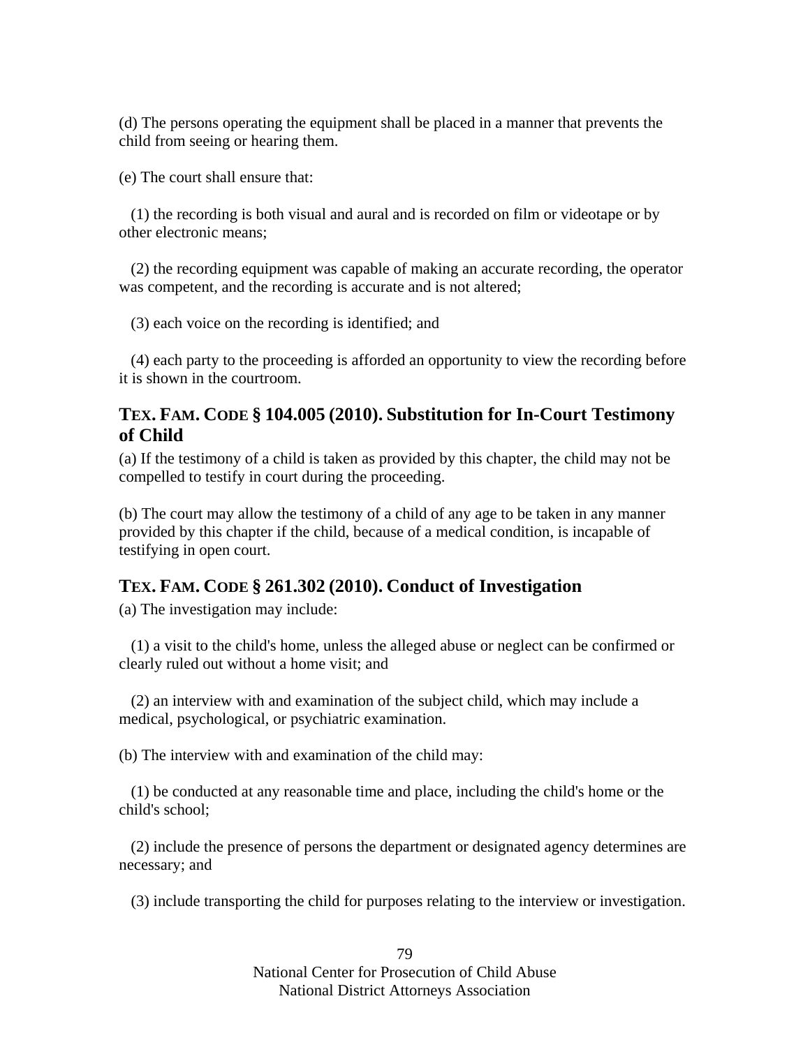(d) The persons operating the equipment shall be placed in a manner that prevents the child from seeing or hearing them.

(e) The court shall ensure that:

 (1) the recording is both visual and aural and is recorded on film or videotape or by other electronic means;

 (2) the recording equipment was capable of making an accurate recording, the operator was competent, and the recording is accurate and is not altered;

(3) each voice on the recording is identified; and

 (4) each party to the proceeding is afforded an opportunity to view the recording before it is shown in the courtroom.

#### **TEX. FAM. CODE § 104.005 (2010). Substitution for In-Court Testimony of Child**

(a) If the testimony of a child is taken as provided by this chapter, the child may not be compelled to testify in court during the proceeding.

(b) The court may allow the testimony of a child of any age to be taken in any manner provided by this chapter if the child, because of a medical condition, is incapable of testifying in open court.

#### **TEX. FAM. CODE § 261.302 (2010). Conduct of Investigation**

(a) The investigation may include:

 (1) a visit to the child's home, unless the alleged abuse or neglect can be confirmed or clearly ruled out without a home visit; and

 (2) an interview with and examination of the subject child, which may include a medical, psychological, or psychiatric examination.

(b) The interview with and examination of the child may:

 (1) be conducted at any reasonable time and place, including the child's home or the child's school;

 (2) include the presence of persons the department or designated agency determines are necessary; and

(3) include transporting the child for purposes relating to the interview or investigation.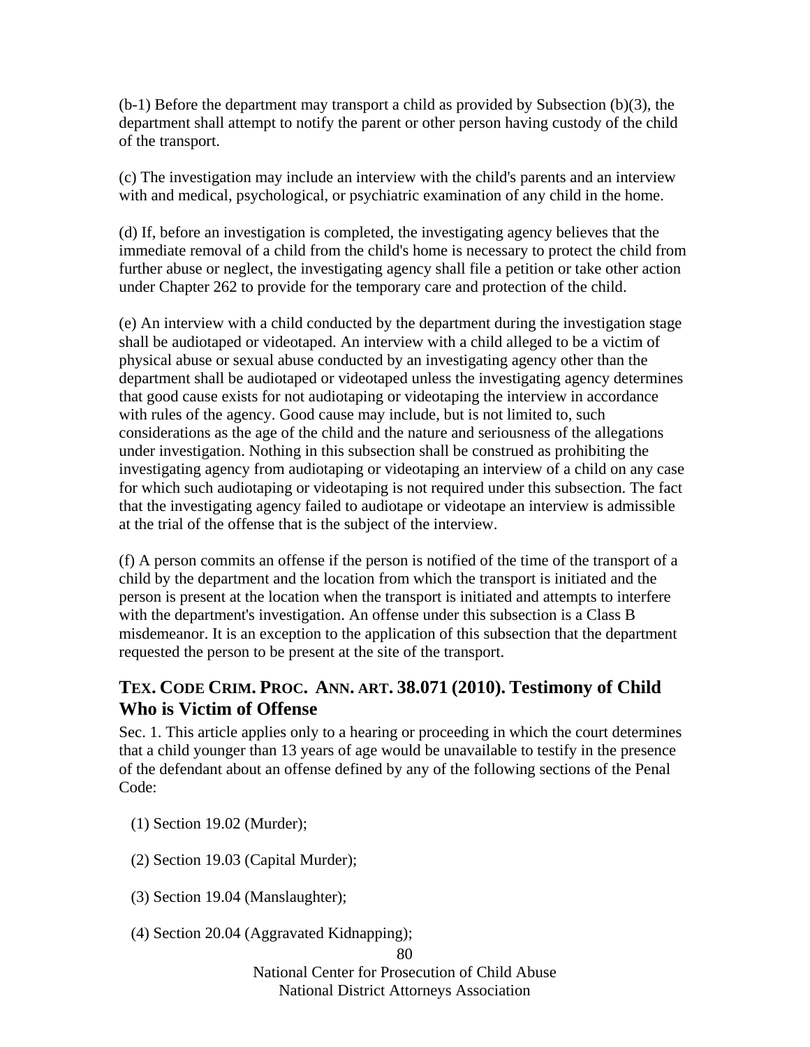(b-1) Before the department may transport a child as provided by Subsection (b)(3), the department shall attempt to notify the parent or other person having custody of the child of the transport.

(c) The investigation may include an interview with the child's parents and an interview with and medical, psychological, or psychiatric examination of any child in the home.

(d) If, before an investigation is completed, the investigating agency believes that the immediate removal of a child from the child's home is necessary to protect the child from further abuse or neglect, the investigating agency shall file a petition or take other action under Chapter 262 to provide for the temporary care and protection of the child.

(e) An interview with a child conducted by the department during the investigation stage shall be audiotaped or videotaped. An interview with a child alleged to be a victim of physical abuse or sexual abuse conducted by an investigating agency other than the department shall be audiotaped or videotaped unless the investigating agency determines that good cause exists for not audiotaping or videotaping the interview in accordance with rules of the agency. Good cause may include, but is not limited to, such considerations as the age of the child and the nature and seriousness of the allegations under investigation. Nothing in this subsection shall be construed as prohibiting the investigating agency from audiotaping or videotaping an interview of a child on any case for which such audiotaping or videotaping is not required under this subsection. The fact that the investigating agency failed to audiotape or videotape an interview is admissible at the trial of the offense that is the subject of the interview.

(f) A person commits an offense if the person is notified of the time of the transport of a child by the department and the location from which the transport is initiated and the person is present at the location when the transport is initiated and attempts to interfere with the department's investigation. An offense under this subsection is a Class B misdemeanor. It is an exception to the application of this subsection that the department requested the person to be present at the site of the transport.

### **TEX. CODE CRIM. PROC. ANN. ART. 38.071 (2010). Testimony of Child Who is Victim of Offense**

Sec. 1. This article applies only to a hearing or proceeding in which the court determines that a child younger than 13 years of age would be unavailable to testify in the presence of the defendant about an offense defined by any of the following sections of the Penal Code:

- (1) Section 19.02 (Murder);
- (2) Section 19.03 (Capital Murder);
- (3) Section 19.04 (Manslaughter);
- (4) Section 20.04 (Aggravated Kidnapping);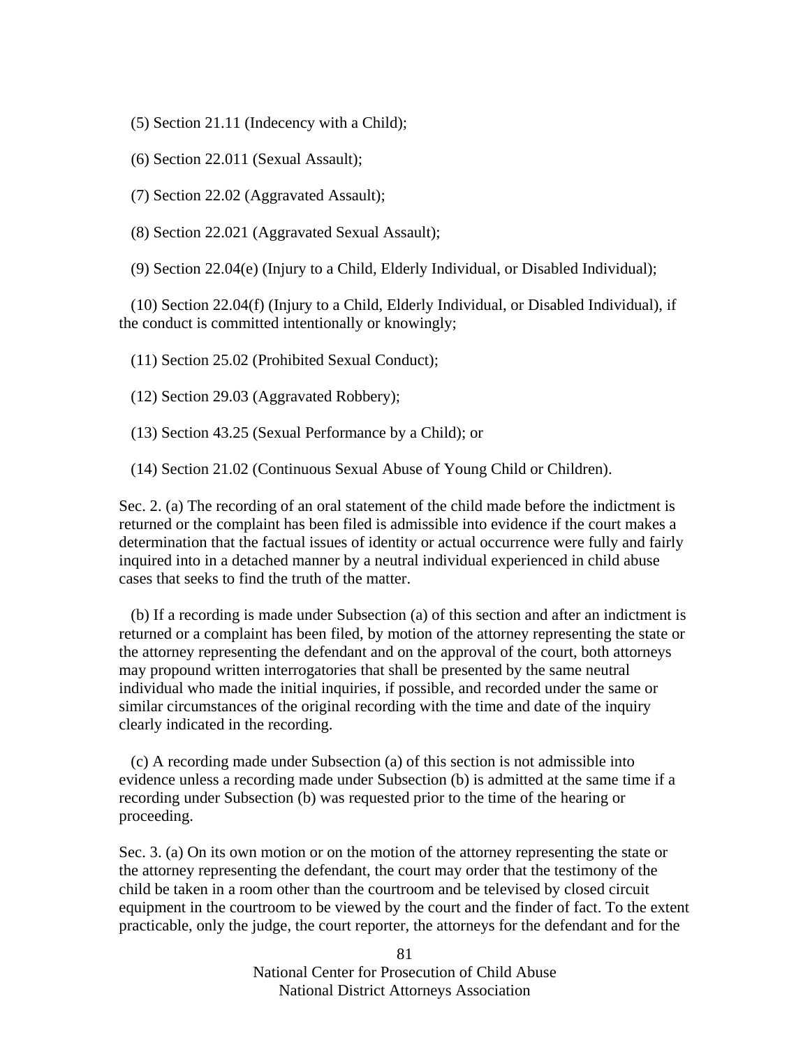(5) Section 21.11 (Indecency with a Child);

(6) Section 22.011 (Sexual Assault);

(7) Section 22.02 (Aggravated Assault);

(8) Section 22.021 (Aggravated Sexual Assault);

(9) Section 22.04(e) (Injury to a Child, Elderly Individual, or Disabled Individual);

 (10) Section 22.04(f) (Injury to a Child, Elderly Individual, or Disabled Individual), if the conduct is committed intentionally or knowingly;

(11) Section 25.02 (Prohibited Sexual Conduct);

(12) Section 29.03 (Aggravated Robbery);

(13) Section 43.25 (Sexual Performance by a Child); or

(14) Section 21.02 (Continuous Sexual Abuse of Young Child or Children).

Sec. 2. (a) The recording of an oral statement of the child made before the indictment is returned or the complaint has been filed is admissible into evidence if the court makes a determination that the factual issues of identity or actual occurrence were fully and fairly inquired into in a detached manner by a neutral individual experienced in child abuse cases that seeks to find the truth of the matter.

 (b) If a recording is made under Subsection (a) of this section and after an indictment is returned or a complaint has been filed, by motion of the attorney representing the state or the attorney representing the defendant and on the approval of the court, both attorneys may propound written interrogatories that shall be presented by the same neutral individual who made the initial inquiries, if possible, and recorded under the same or similar circumstances of the original recording with the time and date of the inquiry clearly indicated in the recording.

 (c) A recording made under Subsection (a) of this section is not admissible into evidence unless a recording made under Subsection (b) is admitted at the same time if a recording under Subsection (b) was requested prior to the time of the hearing or proceeding.

Sec. 3. (a) On its own motion or on the motion of the attorney representing the state or the attorney representing the defendant, the court may order that the testimony of the child be taken in a room other than the courtroom and be televised by closed circuit equipment in the courtroom to be viewed by the court and the finder of fact. To the extent practicable, only the judge, the court reporter, the attorneys for the defendant and for the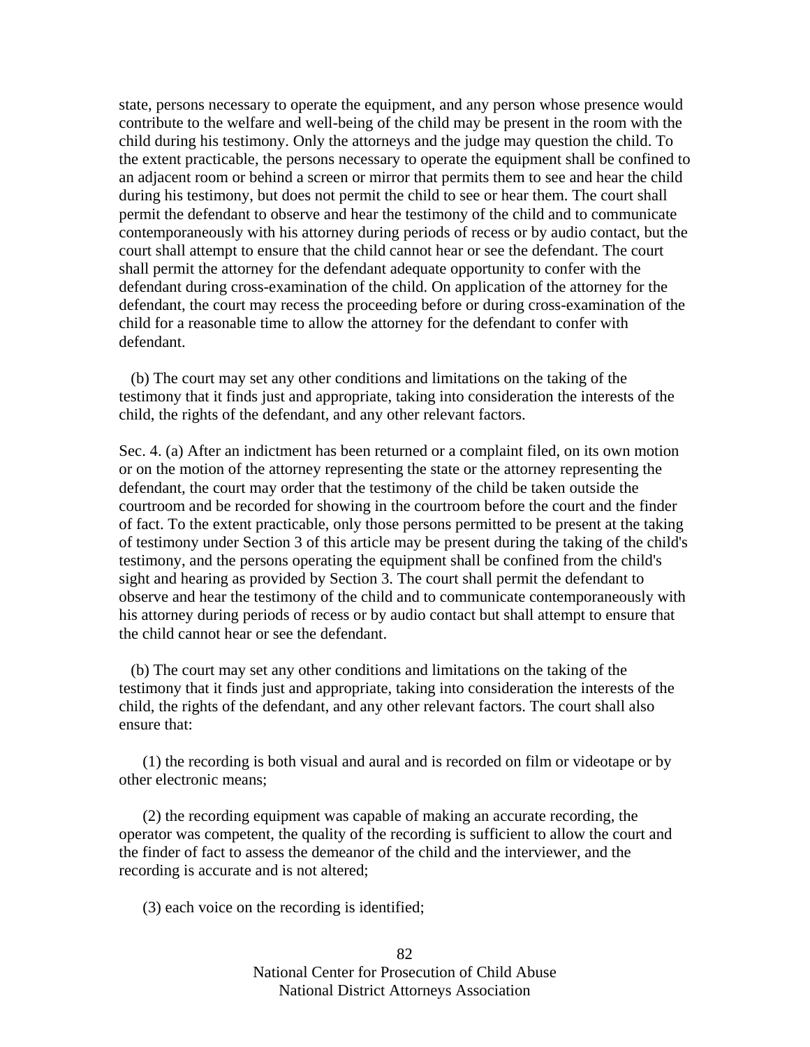state, persons necessary to operate the equipment, and any person whose presence would contribute to the welfare and well-being of the child may be present in the room with the child during his testimony. Only the attorneys and the judge may question the child. To the extent practicable, the persons necessary to operate the equipment shall be confined to an adjacent room or behind a screen or mirror that permits them to see and hear the child during his testimony, but does not permit the child to see or hear them. The court shall permit the defendant to observe and hear the testimony of the child and to communicate contemporaneously with his attorney during periods of recess or by audio contact, but the court shall attempt to ensure that the child cannot hear or see the defendant. The court shall permit the attorney for the defendant adequate opportunity to confer with the defendant during cross-examination of the child. On application of the attorney for the defendant, the court may recess the proceeding before or during cross-examination of the child for a reasonable time to allow the attorney for the defendant to confer with defendant.

 (b) The court may set any other conditions and limitations on the taking of the testimony that it finds just and appropriate, taking into consideration the interests of the child, the rights of the defendant, and any other relevant factors.

Sec. 4. (a) After an indictment has been returned or a complaint filed, on its own motion or on the motion of the attorney representing the state or the attorney representing the defendant, the court may order that the testimony of the child be taken outside the courtroom and be recorded for showing in the courtroom before the court and the finder of fact. To the extent practicable, only those persons permitted to be present at the taking of testimony under Section 3 of this article may be present during the taking of the child's testimony, and the persons operating the equipment shall be confined from the child's sight and hearing as provided by Section 3. The court shall permit the defendant to observe and hear the testimony of the child and to communicate contemporaneously with his attorney during periods of recess or by audio contact but shall attempt to ensure that the child cannot hear or see the defendant.

 (b) The court may set any other conditions and limitations on the taking of the testimony that it finds just and appropriate, taking into consideration the interests of the child, the rights of the defendant, and any other relevant factors. The court shall also ensure that:

 (1) the recording is both visual and aural and is recorded on film or videotape or by other electronic means;

 (2) the recording equipment was capable of making an accurate recording, the operator was competent, the quality of the recording is sufficient to allow the court and the finder of fact to assess the demeanor of the child and the interviewer, and the recording is accurate and is not altered;

(3) each voice on the recording is identified;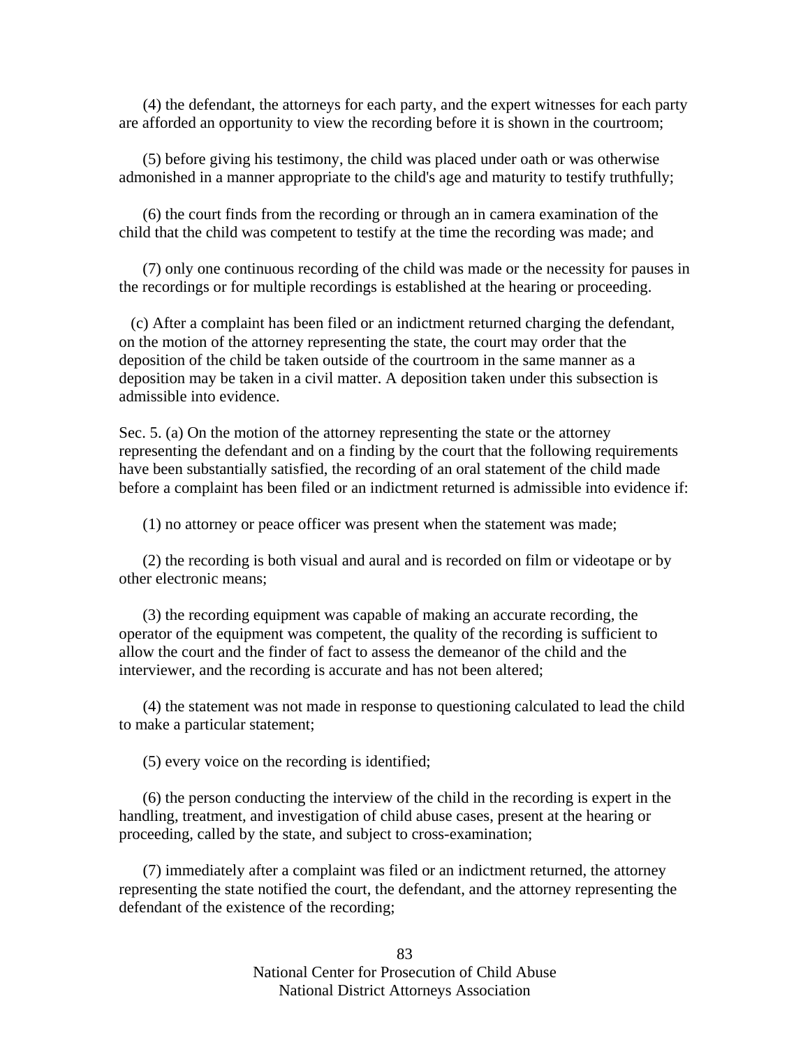(4) the defendant, the attorneys for each party, and the expert witnesses for each party are afforded an opportunity to view the recording before it is shown in the courtroom;

 (5) before giving his testimony, the child was placed under oath or was otherwise admonished in a manner appropriate to the child's age and maturity to testify truthfully;

 (6) the court finds from the recording or through an in camera examination of the child that the child was competent to testify at the time the recording was made; and

 (7) only one continuous recording of the child was made or the necessity for pauses in the recordings or for multiple recordings is established at the hearing or proceeding.

 (c) After a complaint has been filed or an indictment returned charging the defendant, on the motion of the attorney representing the state, the court may order that the deposition of the child be taken outside of the courtroom in the same manner as a deposition may be taken in a civil matter. A deposition taken under this subsection is admissible into evidence.

Sec. 5. (a) On the motion of the attorney representing the state or the attorney representing the defendant and on a finding by the court that the following requirements have been substantially satisfied, the recording of an oral statement of the child made before a complaint has been filed or an indictment returned is admissible into evidence if:

(1) no attorney or peace officer was present when the statement was made;

 (2) the recording is both visual and aural and is recorded on film or videotape or by other electronic means;

 (3) the recording equipment was capable of making an accurate recording, the operator of the equipment was competent, the quality of the recording is sufficient to allow the court and the finder of fact to assess the demeanor of the child and the interviewer, and the recording is accurate and has not been altered;

 (4) the statement was not made in response to questioning calculated to lead the child to make a particular statement;

(5) every voice on the recording is identified;

 (6) the person conducting the interview of the child in the recording is expert in the handling, treatment, and investigation of child abuse cases, present at the hearing or proceeding, called by the state, and subject to cross-examination;

 (7) immediately after a complaint was filed or an indictment returned, the attorney representing the state notified the court, the defendant, and the attorney representing the defendant of the existence of the recording;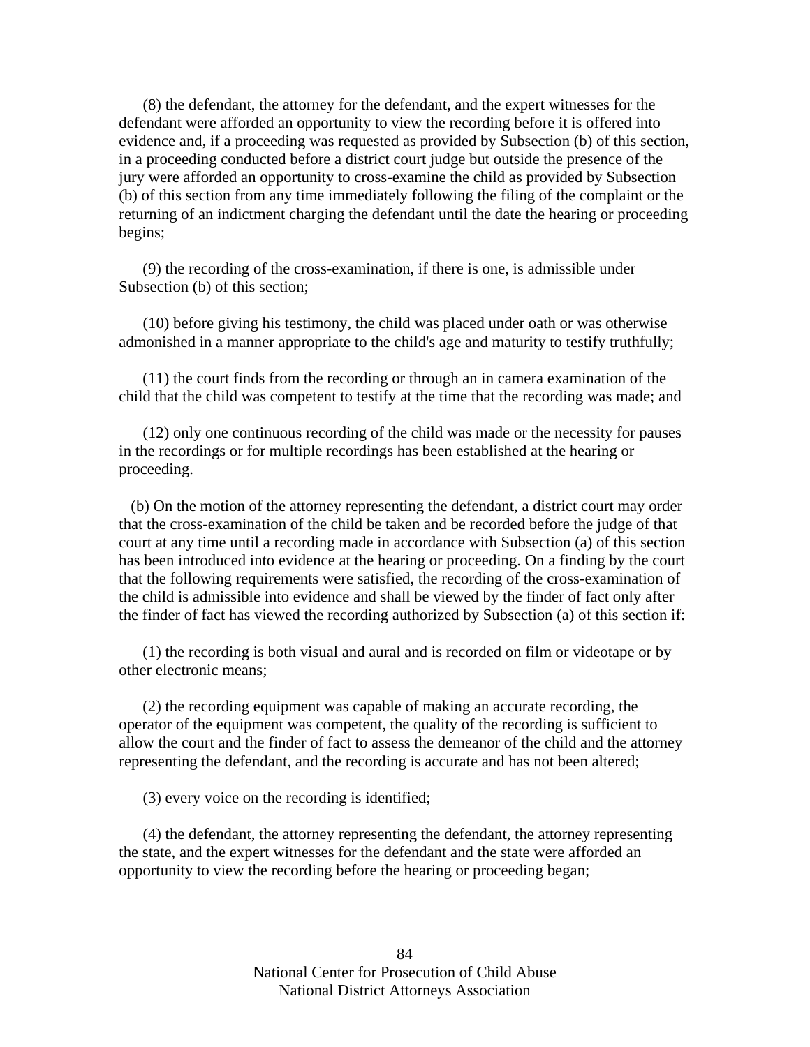(8) the defendant, the attorney for the defendant, and the expert witnesses for the defendant were afforded an opportunity to view the recording before it is offered into evidence and, if a proceeding was requested as provided by Subsection (b) of this section, in a proceeding conducted before a district court judge but outside the presence of the jury were afforded an opportunity to cross-examine the child as provided by Subsection (b) of this section from any time immediately following the filing of the complaint or the returning of an indictment charging the defendant until the date the hearing or proceeding begins;

 (9) the recording of the cross-examination, if there is one, is admissible under Subsection (b) of this section;

 (10) before giving his testimony, the child was placed under oath or was otherwise admonished in a manner appropriate to the child's age and maturity to testify truthfully;

 (11) the court finds from the recording or through an in camera examination of the child that the child was competent to testify at the time that the recording was made; and

 (12) only one continuous recording of the child was made or the necessity for pauses in the recordings or for multiple recordings has been established at the hearing or proceeding.

 (b) On the motion of the attorney representing the defendant, a district court may order that the cross-examination of the child be taken and be recorded before the judge of that court at any time until a recording made in accordance with Subsection (a) of this section has been introduced into evidence at the hearing or proceeding. On a finding by the court that the following requirements were satisfied, the recording of the cross-examination of the child is admissible into evidence and shall be viewed by the finder of fact only after the finder of fact has viewed the recording authorized by Subsection (a) of this section if:

 (1) the recording is both visual and aural and is recorded on film or videotape or by other electronic means;

 (2) the recording equipment was capable of making an accurate recording, the operator of the equipment was competent, the quality of the recording is sufficient to allow the court and the finder of fact to assess the demeanor of the child and the attorney representing the defendant, and the recording is accurate and has not been altered;

(3) every voice on the recording is identified;

 (4) the defendant, the attorney representing the defendant, the attorney representing the state, and the expert witnesses for the defendant and the state were afforded an opportunity to view the recording before the hearing or proceeding began;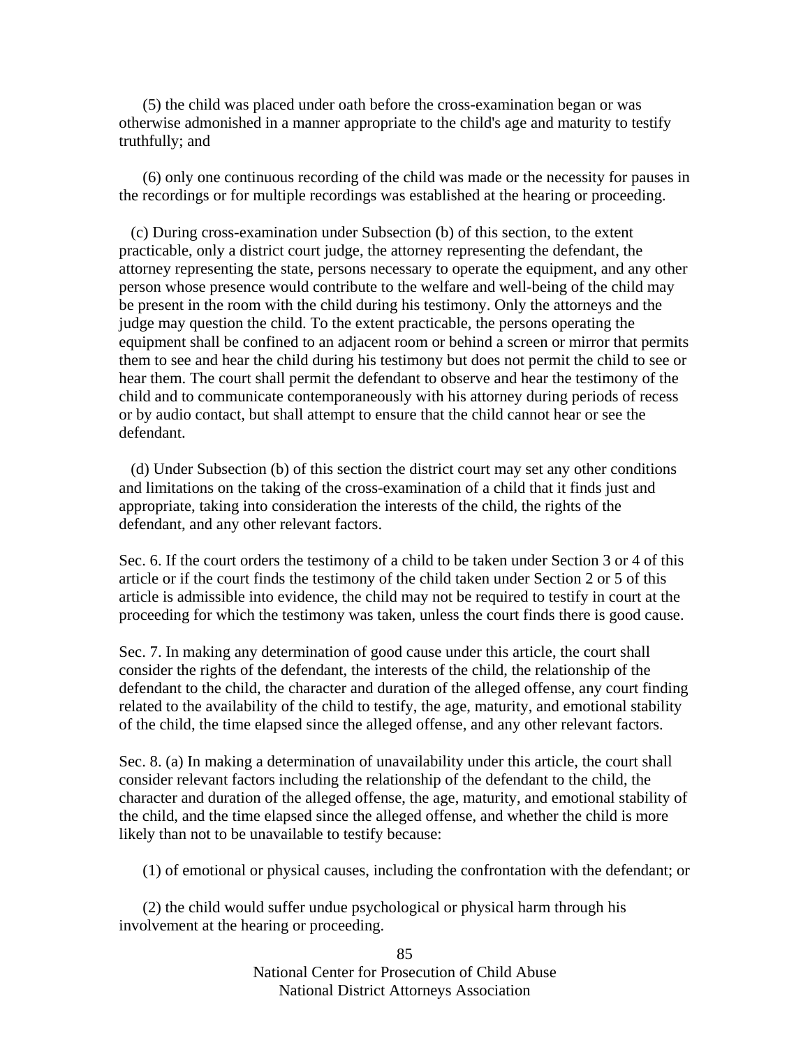(5) the child was placed under oath before the cross-examination began or was otherwise admonished in a manner appropriate to the child's age and maturity to testify truthfully; and

 (6) only one continuous recording of the child was made or the necessity for pauses in the recordings or for multiple recordings was established at the hearing or proceeding.

 (c) During cross-examination under Subsection (b) of this section, to the extent practicable, only a district court judge, the attorney representing the defendant, the attorney representing the state, persons necessary to operate the equipment, and any other person whose presence would contribute to the welfare and well-being of the child may be present in the room with the child during his testimony. Only the attorneys and the judge may question the child. To the extent practicable, the persons operating the equipment shall be confined to an adjacent room or behind a screen or mirror that permits them to see and hear the child during his testimony but does not permit the child to see or hear them. The court shall permit the defendant to observe and hear the testimony of the child and to communicate contemporaneously with his attorney during periods of recess or by audio contact, but shall attempt to ensure that the child cannot hear or see the defendant.

 (d) Under Subsection (b) of this section the district court may set any other conditions and limitations on the taking of the cross-examination of a child that it finds just and appropriate, taking into consideration the interests of the child, the rights of the defendant, and any other relevant factors.

Sec. 6. If the court orders the testimony of a child to be taken under Section 3 or 4 of this article or if the court finds the testimony of the child taken under Section 2 or 5 of this article is admissible into evidence, the child may not be required to testify in court at the proceeding for which the testimony was taken, unless the court finds there is good cause.

Sec. 7. In making any determination of good cause under this article, the court shall consider the rights of the defendant, the interests of the child, the relationship of the defendant to the child, the character and duration of the alleged offense, any court finding related to the availability of the child to testify, the age, maturity, and emotional stability of the child, the time elapsed since the alleged offense, and any other relevant factors.

Sec. 8. (a) In making a determination of unavailability under this article, the court shall consider relevant factors including the relationship of the defendant to the child, the character and duration of the alleged offense, the age, maturity, and emotional stability of the child, and the time elapsed since the alleged offense, and whether the child is more likely than not to be unavailable to testify because:

(1) of emotional or physical causes, including the confrontation with the defendant; or

 (2) the child would suffer undue psychological or physical harm through his involvement at the hearing or proceeding.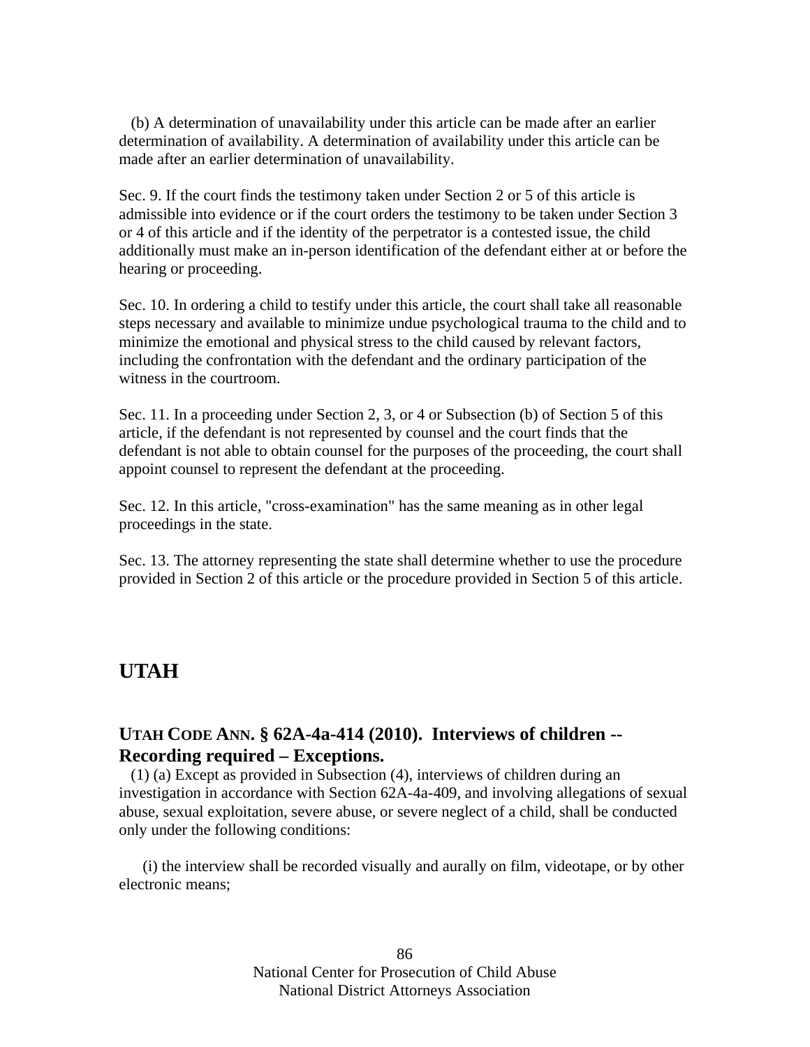(b) A determination of unavailability under this article can be made after an earlier determination of availability. A determination of availability under this article can be made after an earlier determination of unavailability.

Sec. 9. If the court finds the testimony taken under Section 2 or 5 of this article is admissible into evidence or if the court orders the testimony to be taken under Section 3 or 4 of this article and if the identity of the perpetrator is a contested issue, the child additionally must make an in-person identification of the defendant either at or before the hearing or proceeding.

Sec. 10. In ordering a child to testify under this article, the court shall take all reasonable steps necessary and available to minimize undue psychological trauma to the child and to minimize the emotional and physical stress to the child caused by relevant factors, including the confrontation with the defendant and the ordinary participation of the witness in the courtroom.

Sec. 11. In a proceeding under Section 2, 3, or 4 or Subsection (b) of Section 5 of this article, if the defendant is not represented by counsel and the court finds that the defendant is not able to obtain counsel for the purposes of the proceeding, the court shall appoint counsel to represent the defendant at the proceeding.

Sec. 12. In this article, "cross-examination" has the same meaning as in other legal proceedings in the state.

Sec. 13. The attorney representing the state shall determine whether to use the procedure provided in Section 2 of this article or the procedure provided in Section 5 of this article.

# **UTAH**

#### **UTAH CODE ANN. § 62A-4a-414 (2010). Interviews of children -- Recording required – Exceptions.**

 (1) (a) Except as provided in Subsection (4), interviews of children during an investigation in accordance with Section 62A-4a-409, and involving allegations of sexual abuse, sexual exploitation, severe abuse, or severe neglect of a child, shall be conducted only under the following conditions:

 (i) the interview shall be recorded visually and aurally on film, videotape, or by other electronic means;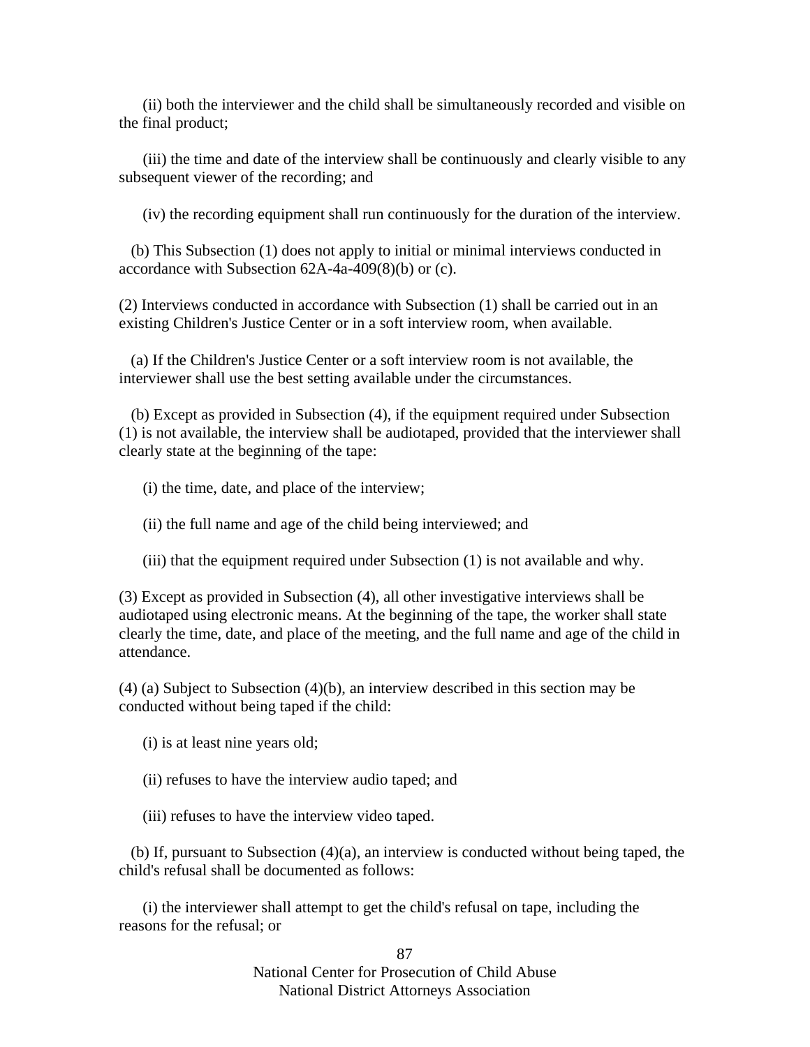(ii) both the interviewer and the child shall be simultaneously recorded and visible on the final product;

 (iii) the time and date of the interview shall be continuously and clearly visible to any subsequent viewer of the recording; and

(iv) the recording equipment shall run continuously for the duration of the interview.

 (b) This Subsection (1) does not apply to initial or minimal interviews conducted in accordance with Subsection 62A-4a-409(8)(b) or (c).

(2) Interviews conducted in accordance with Subsection (1) shall be carried out in an existing Children's Justice Center or in a soft interview room, when available.

 (a) If the Children's Justice Center or a soft interview room is not available, the interviewer shall use the best setting available under the circumstances.

 (b) Except as provided in Subsection (4), if the equipment required under Subsection (1) is not available, the interview shall be audiotaped, provided that the interviewer shall clearly state at the beginning of the tape:

(i) the time, date, and place of the interview;

(ii) the full name and age of the child being interviewed; and

(iii) that the equipment required under Subsection (1) is not available and why.

(3) Except as provided in Subsection (4), all other investigative interviews shall be audiotaped using electronic means. At the beginning of the tape, the worker shall state clearly the time, date, and place of the meeting, and the full name and age of the child in attendance.

(4) (a) Subject to Subsection (4)(b), an interview described in this section may be conducted without being taped if the child:

(i) is at least nine years old;

(ii) refuses to have the interview audio taped; and

(iii) refuses to have the interview video taped.

 (b) If, pursuant to Subsection (4)(a), an interview is conducted without being taped, the child's refusal shall be documented as follows:

 (i) the interviewer shall attempt to get the child's refusal on tape, including the reasons for the refusal; or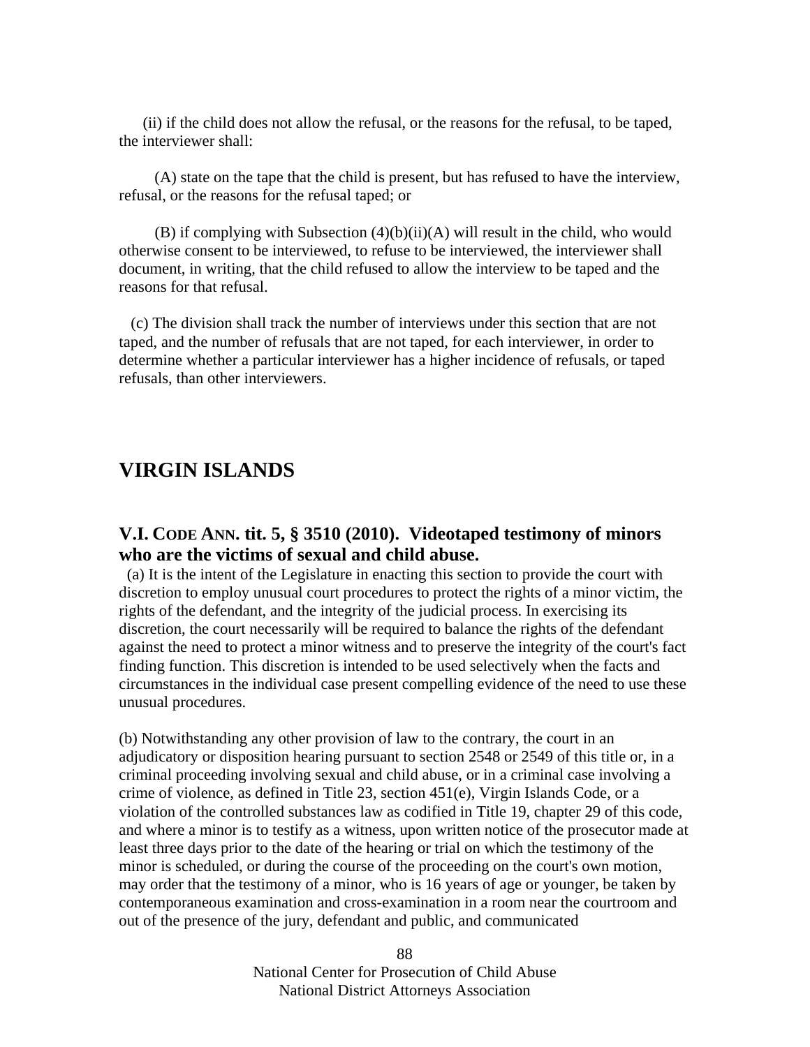(ii) if the child does not allow the refusal, or the reasons for the refusal, to be taped, the interviewer shall:

 (A) state on the tape that the child is present, but has refused to have the interview, refusal, or the reasons for the refusal taped; or

 (B) if complying with Subsection (4)(b)(ii)(A) will result in the child, who would otherwise consent to be interviewed, to refuse to be interviewed, the interviewer shall document, in writing, that the child refused to allow the interview to be taped and the reasons for that refusal.

 (c) The division shall track the number of interviews under this section that are not taped, and the number of refusals that are not taped, for each interviewer, in order to determine whether a particular interviewer has a higher incidence of refusals, or taped refusals, than other interviewers.

#### **VIRGIN ISLANDS**

### **V.I. CODE ANN. tit. 5, § 3510 (2010). Videotaped testimony of minors who are the victims of sexual and child abuse.**

 (a) It is the intent of the Legislature in enacting this section to provide the court with discretion to employ unusual court procedures to protect the rights of a minor victim, the rights of the defendant, and the integrity of the judicial process. In exercising its discretion, the court necessarily will be required to balance the rights of the defendant against the need to protect a minor witness and to preserve the integrity of the court's fact finding function. This discretion is intended to be used selectively when the facts and circumstances in the individual case present compelling evidence of the need to use these unusual procedures.

(b) Notwithstanding any other provision of law to the contrary, the court in an adjudicatory or disposition hearing pursuant to section 2548 or 2549 of this title or, in a criminal proceeding involving sexual and child abuse, or in a criminal case involving a crime of violence, as defined in Title 23, section 451(e), Virgin Islands Code, or a violation of the controlled substances law as codified in Title 19, chapter 29 of this code, and where a minor is to testify as a witness, upon written notice of the prosecutor made at least three days prior to the date of the hearing or trial on which the testimony of the minor is scheduled, or during the course of the proceeding on the court's own motion, may order that the testimony of a minor, who is 16 years of age or younger, be taken by contemporaneous examination and cross-examination in a room near the courtroom and out of the presence of the jury, defendant and public, and communicated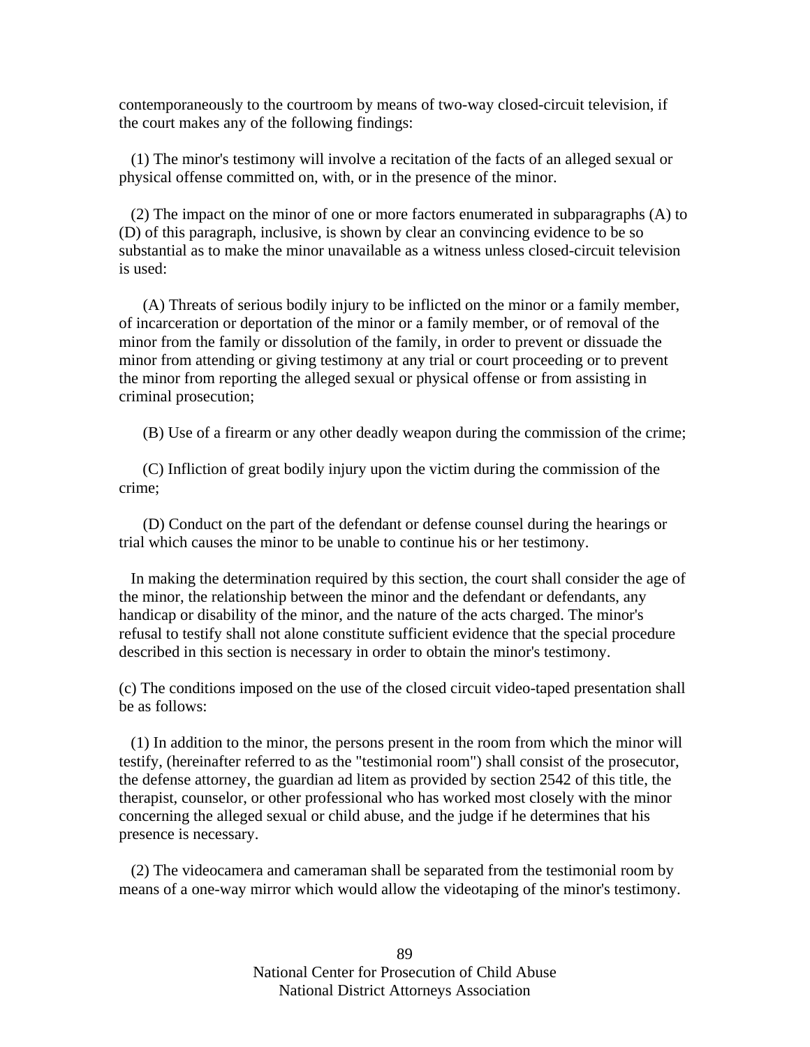contemporaneously to the courtroom by means of two-way closed-circuit television, if the court makes any of the following findings:

 (1) The minor's testimony will involve a recitation of the facts of an alleged sexual or physical offense committed on, with, or in the presence of the minor.

 (2) The impact on the minor of one or more factors enumerated in subparagraphs (A) to (D) of this paragraph, inclusive, is shown by clear an convincing evidence to be so substantial as to make the minor unavailable as a witness unless closed-circuit television is used:

 (A) Threats of serious bodily injury to be inflicted on the minor or a family member, of incarceration or deportation of the minor or a family member, or of removal of the minor from the family or dissolution of the family, in order to prevent or dissuade the minor from attending or giving testimony at any trial or court proceeding or to prevent the minor from reporting the alleged sexual or physical offense or from assisting in criminal prosecution;

(B) Use of a firearm or any other deadly weapon during the commission of the crime;

 (C) Infliction of great bodily injury upon the victim during the commission of the crime;

 (D) Conduct on the part of the defendant or defense counsel during the hearings or trial which causes the minor to be unable to continue his or her testimony.

 In making the determination required by this section, the court shall consider the age of the minor, the relationship between the minor and the defendant or defendants, any handicap or disability of the minor, and the nature of the acts charged. The minor's refusal to testify shall not alone constitute sufficient evidence that the special procedure described in this section is necessary in order to obtain the minor's testimony.

(c) The conditions imposed on the use of the closed circuit video-taped presentation shall be as follows:

 (1) In addition to the minor, the persons present in the room from which the minor will testify, (hereinafter referred to as the "testimonial room") shall consist of the prosecutor, the defense attorney, the guardian ad litem as provided by section 2542 of this title, the therapist, counselor, or other professional who has worked most closely with the minor concerning the alleged sexual or child abuse, and the judge if he determines that his presence is necessary.

 (2) The videocamera and cameraman shall be separated from the testimonial room by means of a one-way mirror which would allow the videotaping of the minor's testimony.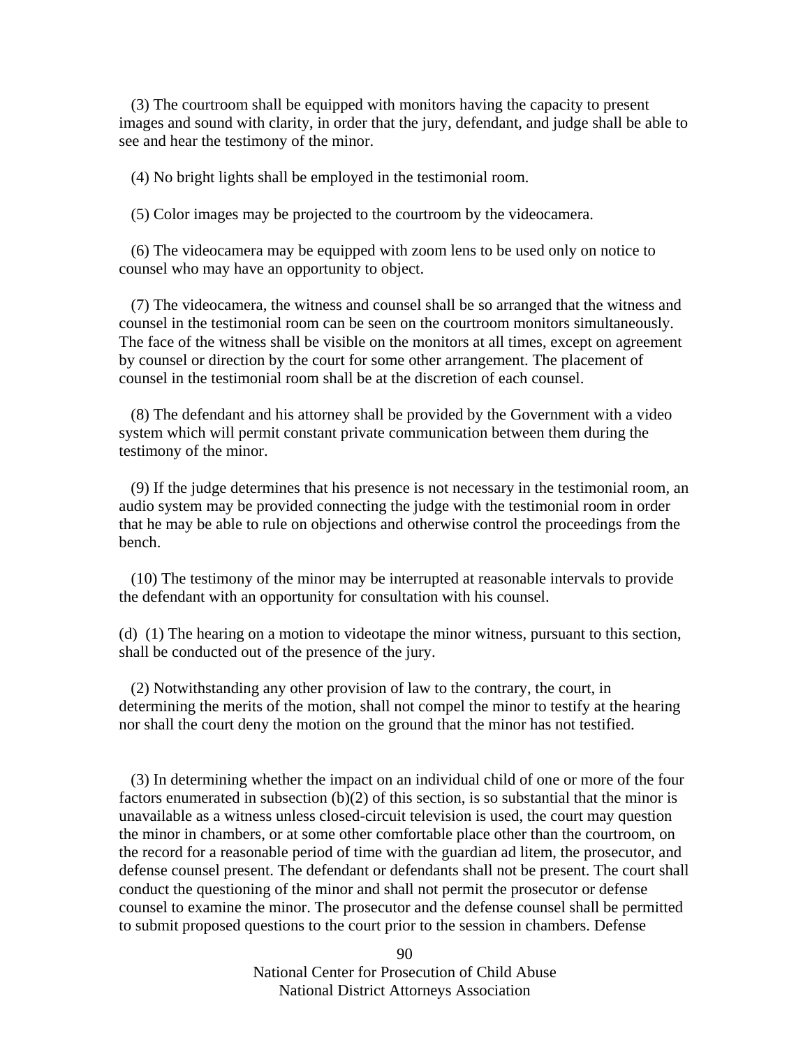(3) The courtroom shall be equipped with monitors having the capacity to present images and sound with clarity, in order that the jury, defendant, and judge shall be able to see and hear the testimony of the minor.

(4) No bright lights shall be employed in the testimonial room.

(5) Color images may be projected to the courtroom by the videocamera.

 (6) The videocamera may be equipped with zoom lens to be used only on notice to counsel who may have an opportunity to object.

 (7) The videocamera, the witness and counsel shall be so arranged that the witness and counsel in the testimonial room can be seen on the courtroom monitors simultaneously. The face of the witness shall be visible on the monitors at all times, except on agreement by counsel or direction by the court for some other arrangement. The placement of counsel in the testimonial room shall be at the discretion of each counsel.

 (8) The defendant and his attorney shall be provided by the Government with a video system which will permit constant private communication between them during the testimony of the minor.

 (9) If the judge determines that his presence is not necessary in the testimonial room, an audio system may be provided connecting the judge with the testimonial room in order that he may be able to rule on objections and otherwise control the proceedings from the bench.

 (10) The testimony of the minor may be interrupted at reasonable intervals to provide the defendant with an opportunity for consultation with his counsel.

(d) (1) The hearing on a motion to videotape the minor witness, pursuant to this section, shall be conducted out of the presence of the jury.

 (2) Notwithstanding any other provision of law to the contrary, the court, in determining the merits of the motion, shall not compel the minor to testify at the hearing nor shall the court deny the motion on the ground that the minor has not testified.

 (3) In determining whether the impact on an individual child of one or more of the four factors enumerated in subsection  $(b)(2)$  of this section, is so substantial that the minor is unavailable as a witness unless closed-circuit television is used, the court may question the minor in chambers, or at some other comfortable place other than the courtroom, on the record for a reasonable period of time with the guardian ad litem, the prosecutor, and defense counsel present. The defendant or defendants shall not be present. The court shall conduct the questioning of the minor and shall not permit the prosecutor or defense counsel to examine the minor. The prosecutor and the defense counsel shall be permitted to submit proposed questions to the court prior to the session in chambers. Defense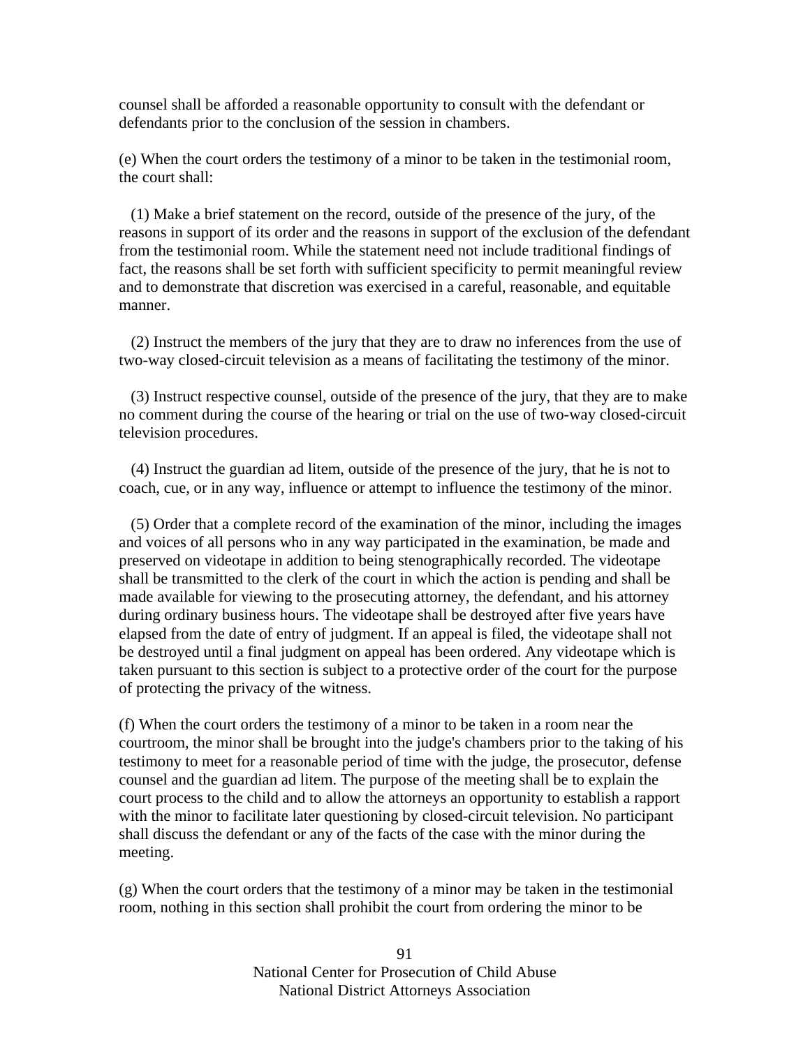counsel shall be afforded a reasonable opportunity to consult with the defendant or defendants prior to the conclusion of the session in chambers.

(e) When the court orders the testimony of a minor to be taken in the testimonial room, the court shall:

 (1) Make a brief statement on the record, outside of the presence of the jury, of the reasons in support of its order and the reasons in support of the exclusion of the defendant from the testimonial room. While the statement need not include traditional findings of fact, the reasons shall be set forth with sufficient specificity to permit meaningful review and to demonstrate that discretion was exercised in a careful, reasonable, and equitable manner.

 (2) Instruct the members of the jury that they are to draw no inferences from the use of two-way closed-circuit television as a means of facilitating the testimony of the minor.

 (3) Instruct respective counsel, outside of the presence of the jury, that they are to make no comment during the course of the hearing or trial on the use of two-way closed-circuit television procedures.

 (4) Instruct the guardian ad litem, outside of the presence of the jury, that he is not to coach, cue, or in any way, influence or attempt to influence the testimony of the minor.

 (5) Order that a complete record of the examination of the minor, including the images and voices of all persons who in any way participated in the examination, be made and preserved on videotape in addition to being stenographically recorded. The videotape shall be transmitted to the clerk of the court in which the action is pending and shall be made available for viewing to the prosecuting attorney, the defendant, and his attorney during ordinary business hours. The videotape shall be destroyed after five years have elapsed from the date of entry of judgment. If an appeal is filed, the videotape shall not be destroyed until a final judgment on appeal has been ordered. Any videotape which is taken pursuant to this section is subject to a protective order of the court for the purpose of protecting the privacy of the witness.

(f) When the court orders the testimony of a minor to be taken in a room near the courtroom, the minor shall be brought into the judge's chambers prior to the taking of his testimony to meet for a reasonable period of time with the judge, the prosecutor, defense counsel and the guardian ad litem. The purpose of the meeting shall be to explain the court process to the child and to allow the attorneys an opportunity to establish a rapport with the minor to facilitate later questioning by closed-circuit television. No participant shall discuss the defendant or any of the facts of the case with the minor during the meeting.

(g) When the court orders that the testimony of a minor may be taken in the testimonial room, nothing in this section shall prohibit the court from ordering the minor to be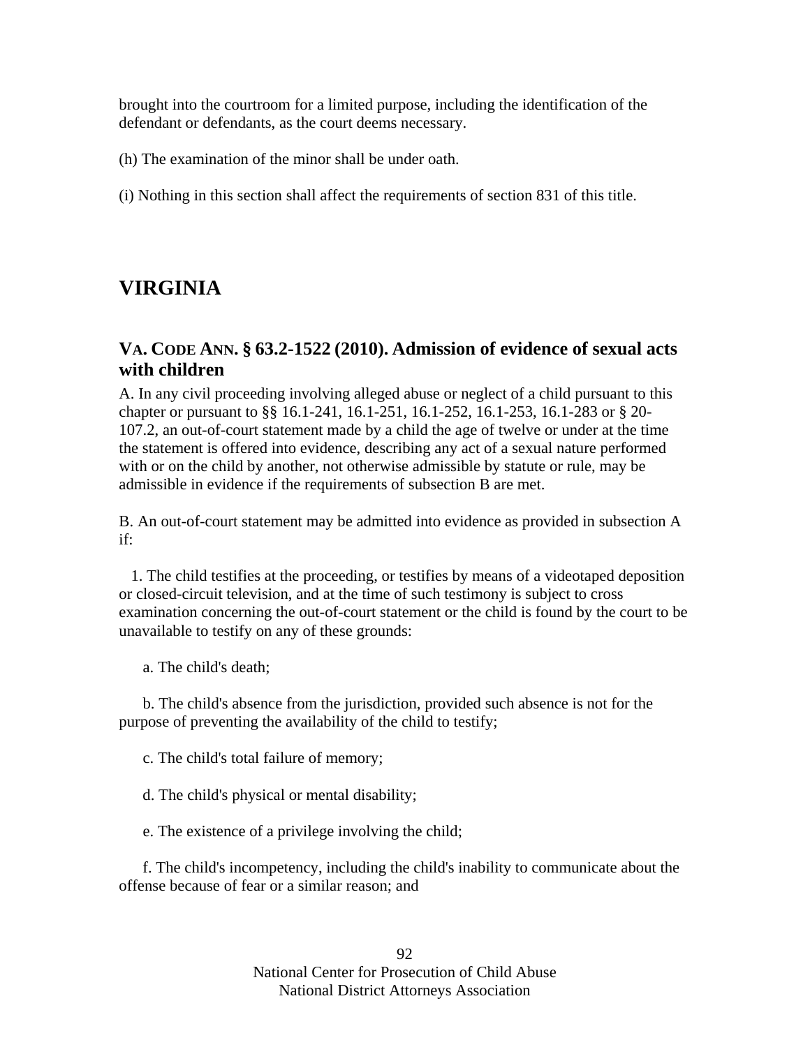brought into the courtroom for a limited purpose, including the identification of the defendant or defendants, as the court deems necessary.

(h) The examination of the minor shall be under oath.

(i) Nothing in this section shall affect the requirements of section 831 of this title.

# **VIRGINIA**

### **VA. CODE ANN. § 63.2-1522 (2010). Admission of evidence of sexual acts with children**

A. In any civil proceeding involving alleged abuse or neglect of a child pursuant to this chapter or pursuant to §§ 16.1-241, 16.1-251, 16.1-252, 16.1-253, 16.1-283 or § 20- 107.2, an out-of-court statement made by a child the age of twelve or under at the time the statement is offered into evidence, describing any act of a sexual nature performed with or on the child by another, not otherwise admissible by statute or rule, may be admissible in evidence if the requirements of subsection B are met.

B. An out-of-court statement may be admitted into evidence as provided in subsection A if:

 1. The child testifies at the proceeding, or testifies by means of a videotaped deposition or closed-circuit television, and at the time of such testimony is subject to cross examination concerning the out-of-court statement or the child is found by the court to be unavailable to testify on any of these grounds:

a. The child's death;

 b. The child's absence from the jurisdiction, provided such absence is not for the purpose of preventing the availability of the child to testify;

c. The child's total failure of memory;

d. The child's physical or mental disability;

e. The existence of a privilege involving the child;

 f. The child's incompetency, including the child's inability to communicate about the offense because of fear or a similar reason; and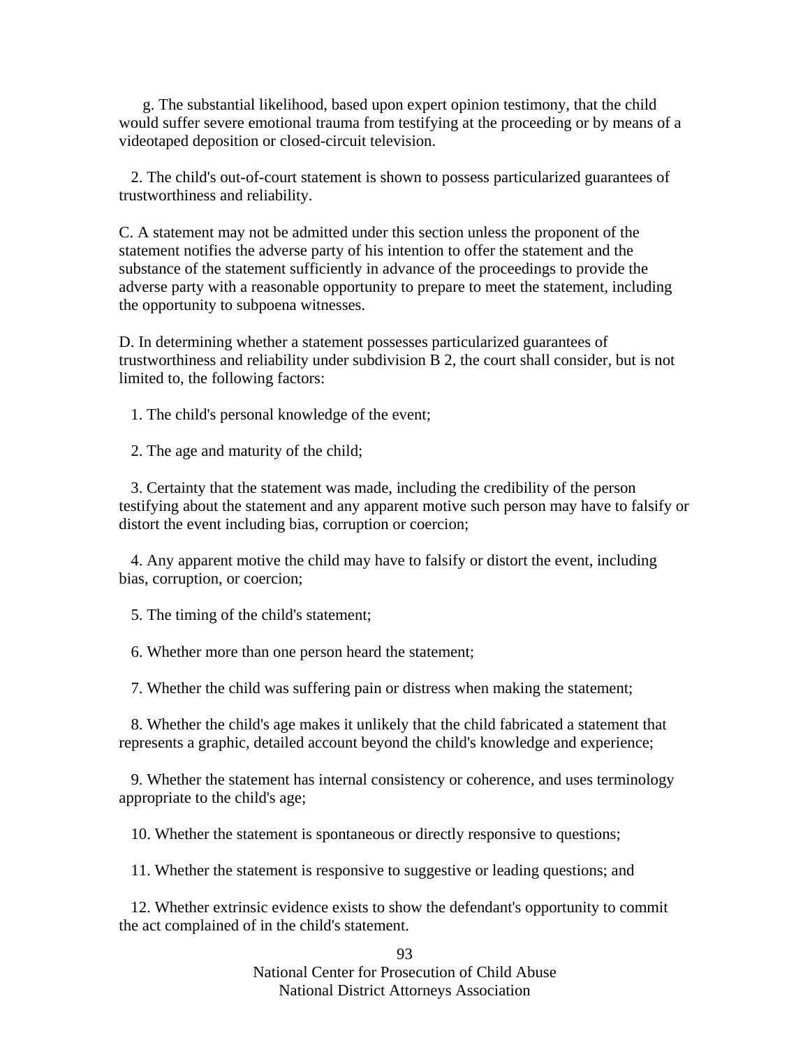g. The substantial likelihood, based upon expert opinion testimony, that the child would suffer severe emotional trauma from testifying at the proceeding or by means of a videotaped deposition or closed-circuit television.

 2. The child's out-of-court statement is shown to possess particularized guarantees of trustworthiness and reliability.

C. A statement may not be admitted under this section unless the proponent of the statement notifies the adverse party of his intention to offer the statement and the substance of the statement sufficiently in advance of the proceedings to provide the adverse party with a reasonable opportunity to prepare to meet the statement, including the opportunity to subpoena witnesses.

D. In determining whether a statement possesses particularized guarantees of trustworthiness and reliability under subdivision B 2, the court shall consider, but is not limited to, the following factors:

1. The child's personal knowledge of the event;

2. The age and maturity of the child;

 3. Certainty that the statement was made, including the credibility of the person testifying about the statement and any apparent motive such person may have to falsify or distort the event including bias, corruption or coercion;

 4. Any apparent motive the child may have to falsify or distort the event, including bias, corruption, or coercion;

5. The timing of the child's statement;

6. Whether more than one person heard the statement;

7. Whether the child was suffering pain or distress when making the statement;

 8. Whether the child's age makes it unlikely that the child fabricated a statement that represents a graphic, detailed account beyond the child's knowledge and experience;

 9. Whether the statement has internal consistency or coherence, and uses terminology appropriate to the child's age;

10. Whether the statement is spontaneous or directly responsive to questions;

11. Whether the statement is responsive to suggestive or leading questions; and

 12. Whether extrinsic evidence exists to show the defendant's opportunity to commit the act complained of in the child's statement.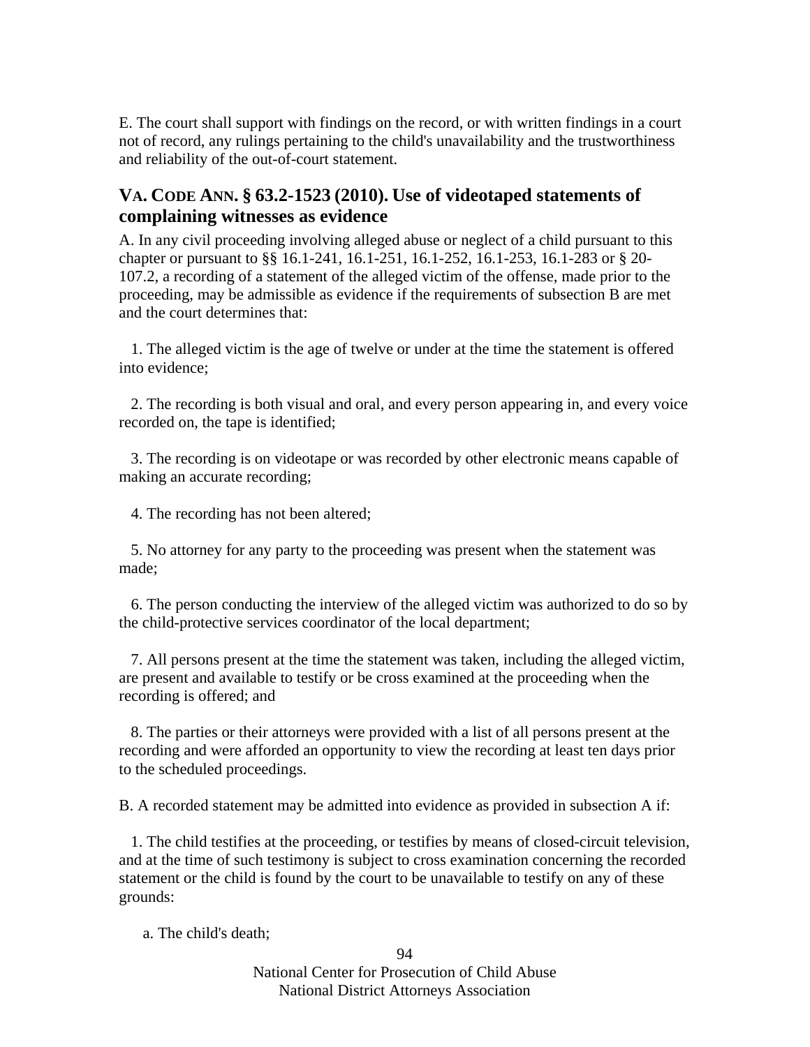E. The court shall support with findings on the record, or with written findings in a court not of record, any rulings pertaining to the child's unavailability and the trustworthiness and reliability of the out-of-court statement.

### **VA. CODE ANN. § 63.2-1523 (2010). Use of videotaped statements of complaining witnesses as evidence**

A. In any civil proceeding involving alleged abuse or neglect of a child pursuant to this chapter or pursuant to §§ 16.1-241, 16.1-251, 16.1-252, 16.1-253, 16.1-283 or § 20- 107.2, a recording of a statement of the alleged victim of the offense, made prior to the proceeding, may be admissible as evidence if the requirements of subsection B are met and the court determines that:

 1. The alleged victim is the age of twelve or under at the time the statement is offered into evidence;

 2. The recording is both visual and oral, and every person appearing in, and every voice recorded on, the tape is identified;

 3. The recording is on videotape or was recorded by other electronic means capable of making an accurate recording;

4. The recording has not been altered;

 5. No attorney for any party to the proceeding was present when the statement was made;

 6. The person conducting the interview of the alleged victim was authorized to do so by the child-protective services coordinator of the local department;

 7. All persons present at the time the statement was taken, including the alleged victim, are present and available to testify or be cross examined at the proceeding when the recording is offered; and

 8. The parties or their attorneys were provided with a list of all persons present at the recording and were afforded an opportunity to view the recording at least ten days prior to the scheduled proceedings.

B. A recorded statement may be admitted into evidence as provided in subsection A if:

 1. The child testifies at the proceeding, or testifies by means of closed-circuit television, and at the time of such testimony is subject to cross examination concerning the recorded statement or the child is found by the court to be unavailable to testify on any of these grounds:

a. The child's death;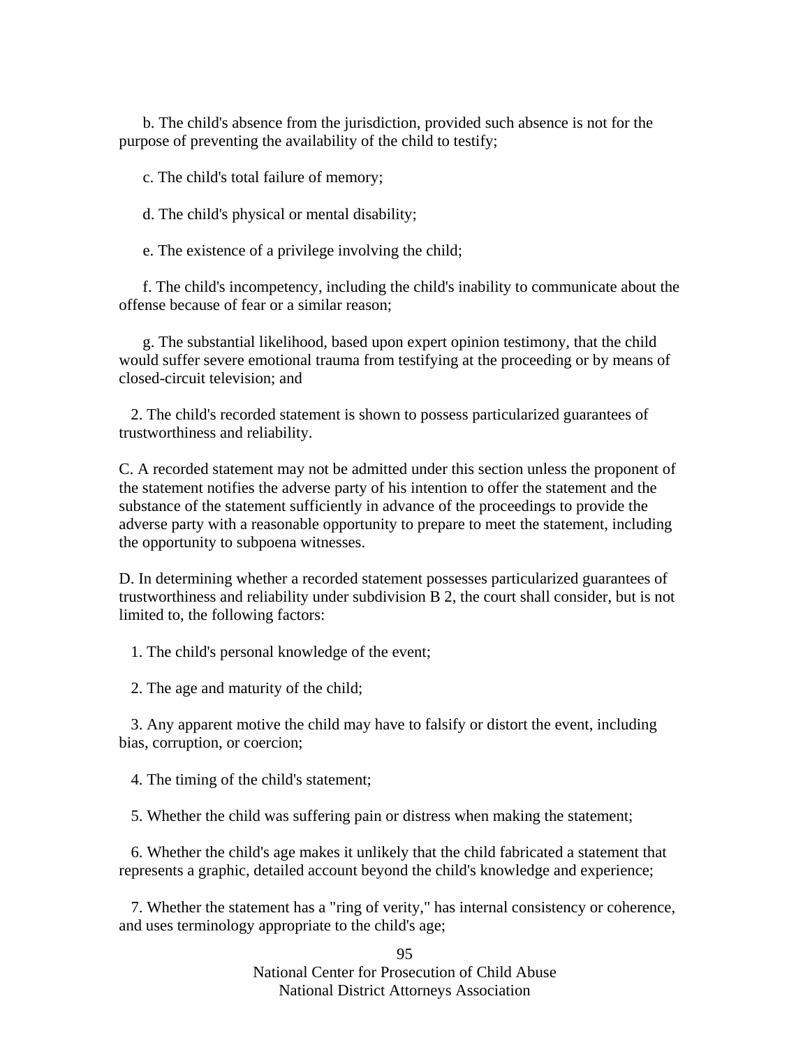b. The child's absence from the jurisdiction, provided such absence is not for the purpose of preventing the availability of the child to testify;

c. The child's total failure of memory;

d. The child's physical or mental disability;

e. The existence of a privilege involving the child;

 f. The child's incompetency, including the child's inability to communicate about the offense because of fear or a similar reason;

 g. The substantial likelihood, based upon expert opinion testimony, that the child would suffer severe emotional trauma from testifying at the proceeding or by means of closed-circuit television; and

 2. The child's recorded statement is shown to possess particularized guarantees of trustworthiness and reliability.

C. A recorded statement may not be admitted under this section unless the proponent of the statement notifies the adverse party of his intention to offer the statement and the substance of the statement sufficiently in advance of the proceedings to provide the adverse party with a reasonable opportunity to prepare to meet the statement, including the opportunity to subpoena witnesses.

D. In determining whether a recorded statement possesses particularized guarantees of trustworthiness and reliability under subdivision B 2, the court shall consider, but is not limited to, the following factors:

1. The child's personal knowledge of the event;

2. The age and maturity of the child;

 3. Any apparent motive the child may have to falsify or distort the event, including bias, corruption, or coercion;

4. The timing of the child's statement;

5. Whether the child was suffering pain or distress when making the statement;

 6. Whether the child's age makes it unlikely that the child fabricated a statement that represents a graphic, detailed account beyond the child's knowledge and experience;

 7. Whether the statement has a "ring of verity," has internal consistency or coherence, and uses terminology appropriate to the child's age;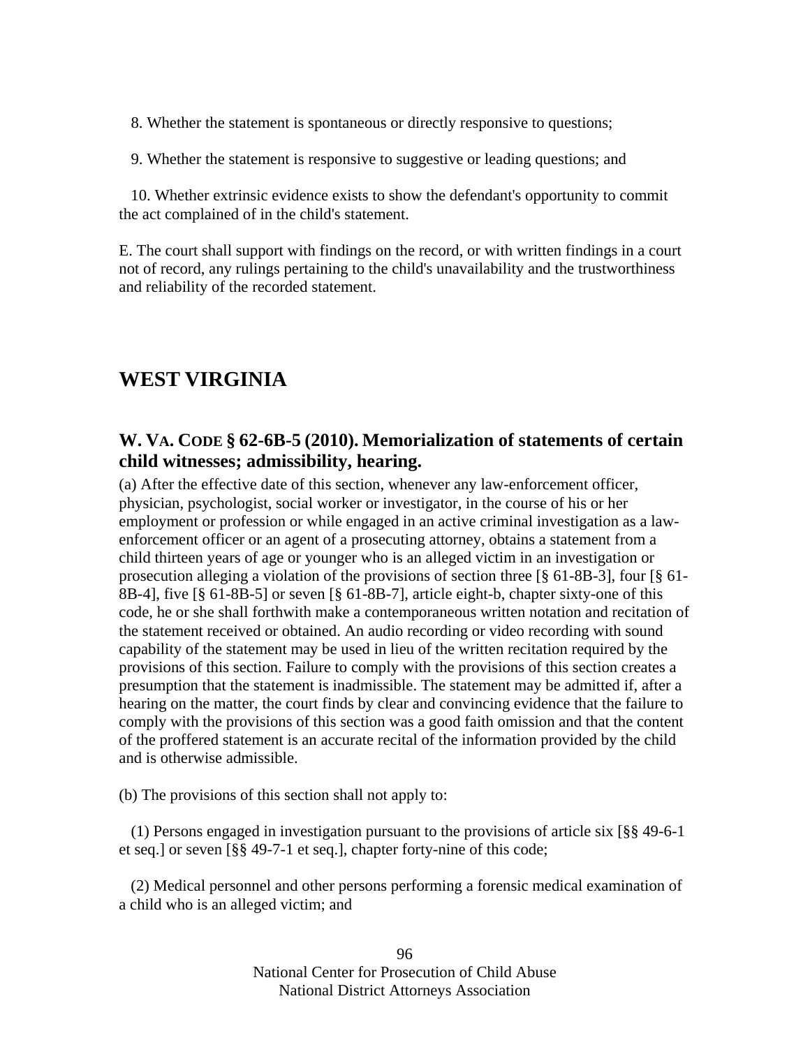8. Whether the statement is spontaneous or directly responsive to questions;

9. Whether the statement is responsive to suggestive or leading questions; and

 10. Whether extrinsic evidence exists to show the defendant's opportunity to commit the act complained of in the child's statement.

E. The court shall support with findings on the record, or with written findings in a court not of record, any rulings pertaining to the child's unavailability and the trustworthiness and reliability of the recorded statement.

# **WEST VIRGINIA**

#### **W. VA. CODE § 62-6B-5 (2010). Memorialization of statements of certain child witnesses; admissibility, hearing.**

(a) After the effective date of this section, whenever any law-enforcement officer, physician, psychologist, social worker or investigator, in the course of his or her employment or profession or while engaged in an active criminal investigation as a lawenforcement officer or an agent of a prosecuting attorney, obtains a statement from a child thirteen years of age or younger who is an alleged victim in an investigation or prosecution alleging a violation of the provisions of section three [§ 61-8B-3], four [§ 61- 8B-4], five [§ 61-8B-5] or seven [§ 61-8B-7], article eight-b, chapter sixty-one of this code, he or she shall forthwith make a contemporaneous written notation and recitation of the statement received or obtained. An audio recording or video recording with sound capability of the statement may be used in lieu of the written recitation required by the provisions of this section. Failure to comply with the provisions of this section creates a presumption that the statement is inadmissible. The statement may be admitted if, after a hearing on the matter, the court finds by clear and convincing evidence that the failure to comply with the provisions of this section was a good faith omission and that the content of the proffered statement is an accurate recital of the information provided by the child and is otherwise admissible.

(b) The provisions of this section shall not apply to:

 (1) Persons engaged in investigation pursuant to the provisions of article six [§§ 49-6-1 et seq.] or seven [§§ 49-7-1 et seq.], chapter forty-nine of this code;

 (2) Medical personnel and other persons performing a forensic medical examination of a child who is an alleged victim; and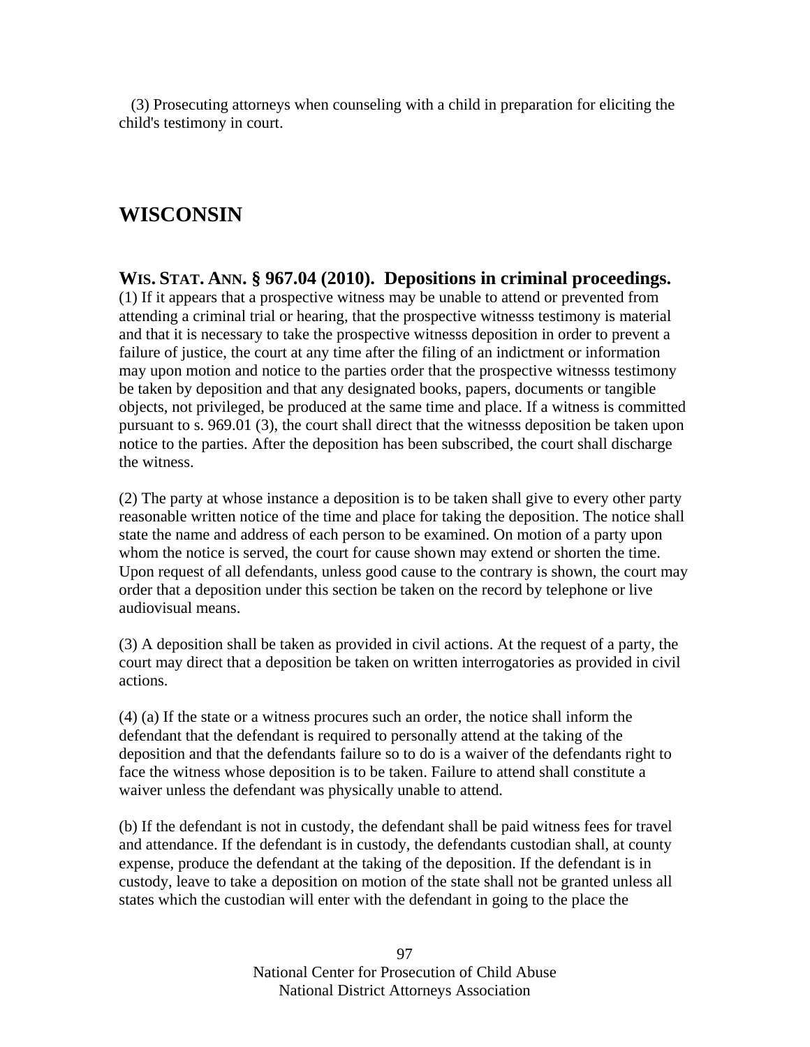(3) Prosecuting attorneys when counseling with a child in preparation for eliciting the child's testimony in court.

# **WISCONSIN**

#### **WIS. STAT. ANN. § 967.04 (2010). Depositions in criminal proceedings.**

(1) If it appears that a prospective witness may be unable to attend or prevented from attending a criminal trial or hearing, that the prospective witnesss testimony is material and that it is necessary to take the prospective witnesss deposition in order to prevent a failure of justice, the court at any time after the filing of an indictment or information may upon motion and notice to the parties order that the prospective witnesss testimony be taken by deposition and that any designated books, papers, documents or tangible objects, not privileged, be produced at the same time and place. If a witness is committed pursuant to s. 969.01 (3), the court shall direct that the witnesss deposition be taken upon notice to the parties. After the deposition has been subscribed, the court shall discharge the witness.

(2) The party at whose instance a deposition is to be taken shall give to every other party reasonable written notice of the time and place for taking the deposition. The notice shall state the name and address of each person to be examined. On motion of a party upon whom the notice is served, the court for cause shown may extend or shorten the time. Upon request of all defendants, unless good cause to the contrary is shown, the court may order that a deposition under this section be taken on the record by telephone or live audiovisual means.

(3) A deposition shall be taken as provided in civil actions. At the request of a party, the court may direct that a deposition be taken on written interrogatories as provided in civil actions.

(4) (a) If the state or a witness procures such an order, the notice shall inform the defendant that the defendant is required to personally attend at the taking of the deposition and that the defendants failure so to do is a waiver of the defendants right to face the witness whose deposition is to be taken. Failure to attend shall constitute a waiver unless the defendant was physically unable to attend.

(b) If the defendant is not in custody, the defendant shall be paid witness fees for travel and attendance. If the defendant is in custody, the defendants custodian shall, at county expense, produce the defendant at the taking of the deposition. If the defendant is in custody, leave to take a deposition on motion of the state shall not be granted unless all states which the custodian will enter with the defendant in going to the place the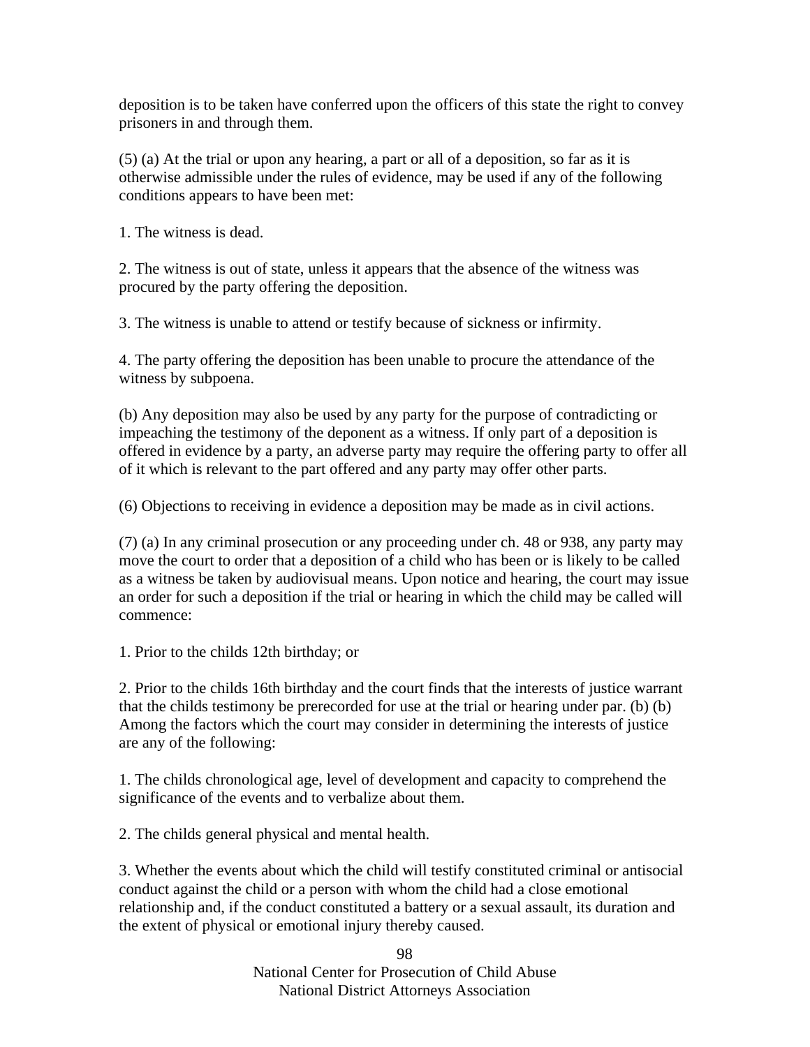deposition is to be taken have conferred upon the officers of this state the right to convey prisoners in and through them.

(5) (a) At the trial or upon any hearing, a part or all of a deposition, so far as it is otherwise admissible under the rules of evidence, may be used if any of the following conditions appears to have been met:

1. The witness is dead.

2. The witness is out of state, unless it appears that the absence of the witness was procured by the party offering the deposition.

3. The witness is unable to attend or testify because of sickness or infirmity.

4. The party offering the deposition has been unable to procure the attendance of the witness by subpoena.

(b) Any deposition may also be used by any party for the purpose of contradicting or impeaching the testimony of the deponent as a witness. If only part of a deposition is offered in evidence by a party, an adverse party may require the offering party to offer all of it which is relevant to the part offered and any party may offer other parts.

(6) Objections to receiving in evidence a deposition may be made as in civil actions.

(7) (a) In any criminal prosecution or any proceeding under ch. 48 or 938, any party may move the court to order that a deposition of a child who has been or is likely to be called as a witness be taken by audiovisual means. Upon notice and hearing, the court may issue an order for such a deposition if the trial or hearing in which the child may be called will commence:

1. Prior to the childs 12th birthday; or

2. Prior to the childs 16th birthday and the court finds that the interests of justice warrant that the childs testimony be prerecorded for use at the trial or hearing under par. (b) (b) Among the factors which the court may consider in determining the interests of justice are any of the following:

1. The childs chronological age, level of development and capacity to comprehend the significance of the events and to verbalize about them.

2. The childs general physical and mental health.

3. Whether the events about which the child will testify constituted criminal or antisocial conduct against the child or a person with whom the child had a close emotional relationship and, if the conduct constituted a battery or a sexual assault, its duration and the extent of physical or emotional injury thereby caused.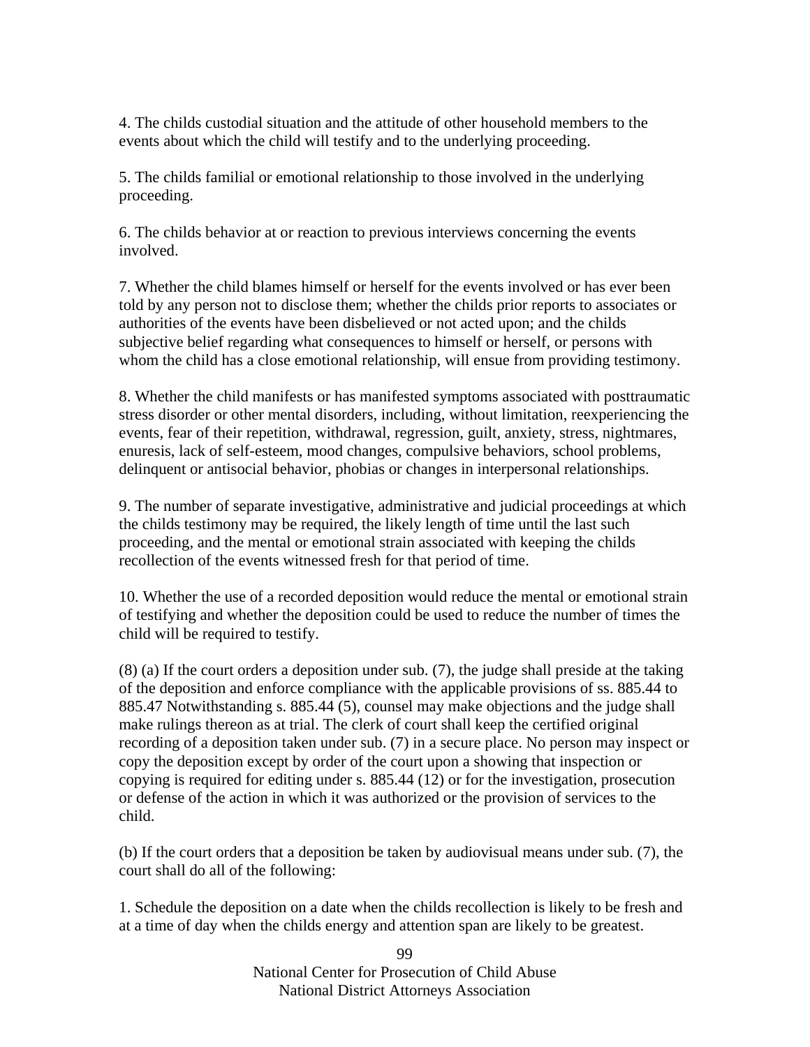4. The childs custodial situation and the attitude of other household members to the events about which the child will testify and to the underlying proceeding.

5. The childs familial or emotional relationship to those involved in the underlying proceeding.

6. The childs behavior at or reaction to previous interviews concerning the events involved.

7. Whether the child blames himself or herself for the events involved or has ever been told by any person not to disclose them; whether the childs prior reports to associates or authorities of the events have been disbelieved or not acted upon; and the childs subjective belief regarding what consequences to himself or herself, or persons with whom the child has a close emotional relationship, will ensue from providing testimony.

8. Whether the child manifests or has manifested symptoms associated with posttraumatic stress disorder or other mental disorders, including, without limitation, reexperiencing the events, fear of their repetition, withdrawal, regression, guilt, anxiety, stress, nightmares, enuresis, lack of self-esteem, mood changes, compulsive behaviors, school problems, delinquent or antisocial behavior, phobias or changes in interpersonal relationships.

9. The number of separate investigative, administrative and judicial proceedings at which the childs testimony may be required, the likely length of time until the last such proceeding, and the mental or emotional strain associated with keeping the childs recollection of the events witnessed fresh for that period of time.

10. Whether the use of a recorded deposition would reduce the mental or emotional strain of testifying and whether the deposition could be used to reduce the number of times the child will be required to testify.

(8) (a) If the court orders a deposition under sub. (7), the judge shall preside at the taking of the deposition and enforce compliance with the applicable provisions of ss. 885.44 to 885.47 Notwithstanding s. 885.44 (5), counsel may make objections and the judge shall make rulings thereon as at trial. The clerk of court shall keep the certified original recording of a deposition taken under sub. (7) in a secure place. No person may inspect or copy the deposition except by order of the court upon a showing that inspection or copying is required for editing under s. 885.44 (12) or for the investigation, prosecution or defense of the action in which it was authorized or the provision of services to the child.

(b) If the court orders that a deposition be taken by audiovisual means under sub. (7), the court shall do all of the following:

1. Schedule the deposition on a date when the childs recollection is likely to be fresh and at a time of day when the childs energy and attention span are likely to be greatest.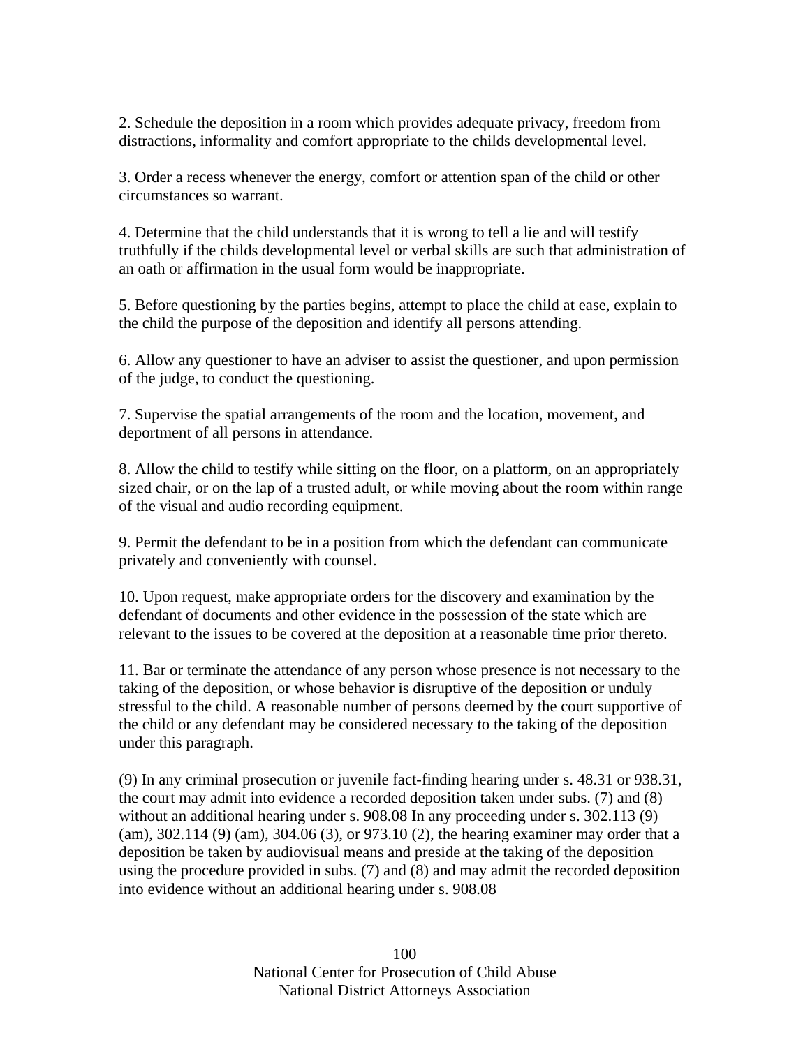2. Schedule the deposition in a room which provides adequate privacy, freedom from distractions, informality and comfort appropriate to the childs developmental level.

3. Order a recess whenever the energy, comfort or attention span of the child or other circumstances so warrant.

4. Determine that the child understands that it is wrong to tell a lie and will testify truthfully if the childs developmental level or verbal skills are such that administration of an oath or affirmation in the usual form would be inappropriate.

5. Before questioning by the parties begins, attempt to place the child at ease, explain to the child the purpose of the deposition and identify all persons attending.

6. Allow any questioner to have an adviser to assist the questioner, and upon permission of the judge, to conduct the questioning.

7. Supervise the spatial arrangements of the room and the location, movement, and deportment of all persons in attendance.

8. Allow the child to testify while sitting on the floor, on a platform, on an appropriately sized chair, or on the lap of a trusted adult, or while moving about the room within range of the visual and audio recording equipment.

9. Permit the defendant to be in a position from which the defendant can communicate privately and conveniently with counsel.

10. Upon request, make appropriate orders for the discovery and examination by the defendant of documents and other evidence in the possession of the state which are relevant to the issues to be covered at the deposition at a reasonable time prior thereto.

11. Bar or terminate the attendance of any person whose presence is not necessary to the taking of the deposition, or whose behavior is disruptive of the deposition or unduly stressful to the child. A reasonable number of persons deemed by the court supportive of the child or any defendant may be considered necessary to the taking of the deposition under this paragraph.

(9) In any criminal prosecution or juvenile fact-finding hearing under s. 48.31 or 938.31, the court may admit into evidence a recorded deposition taken under subs. (7) and (8) without an additional hearing under s. 908.08 In any proceeding under s. 302.113 (9) (am), 302.114 (9) (am), 304.06 (3), or 973.10 (2), the hearing examiner may order that a deposition be taken by audiovisual means and preside at the taking of the deposition using the procedure provided in subs. (7) and (8) and may admit the recorded deposition into evidence without an additional hearing under s. 908.08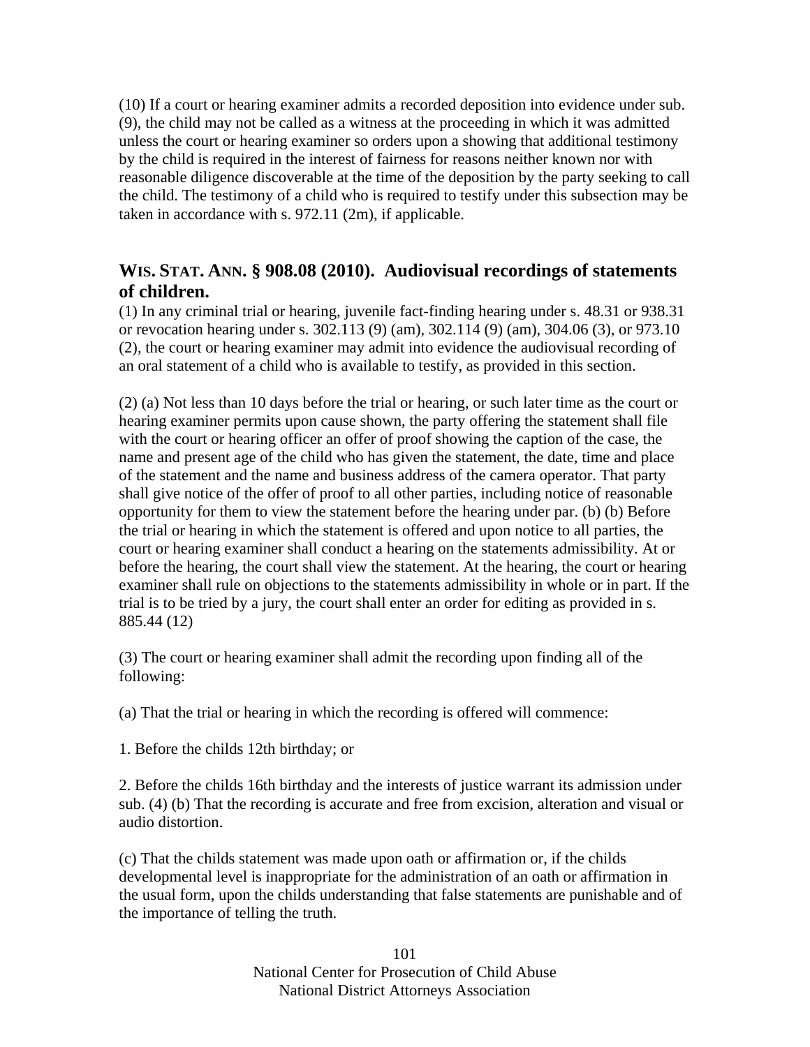(10) If a court or hearing examiner admits a recorded deposition into evidence under sub. (9), the child may not be called as a witness at the proceeding in which it was admitted unless the court or hearing examiner so orders upon a showing that additional testimony by the child is required in the interest of fairness for reasons neither known nor with reasonable diligence discoverable at the time of the deposition by the party seeking to call the child. The testimony of a child who is required to testify under this subsection may be taken in accordance with s. 972.11 (2m), if applicable.

#### **WIS. STAT. ANN. § 908.08 (2010). Audiovisual recordings of statements of children.**

(1) In any criminal trial or hearing, juvenile fact-finding hearing under s. 48.31 or 938.31 or revocation hearing under s. 302.113 (9) (am), 302.114 (9) (am), 304.06 (3), or 973.10 (2), the court or hearing examiner may admit into evidence the audiovisual recording of an oral statement of a child who is available to testify, as provided in this section.

(2) (a) Not less than 10 days before the trial or hearing, or such later time as the court or hearing examiner permits upon cause shown, the party offering the statement shall file with the court or hearing officer an offer of proof showing the caption of the case, the name and present age of the child who has given the statement, the date, time and place of the statement and the name and business address of the camera operator. That party shall give notice of the offer of proof to all other parties, including notice of reasonable opportunity for them to view the statement before the hearing under par. (b) (b) Before the trial or hearing in which the statement is offered and upon notice to all parties, the court or hearing examiner shall conduct a hearing on the statements admissibility. At or before the hearing, the court shall view the statement. At the hearing, the court or hearing examiner shall rule on objections to the statements admissibility in whole or in part. If the trial is to be tried by a jury, the court shall enter an order for editing as provided in s. 885.44 (12)

(3) The court or hearing examiner shall admit the recording upon finding all of the following:

(a) That the trial or hearing in which the recording is offered will commence:

1. Before the childs 12th birthday; or

2. Before the childs 16th birthday and the interests of justice warrant its admission under sub. (4) (b) That the recording is accurate and free from excision, alteration and visual or audio distortion.

(c) That the childs statement was made upon oath or affirmation or, if the childs developmental level is inappropriate for the administration of an oath or affirmation in the usual form, upon the childs understanding that false statements are punishable and of the importance of telling the truth.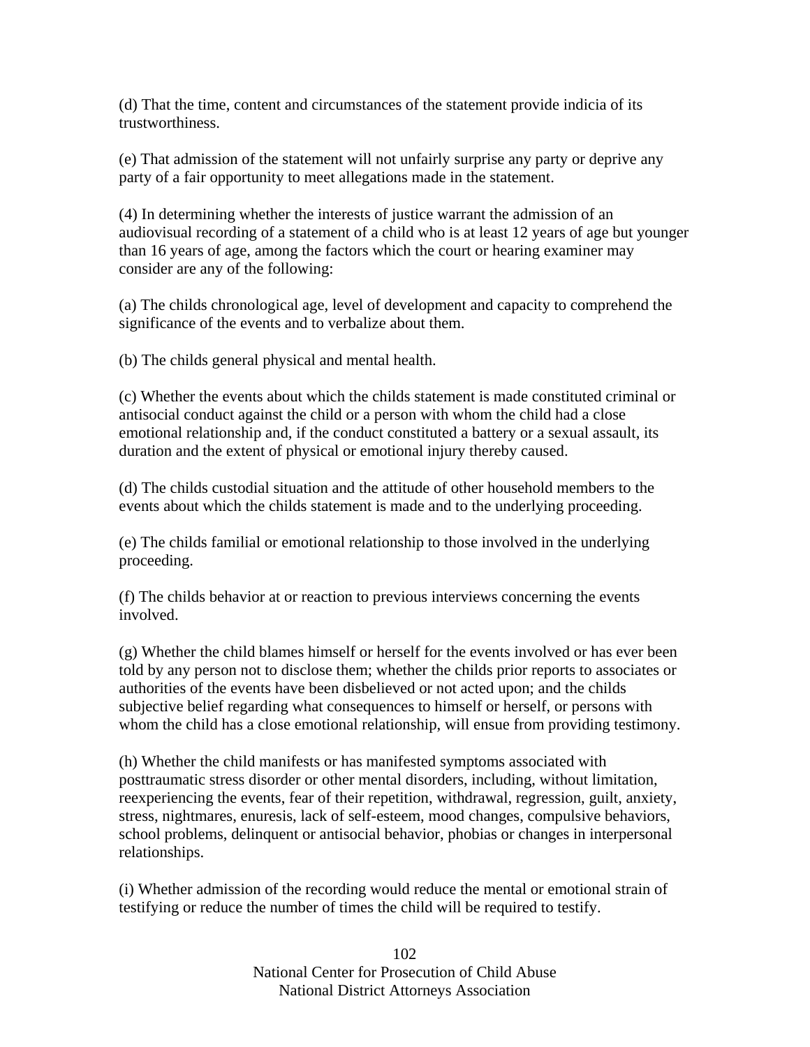(d) That the time, content and circumstances of the statement provide indicia of its trustworthiness.

(e) That admission of the statement will not unfairly surprise any party or deprive any party of a fair opportunity to meet allegations made in the statement.

(4) In determining whether the interests of justice warrant the admission of an audiovisual recording of a statement of a child who is at least 12 years of age but younger than 16 years of age, among the factors which the court or hearing examiner may consider are any of the following:

(a) The childs chronological age, level of development and capacity to comprehend the significance of the events and to verbalize about them.

(b) The childs general physical and mental health.

(c) Whether the events about which the childs statement is made constituted criminal or antisocial conduct against the child or a person with whom the child had a close emotional relationship and, if the conduct constituted a battery or a sexual assault, its duration and the extent of physical or emotional injury thereby caused.

(d) The childs custodial situation and the attitude of other household members to the events about which the childs statement is made and to the underlying proceeding.

(e) The childs familial or emotional relationship to those involved in the underlying proceeding.

(f) The childs behavior at or reaction to previous interviews concerning the events involved.

(g) Whether the child blames himself or herself for the events involved or has ever been told by any person not to disclose them; whether the childs prior reports to associates or authorities of the events have been disbelieved or not acted upon; and the childs subjective belief regarding what consequences to himself or herself, or persons with whom the child has a close emotional relationship, will ensue from providing testimony.

(h) Whether the child manifests or has manifested symptoms associated with posttraumatic stress disorder or other mental disorders, including, without limitation, reexperiencing the events, fear of their repetition, withdrawal, regression, guilt, anxiety, stress, nightmares, enuresis, lack of self-esteem, mood changes, compulsive behaviors, school problems, delinquent or antisocial behavior, phobias or changes in interpersonal relationships.

(i) Whether admission of the recording would reduce the mental or emotional strain of testifying or reduce the number of times the child will be required to testify.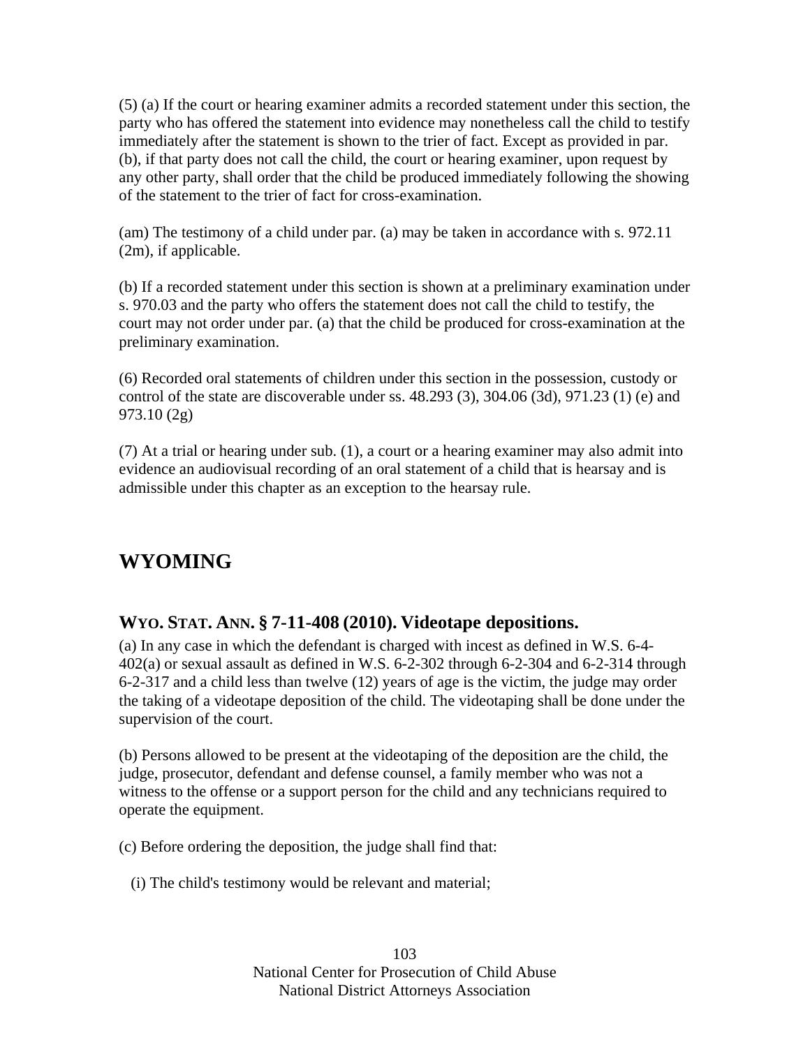(5) (a) If the court or hearing examiner admits a recorded statement under this section, the party who has offered the statement into evidence may nonetheless call the child to testify immediately after the statement is shown to the trier of fact. Except as provided in par. (b), if that party does not call the child, the court or hearing examiner, upon request by any other party, shall order that the child be produced immediately following the showing of the statement to the trier of fact for cross-examination.

(am) The testimony of a child under par. (a) may be taken in accordance with s. 972.11 (2m), if applicable.

(b) If a recorded statement under this section is shown at a preliminary examination under s. 970.03 and the party who offers the statement does not call the child to testify, the court may not order under par. (a) that the child be produced for cross-examination at the preliminary examination.

(6) Recorded oral statements of children under this section in the possession, custody or control of the state are discoverable under ss. 48.293 (3), 304.06 (3d), 971.23 (1) (e) and 973.10 (2g)

(7) At a trial or hearing under sub. (1), a court or a hearing examiner may also admit into evidence an audiovisual recording of an oral statement of a child that is hearsay and is admissible under this chapter as an exception to the hearsay rule.

# **WYOMING**

### **WYO. STAT. ANN. § 7-11-408 (2010). Videotape depositions.**

(a) In any case in which the defendant is charged with incest as defined in W.S. 6-4-  $402(a)$  or sexual assault as defined in W.S. 6-2-302 through 6-2-304 and 6-2-314 through 6-2-317 and a child less than twelve (12) years of age is the victim, the judge may order the taking of a videotape deposition of the child. The videotaping shall be done under the supervision of the court.

(b) Persons allowed to be present at the videotaping of the deposition are the child, the judge, prosecutor, defendant and defense counsel, a family member who was not a witness to the offense or a support person for the child and any technicians required to operate the equipment.

(c) Before ordering the deposition, the judge shall find that:

(i) The child's testimony would be relevant and material;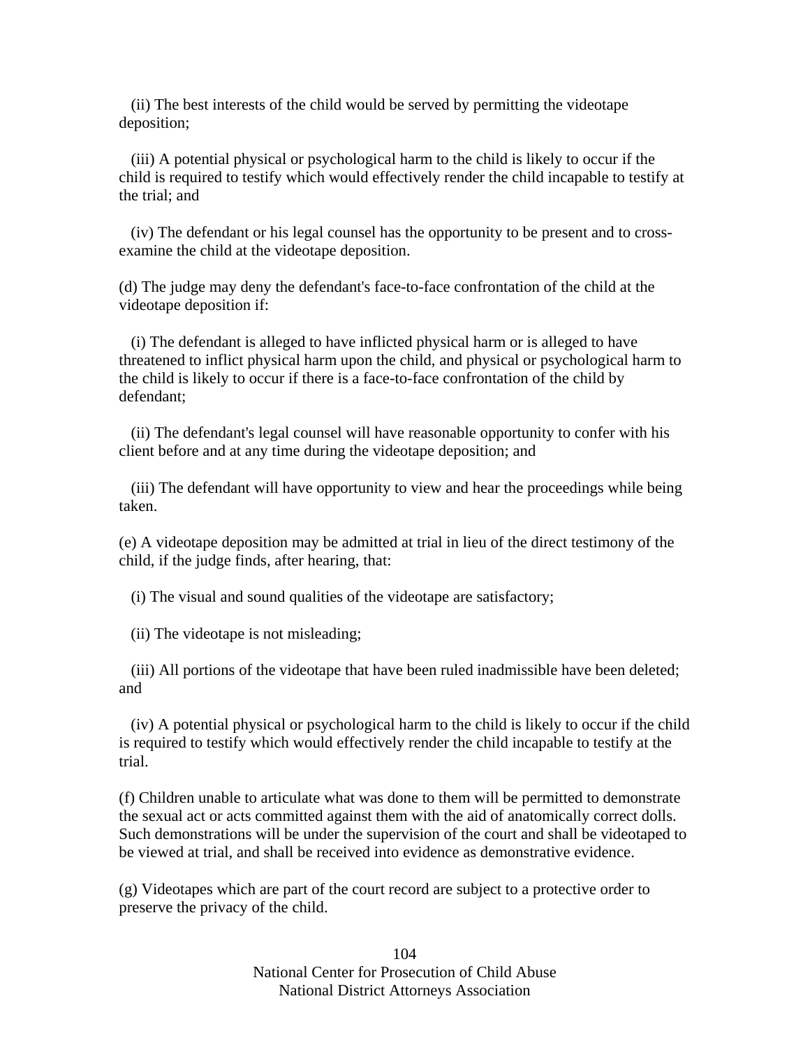(ii) The best interests of the child would be served by permitting the videotape deposition;

 (iii) A potential physical or psychological harm to the child is likely to occur if the child is required to testify which would effectively render the child incapable to testify at the trial; and

 (iv) The defendant or his legal counsel has the opportunity to be present and to crossexamine the child at the videotape deposition.

(d) The judge may deny the defendant's face-to-face confrontation of the child at the videotape deposition if:

 (i) The defendant is alleged to have inflicted physical harm or is alleged to have threatened to inflict physical harm upon the child, and physical or psychological harm to the child is likely to occur if there is a face-to-face confrontation of the child by defendant;

 (ii) The defendant's legal counsel will have reasonable opportunity to confer with his client before and at any time during the videotape deposition; and

 (iii) The defendant will have opportunity to view and hear the proceedings while being taken.

(e) A videotape deposition may be admitted at trial in lieu of the direct testimony of the child, if the judge finds, after hearing, that:

(i) The visual and sound qualities of the videotape are satisfactory;

(ii) The videotape is not misleading;

 (iii) All portions of the videotape that have been ruled inadmissible have been deleted; and

 (iv) A potential physical or psychological harm to the child is likely to occur if the child is required to testify which would effectively render the child incapable to testify at the trial.

(f) Children unable to articulate what was done to them will be permitted to demonstrate the sexual act or acts committed against them with the aid of anatomically correct dolls. Such demonstrations will be under the supervision of the court and shall be videotaped to be viewed at trial, and shall be received into evidence as demonstrative evidence.

(g) Videotapes which are part of the court record are subject to a protective order to preserve the privacy of the child.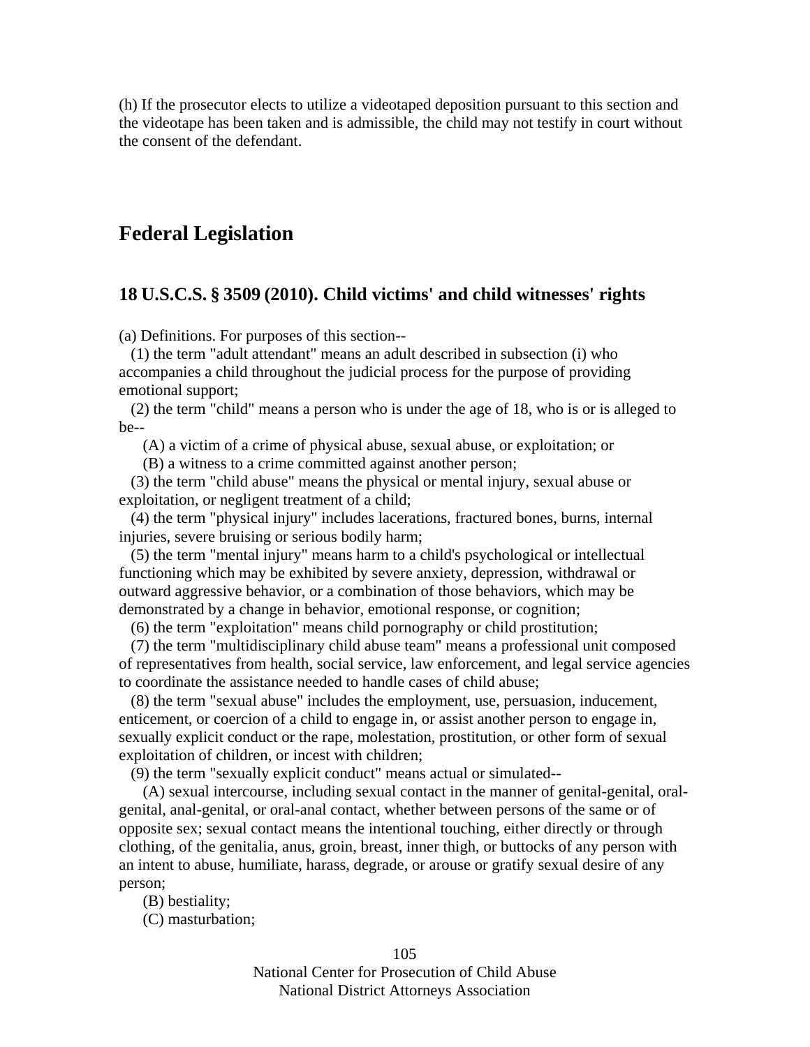(h) If the prosecutor elects to utilize a videotaped deposition pursuant to this section and the videotape has been taken and is admissible, the child may not testify in court without the consent of the defendant.

#### **Federal Legislation**

#### **18 U.S.C.S. § 3509 (2010). Child victims' and child witnesses' rights**

(a) Definitions. For purposes of this section--

 (1) the term "adult attendant" means an adult described in subsection (i) who accompanies a child throughout the judicial process for the purpose of providing emotional support;

 (2) the term "child" means a person who is under the age of 18, who is or is alleged to be--

(A) a victim of a crime of physical abuse, sexual abuse, or exploitation; or

(B) a witness to a crime committed against another person;

 (3) the term "child abuse" means the physical or mental injury, sexual abuse or exploitation, or negligent treatment of a child;

 (4) the term "physical injury" includes lacerations, fractured bones, burns, internal injuries, severe bruising or serious bodily harm;

 (5) the term "mental injury" means harm to a child's psychological or intellectual functioning which may be exhibited by severe anxiety, depression, withdrawal or outward aggressive behavior, or a combination of those behaviors, which may be demonstrated by a change in behavior, emotional response, or cognition;

(6) the term "exploitation" means child pornography or child prostitution;

 (7) the term "multidisciplinary child abuse team" means a professional unit composed of representatives from health, social service, law enforcement, and legal service agencies to coordinate the assistance needed to handle cases of child abuse;

 (8) the term "sexual abuse" includes the employment, use, persuasion, inducement, enticement, or coercion of a child to engage in, or assist another person to engage in, sexually explicit conduct or the rape, molestation, prostitution, or other form of sexual exploitation of children, or incest with children;

(9) the term "sexually explicit conduct" means actual or simulated--

 (A) sexual intercourse, including sexual contact in the manner of genital-genital, oralgenital, anal-genital, or oral-anal contact, whether between persons of the same or of opposite sex; sexual contact means the intentional touching, either directly or through clothing, of the genitalia, anus, groin, breast, inner thigh, or buttocks of any person with an intent to abuse, humiliate, harass, degrade, or arouse or gratify sexual desire of any person;

(B) bestiality;

(C) masturbation;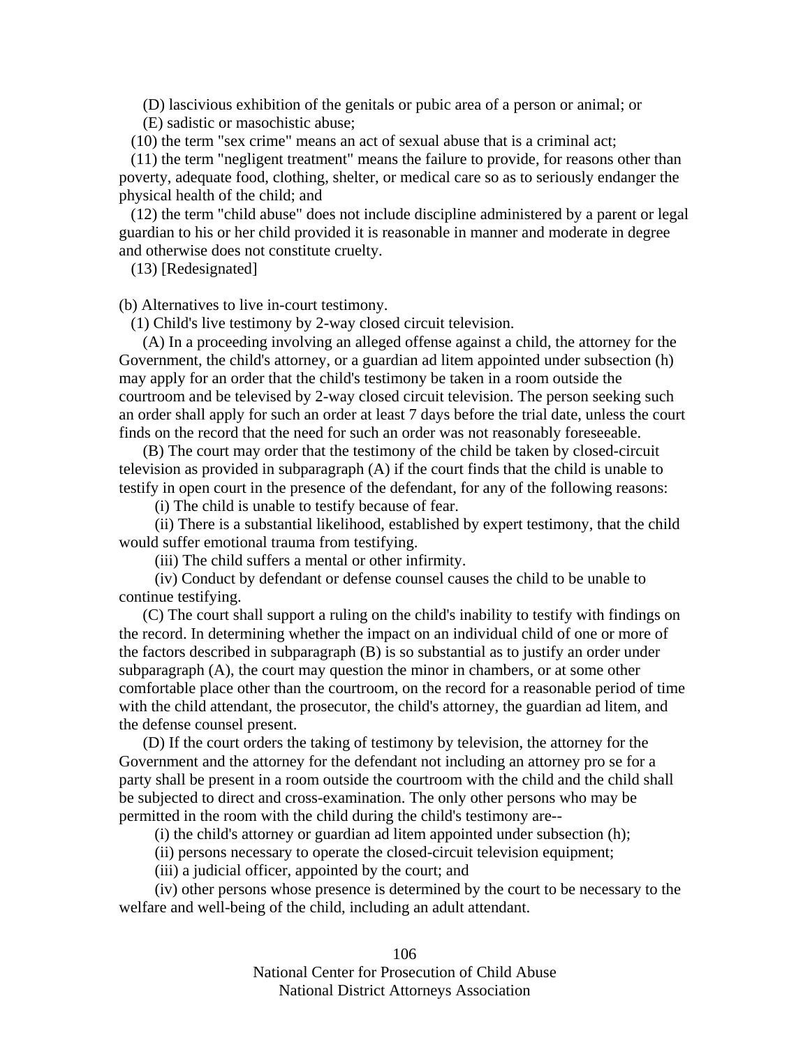(D) lascivious exhibition of the genitals or pubic area of a person or animal; or

(E) sadistic or masochistic abuse;

(10) the term "sex crime" means an act of sexual abuse that is a criminal act;

 (11) the term "negligent treatment" means the failure to provide, for reasons other than poverty, adequate food, clothing, shelter, or medical care so as to seriously endanger the physical health of the child; and

 (12) the term "child abuse" does not include discipline administered by a parent or legal guardian to his or her child provided it is reasonable in manner and moderate in degree and otherwise does not constitute cruelty.

(13) [Redesignated]

(b) Alternatives to live in-court testimony.

(1) Child's live testimony by 2-way closed circuit television.

 (A) In a proceeding involving an alleged offense against a child, the attorney for the Government, the child's attorney, or a guardian ad litem appointed under subsection (h) may apply for an order that the child's testimony be taken in a room outside the courtroom and be televised by 2-way closed circuit television. The person seeking such an order shall apply for such an order at least 7 days before the trial date, unless the court finds on the record that the need for such an order was not reasonably foreseeable.

 (B) The court may order that the testimony of the child be taken by closed-circuit television as provided in subparagraph (A) if the court finds that the child is unable to testify in open court in the presence of the defendant, for any of the following reasons:

(i) The child is unable to testify because of fear.

 (ii) There is a substantial likelihood, established by expert testimony, that the child would suffer emotional trauma from testifying.

(iii) The child suffers a mental or other infirmity.

 (iv) Conduct by defendant or defense counsel causes the child to be unable to continue testifying.

 (C) The court shall support a ruling on the child's inability to testify with findings on the record. In determining whether the impact on an individual child of one or more of the factors described in subparagraph (B) is so substantial as to justify an order under subparagraph (A), the court may question the minor in chambers, or at some other comfortable place other than the courtroom, on the record for a reasonable period of time with the child attendant, the prosecutor, the child's attorney, the guardian ad litem, and the defense counsel present.

 (D) If the court orders the taking of testimony by television, the attorney for the Government and the attorney for the defendant not including an attorney pro se for a party shall be present in a room outside the courtroom with the child and the child shall be subjected to direct and cross-examination. The only other persons who may be permitted in the room with the child during the child's testimony are--

(i) the child's attorney or guardian ad litem appointed under subsection (h);

(ii) persons necessary to operate the closed-circuit television equipment;

(iii) a judicial officer, appointed by the court; and

 (iv) other persons whose presence is determined by the court to be necessary to the welfare and well-being of the child, including an adult attendant.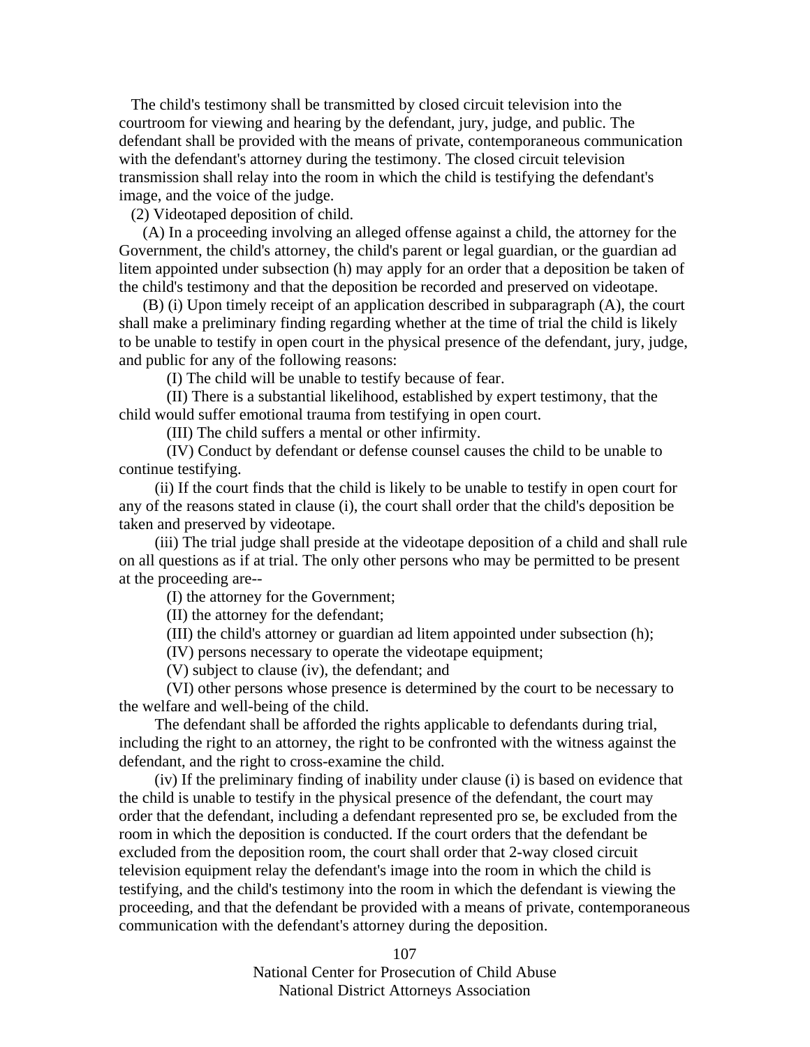The child's testimony shall be transmitted by closed circuit television into the courtroom for viewing and hearing by the defendant, jury, judge, and public. The defendant shall be provided with the means of private, contemporaneous communication with the defendant's attorney during the testimony. The closed circuit television transmission shall relay into the room in which the child is testifying the defendant's image, and the voice of the judge.

(2) Videotaped deposition of child.

 (A) In a proceeding involving an alleged offense against a child, the attorney for the Government, the child's attorney, the child's parent or legal guardian, or the guardian ad litem appointed under subsection (h) may apply for an order that a deposition be taken of the child's testimony and that the deposition be recorded and preserved on videotape.

 (B) (i) Upon timely receipt of an application described in subparagraph (A), the court shall make a preliminary finding regarding whether at the time of trial the child is likely to be unable to testify in open court in the physical presence of the defendant, jury, judge, and public for any of the following reasons:

(I) The child will be unable to testify because of fear.

 (II) There is a substantial likelihood, established by expert testimony, that the child would suffer emotional trauma from testifying in open court.

(III) The child suffers a mental or other infirmity.

 (IV) Conduct by defendant or defense counsel causes the child to be unable to continue testifying.

 (ii) If the court finds that the child is likely to be unable to testify in open court for any of the reasons stated in clause (i), the court shall order that the child's deposition be taken and preserved by videotape.

 (iii) The trial judge shall preside at the videotape deposition of a child and shall rule on all questions as if at trial. The only other persons who may be permitted to be present at the proceeding are--

(I) the attorney for the Government;

(II) the attorney for the defendant;

(III) the child's attorney or guardian ad litem appointed under subsection (h);

(IV) persons necessary to operate the videotape equipment;

(V) subject to clause (iv), the defendant; and

 (VI) other persons whose presence is determined by the court to be necessary to the welfare and well-being of the child.

 The defendant shall be afforded the rights applicable to defendants during trial, including the right to an attorney, the right to be confronted with the witness against the defendant, and the right to cross-examine the child.

 (iv) If the preliminary finding of inability under clause (i) is based on evidence that the child is unable to testify in the physical presence of the defendant, the court may order that the defendant, including a defendant represented pro se, be excluded from the room in which the deposition is conducted. If the court orders that the defendant be excluded from the deposition room, the court shall order that 2-way closed circuit television equipment relay the defendant's image into the room in which the child is testifying, and the child's testimony into the room in which the defendant is viewing the proceeding, and that the defendant be provided with a means of private, contemporaneous communication with the defendant's attorney during the deposition.

107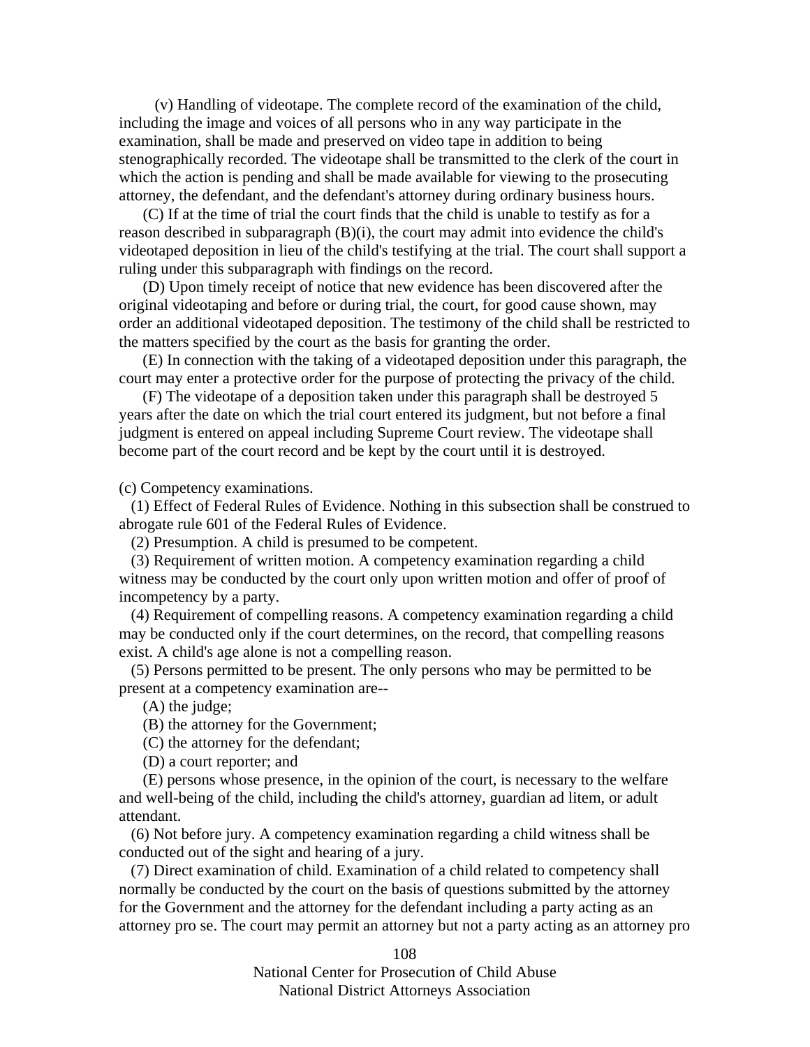(v) Handling of videotape. The complete record of the examination of the child, including the image and voices of all persons who in any way participate in the examination, shall be made and preserved on video tape in addition to being stenographically recorded. The videotape shall be transmitted to the clerk of the court in which the action is pending and shall be made available for viewing to the prosecuting attorney, the defendant, and the defendant's attorney during ordinary business hours.

 (C) If at the time of trial the court finds that the child is unable to testify as for a reason described in subparagraph (B)(i), the court may admit into evidence the child's videotaped deposition in lieu of the child's testifying at the trial. The court shall support a ruling under this subparagraph with findings on the record.

 (D) Upon timely receipt of notice that new evidence has been discovered after the original videotaping and before or during trial, the court, for good cause shown, may order an additional videotaped deposition. The testimony of the child shall be restricted to the matters specified by the court as the basis for granting the order.

 (E) In connection with the taking of a videotaped deposition under this paragraph, the court may enter a protective order for the purpose of protecting the privacy of the child.

 (F) The videotape of a deposition taken under this paragraph shall be destroyed 5 years after the date on which the trial court entered its judgment, but not before a final judgment is entered on appeal including Supreme Court review. The videotape shall become part of the court record and be kept by the court until it is destroyed.

(c) Competency examinations.

 (1) Effect of Federal Rules of Evidence. Nothing in this subsection shall be construed to abrogate rule 601 of the Federal Rules of Evidence.

(2) Presumption. A child is presumed to be competent.

 (3) Requirement of written motion. A competency examination regarding a child witness may be conducted by the court only upon written motion and offer of proof of incompetency by a party.

 (4) Requirement of compelling reasons. A competency examination regarding a child may be conducted only if the court determines, on the record, that compelling reasons exist. A child's age alone is not a compelling reason.

 (5) Persons permitted to be present. The only persons who may be permitted to be present at a competency examination are--

(A) the judge;

(B) the attorney for the Government;

(C) the attorney for the defendant;

(D) a court reporter; and

 (E) persons whose presence, in the opinion of the court, is necessary to the welfare and well-being of the child, including the child's attorney, guardian ad litem, or adult attendant.

 (6) Not before jury. A competency examination regarding a child witness shall be conducted out of the sight and hearing of a jury.

 (7) Direct examination of child. Examination of a child related to competency shall normally be conducted by the court on the basis of questions submitted by the attorney for the Government and the attorney for the defendant including a party acting as an attorney pro se. The court may permit an attorney but not a party acting as an attorney pro

108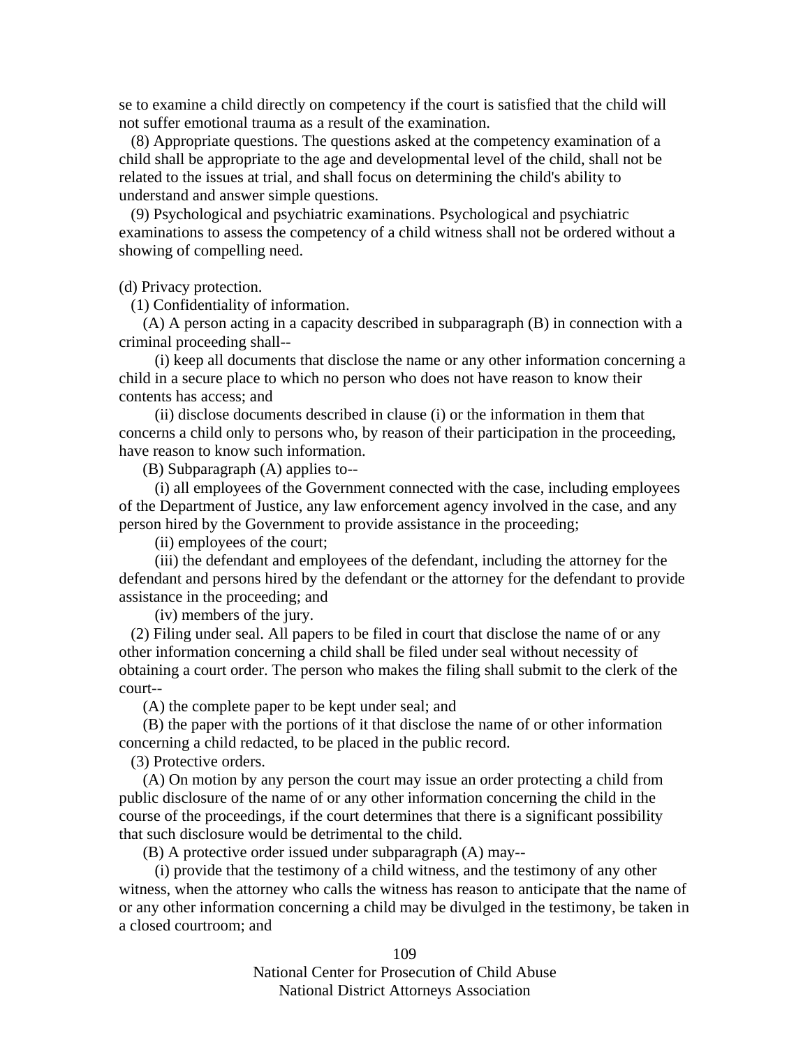se to examine a child directly on competency if the court is satisfied that the child will not suffer emotional trauma as a result of the examination.

 (8) Appropriate questions. The questions asked at the competency examination of a child shall be appropriate to the age and developmental level of the child, shall not be related to the issues at trial, and shall focus on determining the child's ability to understand and answer simple questions.

 (9) Psychological and psychiatric examinations. Psychological and psychiatric examinations to assess the competency of a child witness shall not be ordered without a showing of compelling need.

(d) Privacy protection.

(1) Confidentiality of information.

 (A) A person acting in a capacity described in subparagraph (B) in connection with a criminal proceeding shall--

 (i) keep all documents that disclose the name or any other information concerning a child in a secure place to which no person who does not have reason to know their contents has access; and

 (ii) disclose documents described in clause (i) or the information in them that concerns a child only to persons who, by reason of their participation in the proceeding, have reason to know such information.

(B) Subparagraph (A) applies to--

 (i) all employees of the Government connected with the case, including employees of the Department of Justice, any law enforcement agency involved in the case, and any person hired by the Government to provide assistance in the proceeding;

(ii) employees of the court;

 (iii) the defendant and employees of the defendant, including the attorney for the defendant and persons hired by the defendant or the attorney for the defendant to provide assistance in the proceeding; and

(iv) members of the jury.

 (2) Filing under seal. All papers to be filed in court that disclose the name of or any other information concerning a child shall be filed under seal without necessity of obtaining a court order. The person who makes the filing shall submit to the clerk of the court--

(A) the complete paper to be kept under seal; and

 (B) the paper with the portions of it that disclose the name of or other information concerning a child redacted, to be placed in the public record.

(3) Protective orders.

 (A) On motion by any person the court may issue an order protecting a child from public disclosure of the name of or any other information concerning the child in the course of the proceedings, if the court determines that there is a significant possibility that such disclosure would be detrimental to the child.

(B) A protective order issued under subparagraph (A) may--

 (i) provide that the testimony of a child witness, and the testimony of any other witness, when the attorney who calls the witness has reason to anticipate that the name of or any other information concerning a child may be divulged in the testimony, be taken in a closed courtroom; and

109

National Center for Prosecution of Child Abuse National District Attorneys Association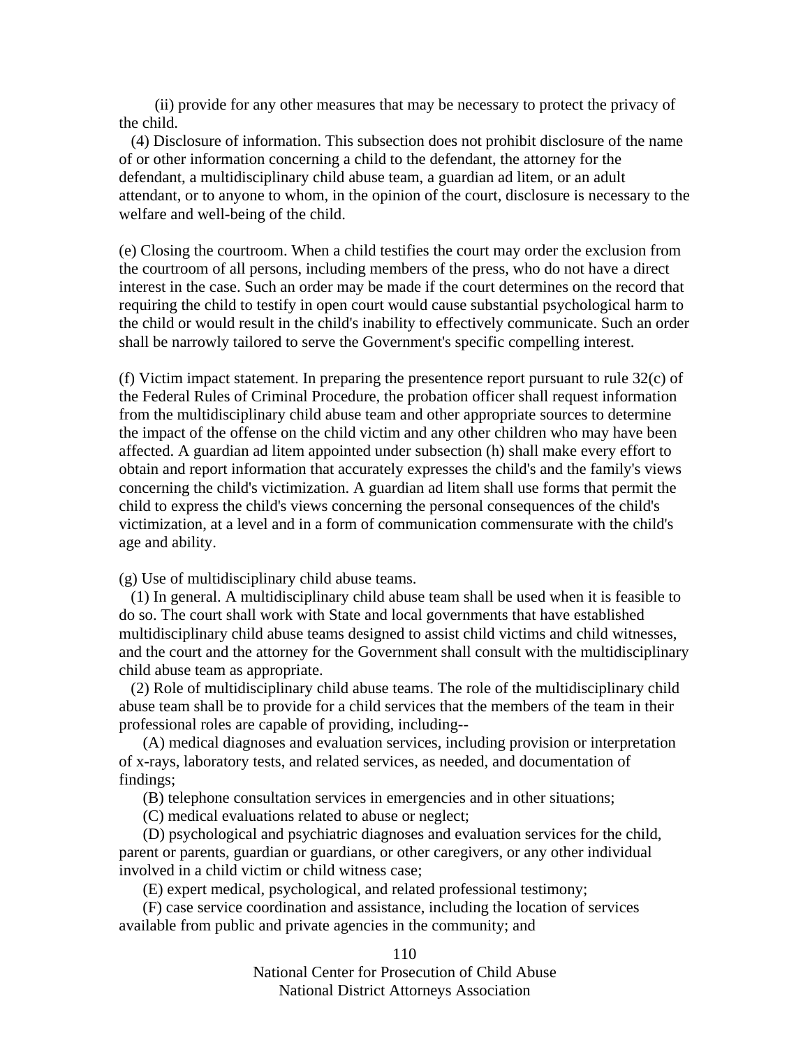(ii) provide for any other measures that may be necessary to protect the privacy of the child.

 (4) Disclosure of information. This subsection does not prohibit disclosure of the name of or other information concerning a child to the defendant, the attorney for the defendant, a multidisciplinary child abuse team, a guardian ad litem, or an adult attendant, or to anyone to whom, in the opinion of the court, disclosure is necessary to the welfare and well-being of the child.

(e) Closing the courtroom. When a child testifies the court may order the exclusion from the courtroom of all persons, including members of the press, who do not have a direct interest in the case. Such an order may be made if the court determines on the record that requiring the child to testify in open court would cause substantial psychological harm to the child or would result in the child's inability to effectively communicate. Such an order shall be narrowly tailored to serve the Government's specific compelling interest.

(f) Victim impact statement. In preparing the presentence report pursuant to rule 32(c) of the Federal Rules of Criminal Procedure, the probation officer shall request information from the multidisciplinary child abuse team and other appropriate sources to determine the impact of the offense on the child victim and any other children who may have been affected. A guardian ad litem appointed under subsection (h) shall make every effort to obtain and report information that accurately expresses the child's and the family's views concerning the child's victimization. A guardian ad litem shall use forms that permit the child to express the child's views concerning the personal consequences of the child's victimization, at a level and in a form of communication commensurate with the child's age and ability.

(g) Use of multidisciplinary child abuse teams.

 (1) In general. A multidisciplinary child abuse team shall be used when it is feasible to do so. The court shall work with State and local governments that have established multidisciplinary child abuse teams designed to assist child victims and child witnesses, and the court and the attorney for the Government shall consult with the multidisciplinary child abuse team as appropriate.

 (2) Role of multidisciplinary child abuse teams. The role of the multidisciplinary child abuse team shall be to provide for a child services that the members of the team in their professional roles are capable of providing, including--

 (A) medical diagnoses and evaluation services, including provision or interpretation of x-rays, laboratory tests, and related services, as needed, and documentation of findings;

(B) telephone consultation services in emergencies and in other situations;

(C) medical evaluations related to abuse or neglect;

 (D) psychological and psychiatric diagnoses and evaluation services for the child, parent or parents, guardian or guardians, or other caregivers, or any other individual involved in a child victim or child witness case;

(E) expert medical, psychological, and related professional testimony;

 (F) case service coordination and assistance, including the location of services available from public and private agencies in the community; and

110

National Center for Prosecution of Child Abuse National District Attorneys Association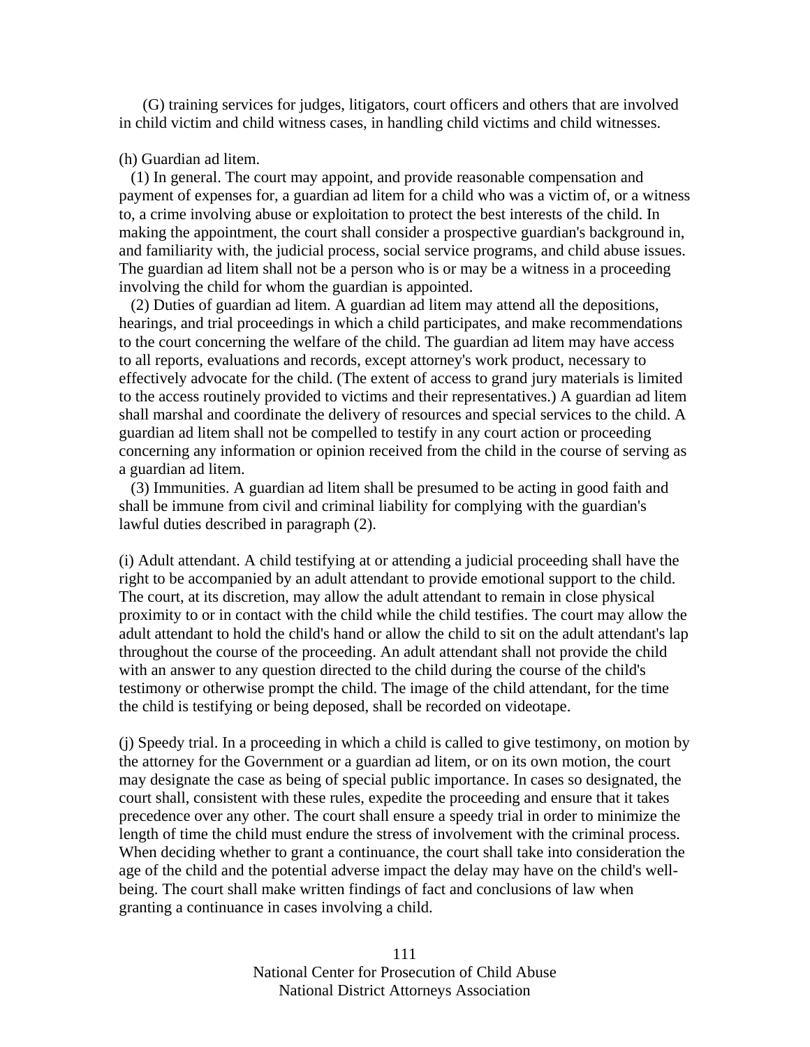(G) training services for judges, litigators, court officers and others that are involved in child victim and child witness cases, in handling child victims and child witnesses.

(h) Guardian ad litem.

 (1) In general. The court may appoint, and provide reasonable compensation and payment of expenses for, a guardian ad litem for a child who was a victim of, or a witness to, a crime involving abuse or exploitation to protect the best interests of the child. In making the appointment, the court shall consider a prospective guardian's background in, and familiarity with, the judicial process, social service programs, and child abuse issues. The guardian ad litem shall not be a person who is or may be a witness in a proceeding involving the child for whom the guardian is appointed.

 (2) Duties of guardian ad litem. A guardian ad litem may attend all the depositions, hearings, and trial proceedings in which a child participates, and make recommendations to the court concerning the welfare of the child. The guardian ad litem may have access to all reports, evaluations and records, except attorney's work product, necessary to effectively advocate for the child. (The extent of access to grand jury materials is limited to the access routinely provided to victims and their representatives.) A guardian ad litem shall marshal and coordinate the delivery of resources and special services to the child. A guardian ad litem shall not be compelled to testify in any court action or proceeding concerning any information or opinion received from the child in the course of serving as a guardian ad litem.

 (3) Immunities. A guardian ad litem shall be presumed to be acting in good faith and shall be immune from civil and criminal liability for complying with the guardian's lawful duties described in paragraph (2).

(i) Adult attendant. A child testifying at or attending a judicial proceeding shall have the right to be accompanied by an adult attendant to provide emotional support to the child. The court, at its discretion, may allow the adult attendant to remain in close physical proximity to or in contact with the child while the child testifies. The court may allow the adult attendant to hold the child's hand or allow the child to sit on the adult attendant's lap throughout the course of the proceeding. An adult attendant shall not provide the child with an answer to any question directed to the child during the course of the child's testimony or otherwise prompt the child. The image of the child attendant, for the time the child is testifying or being deposed, shall be recorded on videotape.

(j) Speedy trial. In a proceeding in which a child is called to give testimony, on motion by the attorney for the Government or a guardian ad litem, or on its own motion, the court may designate the case as being of special public importance. In cases so designated, the court shall, consistent with these rules, expedite the proceeding and ensure that it takes precedence over any other. The court shall ensure a speedy trial in order to minimize the length of time the child must endure the stress of involvement with the criminal process. When deciding whether to grant a continuance, the court shall take into consideration the age of the child and the potential adverse impact the delay may have on the child's wellbeing. The court shall make written findings of fact and conclusions of law when granting a continuance in cases involving a child.